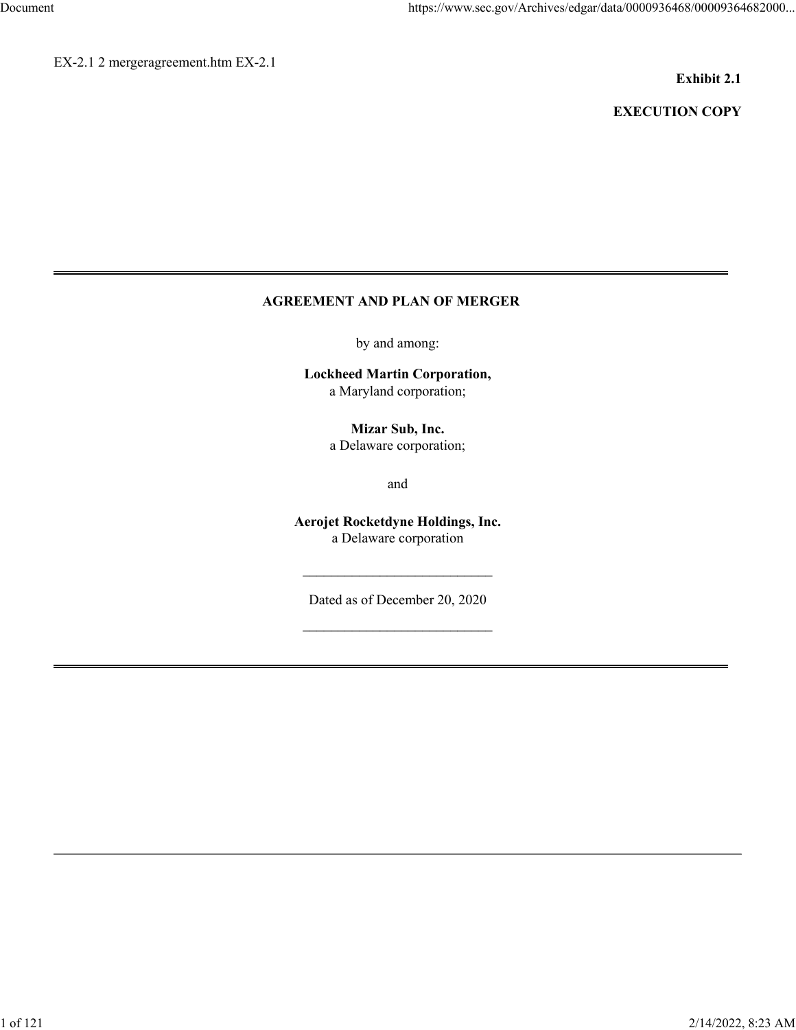EX-2.1 2 mergeragreement.htm EX-2.1

## **Exhibit 2.1**

# **EXECUTION COPY**

# **AGREEMENT AND PLAN OF MERGER**

by and among:

**Lockheed Martin Corporation,** a Maryland corporation;

> **Mizar Sub, Inc.** a Delaware corporation;

> > and

**Aerojet Rocketdyne Holdings, Inc.** a Delaware corporation

Dated as of December 20, 2020

 $\mathcal{L}_\text{max}$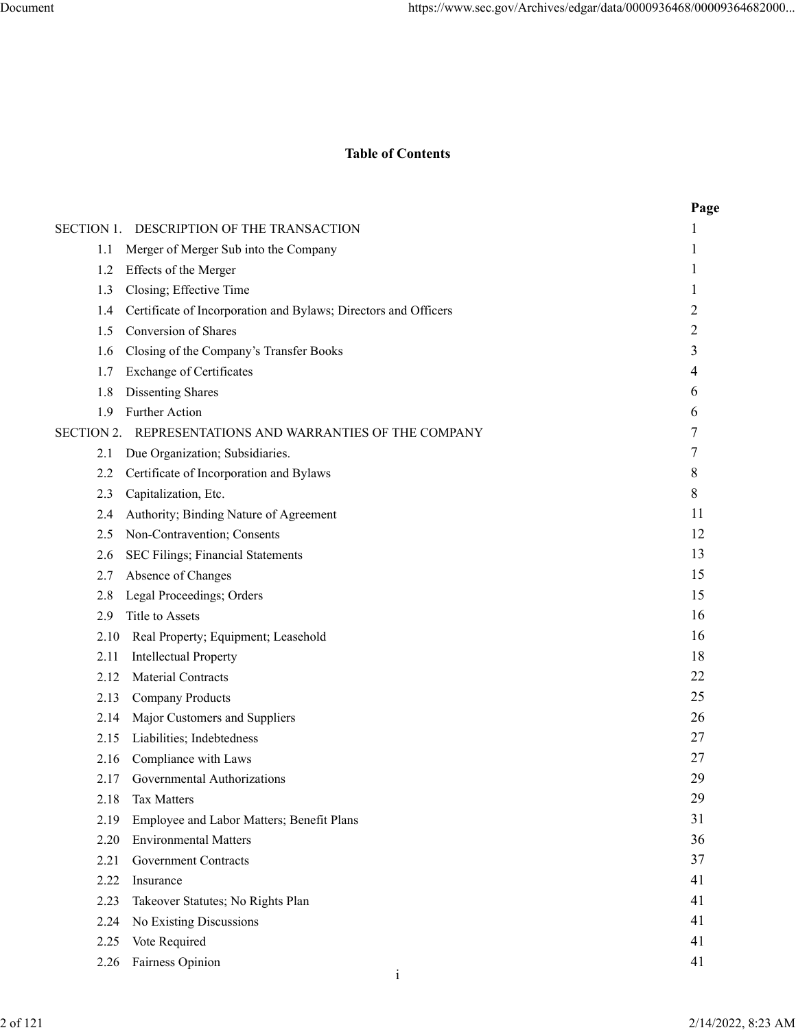# **Table of Contents**

|                   |      |                                                                 | Page           |
|-------------------|------|-----------------------------------------------------------------|----------------|
|                   |      | SECTION 1. DESCRIPTION OF THE TRANSACTION                       |                |
|                   | 1.1  | Merger of Merger Sub into the Company                           | 1              |
|                   | 1.2  | Effects of the Merger                                           |                |
|                   | 1.3  | Closing; Effective Time                                         |                |
|                   | 1.4  | Certificate of Incorporation and Bylaws; Directors and Officers | $\overline{2}$ |
|                   | 1.5  | Conversion of Shares                                            | 2              |
|                   | 1.6  | Closing of the Company's Transfer Books                         | 3              |
|                   | 1.7  | <b>Exchange of Certificates</b>                                 | 4              |
|                   | 1.8  | <b>Dissenting Shares</b>                                        | 6              |
|                   | 1.9  | Further Action                                                  | 6              |
| <b>SECTION 2.</b> |      | REPRESENTATIONS AND WARRANTIES OF THE COMPANY                   | 7              |
|                   | 2.1  | Due Organization; Subsidiaries.                                 | 7              |
|                   | 2.2  | Certificate of Incorporation and Bylaws                         | 8              |
|                   | 2.3  | Capitalization, Etc.                                            | 8              |
|                   | 2.4  | Authority; Binding Nature of Agreement                          | 11             |
|                   | 2.5  | Non-Contravention; Consents                                     | 12             |
|                   | 2.6  | SEC Filings; Financial Statements                               | 13             |
|                   | 2.7  | Absence of Changes                                              | 15             |
|                   | 2.8  | Legal Proceedings; Orders                                       | 15             |
|                   | 2.9  | Title to Assets                                                 | 16             |
|                   | 2.10 | Real Property; Equipment; Leasehold                             | 16             |
|                   | 2.11 | <b>Intellectual Property</b>                                    | 18             |
|                   | 2.12 | <b>Material Contracts</b>                                       | 22             |
|                   | 2.13 | <b>Company Products</b>                                         | 25             |
|                   | 2.14 | Major Customers and Suppliers                                   | 26             |
|                   | 2.15 | Liabilities; Indebtedness                                       | 27             |
|                   | 2.16 | Compliance with Laws                                            | 27             |
|                   | 2.17 | Governmental Authorizations                                     | 29             |
|                   | 2.18 | Tax Matters                                                     | 29             |
|                   | 2.19 | Employee and Labor Matters; Benefit Plans                       | 31             |
|                   | 2.20 | <b>Environmental Matters</b>                                    | 36             |
|                   | 2.21 | <b>Government Contracts</b>                                     | 37             |
|                   | 2.22 | Insurance                                                       | 41             |
|                   | 2.23 | Takeover Statutes; No Rights Plan                               | 41             |
|                   | 2.24 | No Existing Discussions                                         | 41             |
|                   | 2.25 | Vote Required                                                   | 41             |
|                   | 2.26 | Fairness Opinion                                                | 41             |
|                   |      | $\mathbf{1}$                                                    |                |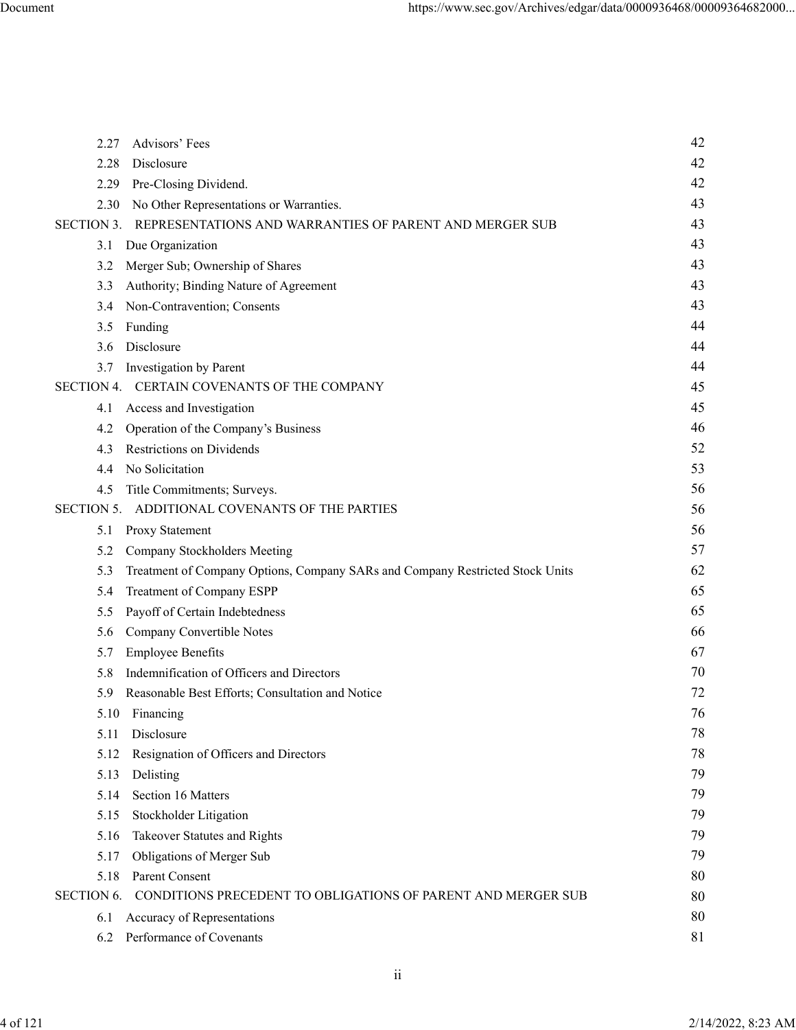| 2.27              | Advisors' Fees                                                                | 42 |
|-------------------|-------------------------------------------------------------------------------|----|
| 2.28              | Disclosure                                                                    | 42 |
| 2.29              | Pre-Closing Dividend.                                                         | 42 |
| 2.30              | No Other Representations or Warranties.                                       | 43 |
| <b>SECTION 3.</b> | REPRESENTATIONS AND WARRANTIES OF PARENT AND MERGER SUB                       | 43 |
| 3.1               | Due Organization                                                              | 43 |
| 3.2               | Merger Sub; Ownership of Shares                                               | 43 |
| 3.3               | Authority; Binding Nature of Agreement                                        | 43 |
| 3.4               | Non-Contravention; Consents                                                   | 43 |
| 3.5               | Funding                                                                       | 44 |
| 3.6               | Disclosure                                                                    | 44 |
| 3.7               | Investigation by Parent                                                       | 44 |
|                   | SECTION 4. CERTAIN COVENANTS OF THE COMPANY                                   | 45 |
| 4.1               | Access and Investigation                                                      | 45 |
| 4.2               | Operation of the Company's Business                                           | 46 |
| 4.3               | <b>Restrictions on Dividends</b>                                              | 52 |
| 4.4               | No Solicitation                                                               | 53 |
| 4.5               | Title Commitments; Surveys.                                                   | 56 |
| <b>SECTION 5.</b> | ADDITIONAL COVENANTS OF THE PARTIES                                           | 56 |
| 5.1               | Proxy Statement                                                               | 56 |
| 5.2               | Company Stockholders Meeting                                                  | 57 |
| 5.3               | Treatment of Company Options, Company SARs and Company Restricted Stock Units | 62 |
| 5.4               | Treatment of Company ESPP                                                     | 65 |
| 5.5               | Payoff of Certain Indebtedness                                                | 65 |
| 5.6               | Company Convertible Notes                                                     | 66 |
| 5.7               | <b>Employee Benefits</b>                                                      | 67 |
| 5.8               | Indemnification of Officers and Directors                                     | 70 |
| 5.9               | Reasonable Best Efforts; Consultation and Notice                              | 72 |
|                   | 5.10 Financing                                                                | 76 |
| 5.11              | Disclosure                                                                    | 78 |
| 5.12              | Resignation of Officers and Directors                                         | 78 |
| 5.13              | Delisting                                                                     | 79 |
| 5.14              | Section 16 Matters                                                            | 79 |
| 5.15              | Stockholder Litigation                                                        | 79 |
| 5.16              | Takeover Statutes and Rights                                                  | 79 |
| 5.17              | Obligations of Merger Sub                                                     | 79 |
| 5.18              | Parent Consent                                                                | 80 |
| <b>SECTION 6.</b> | CONDITIONS PRECEDENT TO OBLIGATIONS OF PARENT AND MERGER SUB                  | 80 |
| 6.1               | Accuracy of Representations                                                   | 80 |
| 6.2               | Performance of Covenants                                                      | 81 |

ii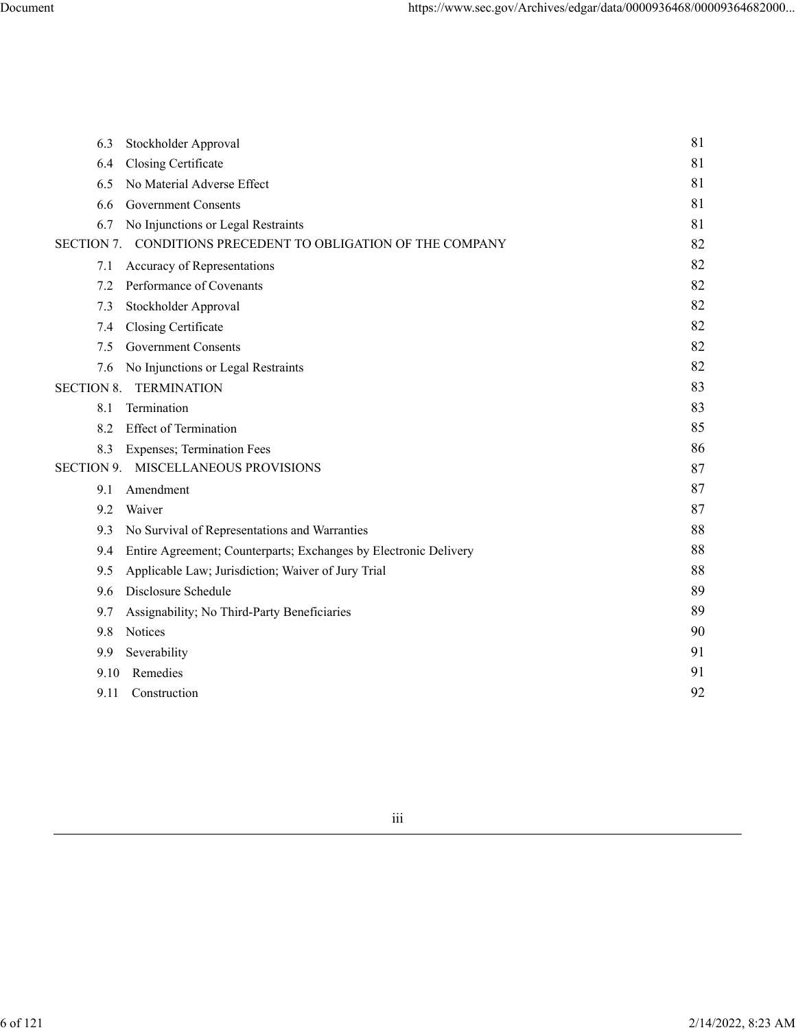| 6.3               | Stockholder Approval                                             | 81 |
|-------------------|------------------------------------------------------------------|----|
| 6.4               | Closing Certificate                                              | 81 |
| 6.5               | No Material Adverse Effect                                       | 81 |
| 6.6               | <b>Government Consents</b>                                       | 81 |
| 6.7               | No Injunctions or Legal Restraints                               | 81 |
| <b>SECTION 7.</b> | CONDITIONS PRECEDENT TO OBLIGATION OF THE COMPANY                | 82 |
| 7.1               | Accuracy of Representations                                      | 82 |
| 7.2               | Performance of Covenants                                         | 82 |
| 7.3               | Stockholder Approval                                             | 82 |
| 7.4               | Closing Certificate                                              | 82 |
| 7.5               | <b>Government Consents</b>                                       | 82 |
| 7.6               | No Injunctions or Legal Restraints                               | 82 |
| <b>SECTION 8.</b> | <b>TERMINATION</b>                                               | 83 |
| 8.1               | Termination                                                      | 83 |
| 8.2               | <b>Effect of Termination</b>                                     | 85 |
| 8.3               | <b>Expenses</b> ; Termination Fees                               | 86 |
| <b>SECTION 9.</b> | MISCELLANEOUS PROVISIONS                                         | 87 |
| 9.1               | Amendment                                                        | 87 |
| 9.2               | Waiver                                                           | 87 |
| 9.3               | No Survival of Representations and Warranties                    | 88 |
| 9.4               | Entire Agreement; Counterparts; Exchanges by Electronic Delivery | 88 |
| 9.5               | Applicable Law; Jurisdiction; Waiver of Jury Trial               | 88 |
| 9.6               | Disclosure Schedule                                              | 89 |
| 9.7               | Assignability; No Third-Party Beneficiaries                      | 89 |
| 9.8               | Notices                                                          | 90 |
| 9.9               | Severability                                                     | 91 |
| 9.10              | Remedies                                                         | 91 |
| 9.11              | Construction                                                     | 92 |
|                   |                                                                  |    |

iii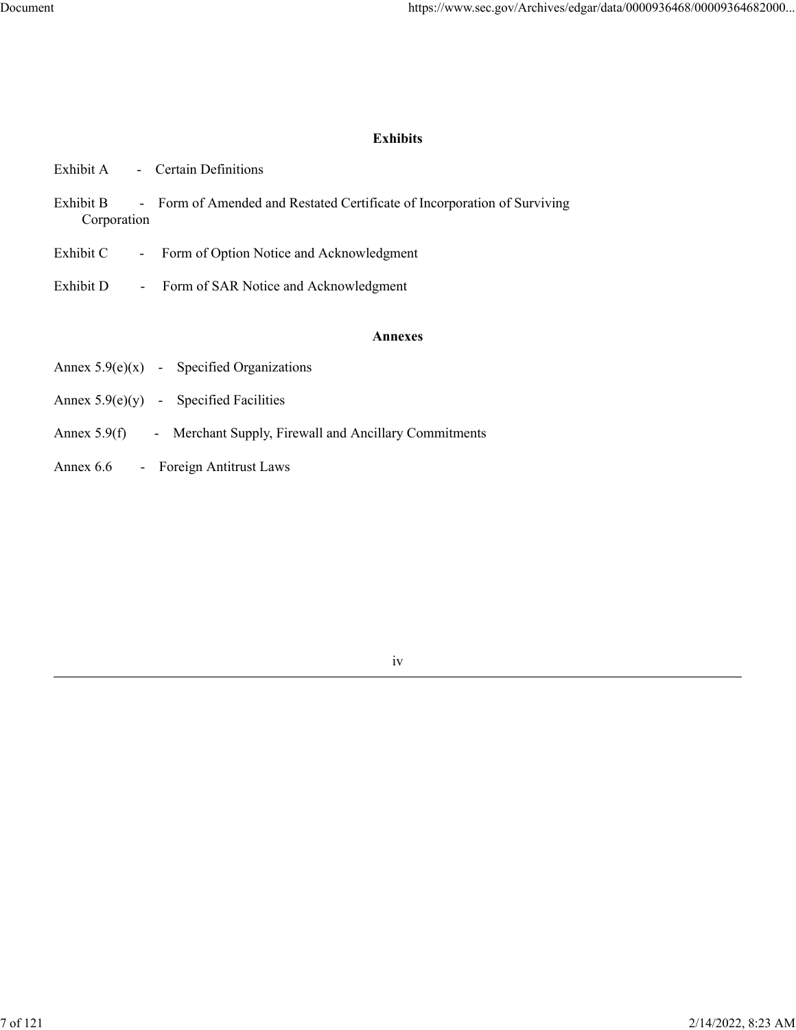# **Exhibits**

| Exhibit B<br>Corporation | - Form of Amended and Restated Certificate of Incorporation of Surviving |
|--------------------------|--------------------------------------------------------------------------|
| Exhibit C                | - Form of Option Notice and Acknowledgment                               |
| Exhibit D                | - Form of SAR Notice and Acknowledgment                                  |
|                          | <b>Annexes</b>                                                           |
|                          | Annex $5.9(e)(x)$ - Specified Organizations                              |
|                          | Annex $5.9(e)(y)$ - Specified Facilities                                 |
|                          |                                                                          |

- Annex 5.9(f) Merchant Supply, Firewall and Ancillary Commitments
- Annex 6.6 Foreign Antitrust Laws

Exhibit A - Certain Definitions

iv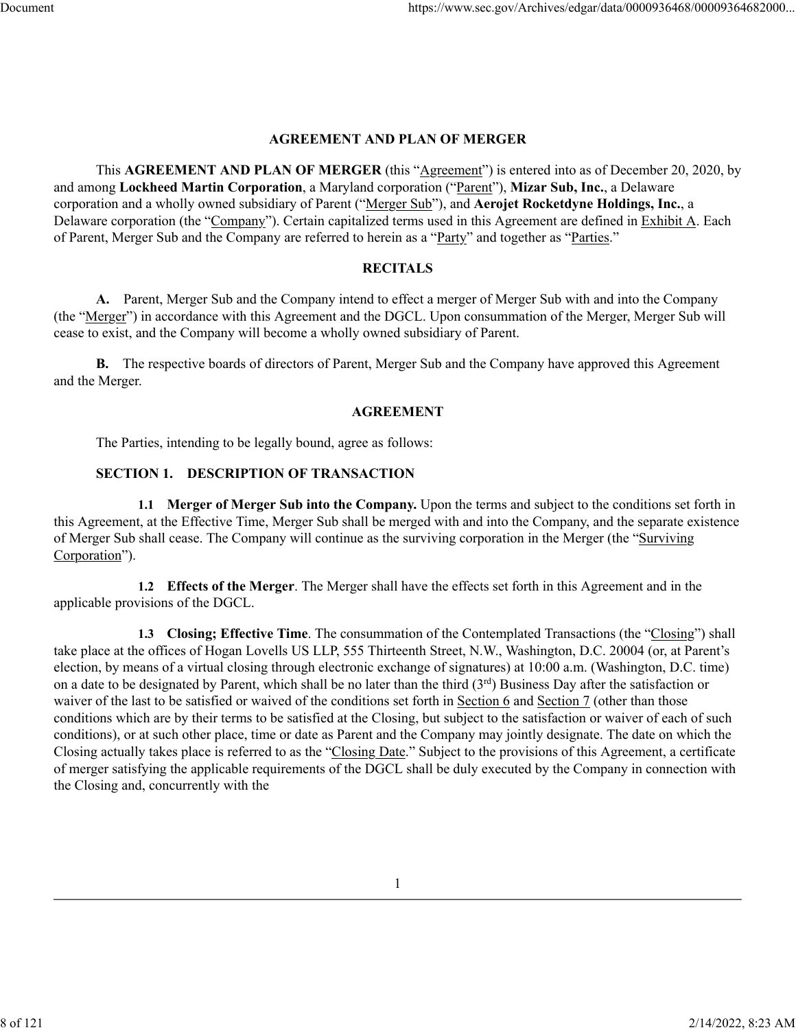#### **AGREEMENT AND PLAN OF MERGER**

This **AGREEMENT AND PLAN OF MERGER** (this "Agreement") is entered into as of December 20, 2020, by and among **Lockheed Martin Corporation**, a Maryland corporation ("Parent"), **Mizar Sub, Inc.**, a Delaware corporation and a wholly owned subsidiary of Parent ("Merger Sub"), and **Aerojet Rocketdyne Holdings, Inc.**, a Delaware corporation (the "Company"). Certain capitalized terms used in this Agreement are defined in Exhibit A. Each of Parent, Merger Sub and the Company are referred to herein as a "Party" and together as "Parties."

## **RECITALS**

**A.** Parent, Merger Sub and the Company intend to effect a merger of Merger Sub with and into the Company (the "Merger") in accordance with this Agreement and the DGCL. Upon consummation of the Merger, Merger Sub will cease to exist, and the Company will become a wholly owned subsidiary of Parent.

**B.** The respective boards of directors of Parent, Merger Sub and the Company have approved this Agreement and the Merger.

#### **AGREEMENT**

The Parties, intending to be legally bound, agree as follows:

# **SECTION 1. DESCRIPTION OF TRANSACTION**

**1.1 Merger of Merger Sub into the Company.** Upon the terms and subject to the conditions set forth in this Agreement, at the Effective Time, Merger Sub shall be merged with and into the Company, and the separate existence of Merger Sub shall cease. The Company will continue as the surviving corporation in the Merger (the "Surviving Corporation").

**1.2 Effects of the Merger**. The Merger shall have the effects set forth in this Agreement and in the applicable provisions of the DGCL.

**1.3 Closing; Effective Time**. The consummation of the Contemplated Transactions (the "Closing") shall take place at the offices of Hogan Lovells US LLP, 555 Thirteenth Street, N.W., Washington, D.C. 20004 (or, at Parent's election, by means of a virtual closing through electronic exchange of signatures) at 10:00 a.m. (Washington, D.C. time) on a date to be designated by Parent, which shall be no later than the third  $(3^{rd})$  Business Day after the satisfaction or waiver of the last to be satisfied or waived of the conditions set forth in Section 6 and Section 7 (other than those conditions which are by their terms to be satisfied at the Closing, but subject to the satisfaction or waiver of each of such conditions), or at such other place, time or date as Parent and the Company may jointly designate. The date on which the Closing actually takes place is referred to as the "Closing Date." Subject to the provisions of this Agreement, a certificate of merger satisfying the applicable requirements of the DGCL shall be duly executed by the Company in connection with the Closing and, concurrently with the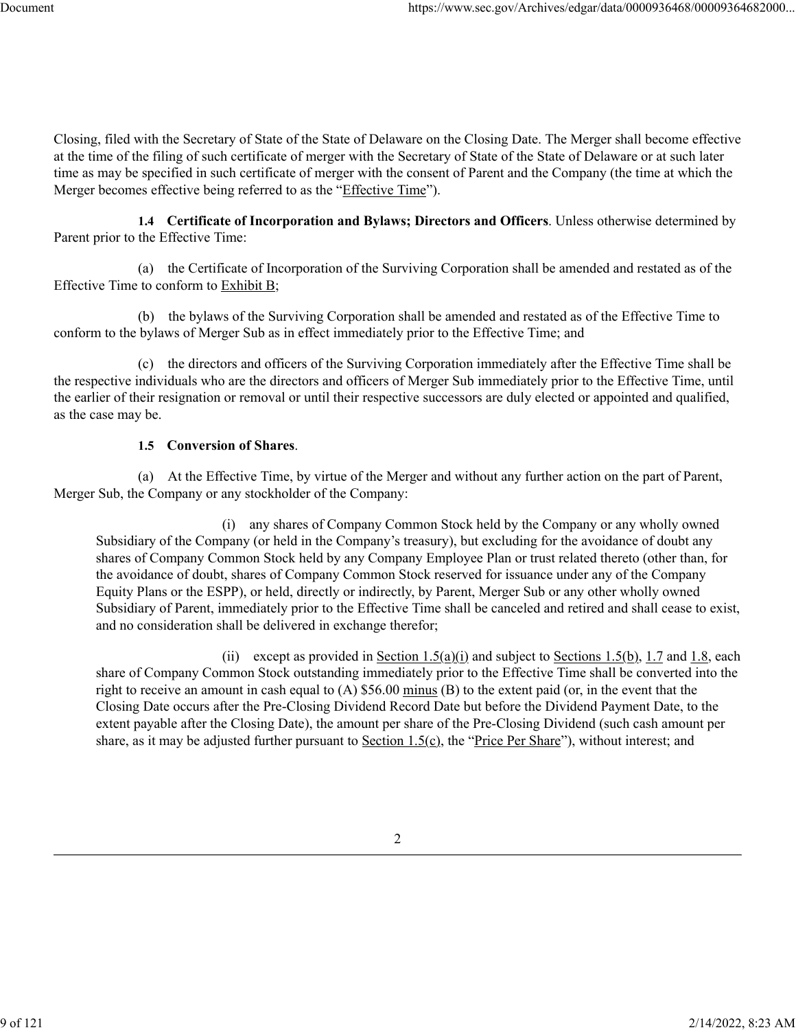Closing, filed with the Secretary of State of the State of Delaware on the Closing Date. The Merger shall become effective at the time of the filing of such certificate of merger with the Secretary of State of the State of Delaware or at such later time as may be specified in such certificate of merger with the consent of Parent and the Company (the time at which the Merger becomes effective being referred to as the "Effective Time").

**1.4 Certificate of Incorporation and Bylaws; Directors and Officers**. Unless otherwise determined by Parent prior to the Effective Time:

(a) the Certificate of Incorporation of the Surviving Corporation shall be amended and restated as of the Effective Time to conform to Exhibit B;

(b) the bylaws of the Surviving Corporation shall be amended and restated as of the Effective Time to conform to the bylaws of Merger Sub as in effect immediately prior to the Effective Time; and

(c) the directors and officers of the Surviving Corporation immediately after the Effective Time shall be the respective individuals who are the directors and officers of Merger Sub immediately prior to the Effective Time, until the earlier of their resignation or removal or until their respective successors are duly elected or appointed and qualified, as the case may be.

# **1.5 Conversion of Shares**.

(a) At the Effective Time, by virtue of the Merger and without any further action on the part of Parent, Merger Sub, the Company or any stockholder of the Company:

(i) any shares of Company Common Stock held by the Company or any wholly owned Subsidiary of the Company (or held in the Company's treasury), but excluding for the avoidance of doubt any shares of Company Common Stock held by any Company Employee Plan or trust related thereto (other than, for the avoidance of doubt, shares of Company Common Stock reserved for issuance under any of the Company Equity Plans or the ESPP), or held, directly or indirectly, by Parent, Merger Sub or any other wholly owned Subsidiary of Parent, immediately prior to the Effective Time shall be canceled and retired and shall cease to exist, and no consideration shall be delivered in exchange therefor;

(ii) except as provided in Section  $1.5(a)(i)$  and subject to Sections 1.5(b), 1.7 and 1.8, each share of Company Common Stock outstanding immediately prior to the Effective Time shall be converted into the right to receive an amount in cash equal to (A) \$56.00 minus (B) to the extent paid (or, in the event that the Closing Date occurs after the Pre-Closing Dividend Record Date but before the Dividend Payment Date, to the extent payable after the Closing Date), the amount per share of the Pre-Closing Dividend (such cash amount per share, as it may be adjusted further pursuant to Section  $1.5(c)$ , the "Price Per Share"), without interest; and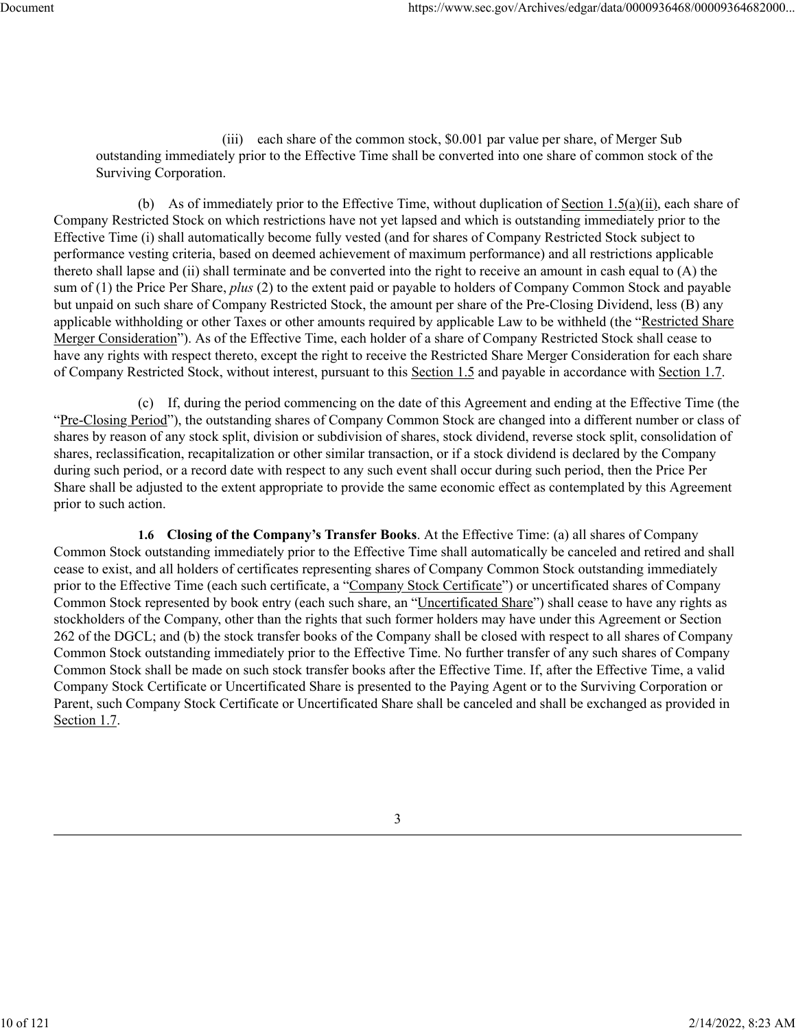(iii) each share of the common stock, \$0.001 par value per share, of Merger Sub outstanding immediately prior to the Effective Time shall be converted into one share of common stock of the Surviving Corporation.

(b) As of immediately prior to the Effective Time, without duplication of Section 1.5(a)(ii), each share of Company Restricted Stock on which restrictions have not yet lapsed and which is outstanding immediately prior to the Effective Time (i) shall automatically become fully vested (and for shares of Company Restricted Stock subject to performance vesting criteria, based on deemed achievement of maximum performance) and all restrictions applicable thereto shall lapse and (ii) shall terminate and be converted into the right to receive an amount in cash equal to (A) the sum of (1) the Price Per Share, *plus* (2) to the extent paid or payable to holders of Company Common Stock and payable but unpaid on such share of Company Restricted Stock, the amount per share of the Pre-Closing Dividend, less (B) any applicable withholding or other Taxes or other amounts required by applicable Law to be withheld (the "Restricted Share Merger Consideration"). As of the Effective Time, each holder of a share of Company Restricted Stock shall cease to have any rights with respect thereto, except the right to receive the Restricted Share Merger Consideration for each share of Company Restricted Stock, without interest, pursuant to this Section 1.5 and payable in accordance with Section 1.7.

(c) If, during the period commencing on the date of this Agreement and ending at the Effective Time (the "Pre-Closing Period"), the outstanding shares of Company Common Stock are changed into a different number or class of shares by reason of any stock split, division or subdivision of shares, stock dividend, reverse stock split, consolidation of shares, reclassification, recapitalization or other similar transaction, or if a stock dividend is declared by the Company during such period, or a record date with respect to any such event shall occur during such period, then the Price Per Share shall be adjusted to the extent appropriate to provide the same economic effect as contemplated by this Agreement prior to such action.

**1.6 Closing of the Company's Transfer Books**. At the Effective Time: (a) all shares of Company Common Stock outstanding immediately prior to the Effective Time shall automatically be canceled and retired and shall cease to exist, and all holders of certificates representing shares of Company Common Stock outstanding immediately prior to the Effective Time (each such certificate, a "Company Stock Certificate") or uncertificated shares of Company Common Stock represented by book entry (each such share, an "Uncertificated Share") shall cease to have any rights as stockholders of the Company, other than the rights that such former holders may have under this Agreement or Section 262 of the DGCL; and (b) the stock transfer books of the Company shall be closed with respect to all shares of Company Common Stock outstanding immediately prior to the Effective Time. No further transfer of any such shares of Company Common Stock shall be made on such stock transfer books after the Effective Time. If, after the Effective Time, a valid Company Stock Certificate or Uncertificated Share is presented to the Paying Agent or to the Surviving Corporation or Parent, such Company Stock Certificate or Uncertificated Share shall be canceled and shall be exchanged as provided in Section 1.7.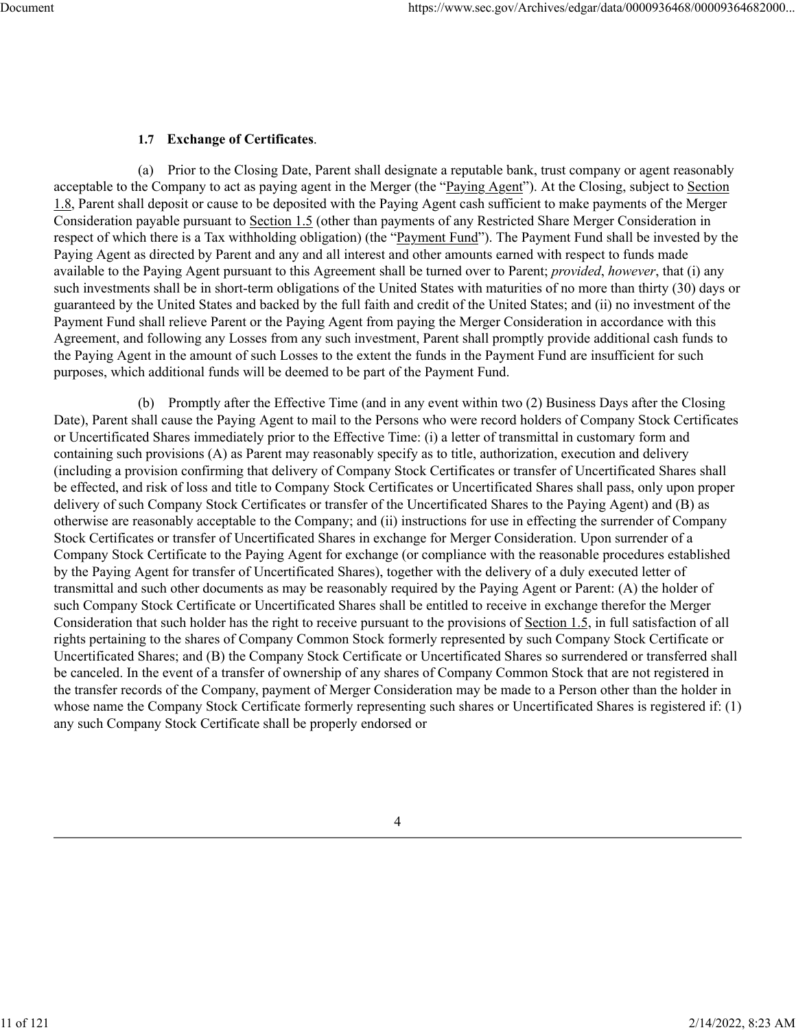# **1.7 Exchange of Certificates**.

(a) Prior to the Closing Date, Parent shall designate a reputable bank, trust company or agent reasonably acceptable to the Company to act as paying agent in the Merger (the "Paying Agent"). At the Closing, subject to Section 1.8, Parent shall deposit or cause to be deposited with the Paying Agent cash sufficient to make payments of the Merger Consideration payable pursuant to Section 1.5 (other than payments of any Restricted Share Merger Consideration in respect of which there is a Tax withholding obligation) (the "Payment Fund"). The Payment Fund shall be invested by the Paying Agent as directed by Parent and any and all interest and other amounts earned with respect to funds made available to the Paying Agent pursuant to this Agreement shall be turned over to Parent; *provided*, *however*, that (i) any such investments shall be in short-term obligations of the United States with maturities of no more than thirty (30) days or guaranteed by the United States and backed by the full faith and credit of the United States; and (ii) no investment of the Payment Fund shall relieve Parent or the Paying Agent from paying the Merger Consideration in accordance with this Agreement, and following any Losses from any such investment, Parent shall promptly provide additional cash funds to the Paying Agent in the amount of such Losses to the extent the funds in the Payment Fund are insufficient for such purposes, which additional funds will be deemed to be part of the Payment Fund.

(b) Promptly after the Effective Time (and in any event within two (2) Business Days after the Closing Date), Parent shall cause the Paying Agent to mail to the Persons who were record holders of Company Stock Certificates or Uncertificated Shares immediately prior to the Effective Time: (i) a letter of transmittal in customary form and containing such provisions (A) as Parent may reasonably specify as to title, authorization, execution and delivery (including a provision confirming that delivery of Company Stock Certificates or transfer of Uncertificated Shares shall be effected, and risk of loss and title to Company Stock Certificates or Uncertificated Shares shall pass, only upon proper delivery of such Company Stock Certificates or transfer of the Uncertificated Shares to the Paying Agent) and (B) as otherwise are reasonably acceptable to the Company; and (ii) instructions for use in effecting the surrender of Company Stock Certificates or transfer of Uncertificated Shares in exchange for Merger Consideration. Upon surrender of a Company Stock Certificate to the Paying Agent for exchange (or compliance with the reasonable procedures established by the Paying Agent for transfer of Uncertificated Shares), together with the delivery of a duly executed letter of transmittal and such other documents as may be reasonably required by the Paying Agent or Parent: (A) the holder of such Company Stock Certificate or Uncertificated Shares shall be entitled to receive in exchange therefor the Merger Consideration that such holder has the right to receive pursuant to the provisions of Section 1.5, in full satisfaction of all rights pertaining to the shares of Company Common Stock formerly represented by such Company Stock Certificate or Uncertificated Shares; and (B) the Company Stock Certificate or Uncertificated Shares so surrendered or transferred shall be canceled. In the event of a transfer of ownership of any shares of Company Common Stock that are not registered in the transfer records of the Company, payment of Merger Consideration may be made to a Person other than the holder in whose name the Company Stock Certificate formerly representing such shares or Uncertificated Shares is registered if: (1) any such Company Stock Certificate shall be properly endorsed or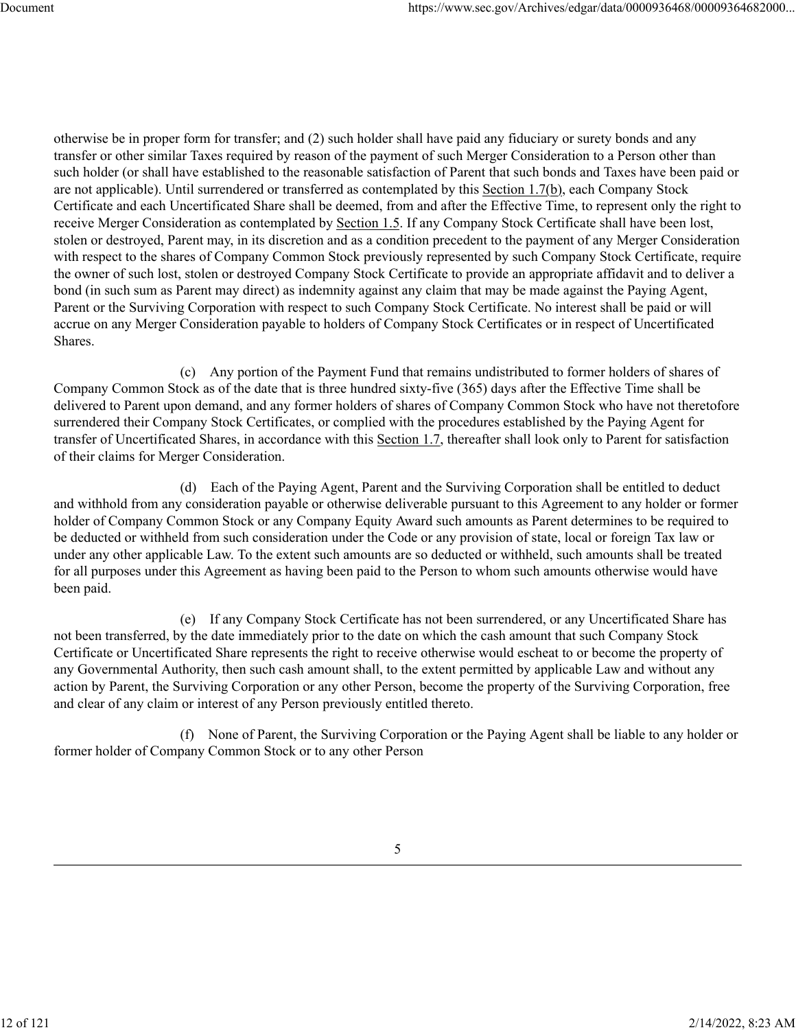otherwise be in proper form for transfer; and (2) such holder shall have paid any fiduciary or surety bonds and any transfer or other similar Taxes required by reason of the payment of such Merger Consideration to a Person other than such holder (or shall have established to the reasonable satisfaction of Parent that such bonds and Taxes have been paid or are not applicable). Until surrendered or transferred as contemplated by this Section 1.7(b), each Company Stock Certificate and each Uncertificated Share shall be deemed, from and after the Effective Time, to represent only the right to receive Merger Consideration as contemplated by Section 1.5. If any Company Stock Certificate shall have been lost, stolen or destroyed, Parent may, in its discretion and as a condition precedent to the payment of any Merger Consideration with respect to the shares of Company Common Stock previously represented by such Company Stock Certificate, require the owner of such lost, stolen or destroyed Company Stock Certificate to provide an appropriate affidavit and to deliver a bond (in such sum as Parent may direct) as indemnity against any claim that may be made against the Paying Agent, Parent or the Surviving Corporation with respect to such Company Stock Certificate. No interest shall be paid or will accrue on any Merger Consideration payable to holders of Company Stock Certificates or in respect of Uncertificated Shares.

(c) Any portion of the Payment Fund that remains undistributed to former holders of shares of Company Common Stock as of the date that is three hundred sixty-five (365) days after the Effective Time shall be delivered to Parent upon demand, and any former holders of shares of Company Common Stock who have not theretofore surrendered their Company Stock Certificates, or complied with the procedures established by the Paying Agent for transfer of Uncertificated Shares, in accordance with this Section 1.7, thereafter shall look only to Parent for satisfaction of their claims for Merger Consideration.

(d) Each of the Paying Agent, Parent and the Surviving Corporation shall be entitled to deduct and withhold from any consideration payable or otherwise deliverable pursuant to this Agreement to any holder or former holder of Company Common Stock or any Company Equity Award such amounts as Parent determines to be required to be deducted or withheld from such consideration under the Code or any provision of state, local or foreign Tax law or under any other applicable Law. To the extent such amounts are so deducted or withheld, such amounts shall be treated for all purposes under this Agreement as having been paid to the Person to whom such amounts otherwise would have been paid.

(e) If any Company Stock Certificate has not been surrendered, or any Uncertificated Share has not been transferred, by the date immediately prior to the date on which the cash amount that such Company Stock Certificate or Uncertificated Share represents the right to receive otherwise would escheat to or become the property of any Governmental Authority, then such cash amount shall, to the extent permitted by applicable Law and without any action by Parent, the Surviving Corporation or any other Person, become the property of the Surviving Corporation, free and clear of any claim or interest of any Person previously entitled thereto.

(f) None of Parent, the Surviving Corporation or the Paying Agent shall be liable to any holder or former holder of Company Common Stock or to any other Person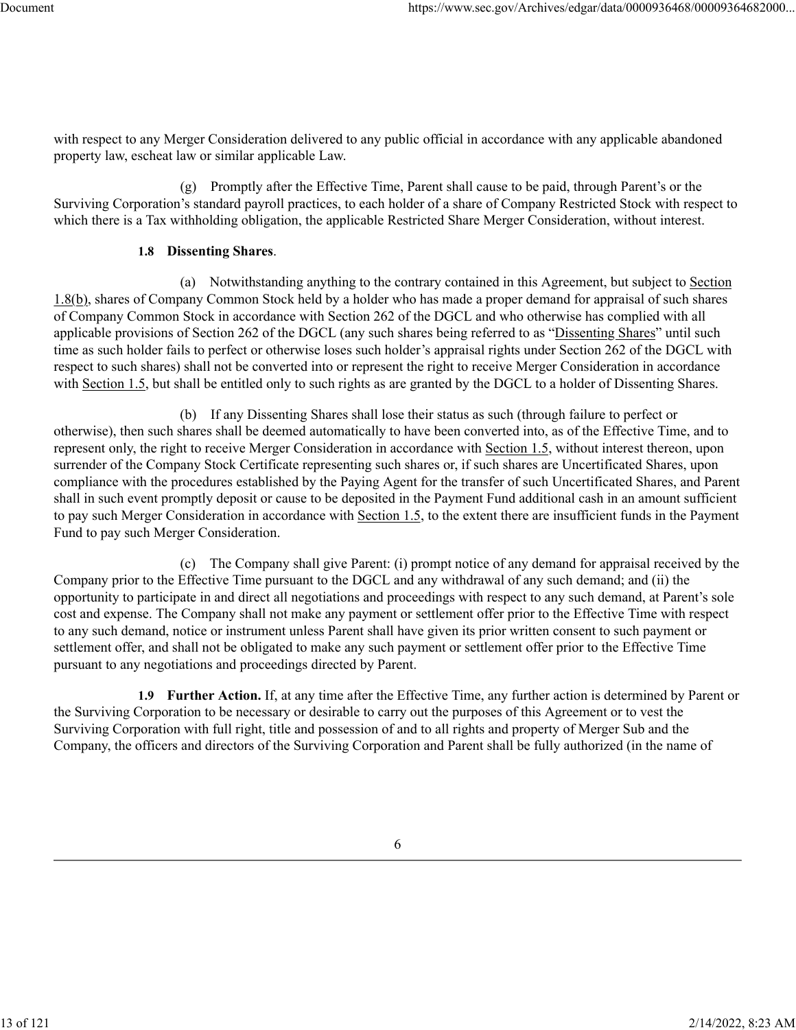with respect to any Merger Consideration delivered to any public official in accordance with any applicable abandoned property law, escheat law or similar applicable Law.

(g) Promptly after the Effective Time, Parent shall cause to be paid, through Parent's or the Surviving Corporation's standard payroll practices, to each holder of a share of Company Restricted Stock with respect to which there is a Tax withholding obligation, the applicable Restricted Share Merger Consideration, without interest.

#### **1.8 Dissenting Shares**.

(a) Notwithstanding anything to the contrary contained in this Agreement, but subject to Section 1.8(b), shares of Company Common Stock held by a holder who has made a proper demand for appraisal of such shares of Company Common Stock in accordance with Section 262 of the DGCL and who otherwise has complied with all applicable provisions of Section 262 of the DGCL (any such shares being referred to as "Dissenting Shares" until such time as such holder fails to perfect or otherwise loses such holder's appraisal rights under Section 262 of the DGCL with respect to such shares) shall not be converted into or represent the right to receive Merger Consideration in accordance with Section 1.5, but shall be entitled only to such rights as are granted by the DGCL to a holder of Dissenting Shares.

(b) If any Dissenting Shares shall lose their status as such (through failure to perfect or otherwise), then such shares shall be deemed automatically to have been converted into, as of the Effective Time, and to represent only, the right to receive Merger Consideration in accordance with Section 1.5, without interest thereon, upon surrender of the Company Stock Certificate representing such shares or, if such shares are Uncertificated Shares, upon compliance with the procedures established by the Paying Agent for the transfer of such Uncertificated Shares, and Parent shall in such event promptly deposit or cause to be deposited in the Payment Fund additional cash in an amount sufficient to pay such Merger Consideration in accordance with Section 1.5, to the extent there are insufficient funds in the Payment Fund to pay such Merger Consideration.

(c) The Company shall give Parent: (i) prompt notice of any demand for appraisal received by the Company prior to the Effective Time pursuant to the DGCL and any withdrawal of any such demand; and (ii) the opportunity to participate in and direct all negotiations and proceedings with respect to any such demand, at Parent's sole cost and expense. The Company shall not make any payment or settlement offer prior to the Effective Time with respect to any such demand, notice or instrument unless Parent shall have given its prior written consent to such payment or settlement offer, and shall not be obligated to make any such payment or settlement offer prior to the Effective Time pursuant to any negotiations and proceedings directed by Parent.

**1.9 Further Action.** If, at any time after the Effective Time, any further action is determined by Parent or the Surviving Corporation to be necessary or desirable to carry out the purposes of this Agreement or to vest the Surviving Corporation with full right, title and possession of and to all rights and property of Merger Sub and the Company, the officers and directors of the Surviving Corporation and Parent shall be fully authorized (in the name of

13 of 121 2/14/2022, 8:23 AM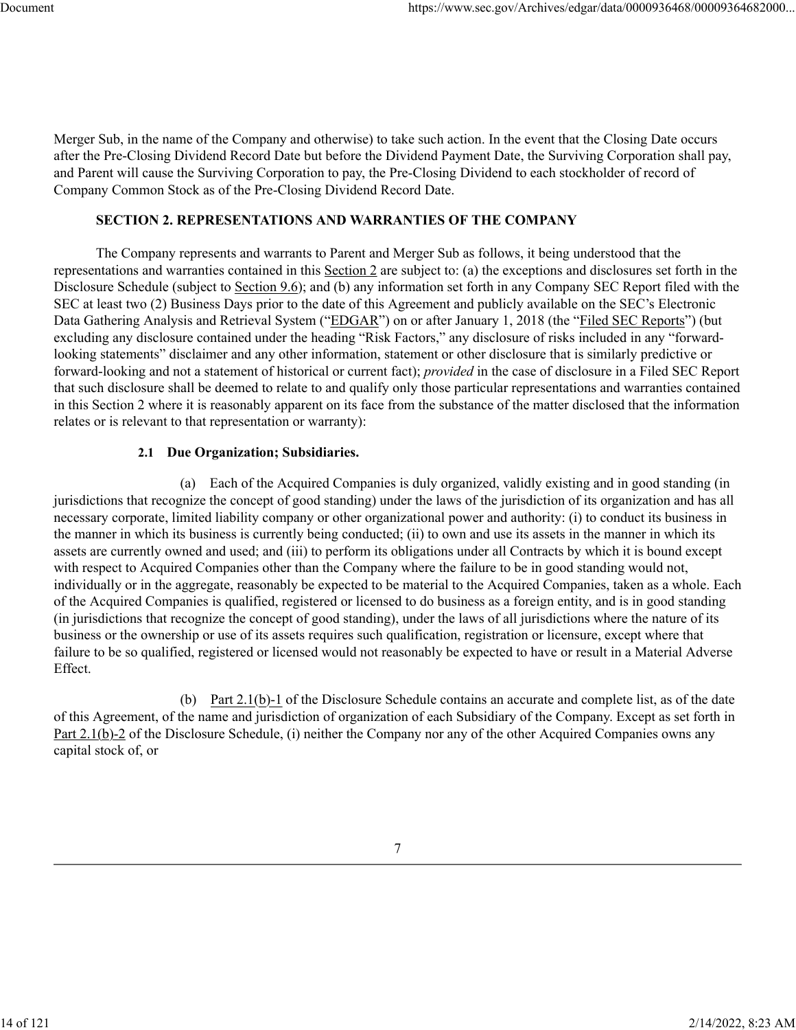Merger Sub, in the name of the Company and otherwise) to take such action. In the event that the Closing Date occurs after the Pre-Closing Dividend Record Date but before the Dividend Payment Date, the Surviving Corporation shall pay, and Parent will cause the Surviving Corporation to pay, the Pre-Closing Dividend to each stockholder of record of Company Common Stock as of the Pre-Closing Dividend Record Date.

#### **SECTION 2. REPRESENTATIONS AND WARRANTIES OF THE COMPANY**

The Company represents and warrants to Parent and Merger Sub as follows, it being understood that the representations and warranties contained in this Section 2 are subject to: (a) the exceptions and disclosures set forth in the Disclosure Schedule (subject to Section 9.6); and (b) any information set forth in any Company SEC Report filed with the SEC at least two (2) Business Days prior to the date of this Agreement and publicly available on the SEC's Electronic Data Gathering Analysis and Retrieval System ("EDGAR") on or after January 1, 2018 (the "Filed SEC Reports") (but excluding any disclosure contained under the heading "Risk Factors," any disclosure of risks included in any "forwardlooking statements" disclaimer and any other information, statement or other disclosure that is similarly predictive or forward-looking and not a statement of historical or current fact); *provided* in the case of disclosure in a Filed SEC Report that such disclosure shall be deemed to relate to and qualify only those particular representations and warranties contained in this Section 2 where it is reasonably apparent on its face from the substance of the matter disclosed that the information relates or is relevant to that representation or warranty):

#### **2.1 Due Organization; Subsidiaries.**

(a) Each of the Acquired Companies is duly organized, validly existing and in good standing (in jurisdictions that recognize the concept of good standing) under the laws of the jurisdiction of its organization and has all necessary corporate, limited liability company or other organizational power and authority: (i) to conduct its business in the manner in which its business is currently being conducted; (ii) to own and use its assets in the manner in which its assets are currently owned and used; and (iii) to perform its obligations under all Contracts by which it is bound except with respect to Acquired Companies other than the Company where the failure to be in good standing would not, individually or in the aggregate, reasonably be expected to be material to the Acquired Companies, taken as a whole. Each of the Acquired Companies is qualified, registered or licensed to do business as a foreign entity, and is in good standing (in jurisdictions that recognize the concept of good standing), under the laws of all jurisdictions where the nature of its business or the ownership or use of its assets requires such qualification, registration or licensure, except where that failure to be so qualified, registered or licensed would not reasonably be expected to have or result in a Material Adverse Effect.

(b) Part 2.1(b)-1 of the Disclosure Schedule contains an accurate and complete list, as of the date of this Agreement, of the name and jurisdiction of organization of each Subsidiary of the Company. Except as set forth in Part 2.1(b)-2 of the Disclosure Schedule, (i) neither the Company nor any of the other Acquired Companies owns any capital stock of, or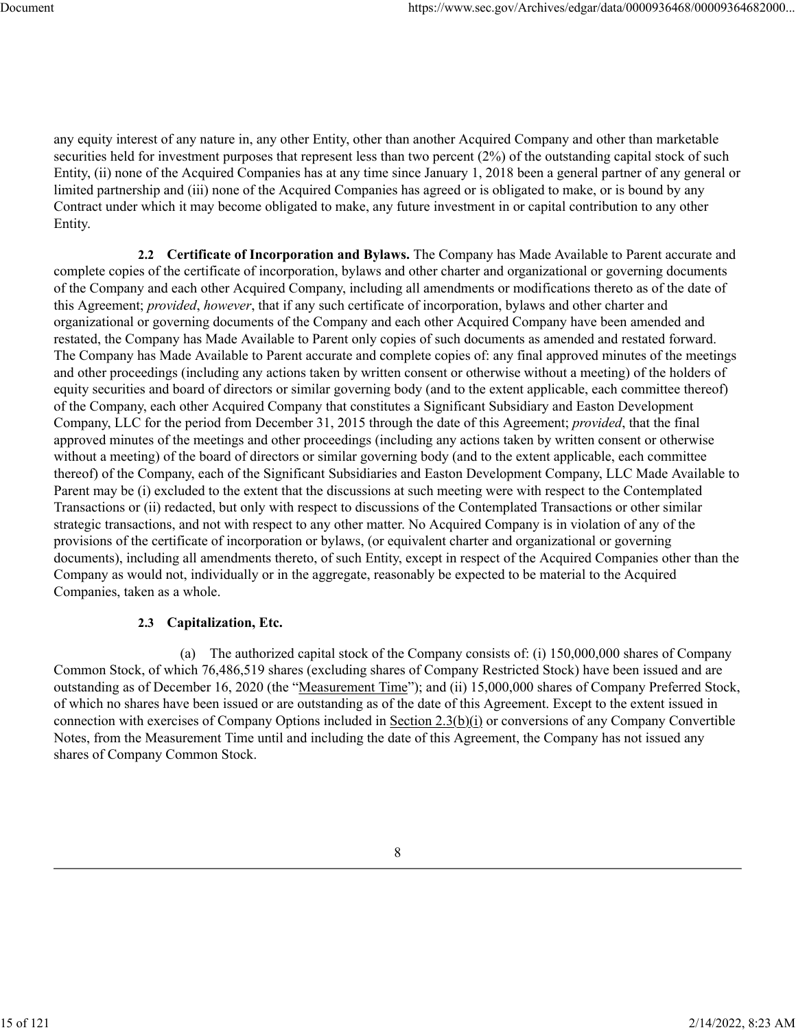any equity interest of any nature in, any other Entity, other than another Acquired Company and other than marketable securities held for investment purposes that represent less than two percent (2%) of the outstanding capital stock of such Entity, (ii) none of the Acquired Companies has at any time since January 1, 2018 been a general partner of any general or limited partnership and (iii) none of the Acquired Companies has agreed or is obligated to make, or is bound by any Contract under which it may become obligated to make, any future investment in or capital contribution to any other Entity.

**2.2 Certificate of Incorporation and Bylaws.** The Company has Made Available to Parent accurate and complete copies of the certificate of incorporation, bylaws and other charter and organizational or governing documents of the Company and each other Acquired Company, including all amendments or modifications thereto as of the date of this Agreement; *provided*, *however*, that if any such certificate of incorporation, bylaws and other charter and organizational or governing documents of the Company and each other Acquired Company have been amended and restated, the Company has Made Available to Parent only copies of such documents as amended and restated forward. The Company has Made Available to Parent accurate and complete copies of: any final approved minutes of the meetings and other proceedings (including any actions taken by written consent or otherwise without a meeting) of the holders of equity securities and board of directors or similar governing body (and to the extent applicable, each committee thereof) of the Company, each other Acquired Company that constitutes a Significant Subsidiary and Easton Development Company, LLC for the period from December 31, 2015 through the date of this Agreement; *provided*, that the final approved minutes of the meetings and other proceedings (including any actions taken by written consent or otherwise without a meeting) of the board of directors or similar governing body (and to the extent applicable, each committee thereof) of the Company, each of the Significant Subsidiaries and Easton Development Company, LLC Made Available to Parent may be (i) excluded to the extent that the discussions at such meeting were with respect to the Contemplated Transactions or (ii) redacted, but only with respect to discussions of the Contemplated Transactions or other similar strategic transactions, and not with respect to any other matter. No Acquired Company is in violation of any of the provisions of the certificate of incorporation or bylaws, (or equivalent charter and organizational or governing documents), including all amendments thereto, of such Entity, except in respect of the Acquired Companies other than the Company as would not, individually or in the aggregate, reasonably be expected to be material to the Acquired Companies, taken as a whole.

## **2.3 Capitalization, Etc.**

(a) The authorized capital stock of the Company consists of: (i) 150,000,000 shares of Company Common Stock, of which 76,486,519 shares (excluding shares of Company Restricted Stock) have been issued and are outstanding as of December 16, 2020 (the "Measurement Time"); and (ii) 15,000,000 shares of Company Preferred Stock, of which no shares have been issued or are outstanding as of the date of this Agreement. Except to the extent issued in connection with exercises of Company Options included in Section 2.3(b)(i) or conversions of any Company Convertible Notes, from the Measurement Time until and including the date of this Agreement, the Company has not issued any shares of Company Common Stock.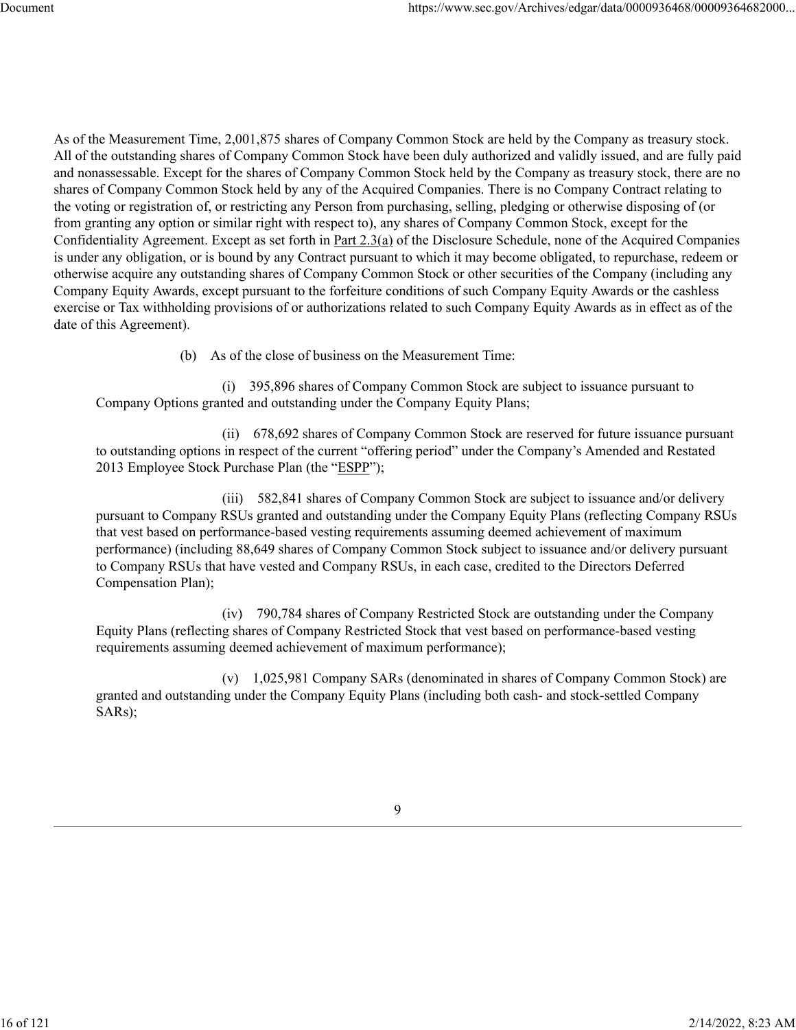As of the Measurement Time, 2,001,875 shares of Company Common Stock are held by the Company as treasury stock. All of the outstanding shares of Company Common Stock have been duly authorized and validly issued, and are fully paid and nonassessable. Except for the shares of Company Common Stock held by the Company as treasury stock, there are no shares of Company Common Stock held by any of the Acquired Companies. There is no Company Contract relating to the voting or registration of, or restricting any Person from purchasing, selling, pledging or otherwise disposing of (or from granting any option or similar right with respect to), any shares of Company Common Stock, except for the Confidentiality Agreement. Except as set forth in Part 2.3(a) of the Disclosure Schedule, none of the Acquired Companies is under any obligation, or is bound by any Contract pursuant to which it may become obligated, to repurchase, redeem or otherwise acquire any outstanding shares of Company Common Stock or other securities of the Company (including any Company Equity Awards, except pursuant to the forfeiture conditions of such Company Equity Awards or the cashless exercise or Tax withholding provisions of or authorizations related to such Company Equity Awards as in effect as of the date of this Agreement).

(b) As of the close of business on the Measurement Time:

(i) 395,896 shares of Company Common Stock are subject to issuance pursuant to Company Options granted and outstanding under the Company Equity Plans;

(ii) 678,692 shares of Company Common Stock are reserved for future issuance pursuant to outstanding options in respect of the current "offering period" under the Company's Amended and Restated 2013 Employee Stock Purchase Plan (the "ESPP");

(iii) 582,841 shares of Company Common Stock are subject to issuance and/or delivery pursuant to Company RSUs granted and outstanding under the Company Equity Plans (reflecting Company RSUs that vest based on performance-based vesting requirements assuming deemed achievement of maximum performance) (including 88,649 shares of Company Common Stock subject to issuance and/or delivery pursuant to Company RSUs that have vested and Company RSUs, in each case, credited to the Directors Deferred Compensation Plan);

(iv) 790,784 shares of Company Restricted Stock are outstanding under the Company Equity Plans (reflecting shares of Company Restricted Stock that vest based on performance-based vesting requirements assuming deemed achievement of maximum performance);

(v) 1,025,981 Company SARs (denominated in shares of Company Common Stock) are granted and outstanding under the Company Equity Plans (including both cash- and stock-settled Company SARs);

9

16 of 121 2/14/2022, 8:23 AM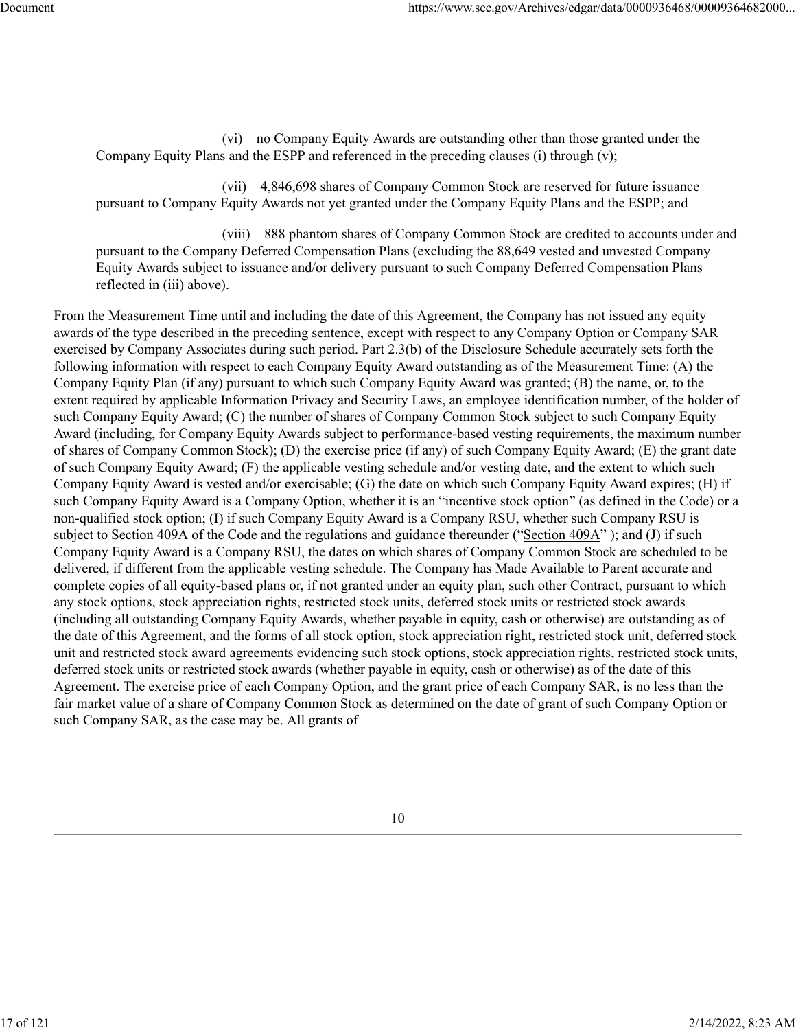(vi) no Company Equity Awards are outstanding other than those granted under the Company Equity Plans and the ESPP and referenced in the preceding clauses (i) through (v);

(vii) 4,846,698 shares of Company Common Stock are reserved for future issuance pursuant to Company Equity Awards not yet granted under the Company Equity Plans and the ESPP; and

(viii) 888 phantom shares of Company Common Stock are credited to accounts under and pursuant to the Company Deferred Compensation Plans (excluding the 88,649 vested and unvested Company Equity Awards subject to issuance and/or delivery pursuant to such Company Deferred Compensation Plans reflected in (iii) above).

From the Measurement Time until and including the date of this Agreement, the Company has not issued any equity awards of the type described in the preceding sentence, except with respect to any Company Option or Company SAR exercised by Company Associates during such period. Part 2.3(b) of the Disclosure Schedule accurately sets forth the following information with respect to each Company Equity Award outstanding as of the Measurement Time: (A) the Company Equity Plan (if any) pursuant to which such Company Equity Award was granted; (B) the name, or, to the extent required by applicable Information Privacy and Security Laws, an employee identification number, of the holder of such Company Equity Award; (C) the number of shares of Company Common Stock subject to such Company Equity Award (including, for Company Equity Awards subject to performance-based vesting requirements, the maximum number of shares of Company Common Stock); (D) the exercise price (if any) of such Company Equity Award; (E) the grant date of such Company Equity Award; (F) the applicable vesting schedule and/or vesting date, and the extent to which such Company Equity Award is vested and/or exercisable; (G) the date on which such Company Equity Award expires; (H) if such Company Equity Award is a Company Option, whether it is an "incentive stock option" (as defined in the Code) or a non-qualified stock option; (I) if such Company Equity Award is a Company RSU, whether such Company RSU is subject to Section 409A of the Code and the regulations and guidance thereunder ("Section 409A"); and (J) if such Company Equity Award is a Company RSU, the dates on which shares of Company Common Stock are scheduled to be delivered, if different from the applicable vesting schedule. The Company has Made Available to Parent accurate and complete copies of all equity-based plans or, if not granted under an equity plan, such other Contract, pursuant to which any stock options, stock appreciation rights, restricted stock units, deferred stock units or restricted stock awards (including all outstanding Company Equity Awards, whether payable in equity, cash or otherwise) are outstanding as of the date of this Agreement, and the forms of all stock option, stock appreciation right, restricted stock unit, deferred stock unit and restricted stock award agreements evidencing such stock options, stock appreciation rights, restricted stock units, deferred stock units or restricted stock awards (whether payable in equity, cash or otherwise) as of the date of this Agreement. The exercise price of each Company Option, and the grant price of each Company SAR, is no less than the fair market value of a share of Company Common Stock as determined on the date of grant of such Company Option or such Company SAR, as the case may be. All grants of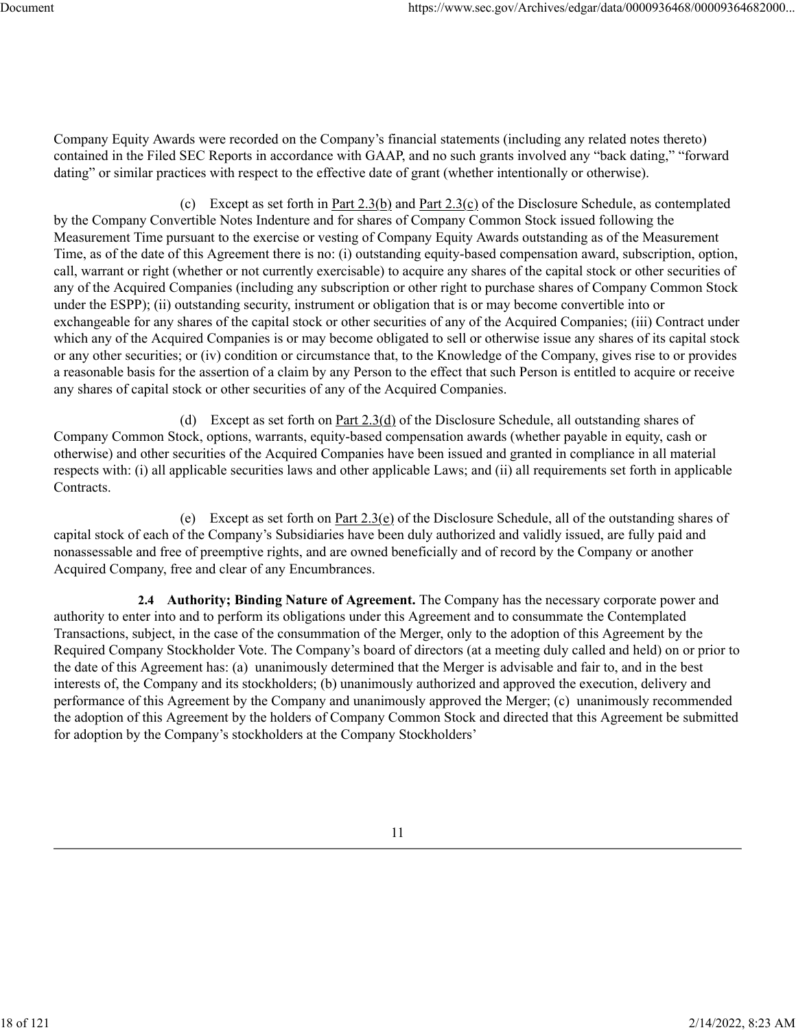Company Equity Awards were recorded on the Company's financial statements (including any related notes thereto) contained in the Filed SEC Reports in accordance with GAAP, and no such grants involved any "back dating," "forward dating" or similar practices with respect to the effective date of grant (whether intentionally or otherwise).

(c) Except as set forth in Part 2.3(b) and Part 2.3(c) of the Disclosure Schedule, as contemplated by the Company Convertible Notes Indenture and for shares of Company Common Stock issued following the Measurement Time pursuant to the exercise or vesting of Company Equity Awards outstanding as of the Measurement Time, as of the date of this Agreement there is no: (i) outstanding equity-based compensation award, subscription, option, call, warrant or right (whether or not currently exercisable) to acquire any shares of the capital stock or other securities of any of the Acquired Companies (including any subscription or other right to purchase shares of Company Common Stock under the ESPP); (ii) outstanding security, instrument or obligation that is or may become convertible into or exchangeable for any shares of the capital stock or other securities of any of the Acquired Companies; (iii) Contract under which any of the Acquired Companies is or may become obligated to sell or otherwise issue any shares of its capital stock or any other securities; or (iv) condition or circumstance that, to the Knowledge of the Company, gives rise to or provides a reasonable basis for the assertion of a claim by any Person to the effect that such Person is entitled to acquire or receive any shares of capital stock or other securities of any of the Acquired Companies.

(d) Except as set forth on Part 2.3(d) of the Disclosure Schedule, all outstanding shares of Company Common Stock, options, warrants, equity-based compensation awards (whether payable in equity, cash or otherwise) and other securities of the Acquired Companies have been issued and granted in compliance in all material respects with: (i) all applicable securities laws and other applicable Laws; and (ii) all requirements set forth in applicable Contracts.

(e) Except as set forth on Part 2.3(e) of the Disclosure Schedule, all of the outstanding shares of capital stock of each of the Company's Subsidiaries have been duly authorized and validly issued, are fully paid and nonassessable and free of preemptive rights, and are owned beneficially and of record by the Company or another Acquired Company, free and clear of any Encumbrances.

**2.4 Authority; Binding Nature of Agreement.** The Company has the necessary corporate power and authority to enter into and to perform its obligations under this Agreement and to consummate the Contemplated Transactions, subject, in the case of the consummation of the Merger, only to the adoption of this Agreement by the Required Company Stockholder Vote. The Company's board of directors (at a meeting duly called and held) on or prior to the date of this Agreement has: (a) unanimously determined that the Merger is advisable and fair to, and in the best interests of, the Company and its stockholders; (b) unanimously authorized and approved the execution, delivery and performance of this Agreement by the Company and unanimously approved the Merger; (c) unanimously recommended the adoption of this Agreement by the holders of Company Common Stock and directed that this Agreement be submitted for adoption by the Company's stockholders at the Company Stockholders'

18 of 121 2/14/2022, 8:23 AM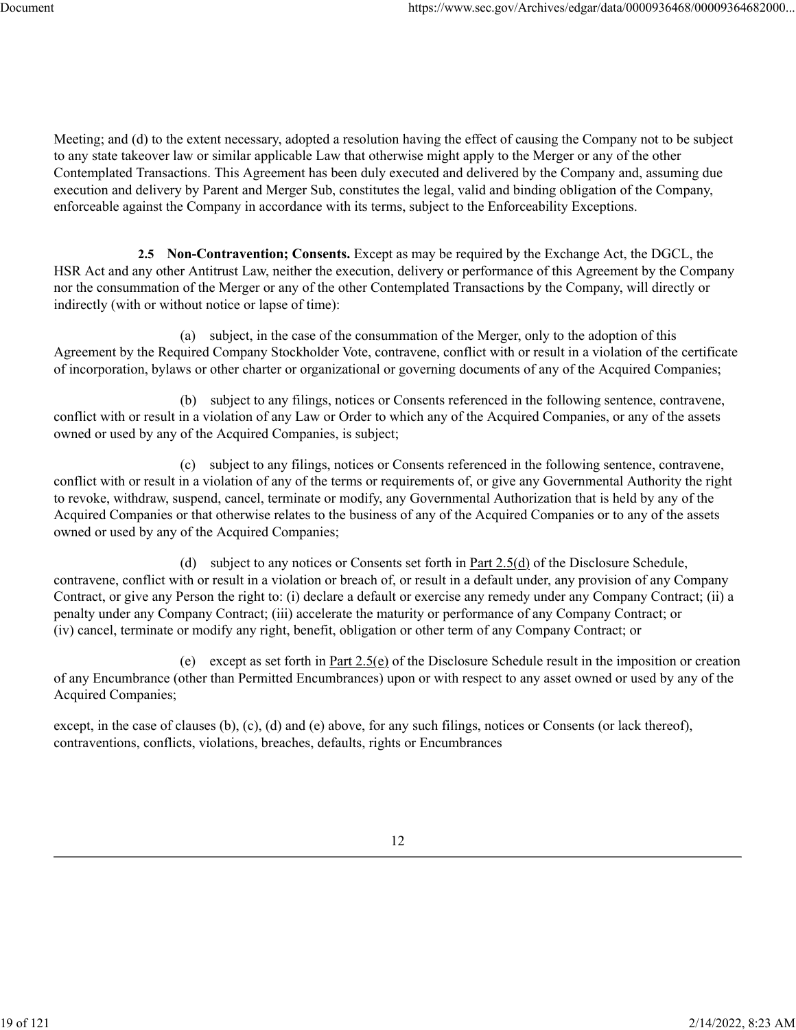Meeting; and (d) to the extent necessary, adopted a resolution having the effect of causing the Company not to be subject to any state takeover law or similar applicable Law that otherwise might apply to the Merger or any of the other Contemplated Transactions. This Agreement has been duly executed and delivered by the Company and, assuming due execution and delivery by Parent and Merger Sub, constitutes the legal, valid and binding obligation of the Company, enforceable against the Company in accordance with its terms, subject to the Enforceability Exceptions.

**2.5 Non-Contravention; Consents.** Except as may be required by the Exchange Act, the DGCL, the HSR Act and any other Antitrust Law, neither the execution, delivery or performance of this Agreement by the Company nor the consummation of the Merger or any of the other Contemplated Transactions by the Company, will directly or indirectly (with or without notice or lapse of time):

(a) subject, in the case of the consummation of the Merger, only to the adoption of this Agreement by the Required Company Stockholder Vote, contravene, conflict with or result in a violation of the certificate of incorporation, bylaws or other charter or organizational or governing documents of any of the Acquired Companies;

(b) subject to any filings, notices or Consents referenced in the following sentence, contravene, conflict with or result in a violation of any Law or Order to which any of the Acquired Companies, or any of the assets owned or used by any of the Acquired Companies, is subject;

(c) subject to any filings, notices or Consents referenced in the following sentence, contravene, conflict with or result in a violation of any of the terms or requirements of, or give any Governmental Authority the right to revoke, withdraw, suspend, cancel, terminate or modify, any Governmental Authorization that is held by any of the Acquired Companies or that otherwise relates to the business of any of the Acquired Companies or to any of the assets owned or used by any of the Acquired Companies;

(d) subject to any notices or Consents set forth in  $Part\ 2.5(d)$  of the Disclosure Schedule, contravene, conflict with or result in a violation or breach of, or result in a default under, any provision of any Company Contract, or give any Person the right to: (i) declare a default or exercise any remedy under any Company Contract; (ii) a penalty under any Company Contract; (iii) accelerate the maturity or performance of any Company Contract; or (iv) cancel, terminate or modify any right, benefit, obligation or other term of any Company Contract; or

(e) except as set forth in Part 2.5(e) of the Disclosure Schedule result in the imposition or creation of any Encumbrance (other than Permitted Encumbrances) upon or with respect to any asset owned or used by any of the Acquired Companies;

except, in the case of clauses (b), (c), (d) and (e) above, for any such filings, notices or Consents (or lack thereof), contraventions, conflicts, violations, breaches, defaults, rights or Encumbrances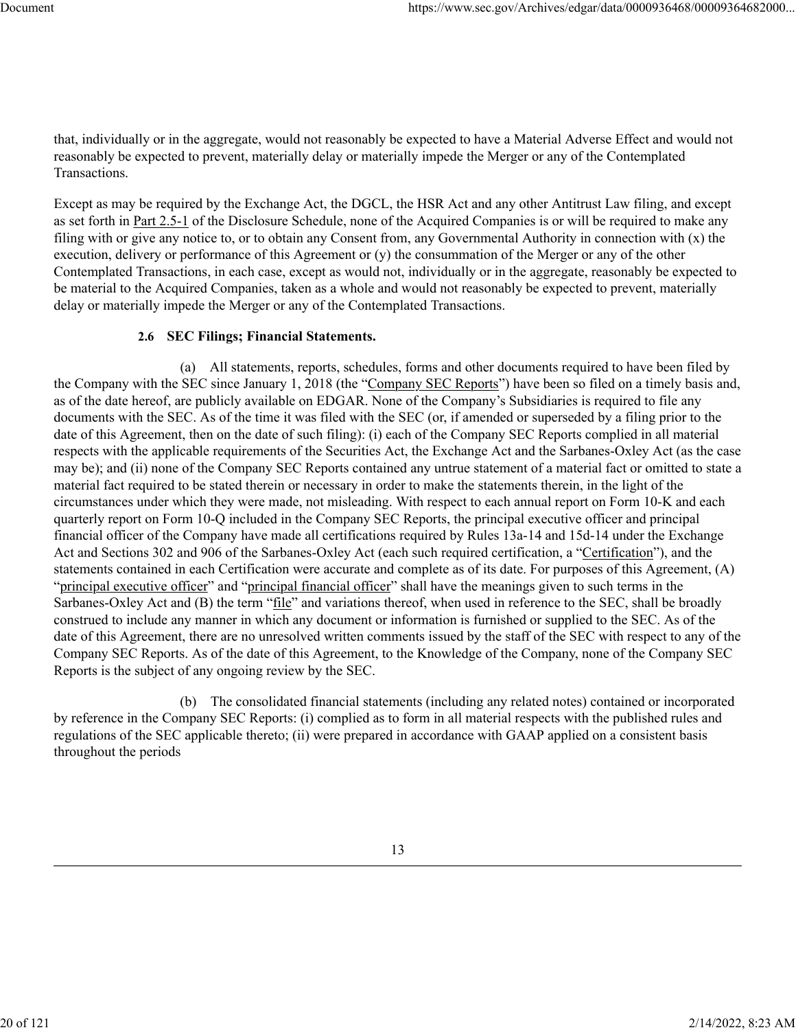that, individually or in the aggregate, would not reasonably be expected to have a Material Adverse Effect and would not reasonably be expected to prevent, materially delay or materially impede the Merger or any of the Contemplated Transactions.

Except as may be required by the Exchange Act, the DGCL, the HSR Act and any other Antitrust Law filing, and except as set forth in Part 2.5-1 of the Disclosure Schedule, none of the Acquired Companies is or will be required to make any filing with or give any notice to, or to obtain any Consent from, any Governmental Authority in connection with (x) the execution, delivery or performance of this Agreement or (y) the consummation of the Merger or any of the other Contemplated Transactions, in each case, except as would not, individually or in the aggregate, reasonably be expected to be material to the Acquired Companies, taken as a whole and would not reasonably be expected to prevent, materially delay or materially impede the Merger or any of the Contemplated Transactions.

#### **2.6 SEC Filings; Financial Statements.**

(a) All statements, reports, schedules, forms and other documents required to have been filed by the Company with the SEC since January 1, 2018 (the "Company SEC Reports") have been so filed on a timely basis and, as of the date hereof, are publicly available on EDGAR. None of the Company's Subsidiaries is required to file any documents with the SEC. As of the time it was filed with the SEC (or, if amended or superseded by a filing prior to the date of this Agreement, then on the date of such filing): (i) each of the Company SEC Reports complied in all material respects with the applicable requirements of the Securities Act, the Exchange Act and the Sarbanes-Oxley Act (as the case may be); and (ii) none of the Company SEC Reports contained any untrue statement of a material fact or omitted to state a material fact required to be stated therein or necessary in order to make the statements therein, in the light of the circumstances under which they were made, not misleading. With respect to each annual report on Form 10-K and each quarterly report on Form 10-Q included in the Company SEC Reports, the principal executive officer and principal financial officer of the Company have made all certifications required by Rules 13a-14 and 15d-14 under the Exchange Act and Sections 302 and 906 of the Sarbanes-Oxley Act (each such required certification, a "Certification"), and the statements contained in each Certification were accurate and complete as of its date. For purposes of this Agreement, (A) "principal executive officer" and "principal financial officer" shall have the meanings given to such terms in the Sarbanes-Oxley Act and (B) the term "file" and variations thereof, when used in reference to the SEC, shall be broadly construed to include any manner in which any document or information is furnished or supplied to the SEC. As of the date of this Agreement, there are no unresolved written comments issued by the staff of the SEC with respect to any of the Company SEC Reports. As of the date of this Agreement, to the Knowledge of the Company, none of the Company SEC Reports is the subject of any ongoing review by the SEC.

(b) The consolidated financial statements (including any related notes) contained or incorporated by reference in the Company SEC Reports: (i) complied as to form in all material respects with the published rules and regulations of the SEC applicable thereto; (ii) were prepared in accordance with GAAP applied on a consistent basis throughout the periods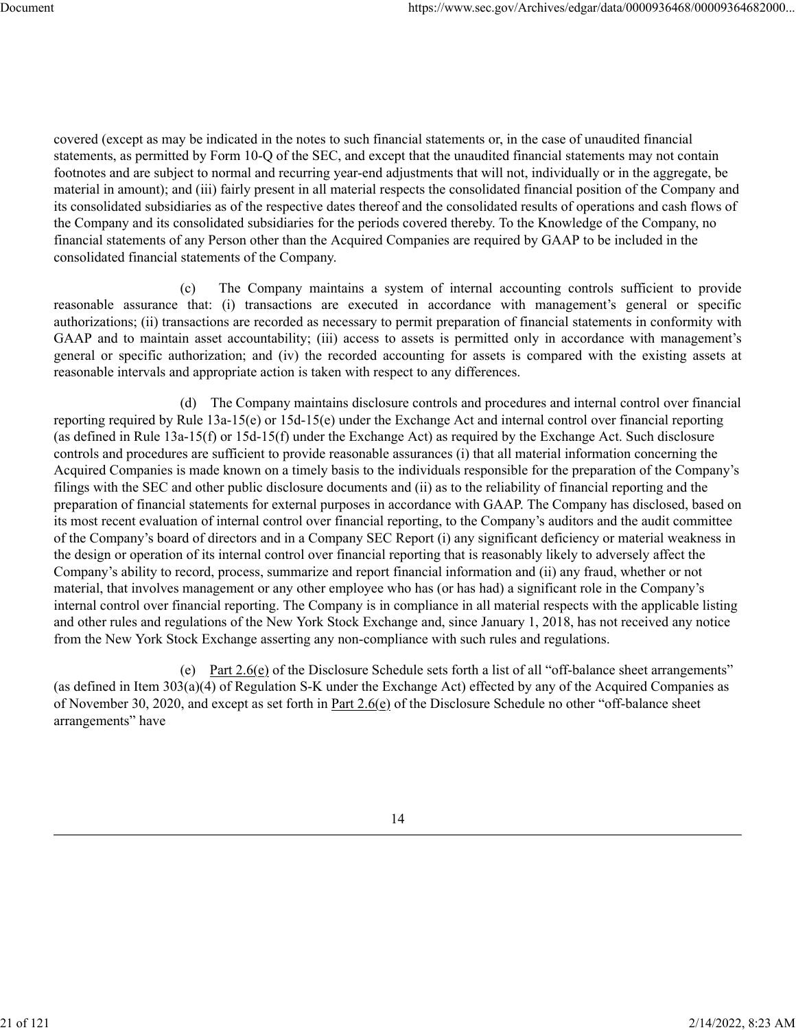covered (except as may be indicated in the notes to such financial statements or, in the case of unaudited financial statements, as permitted by Form 10-Q of the SEC, and except that the unaudited financial statements may not contain footnotes and are subject to normal and recurring year-end adjustments that will not, individually or in the aggregate, be material in amount); and (iii) fairly present in all material respects the consolidated financial position of the Company and its consolidated subsidiaries as of the respective dates thereof and the consolidated results of operations and cash flows of the Company and its consolidated subsidiaries for the periods covered thereby. To the Knowledge of the Company, no financial statements of any Person other than the Acquired Companies are required by GAAP to be included in the consolidated financial statements of the Company.

(c) The Company maintains a system of internal accounting controls sufficient to provide reasonable assurance that: (i) transactions are executed in accordance with management's general or specific authorizations; (ii) transactions are recorded as necessary to permit preparation of financial statements in conformity with GAAP and to maintain asset accountability; (iii) access to assets is permitted only in accordance with management's general or specific authorization; and (iv) the recorded accounting for assets is compared with the existing assets at reasonable intervals and appropriate action is taken with respect to any differences.

(d) The Company maintains disclosure controls and procedures and internal control over financial reporting required by Rule 13a-15(e) or 15d-15(e) under the Exchange Act and internal control over financial reporting (as defined in Rule 13a-15(f) or 15d-15(f) under the Exchange Act) as required by the Exchange Act. Such disclosure controls and procedures are sufficient to provide reasonable assurances (i) that all material information concerning the Acquired Companies is made known on a timely basis to the individuals responsible for the preparation of the Company's filings with the SEC and other public disclosure documents and (ii) as to the reliability of financial reporting and the preparation of financial statements for external purposes in accordance with GAAP. The Company has disclosed, based on its most recent evaluation of internal control over financial reporting, to the Company's auditors and the audit committee of the Company's board of directors and in a Company SEC Report (i) any significant deficiency or material weakness in the design or operation of its internal control over financial reporting that is reasonably likely to adversely affect the Company's ability to record, process, summarize and report financial information and (ii) any fraud, whether or not material, that involves management or any other employee who has (or has had) a significant role in the Company's internal control over financial reporting. The Company is in compliance in all material respects with the applicable listing and other rules and regulations of the New York Stock Exchange and, since January 1, 2018, has not received any notice from the New York Stock Exchange asserting any non-compliance with such rules and regulations.

(e) Part  $2.6(e)$  of the Disclosure Schedule sets forth a list of all "off-balance sheet arrangements" (as defined in Item 303(a)(4) of Regulation S-K under the Exchange Act) effected by any of the Acquired Companies as of November 30, 2020, and except as set forth in Part 2.6(e) of the Disclosure Schedule no other "off-balance sheet arrangements" have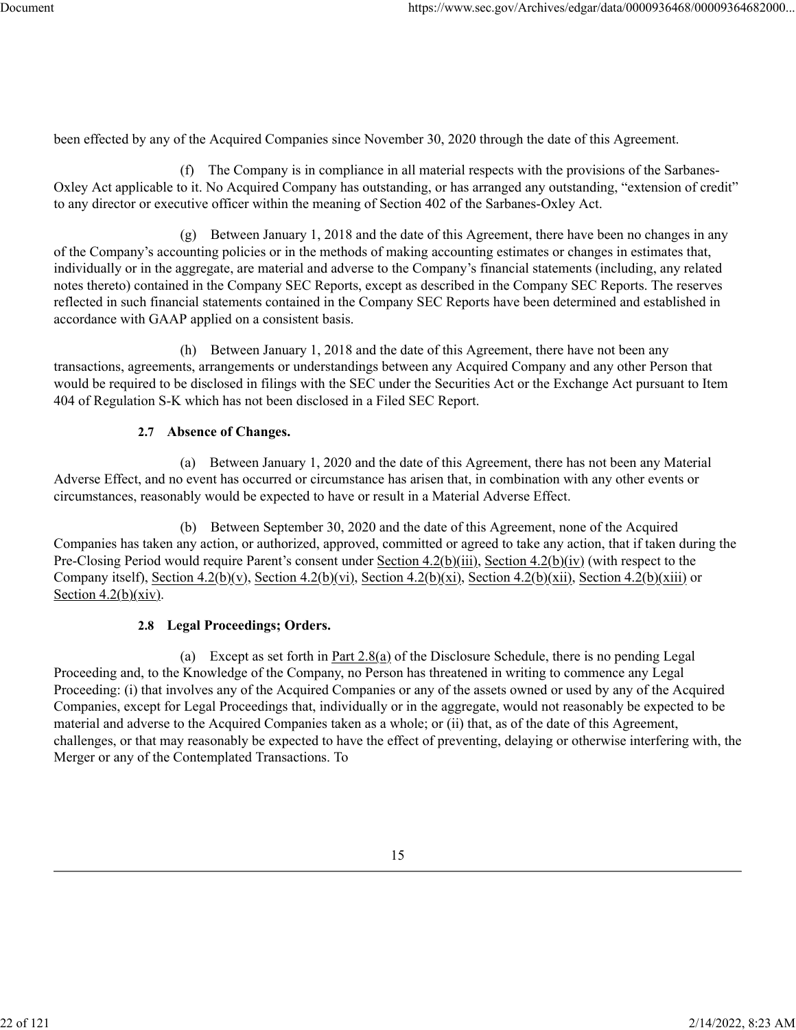been effected by any of the Acquired Companies since November 30, 2020 through the date of this Agreement.

(f) The Company is in compliance in all material respects with the provisions of the Sarbanes-Oxley Act applicable to it. No Acquired Company has outstanding, or has arranged any outstanding, "extension of credit" to any director or executive officer within the meaning of Section 402 of the Sarbanes-Oxley Act.

(g) Between January 1, 2018 and the date of this Agreement, there have been no changes in any of the Company's accounting policies or in the methods of making accounting estimates or changes in estimates that, individually or in the aggregate, are material and adverse to the Company's financial statements (including, any related notes thereto) contained in the Company SEC Reports, except as described in the Company SEC Reports. The reserves reflected in such financial statements contained in the Company SEC Reports have been determined and established in accordance with GAAP applied on a consistent basis.

(h) Between January 1, 2018 and the date of this Agreement, there have not been any transactions, agreements, arrangements or understandings between any Acquired Company and any other Person that would be required to be disclosed in filings with the SEC under the Securities Act or the Exchange Act pursuant to Item 404 of Regulation S-K which has not been disclosed in a Filed SEC Report.

#### **2.7 Absence of Changes.**

(a) Between January 1, 2020 and the date of this Agreement, there has not been any Material Adverse Effect, and no event has occurred or circumstance has arisen that, in combination with any other events or circumstances, reasonably would be expected to have or result in a Material Adverse Effect.

(b) Between September 30, 2020 and the date of this Agreement, none of the Acquired Companies has taken any action, or authorized, approved, committed or agreed to take any action, that if taken during the Pre-Closing Period would require Parent's consent under Section 4.2(b)(iii), Section 4.2(b)(iv) (with respect to the Company itself), Section 4.2(b)(v), Section 4.2(b)(vi), Section 4.2(b)(xi), Section 4.2(b)(xii), Section 4.2(b)(xiii) or Section  $4.2(b)(xiv)$ .

## **2.8 Legal Proceedings; Orders.**

(a) Except as set forth in Part  $2.8(a)$  of the Disclosure Schedule, there is no pending Legal Proceeding and, to the Knowledge of the Company, no Person has threatened in writing to commence any Legal Proceeding: (i) that involves any of the Acquired Companies or any of the assets owned or used by any of the Acquired Companies, except for Legal Proceedings that, individually or in the aggregate, would not reasonably be expected to be material and adverse to the Acquired Companies taken as a whole; or (ii) that, as of the date of this Agreement, challenges, or that may reasonably be expected to have the effect of preventing, delaying or otherwise interfering with, the Merger or any of the Contemplated Transactions. To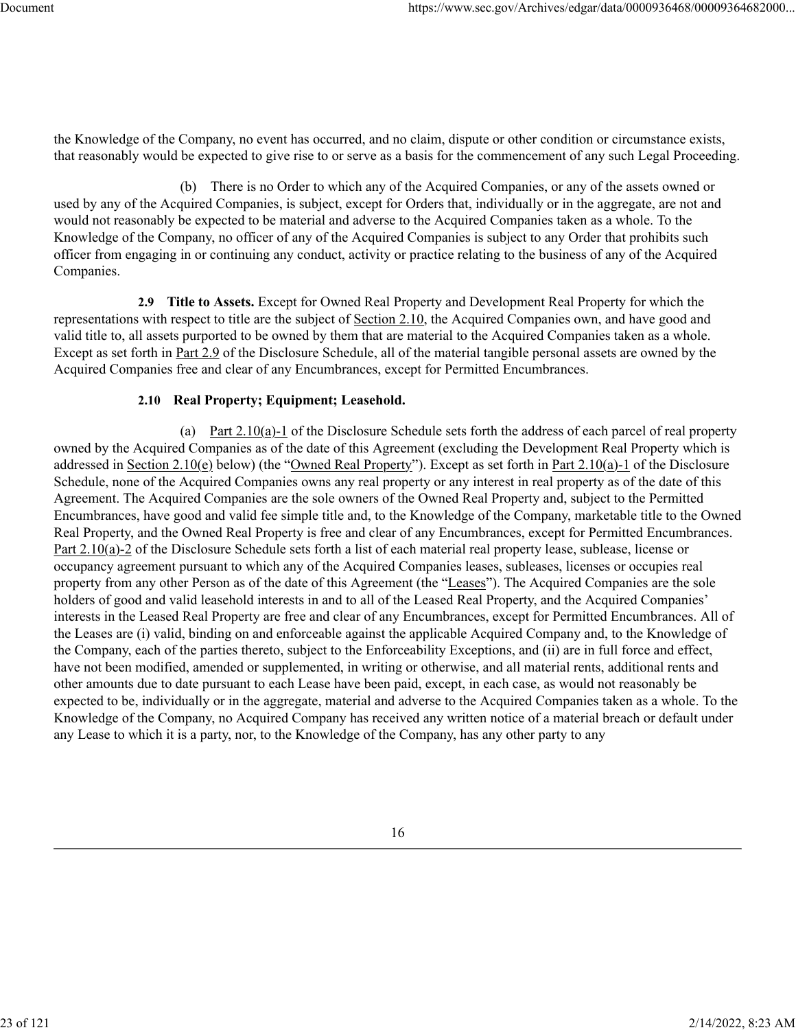the Knowledge of the Company, no event has occurred, and no claim, dispute or other condition or circumstance exists, that reasonably would be expected to give rise to or serve as a basis for the commencement of any such Legal Proceeding.

(b) There is no Order to which any of the Acquired Companies, or any of the assets owned or used by any of the Acquired Companies, is subject, except for Orders that, individually or in the aggregate, are not and would not reasonably be expected to be material and adverse to the Acquired Companies taken as a whole. To the Knowledge of the Company, no officer of any of the Acquired Companies is subject to any Order that prohibits such officer from engaging in or continuing any conduct, activity or practice relating to the business of any of the Acquired Companies.

**2.9 Title to Assets.** Except for Owned Real Property and Development Real Property for which the representations with respect to title are the subject of Section 2.10, the Acquired Companies own, and have good and valid title to, all assets purported to be owned by them that are material to the Acquired Companies taken as a whole. Except as set forth in Part 2.9 of the Disclosure Schedule, all of the material tangible personal assets are owned by the Acquired Companies free and clear of any Encumbrances, except for Permitted Encumbrances.

# **2.10 Real Property; Equipment; Leasehold.**

(a) Part 2.10(a)-1 of the Disclosure Schedule sets forth the address of each parcel of real property owned by the Acquired Companies as of the date of this Agreement (excluding the Development Real Property which is addressed in Section 2.10(e) below) (the "Owned Real Property"). Except as set forth in Part 2.10(a)-1 of the Disclosure Schedule, none of the Acquired Companies owns any real property or any interest in real property as of the date of this Agreement. The Acquired Companies are the sole owners of the Owned Real Property and, subject to the Permitted Encumbrances, have good and valid fee simple title and, to the Knowledge of the Company, marketable title to the Owned Real Property, and the Owned Real Property is free and clear of any Encumbrances, except for Permitted Encumbrances. Part 2.10(a)-2 of the Disclosure Schedule sets forth a list of each material real property lease, sublease, license or occupancy agreement pursuant to which any of the Acquired Companies leases, subleases, licenses or occupies real property from any other Person as of the date of this Agreement (the "Leases"). The Acquired Companies are the sole holders of good and valid leasehold interests in and to all of the Leased Real Property, and the Acquired Companies' interests in the Leased Real Property are free and clear of any Encumbrances, except for Permitted Encumbrances. All of the Leases are (i) valid, binding on and enforceable against the applicable Acquired Company and, to the Knowledge of the Company, each of the parties thereto, subject to the Enforceability Exceptions, and (ii) are in full force and effect, have not been modified, amended or supplemented, in writing or otherwise, and all material rents, additional rents and other amounts due to date pursuant to each Lease have been paid, except, in each case, as would not reasonably be expected to be, individually or in the aggregate, material and adverse to the Acquired Companies taken as a whole. To the Knowledge of the Company, no Acquired Company has received any written notice of a material breach or default under any Lease to which it is a party, nor, to the Knowledge of the Company, has any other party to any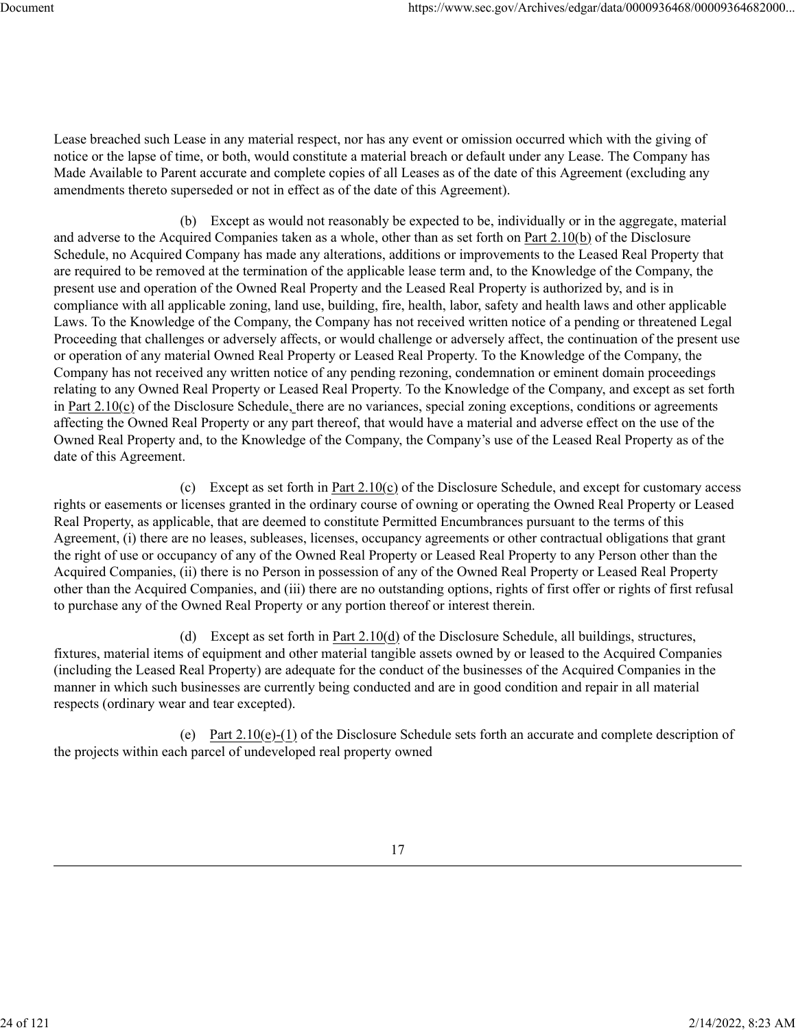Lease breached such Lease in any material respect, nor has any event or omission occurred which with the giving of notice or the lapse of time, or both, would constitute a material breach or default under any Lease. The Company has Made Available to Parent accurate and complete copies of all Leases as of the date of this Agreement (excluding any amendments thereto superseded or not in effect as of the date of this Agreement).

(b) Except as would not reasonably be expected to be, individually or in the aggregate, material and adverse to the Acquired Companies taken as a whole, other than as set forth on Part 2.10(b) of the Disclosure Schedule, no Acquired Company has made any alterations, additions or improvements to the Leased Real Property that are required to be removed at the termination of the applicable lease term and, to the Knowledge of the Company, the present use and operation of the Owned Real Property and the Leased Real Property is authorized by, and is in compliance with all applicable zoning, land use, building, fire, health, labor, safety and health laws and other applicable Laws. To the Knowledge of the Company, the Company has not received written notice of a pending or threatened Legal Proceeding that challenges or adversely affects, or would challenge or adversely affect, the continuation of the present use or operation of any material Owned Real Property or Leased Real Property. To the Knowledge of the Company, the Company has not received any written notice of any pending rezoning, condemnation or eminent domain proceedings relating to any Owned Real Property or Leased Real Property. To the Knowledge of the Company, and except as set forth in Part 2.10(c) of the Disclosure Schedule, there are no variances, special zoning exceptions, conditions or agreements affecting the Owned Real Property or any part thereof, that would have a material and adverse effect on the use of the Owned Real Property and, to the Knowledge of the Company, the Company's use of the Leased Real Property as of the date of this Agreement.

(c) Except as set forth in <u>Part  $2.10(c)$ </u> of the Disclosure Schedule, and except for customary access rights or easements or licenses granted in the ordinary course of owning or operating the Owned Real Property or Leased Real Property, as applicable, that are deemed to constitute Permitted Encumbrances pursuant to the terms of this Agreement, (i) there are no leases, subleases, licenses, occupancy agreements or other contractual obligations that grant the right of use or occupancy of any of the Owned Real Property or Leased Real Property to any Person other than the Acquired Companies, (ii) there is no Person in possession of any of the Owned Real Property or Leased Real Property other than the Acquired Companies, and (iii) there are no outstanding options, rights of first offer or rights of first refusal to purchase any of the Owned Real Property or any portion thereof or interest therein.

(d) Except as set forth in  $Part\ 2.10(d)$  of the Disclosure Schedule, all buildings, structures, fixtures, material items of equipment and other material tangible assets owned by or leased to the Acquired Companies (including the Leased Real Property) are adequate for the conduct of the businesses of the Acquired Companies in the manner in which such businesses are currently being conducted and are in good condition and repair in all material respects (ordinary wear and tear excepted).

(e) Part 2.10(e)-(1) of the Disclosure Schedule sets forth an accurate and complete description of the projects within each parcel of undeveloped real property owned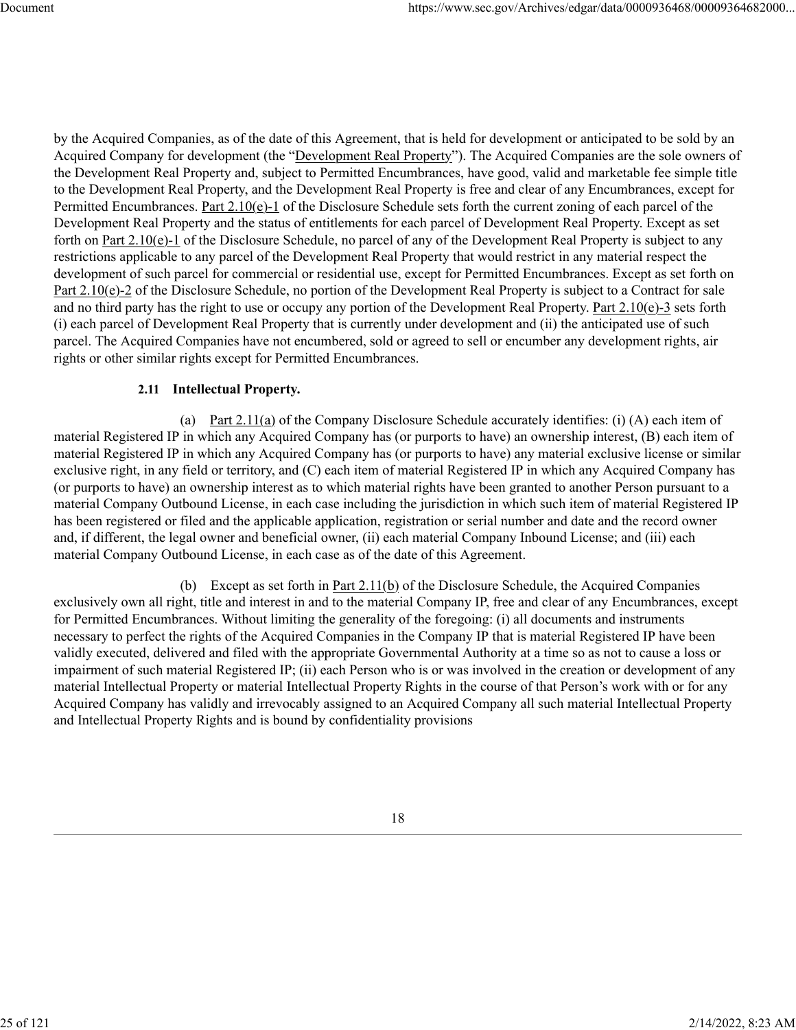by the Acquired Companies, as of the date of this Agreement, that is held for development or anticipated to be sold by an Acquired Company for development (the "Development Real Property"). The Acquired Companies are the sole owners of the Development Real Property and, subject to Permitted Encumbrances, have good, valid and marketable fee simple title to the Development Real Property, and the Development Real Property is free and clear of any Encumbrances, except for Permitted Encumbrances. Part 2.10(e)-1 of the Disclosure Schedule sets forth the current zoning of each parcel of the Development Real Property and the status of entitlements for each parcel of Development Real Property. Except as set forth on Part 2.10(e)-1 of the Disclosure Schedule, no parcel of any of the Development Real Property is subject to any restrictions applicable to any parcel of the Development Real Property that would restrict in any material respect the development of such parcel for commercial or residential use, except for Permitted Encumbrances. Except as set forth on Part 2.10(e)-2 of the Disclosure Schedule, no portion of the Development Real Property is subject to a Contract for sale and no third party has the right to use or occupy any portion of the Development Real Property. Part  $2.10(e)-3$  sets forth (i) each parcel of Development Real Property that is currently under development and (ii) the anticipated use of such parcel. The Acquired Companies have not encumbered, sold or agreed to sell or encumber any development rights, air rights or other similar rights except for Permitted Encumbrances.

#### **2.11 Intellectual Property.**

(a) Part 2.11(a) of the Company Disclosure Schedule accurately identifies: (i) (A) each item of material Registered IP in which any Acquired Company has (or purports to have) an ownership interest, (B) each item of material Registered IP in which any Acquired Company has (or purports to have) any material exclusive license or similar exclusive right, in any field or territory, and (C) each item of material Registered IP in which any Acquired Company has (or purports to have) an ownership interest as to which material rights have been granted to another Person pursuant to a material Company Outbound License, in each case including the jurisdiction in which such item of material Registered IP has been registered or filed and the applicable application, registration or serial number and date and the record owner and, if different, the legal owner and beneficial owner, (ii) each material Company Inbound License; and (iii) each material Company Outbound License, in each case as of the date of this Agreement.

(b) Except as set forth in Part  $2.11(b)$  of the Disclosure Schedule, the Acquired Companies exclusively own all right, title and interest in and to the material Company IP, free and clear of any Encumbrances, except for Permitted Encumbrances. Without limiting the generality of the foregoing: (i) all documents and instruments necessary to perfect the rights of the Acquired Companies in the Company IP that is material Registered IP have been validly executed, delivered and filed with the appropriate Governmental Authority at a time so as not to cause a loss or impairment of such material Registered IP; (ii) each Person who is or was involved in the creation or development of any material Intellectual Property or material Intellectual Property Rights in the course of that Person's work with or for any Acquired Company has validly and irrevocably assigned to an Acquired Company all such material Intellectual Property and Intellectual Property Rights and is bound by confidentiality provisions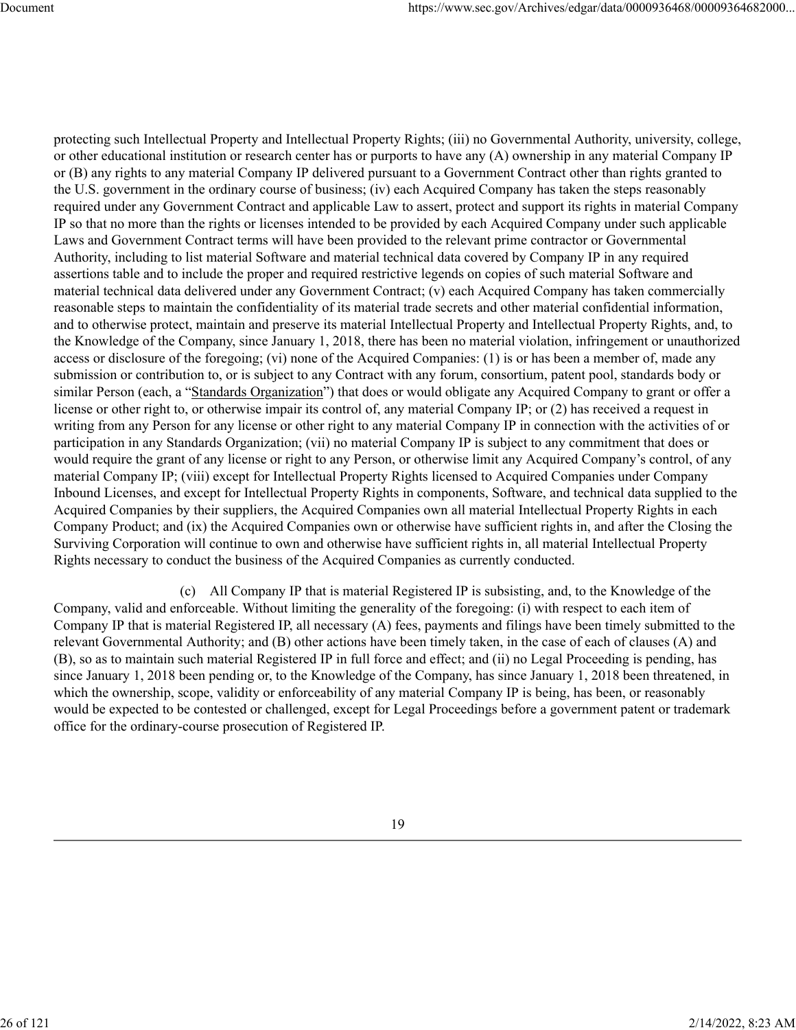protecting such Intellectual Property and Intellectual Property Rights; (iii) no Governmental Authority, university, college, or other educational institution or research center has or purports to have any (A) ownership in any material Company IP or (B) any rights to any material Company IP delivered pursuant to a Government Contract other than rights granted to the U.S. government in the ordinary course of business; (iv) each Acquired Company has taken the steps reasonably required under any Government Contract and applicable Law to assert, protect and support its rights in material Company IP so that no more than the rights or licenses intended to be provided by each Acquired Company under such applicable Laws and Government Contract terms will have been provided to the relevant prime contractor or Governmental Authority, including to list material Software and material technical data covered by Company IP in any required assertions table and to include the proper and required restrictive legends on copies of such material Software and material technical data delivered under any Government Contract; (v) each Acquired Company has taken commercially reasonable steps to maintain the confidentiality of its material trade secrets and other material confidential information, and to otherwise protect, maintain and preserve its material Intellectual Property and Intellectual Property Rights, and, to the Knowledge of the Company, since January 1, 2018, there has been no material violation, infringement or unauthorized access or disclosure of the foregoing; (vi) none of the Acquired Companies: (1) is or has been a member of, made any submission or contribution to, or is subject to any Contract with any forum, consortium, patent pool, standards body or similar Person (each, a "Standards Organization") that does or would obligate any Acquired Company to grant or offer a license or other right to, or otherwise impair its control of, any material Company IP; or (2) has received a request in writing from any Person for any license or other right to any material Company IP in connection with the activities of or participation in any Standards Organization; (vii) no material Company IP is subject to any commitment that does or would require the grant of any license or right to any Person, or otherwise limit any Acquired Company's control, of any material Company IP; (viii) except for Intellectual Property Rights licensed to Acquired Companies under Company Inbound Licenses, and except for Intellectual Property Rights in components, Software, and technical data supplied to the Acquired Companies by their suppliers, the Acquired Companies own all material Intellectual Property Rights in each Company Product; and (ix) the Acquired Companies own or otherwise have sufficient rights in, and after the Closing the Surviving Corporation will continue to own and otherwise have sufficient rights in, all material Intellectual Property Rights necessary to conduct the business of the Acquired Companies as currently conducted.

(c) All Company IP that is material Registered IP is subsisting, and, to the Knowledge of the Company, valid and enforceable. Without limiting the generality of the foregoing: (i) with respect to each item of Company IP that is material Registered IP, all necessary (A) fees, payments and filings have been timely submitted to the relevant Governmental Authority; and (B) other actions have been timely taken, in the case of each of clauses (A) and (B), so as to maintain such material Registered IP in full force and effect; and (ii) no Legal Proceeding is pending, has since January 1, 2018 been pending or, to the Knowledge of the Company, has since January 1, 2018 been threatened, in which the ownership, scope, validity or enforceability of any material Company IP is being, has been, or reasonably would be expected to be contested or challenged, except for Legal Proceedings before a government patent or trademark office for the ordinary-course prosecution of Registered IP.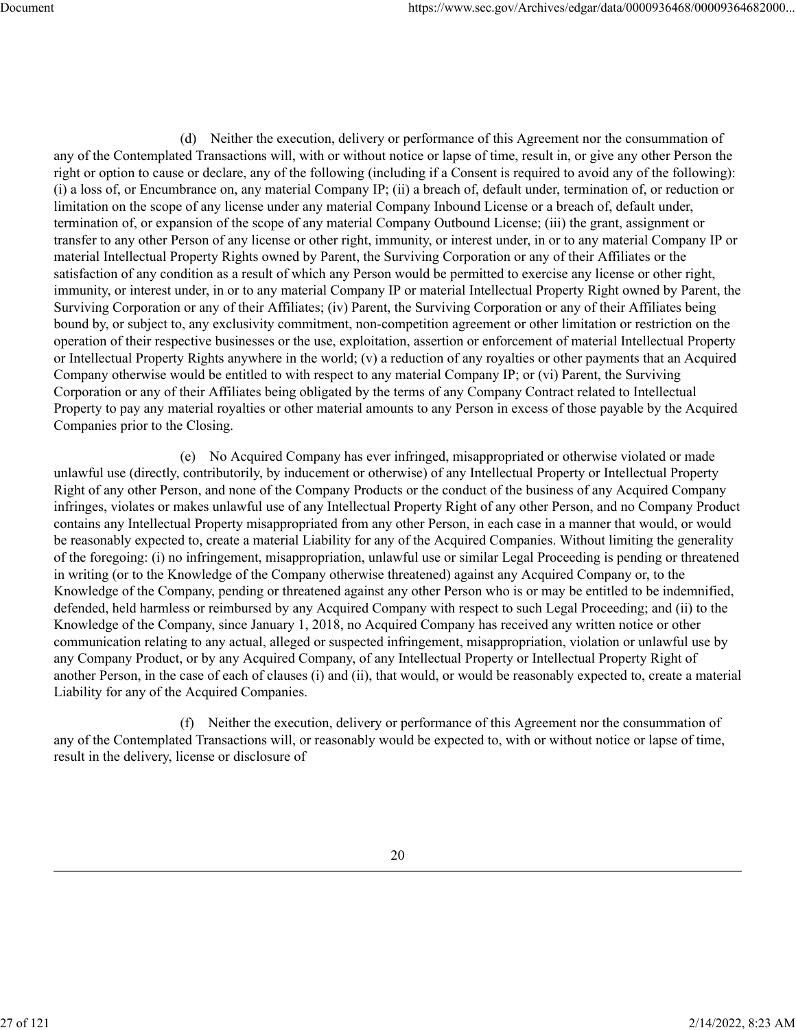(d) Neither the execution, delivery or performance of this Agreement nor the consummation of any of the Contemplated Transactions will, with or without notice or lapse of time, result in, or give any other Person the right or option to cause or declare, any of the following (including if a Consent is required to avoid any of the following): (i) a loss of, or Encumbrance on, any material Company IP; (ii) a breach of, default under, termination of, or reduction or limitation on the scope of any license under any material Company Inbound License or a breach of, default under, termination of, or expansion of the scope of any material Company Outbound License; (iii) the grant, assignment or transfer to any other Person of any license or other right, immunity, or interest under, in or to any material Company IP or material Intellectual Property Rights owned by Parent, the Surviving Corporation or any of their Affiliates or the satisfaction of any condition as a result of which any Person would be permitted to exercise any license or other right, immunity, or interest under, in or to any material Company IP or material Intellectual Property Right owned by Parent, the Surviving Corporation or any of their Affiliates; (iv) Parent, the Surviving Corporation or any of their Affiliates being bound by, or subject to, any exclusivity commitment, non-competition agreement or other limitation or restriction on the operation of their respective businesses or the use, exploitation, assertion or enforcement of material Intellectual Property or Intellectual Property Rights anywhere in the world; (v) a reduction of any royalties or other payments that an Acquired Company otherwise would be entitled to with respect to any material Company IP; or (vi) Parent, the Surviving Corporation or any of their Affiliates being obligated by the terms of any Company Contract related to Intellectual Property to pay any material royalties or other material amounts to any Person in excess of those payable by the Acquired Companies prior to the Closing.

(e) No Acquired Company has ever infringed, misappropriated or otherwise violated or made unlawful use (directly, contributorily, by inducement or otherwise) of any Intellectual Property or Intellectual Property Right of any other Person, and none of the Company Products or the conduct of the business of any Acquired Company infringes, violates or makes unlawful use of any Intellectual Property Right of any other Person, and no Company Product contains any Intellectual Property misappropriated from any other Person, in each case in a manner that would, or would be reasonably expected to, create a material Liability for any of the Acquired Companies. Without limiting the generality of the foregoing: (i) no infringement, misappropriation, unlawful use or similar Legal Proceeding is pending or threatened in writing (or to the Knowledge of the Company otherwise threatened) against any Acquired Company or, to the Knowledge of the Company, pending or threatened against any other Person who is or may be entitled to be indemnified, defended, held harmless or reimbursed by any Acquired Company with respect to such Legal Proceeding; and (ii) to the Knowledge of the Company, since January 1, 2018, no Acquired Company has received any written notice or other communication relating to any actual, alleged or suspected infringement, misappropriation, violation or unlawful use by any Company Product, or by any Acquired Company, of any Intellectual Property or Intellectual Property Right of another Person, in the case of each of clauses (i) and (ii), that would, or would be reasonably expected to, create a material Liability for any of the Acquired Companies.

(f) Neither the execution, delivery or performance of this Agreement nor the consummation of any of the Contemplated Transactions will, or reasonably would be expected to, with or without notice or lapse of time, result in the delivery, license or disclosure of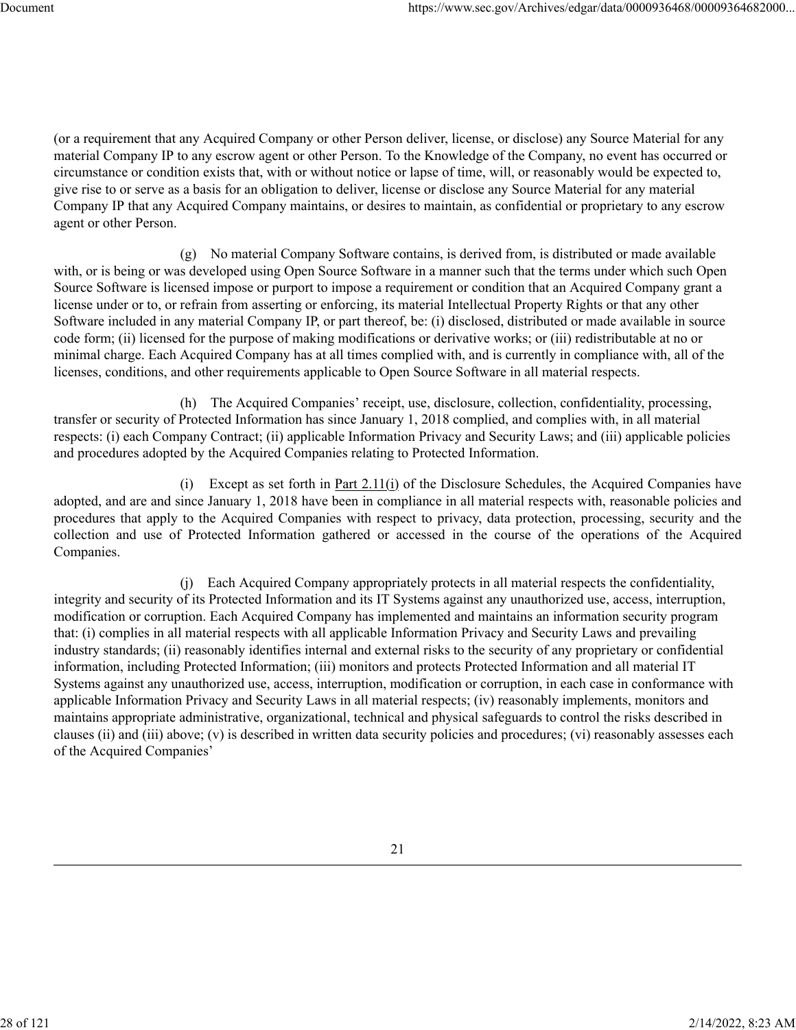(or a requirement that any Acquired Company or other Person deliver, license, or disclose) any Source Material for any material Company IP to any escrow agent or other Person. To the Knowledge of the Company, no event has occurred or circumstance or condition exists that, with or without notice or lapse of time, will, or reasonably would be expected to, give rise to or serve as a basis for an obligation to deliver, license or disclose any Source Material for any material Company IP that any Acquired Company maintains, or desires to maintain, as confidential or proprietary to any escrow agent or other Person.

(g) No material Company Software contains, is derived from, is distributed or made available with, or is being or was developed using Open Source Software in a manner such that the terms under which such Open Source Software is licensed impose or purport to impose a requirement or condition that an Acquired Company grant a license under or to, or refrain from asserting or enforcing, its material Intellectual Property Rights or that any other Software included in any material Company IP, or part thereof, be: (i) disclosed, distributed or made available in source code form; (ii) licensed for the purpose of making modifications or derivative works; or (iii) redistributable at no or minimal charge. Each Acquired Company has at all times complied with, and is currently in compliance with, all of the licenses, conditions, and other requirements applicable to Open Source Software in all material respects.

(h) The Acquired Companies' receipt, use, disclosure, collection, confidentiality, processing, transfer or security of Protected Information has since January 1, 2018 complied, and complies with, in all material respects: (i) each Company Contract; (ii) applicable Information Privacy and Security Laws; and (iii) applicable policies and procedures adopted by the Acquired Companies relating to Protected Information.

(i) Except as set forth in Part 2.11(i) of the Disclosure Schedules, the Acquired Companies have adopted, and are and since January 1, 2018 have been in compliance in all material respects with, reasonable policies and procedures that apply to the Acquired Companies with respect to privacy, data protection, processing, security and the collection and use of Protected Information gathered or accessed in the course of the operations of the Acquired Companies.

(j) Each Acquired Company appropriately protects in all material respects the confidentiality, integrity and security of its Protected Information and its IT Systems against any unauthorized use, access, interruption, modification or corruption. Each Acquired Company has implemented and maintains an information security program that: (i) complies in all material respects with all applicable Information Privacy and Security Laws and prevailing industry standards; (ii) reasonably identifies internal and external risks to the security of any proprietary or confidential information, including Protected Information; (iii) monitors and protects Protected Information and all material IT Systems against any unauthorized use, access, interruption, modification or corruption, in each case in conformance with applicable Information Privacy and Security Laws in all material respects; (iv) reasonably implements, monitors and maintains appropriate administrative, organizational, technical and physical safeguards to control the risks described in clauses (ii) and (iii) above; (v) is described in written data security policies and procedures; (vi) reasonably assesses each of the Acquired Companies'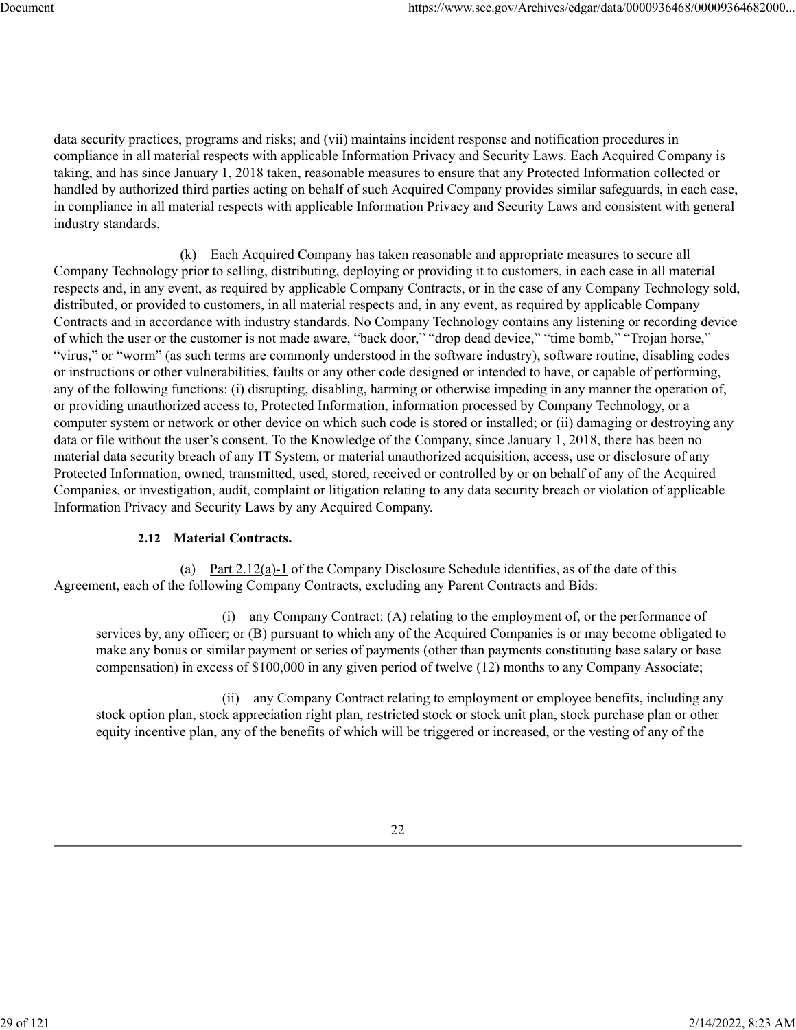data security practices, programs and risks; and (vii) maintains incident response and notification procedures in compliance in all material respects with applicable Information Privacy and Security Laws. Each Acquired Company is taking, and has since January 1, 2018 taken, reasonable measures to ensure that any Protected Information collected or handled by authorized third parties acting on behalf of such Acquired Company provides similar safeguards, in each case, in compliance in all material respects with applicable Information Privacy and Security Laws and consistent with general industry standards.

(k) Each Acquired Company has taken reasonable and appropriate measures to secure all Company Technology prior to selling, distributing, deploying or providing it to customers, in each case in all material respects and, in any event, as required by applicable Company Contracts, or in the case of any Company Technology sold, distributed, or provided to customers, in all material respects and, in any event, as required by applicable Company Contracts and in accordance with industry standards. No Company Technology contains any listening or recording device of which the user or the customer is not made aware, "back door," "drop dead device," "time bomb," "Trojan horse," "virus," or "worm" (as such terms are commonly understood in the software industry), software routine, disabling codes or instructions or other vulnerabilities, faults or any other code designed or intended to have, or capable of performing, any of the following functions: (i) disrupting, disabling, harming or otherwise impeding in any manner the operation of, or providing unauthorized access to, Protected Information, information processed by Company Technology, or a computer system or network or other device on which such code is stored or installed; or (ii) damaging or destroying any data or file without the user's consent. To the Knowledge of the Company, since January 1, 2018, there has been no material data security breach of any IT System, or material unauthorized acquisition, access, use or disclosure of any Protected Information, owned, transmitted, used, stored, received or controlled by or on behalf of any of the Acquired Companies, or investigation, audit, complaint or litigation relating to any data security breach or violation of applicable Information Privacy and Security Laws by any Acquired Company.

## **2.12 Material Contracts.**

(a) Part 2.12(a)-1 of the Company Disclosure Schedule identifies, as of the date of this Agreement, each of the following Company Contracts, excluding any Parent Contracts and Bids:

(i) any Company Contract: (A) relating to the employment of, or the performance of services by, any officer; or (B) pursuant to which any of the Acquired Companies is or may become obligated to make any bonus or similar payment or series of payments (other than payments constituting base salary or base compensation) in excess of \$100,000 in any given period of twelve (12) months to any Company Associate;

(ii) any Company Contract relating to employment or employee benefits, including any stock option plan, stock appreciation right plan, restricted stock or stock unit plan, stock purchase plan or other equity incentive plan, any of the benefits of which will be triggered or increased, or the vesting of any of the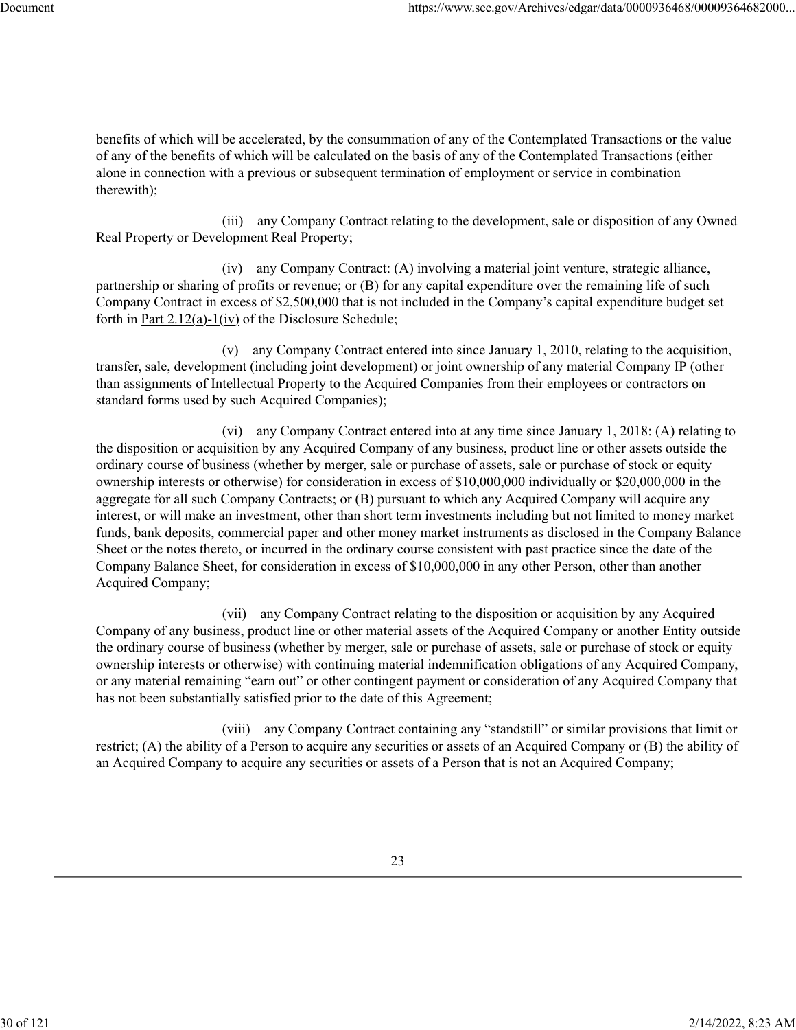benefits of which will be accelerated, by the consummation of any of the Contemplated Transactions or the value of any of the benefits of which will be calculated on the basis of any of the Contemplated Transactions (either alone in connection with a previous or subsequent termination of employment or service in combination therewith);

(iii) any Company Contract relating to the development, sale or disposition of any Owned Real Property or Development Real Property;

(iv) any Company Contract: (A) involving a material joint venture, strategic alliance, partnership or sharing of profits or revenue; or (B) for any capital expenditure over the remaining life of such Company Contract in excess of \$2,500,000 that is not included in the Company's capital expenditure budget set forth in Part 2.12(a)-1(iv) of the Disclosure Schedule;

(v) any Company Contract entered into since January 1, 2010, relating to the acquisition, transfer, sale, development (including joint development) or joint ownership of any material Company IP (other than assignments of Intellectual Property to the Acquired Companies from their employees or contractors on standard forms used by such Acquired Companies);

(vi) any Company Contract entered into at any time since January 1, 2018: (A) relating to the disposition or acquisition by any Acquired Company of any business, product line or other assets outside the ordinary course of business (whether by merger, sale or purchase of assets, sale or purchase of stock or equity ownership interests or otherwise) for consideration in excess of \$10,000,000 individually or \$20,000,000 in the aggregate for all such Company Contracts; or (B) pursuant to which any Acquired Company will acquire any interest, or will make an investment, other than short term investments including but not limited to money market funds, bank deposits, commercial paper and other money market instruments as disclosed in the Company Balance Sheet or the notes thereto, or incurred in the ordinary course consistent with past practice since the date of the Company Balance Sheet, for consideration in excess of \$10,000,000 in any other Person, other than another Acquired Company;

(vii) any Company Contract relating to the disposition or acquisition by any Acquired Company of any business, product line or other material assets of the Acquired Company or another Entity outside the ordinary course of business (whether by merger, sale or purchase of assets, sale or purchase of stock or equity ownership interests or otherwise) with continuing material indemnification obligations of any Acquired Company, or any material remaining "earn out" or other contingent payment or consideration of any Acquired Company that has not been substantially satisfied prior to the date of this Agreement;

(viii) any Company Contract containing any "standstill" or similar provisions that limit or restrict; (A) the ability of a Person to acquire any securities or assets of an Acquired Company or (B) the ability of an Acquired Company to acquire any securities or assets of a Person that is not an Acquired Company;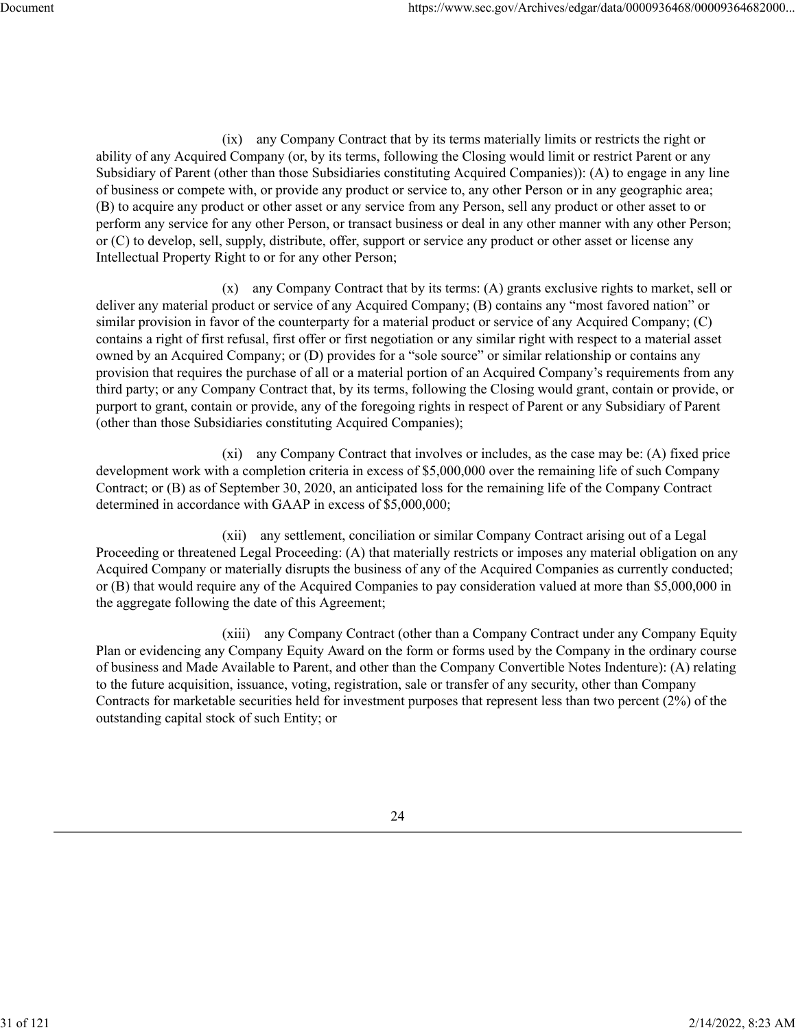(ix) any Company Contract that by its terms materially limits or restricts the right or ability of any Acquired Company (or, by its terms, following the Closing would limit or restrict Parent or any Subsidiary of Parent (other than those Subsidiaries constituting Acquired Companies)): (A) to engage in any line of business or compete with, or provide any product or service to, any other Person or in any geographic area; (B) to acquire any product or other asset or any service from any Person, sell any product or other asset to or perform any service for any other Person, or transact business or deal in any other manner with any other Person; or (C) to develop, sell, supply, distribute, offer, support or service any product or other asset or license any Intellectual Property Right to or for any other Person;

(x) any Company Contract that by its terms: (A) grants exclusive rights to market, sell or deliver any material product or service of any Acquired Company; (B) contains any "most favored nation" or similar provision in favor of the counterparty for a material product or service of any Acquired Company; (C) contains a right of first refusal, first offer or first negotiation or any similar right with respect to a material asset owned by an Acquired Company; or (D) provides for a "sole source" or similar relationship or contains any provision that requires the purchase of all or a material portion of an Acquired Company's requirements from any third party; or any Company Contract that, by its terms, following the Closing would grant, contain or provide, or purport to grant, contain or provide, any of the foregoing rights in respect of Parent or any Subsidiary of Parent (other than those Subsidiaries constituting Acquired Companies);

(xi) any Company Contract that involves or includes, as the case may be: (A) fixed price development work with a completion criteria in excess of \$5,000,000 over the remaining life of such Company Contract; or (B) as of September 30, 2020, an anticipated loss for the remaining life of the Company Contract determined in accordance with GAAP in excess of \$5,000,000;

(xii) any settlement, conciliation or similar Company Contract arising out of a Legal Proceeding or threatened Legal Proceeding: (A) that materially restricts or imposes any material obligation on any Acquired Company or materially disrupts the business of any of the Acquired Companies as currently conducted; or (B) that would require any of the Acquired Companies to pay consideration valued at more than \$5,000,000 in the aggregate following the date of this Agreement;

(xiii) any Company Contract (other than a Company Contract under any Company Equity Plan or evidencing any Company Equity Award on the form or forms used by the Company in the ordinary course of business and Made Available to Parent, and other than the Company Convertible Notes Indenture): (A) relating to the future acquisition, issuance, voting, registration, sale or transfer of any security, other than Company Contracts for marketable securities held for investment purposes that represent less than two percent (2%) of the outstanding capital stock of such Entity; or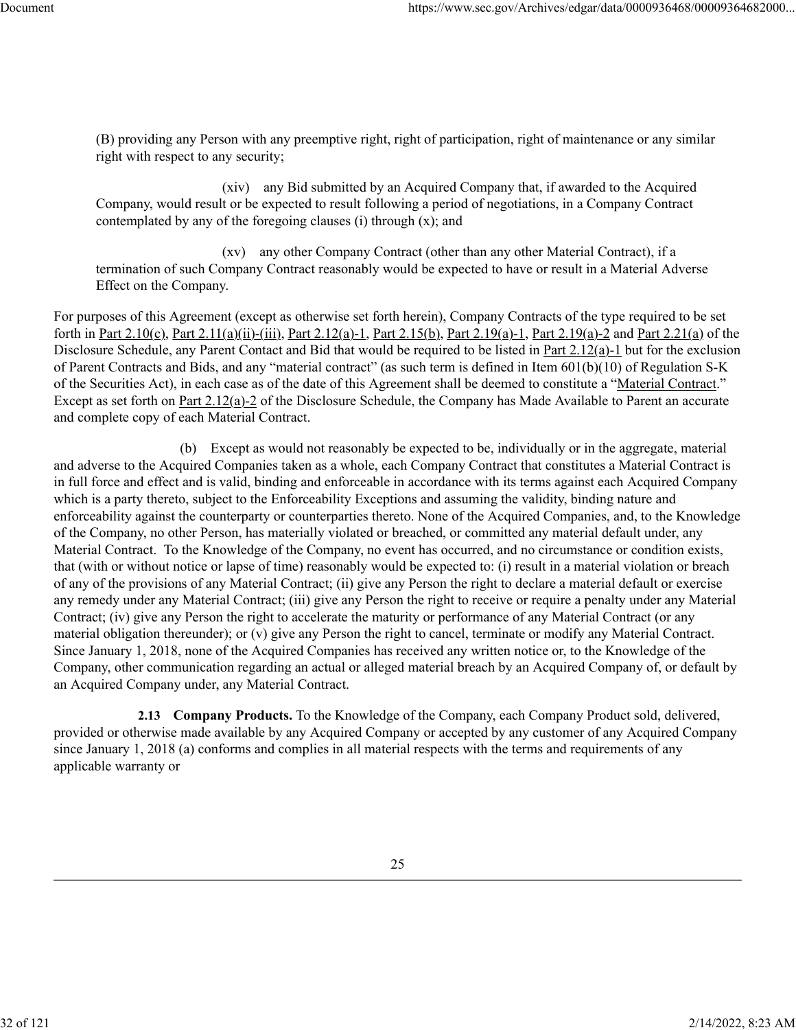(B) providing any Person with any preemptive right, right of participation, right of maintenance or any similar right with respect to any security;

(xiv) any Bid submitted by an Acquired Company that, if awarded to the Acquired Company, would result or be expected to result following a period of negotiations, in a Company Contract contemplated by any of the foregoing clauses (i) through (x); and

(xv) any other Company Contract (other than any other Material Contract), if a termination of such Company Contract reasonably would be expected to have or result in a Material Adverse Effect on the Company.

For purposes of this Agreement (except as otherwise set forth herein), Company Contracts of the type required to be set forth in Part 2.10(c), Part 2.11(a)(ii)-(iii), Part 2.12(a)-1, Part 2.15(b), Part 2.19(a)-1, Part 2.19(a)-2 and Part 2.21(a) of the Disclosure Schedule, any Parent Contact and Bid that would be required to be listed in <u>Part 2.12(a)-1</u> but for the exclusion of Parent Contracts and Bids, and any "material contract" (as such term is defined in Item 601(b)(10) of Regulation S-K of the Securities Act), in each case as of the date of this Agreement shall be deemed to constitute a "Material Contract." Except as set forth on Part 2.12(a)-2 of the Disclosure Schedule, the Company has Made Available to Parent an accurate and complete copy of each Material Contract.

(b) Except as would not reasonably be expected to be, individually or in the aggregate, material and adverse to the Acquired Companies taken as a whole, each Company Contract that constitutes a Material Contract is in full force and effect and is valid, binding and enforceable in accordance with its terms against each Acquired Company which is a party thereto, subject to the Enforceability Exceptions and assuming the validity, binding nature and enforceability against the counterparty or counterparties thereto. None of the Acquired Companies, and, to the Knowledge of the Company, no other Person, has materially violated or breached, or committed any material default under, any Material Contract. To the Knowledge of the Company, no event has occurred, and no circumstance or condition exists, that (with or without notice or lapse of time) reasonably would be expected to: (i) result in a material violation or breach of any of the provisions of any Material Contract; (ii) give any Person the right to declare a material default or exercise any remedy under any Material Contract; (iii) give any Person the right to receive or require a penalty under any Material Contract; (iv) give any Person the right to accelerate the maturity or performance of any Material Contract (or any material obligation thereunder); or (v) give any Person the right to cancel, terminate or modify any Material Contract. Since January 1, 2018, none of the Acquired Companies has received any written notice or, to the Knowledge of the Company, other communication regarding an actual or alleged material breach by an Acquired Company of, or default by an Acquired Company under, any Material Contract.

**2.13 Company Products.** To the Knowledge of the Company, each Company Product sold, delivered, provided or otherwise made available by any Acquired Company or accepted by any customer of any Acquired Company since January 1, 2018 (a) conforms and complies in all material respects with the terms and requirements of any applicable warranty or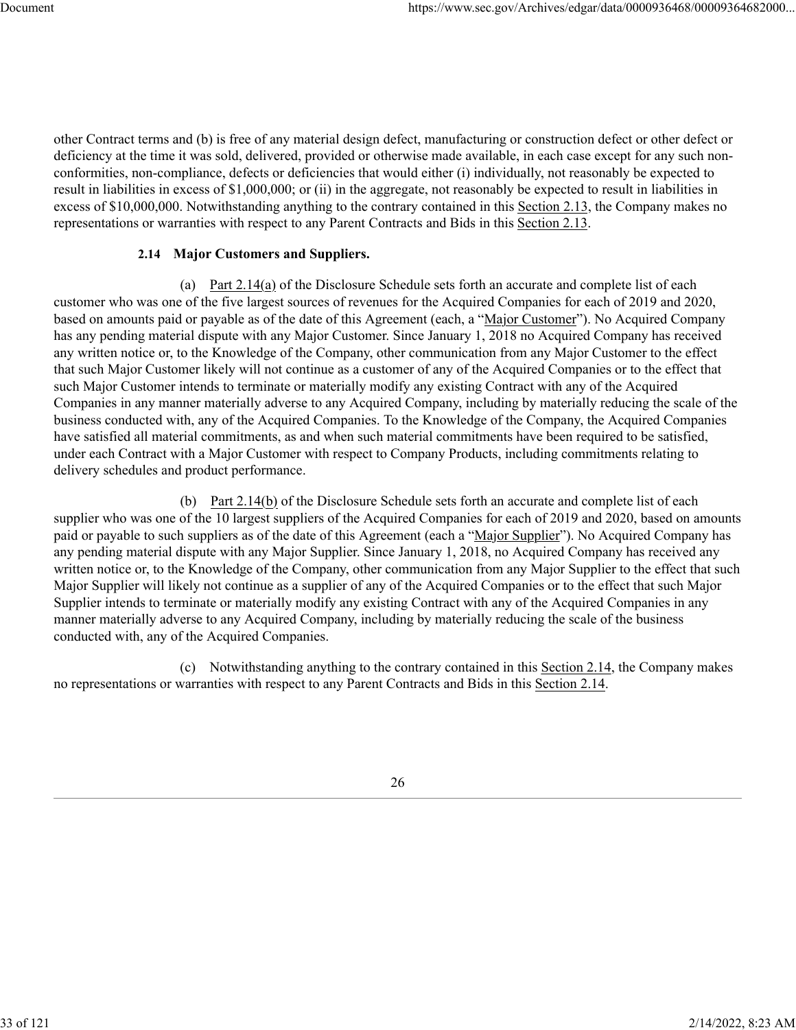other Contract terms and (b) is free of any material design defect, manufacturing or construction defect or other defect or deficiency at the time it was sold, delivered, provided or otherwise made available, in each case except for any such nonconformities, non-compliance, defects or deficiencies that would either (i) individually, not reasonably be expected to result in liabilities in excess of \$1,000,000; or (ii) in the aggregate, not reasonably be expected to result in liabilities in excess of \$10,000,000. Notwithstanding anything to the contrary contained in this Section 2.13, the Company makes no representations or warranties with respect to any Parent Contracts and Bids in this Section 2.13.

## **2.14 Major Customers and Suppliers.**

(a) Part 2.14(a) of the Disclosure Schedule sets forth an accurate and complete list of each customer who was one of the five largest sources of revenues for the Acquired Companies for each of 2019 and 2020, based on amounts paid or payable as of the date of this Agreement (each, a "Major Customer"). No Acquired Company has any pending material dispute with any Major Customer. Since January 1, 2018 no Acquired Company has received any written notice or, to the Knowledge of the Company, other communication from any Major Customer to the effect that such Major Customer likely will not continue as a customer of any of the Acquired Companies or to the effect that such Major Customer intends to terminate or materially modify any existing Contract with any of the Acquired Companies in any manner materially adverse to any Acquired Company, including by materially reducing the scale of the business conducted with, any of the Acquired Companies. To the Knowledge of the Company, the Acquired Companies have satisfied all material commitments, as and when such material commitments have been required to be satisfied, under each Contract with a Major Customer with respect to Company Products, including commitments relating to delivery schedules and product performance.

(b) Part 2.14(b) of the Disclosure Schedule sets forth an accurate and complete list of each supplier who was one of the 10 largest suppliers of the Acquired Companies for each of 2019 and 2020, based on amounts paid or payable to such suppliers as of the date of this Agreement (each a "Major Supplier"). No Acquired Company has any pending material dispute with any Major Supplier. Since January 1, 2018, no Acquired Company has received any written notice or, to the Knowledge of the Company, other communication from any Major Supplier to the effect that such Major Supplier will likely not continue as a supplier of any of the Acquired Companies or to the effect that such Major Supplier intends to terminate or materially modify any existing Contract with any of the Acquired Companies in any manner materially adverse to any Acquired Company, including by materially reducing the scale of the business conducted with, any of the Acquired Companies.

(c) Notwithstanding anything to the contrary contained in this Section 2.14, the Company makes no representations or warranties with respect to any Parent Contracts and Bids in this Section 2.14.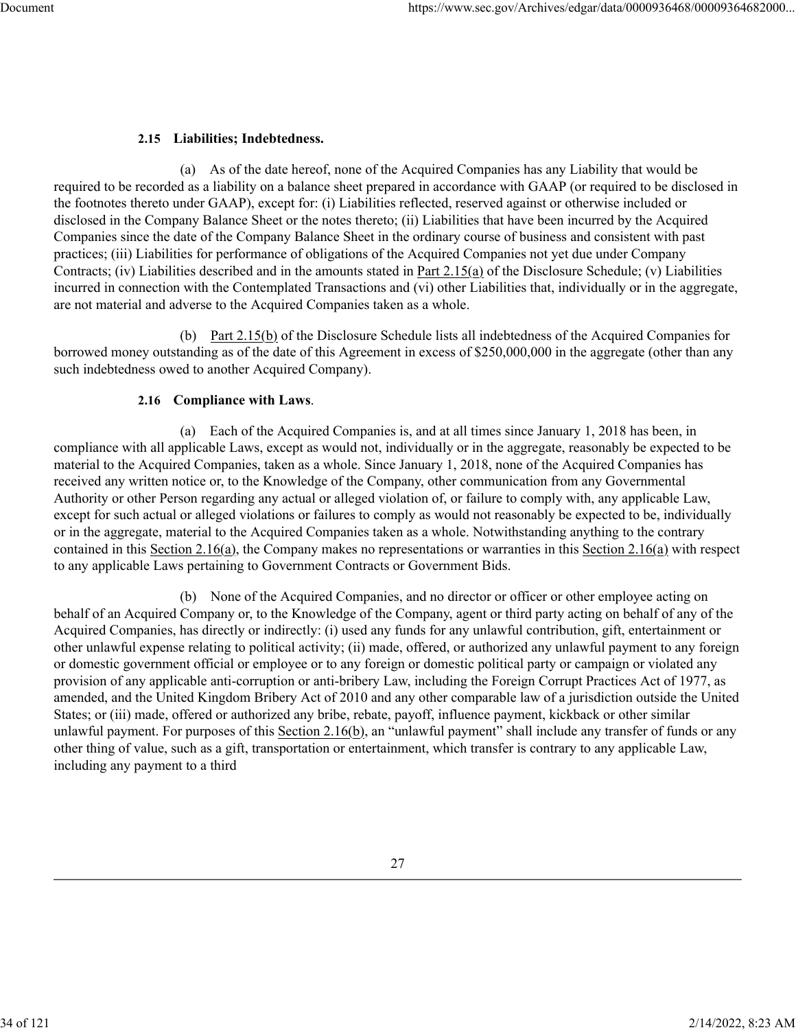# **2.15 Liabilities; Indebtedness.**

(a) As of the date hereof, none of the Acquired Companies has any Liability that would be required to be recorded as a liability on a balance sheet prepared in accordance with GAAP (or required to be disclosed in the footnotes thereto under GAAP), except for: (i) Liabilities reflected, reserved against or otherwise included or disclosed in the Company Balance Sheet or the notes thereto; (ii) Liabilities that have been incurred by the Acquired Companies since the date of the Company Balance Sheet in the ordinary course of business and consistent with past practices; (iii) Liabilities for performance of obligations of the Acquired Companies not yet due under Company Contracts; (iv) Liabilities described and in the amounts stated in Part 2.15(a) of the Disclosure Schedule; (v) Liabilities incurred in connection with the Contemplated Transactions and (vi) other Liabilities that, individually or in the aggregate, are not material and adverse to the Acquired Companies taken as a whole.

(b) Part  $2.15(b)$  of the Disclosure Schedule lists all indebtedness of the Acquired Companies for borrowed money outstanding as of the date of this Agreement in excess of \$250,000,000 in the aggregate (other than any such indebtedness owed to another Acquired Company).

## **2.16 Compliance with Laws**.

(a) Each of the Acquired Companies is, and at all times since January 1, 2018 has been, in compliance with all applicable Laws, except as would not, individually or in the aggregate, reasonably be expected to be material to the Acquired Companies, taken as a whole. Since January 1, 2018, none of the Acquired Companies has received any written notice or, to the Knowledge of the Company, other communication from any Governmental Authority or other Person regarding any actual or alleged violation of, or failure to comply with, any applicable Law, except for such actual or alleged violations or failures to comply as would not reasonably be expected to be, individually or in the aggregate, material to the Acquired Companies taken as a whole. Notwithstanding anything to the contrary contained in this Section 2.16(a), the Company makes no representations or warranties in this Section 2.16(a) with respect to any applicable Laws pertaining to Government Contracts or Government Bids.

(b) None of the Acquired Companies, and no director or officer or other employee acting on behalf of an Acquired Company or, to the Knowledge of the Company, agent or third party acting on behalf of any of the Acquired Companies, has directly or indirectly: (i) used any funds for any unlawful contribution, gift, entertainment or other unlawful expense relating to political activity; (ii) made, offered, or authorized any unlawful payment to any foreign or domestic government official or employee or to any foreign or domestic political party or campaign or violated any provision of any applicable anti-corruption or anti-bribery Law, including the Foreign Corrupt Practices Act of 1977, as amended, and the United Kingdom Bribery Act of 2010 and any other comparable law of a jurisdiction outside the United States; or (iii) made, offered or authorized any bribe, rebate, payoff, influence payment, kickback or other similar unlawful payment. For purposes of this Section 2.16(b), an "unlawful payment" shall include any transfer of funds or any other thing of value, such as a gift, transportation or entertainment, which transfer is contrary to any applicable Law, including any payment to a third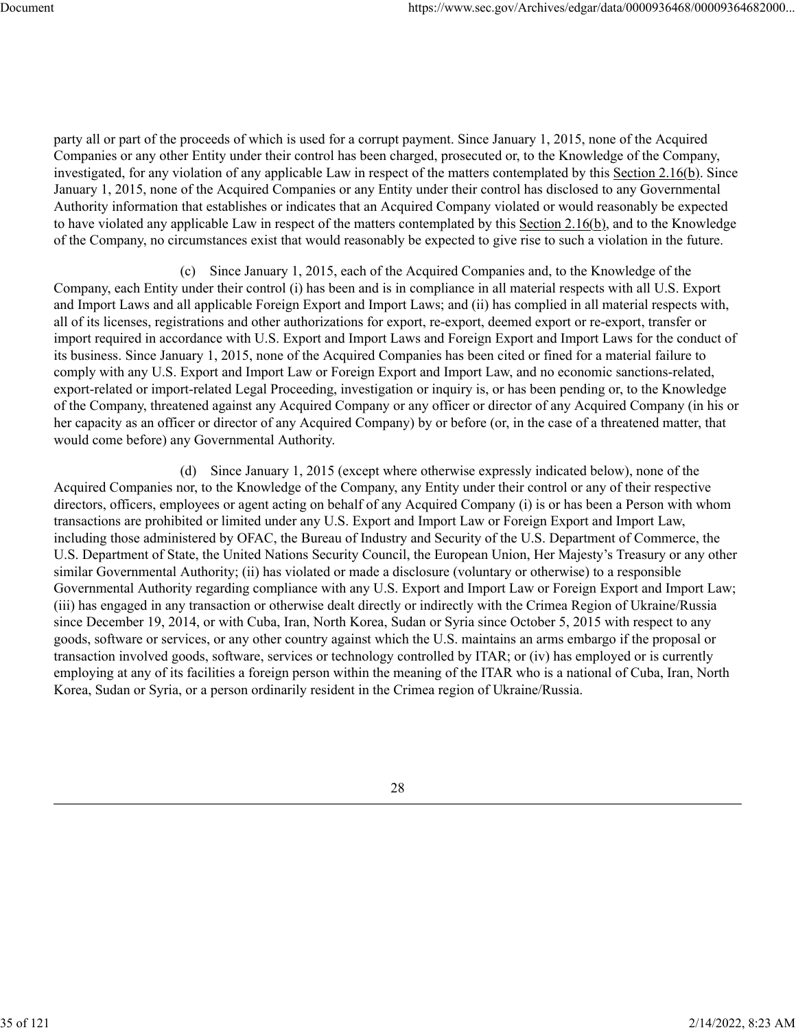party all or part of the proceeds of which is used for a corrupt payment. Since January 1, 2015, none of the Acquired Companies or any other Entity under their control has been charged, prosecuted or, to the Knowledge of the Company, investigated, for any violation of any applicable Law in respect of the matters contemplated by this Section 2.16(b). Since January 1, 2015, none of the Acquired Companies or any Entity under their control has disclosed to any Governmental Authority information that establishes or indicates that an Acquired Company violated or would reasonably be expected to have violated any applicable Law in respect of the matters contemplated by this Section 2.16(b), and to the Knowledge of the Company, no circumstances exist that would reasonably be expected to give rise to such a violation in the future.

(c) Since January 1, 2015, each of the Acquired Companies and, to the Knowledge of the Company, each Entity under their control (i) has been and is in compliance in all material respects with all U.S. Export and Import Laws and all applicable Foreign Export and Import Laws; and (ii) has complied in all material respects with, all of its licenses, registrations and other authorizations for export, re-export, deemed export or re-export, transfer or import required in accordance with U.S. Export and Import Laws and Foreign Export and Import Laws for the conduct of its business. Since January 1, 2015, none of the Acquired Companies has been cited or fined for a material failure to comply with any U.S. Export and Import Law or Foreign Export and Import Law, and no economic sanctions-related, export-related or import-related Legal Proceeding, investigation or inquiry is, or has been pending or, to the Knowledge of the Company, threatened against any Acquired Company or any officer or director of any Acquired Company (in his or her capacity as an officer or director of any Acquired Company) by or before (or, in the case of a threatened matter, that would come before) any Governmental Authority.

(d) Since January 1, 2015 (except where otherwise expressly indicated below), none of the Acquired Companies nor, to the Knowledge of the Company, any Entity under their control or any of their respective directors, officers, employees or agent acting on behalf of any Acquired Company (i) is or has been a Person with whom transactions are prohibited or limited under any U.S. Export and Import Law or Foreign Export and Import Law, including those administered by OFAC, the Bureau of Industry and Security of the U.S. Department of Commerce, the U.S. Department of State, the United Nations Security Council, the European Union, Her Majesty's Treasury or any other similar Governmental Authority; (ii) has violated or made a disclosure (voluntary or otherwise) to a responsible Governmental Authority regarding compliance with any U.S. Export and Import Law or Foreign Export and Import Law; (iii) has engaged in any transaction or otherwise dealt directly or indirectly with the Crimea Region of Ukraine/Russia since December 19, 2014, or with Cuba, Iran, North Korea, Sudan or Syria since October 5, 2015 with respect to any goods, software or services, or any other country against which the U.S. maintains an arms embargo if the proposal or transaction involved goods, software, services or technology controlled by ITAR; or (iv) has employed or is currently employing at any of its facilities a foreign person within the meaning of the ITAR who is a national of Cuba, Iran, North Korea, Sudan or Syria, or a person ordinarily resident in the Crimea region of Ukraine/Russia.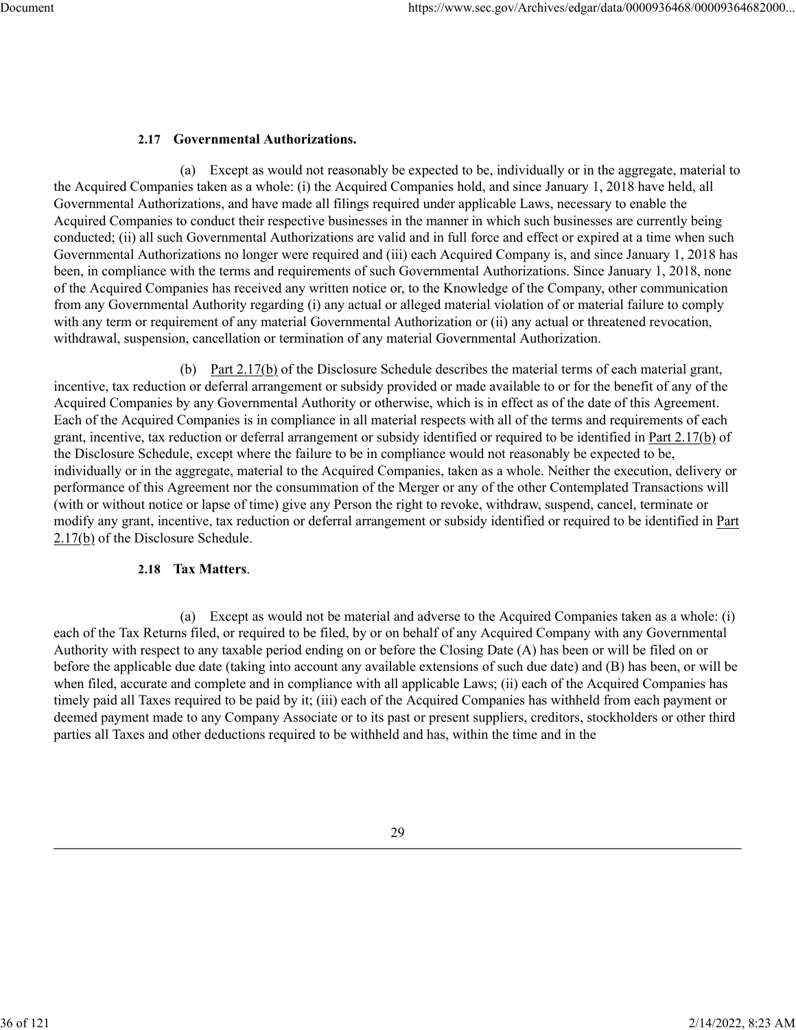## **2.17 Governmental Authorizations.**

(a) Except as would not reasonably be expected to be, individually or in the aggregate, material to the Acquired Companies taken as a whole: (i) the Acquired Companies hold, and since January 1, 2018 have held, all Governmental Authorizations, and have made all filings required under applicable Laws, necessary to enable the Acquired Companies to conduct their respective businesses in the manner in which such businesses are currently being conducted; (ii) all such Governmental Authorizations are valid and in full force and effect or expired at a time when such Governmental Authorizations no longer were required and (iii) each Acquired Company is, and since January 1, 2018 has been, in compliance with the terms and requirements of such Governmental Authorizations. Since January 1, 2018, none of the Acquired Companies has received any written notice or, to the Knowledge of the Company, other communication from any Governmental Authority regarding (i) any actual or alleged material violation of or material failure to comply with any term or requirement of any material Governmental Authorization or (ii) any actual or threatened revocation, withdrawal, suspension, cancellation or termination of any material Governmental Authorization.

(b) Part 2.17(b) of the Disclosure Schedule describes the material terms of each material grant, incentive, tax reduction or deferral arrangement or subsidy provided or made available to or for the benefit of any of the Acquired Companies by any Governmental Authority or otherwise, which is in effect as of the date of this Agreement. Each of the Acquired Companies is in compliance in all material respects with all of the terms and requirements of each grant, incentive, tax reduction or deferral arrangement or subsidy identified or required to be identified in Part 2.17(b) of the Disclosure Schedule, except where the failure to be in compliance would not reasonably be expected to be, individually or in the aggregate, material to the Acquired Companies, taken as a whole. Neither the execution, delivery or performance of this Agreement nor the consummation of the Merger or any of the other Contemplated Transactions will (with or without notice or lapse of time) give any Person the right to revoke, withdraw, suspend, cancel, terminate or modify any grant, incentive, tax reduction or deferral arrangement or subsidy identified or required to be identified in Part 2.17(b) of the Disclosure Schedule.

## **2.18 Tax Matters**.

(a) Except as would not be material and adverse to the Acquired Companies taken as a whole: (i) each of the Tax Returns filed, or required to be filed, by or on behalf of any Acquired Company with any Governmental Authority with respect to any taxable period ending on or before the Closing Date (A) has been or will be filed on or before the applicable due date (taking into account any available extensions of such due date) and (B) has been, or will be when filed, accurate and complete and in compliance with all applicable Laws; (ii) each of the Acquired Companies has timely paid all Taxes required to be paid by it; (iii) each of the Acquired Companies has withheld from each payment or deemed payment made to any Company Associate or to its past or present suppliers, creditors, stockholders or other third parties all Taxes and other deductions required to be withheld and has, within the time and in the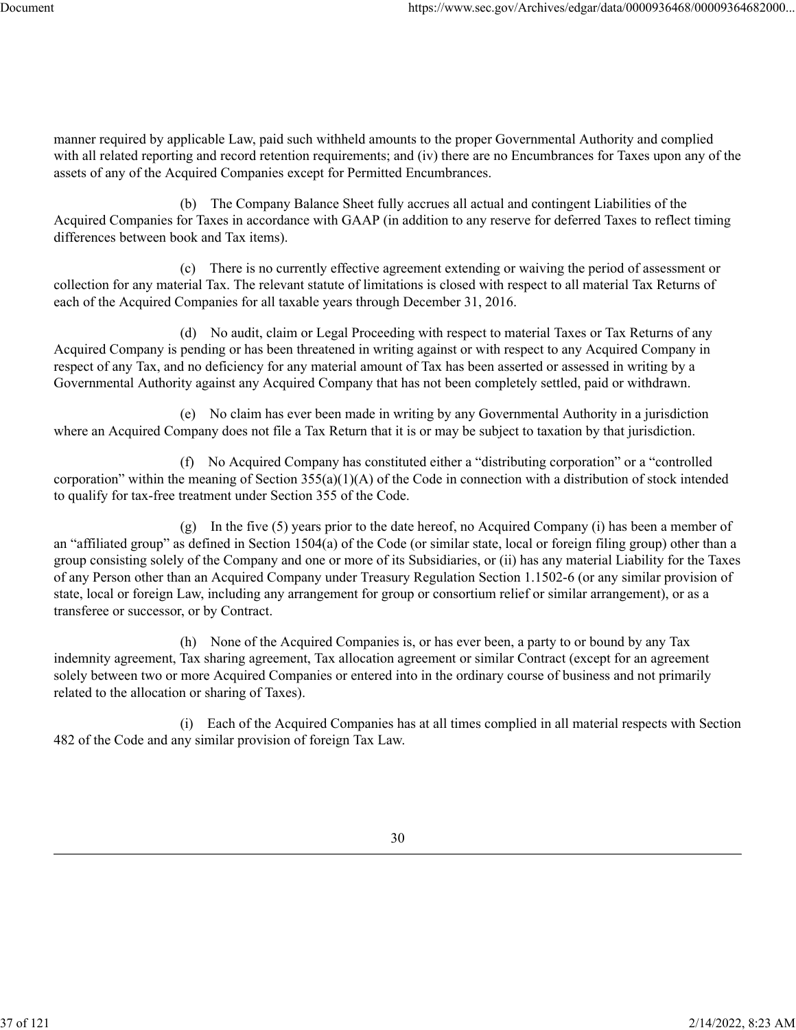manner required by applicable Law, paid such withheld amounts to the proper Governmental Authority and complied with all related reporting and record retention requirements; and (iv) there are no Encumbrances for Taxes upon any of the assets of any of the Acquired Companies except for Permitted Encumbrances.

(b) The Company Balance Sheet fully accrues all actual and contingent Liabilities of the Acquired Companies for Taxes in accordance with GAAP (in addition to any reserve for deferred Taxes to reflect timing differences between book and Tax items).

(c) There is no currently effective agreement extending or waiving the period of assessment or collection for any material Tax. The relevant statute of limitations is closed with respect to all material Tax Returns of each of the Acquired Companies for all taxable years through December 31, 2016.

(d) No audit, claim or Legal Proceeding with respect to material Taxes or Tax Returns of any Acquired Company is pending or has been threatened in writing against or with respect to any Acquired Company in respect of any Tax, and no deficiency for any material amount of Tax has been asserted or assessed in writing by a Governmental Authority against any Acquired Company that has not been completely settled, paid or withdrawn.

(e) No claim has ever been made in writing by any Governmental Authority in a jurisdiction where an Acquired Company does not file a Tax Return that it is or may be subject to taxation by that jurisdiction.

(f) No Acquired Company has constituted either a "distributing corporation" or a "controlled corporation" within the meaning of Section 355(a)(1)(A) of the Code in connection with a distribution of stock intended to qualify for tax-free treatment under Section 355 of the Code.

(g) In the five (5) years prior to the date hereof, no Acquired Company (i) has been a member of an "affiliated group" as defined in Section 1504(a) of the Code (or similar state, local or foreign filing group) other than a group consisting solely of the Company and one or more of its Subsidiaries, or (ii) has any material Liability for the Taxes of any Person other than an Acquired Company under Treasury Regulation Section 1.1502-6 (or any similar provision of state, local or foreign Law, including any arrangement for group or consortium relief or similar arrangement), or as a transferee or successor, or by Contract.

(h) None of the Acquired Companies is, or has ever been, a party to or bound by any Tax indemnity agreement, Tax sharing agreement, Tax allocation agreement or similar Contract (except for an agreement solely between two or more Acquired Companies or entered into in the ordinary course of business and not primarily related to the allocation or sharing of Taxes).

(i) Each of the Acquired Companies has at all times complied in all material respects with Section 482 of the Code and any similar provision of foreign Tax Law.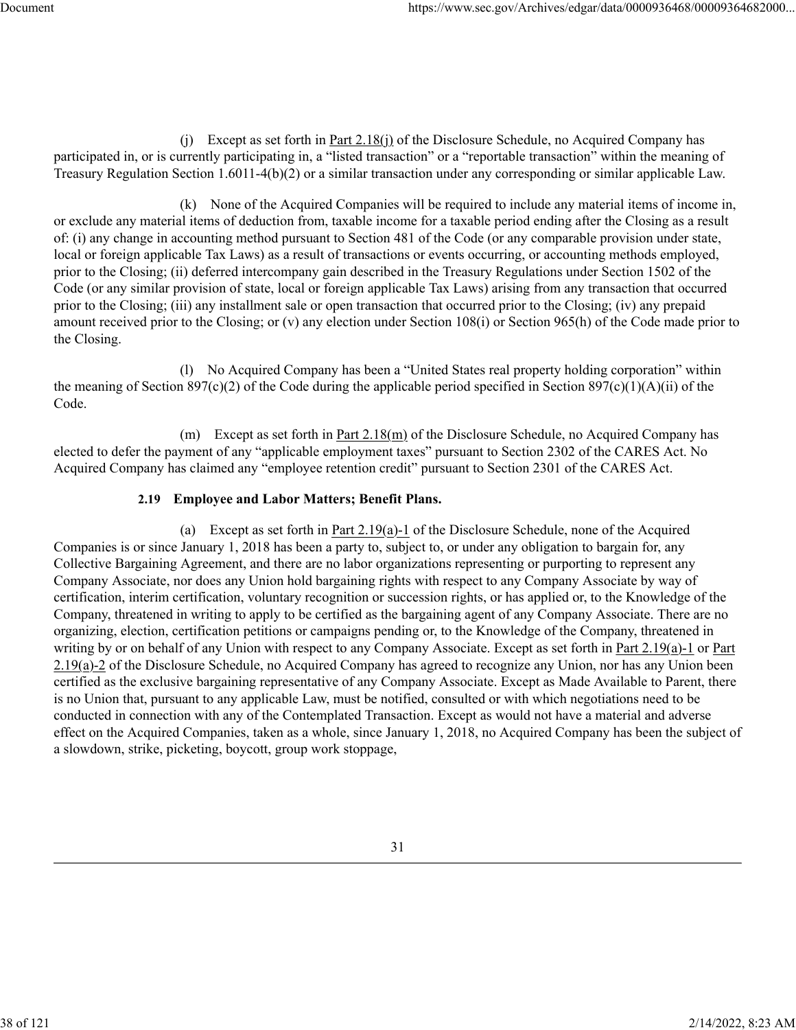(j) Except as set forth in Part 2.18(j) of the Disclosure Schedule, no Acquired Company has participated in, or is currently participating in, a "listed transaction" or a "reportable transaction" within the meaning of Treasury Regulation Section 1.6011-4(b)(2) or a similar transaction under any corresponding or similar applicable Law.

(k) None of the Acquired Companies will be required to include any material items of income in, or exclude any material items of deduction from, taxable income for a taxable period ending after the Closing as a result of: (i) any change in accounting method pursuant to Section 481 of the Code (or any comparable provision under state, local or foreign applicable Tax Laws) as a result of transactions or events occurring, or accounting methods employed, prior to the Closing; (ii) deferred intercompany gain described in the Treasury Regulations under Section 1502 of the Code (or any similar provision of state, local or foreign applicable Tax Laws) arising from any transaction that occurred prior to the Closing; (iii) any installment sale or open transaction that occurred prior to the Closing; (iv) any prepaid amount received prior to the Closing; or (v) any election under Section 108(i) or Section 965(h) of the Code made prior to the Closing.

(l) No Acquired Company has been a "United States real property holding corporation" within the meaning of Section 897(c)(2) of the Code during the applicable period specified in Section 897(c)(1)(A)(ii) of the Code.

(m) Except as set forth in Part 2.18(m) of the Disclosure Schedule, no Acquired Company has elected to defer the payment of any "applicable employment taxes" pursuant to Section 2302 of the CARES Act. No Acquired Company has claimed any "employee retention credit" pursuant to Section 2301 of the CARES Act.

## **2.19 Employee and Labor Matters; Benefit Plans.**

(a) Except as set forth in Part 2.19(a)-1 of the Disclosure Schedule, none of the Acquired Companies is or since January 1, 2018 has been a party to, subject to, or under any obligation to bargain for, any Collective Bargaining Agreement, and there are no labor organizations representing or purporting to represent any Company Associate, nor does any Union hold bargaining rights with respect to any Company Associate by way of certification, interim certification, voluntary recognition or succession rights, or has applied or, to the Knowledge of the Company, threatened in writing to apply to be certified as the bargaining agent of any Company Associate. There are no organizing, election, certification petitions or campaigns pending or, to the Knowledge of the Company, threatened in writing by or on behalf of any Union with respect to any Company Associate. Except as set forth in Part 2.19(a)-1 or Part 2.19(a)-2 of the Disclosure Schedule, no Acquired Company has agreed to recognize any Union, nor has any Union been certified as the exclusive bargaining representative of any Company Associate. Except as Made Available to Parent, there is no Union that, pursuant to any applicable Law, must be notified, consulted or with which negotiations need to be conducted in connection with any of the Contemplated Transaction. Except as would not have a material and adverse effect on the Acquired Companies, taken as a whole, since January 1, 2018, no Acquired Company has been the subject of a slowdown, strike, picketing, boycott, group work stoppage,

38 of 121 2/14/2022, 8:23 AM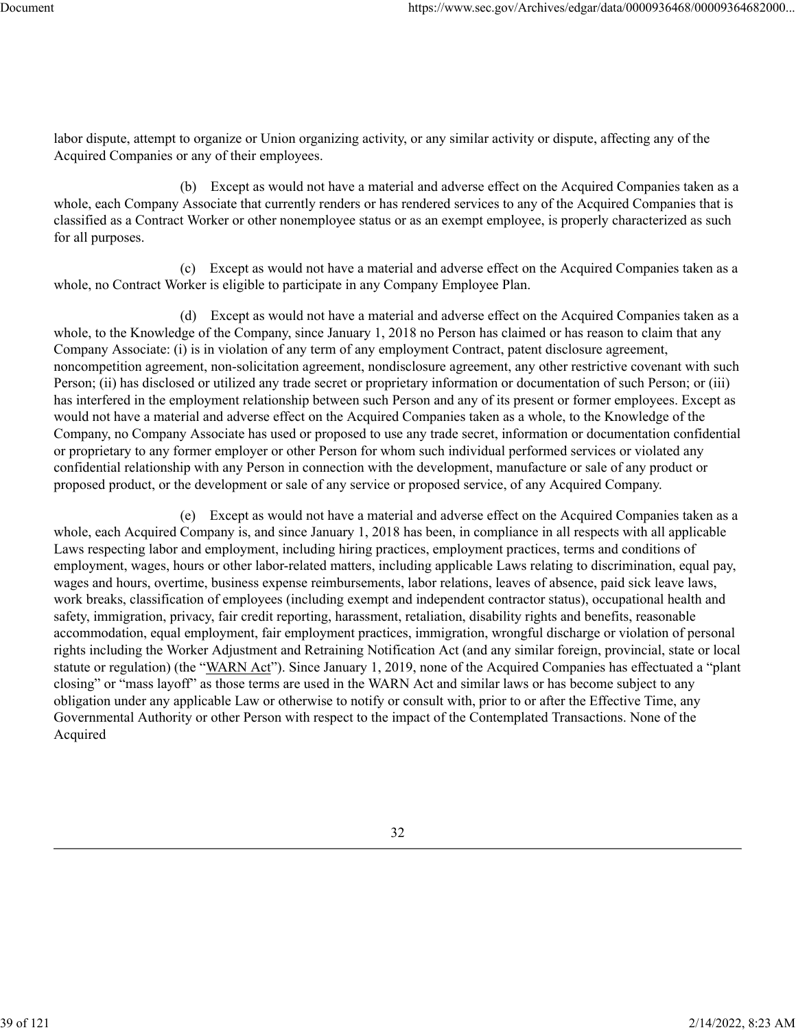labor dispute, attempt to organize or Union organizing activity, or any similar activity or dispute, affecting any of the Acquired Companies or any of their employees.

(b) Except as would not have a material and adverse effect on the Acquired Companies taken as a whole, each Company Associate that currently renders or has rendered services to any of the Acquired Companies that is classified as a Contract Worker or other nonemployee status or as an exempt employee, is properly characterized as such for all purposes.

(c) Except as would not have a material and adverse effect on the Acquired Companies taken as a whole, no Contract Worker is eligible to participate in any Company Employee Plan.

(d) Except as would not have a material and adverse effect on the Acquired Companies taken as a whole, to the Knowledge of the Company, since January 1, 2018 no Person has claimed or has reason to claim that any Company Associate: (i) is in violation of any term of any employment Contract, patent disclosure agreement, noncompetition agreement, non-solicitation agreement, nondisclosure agreement, any other restrictive covenant with such Person; (ii) has disclosed or utilized any trade secret or proprietary information or documentation of such Person; or (iii) has interfered in the employment relationship between such Person and any of its present or former employees. Except as would not have a material and adverse effect on the Acquired Companies taken as a whole, to the Knowledge of the Company, no Company Associate has used or proposed to use any trade secret, information or documentation confidential or proprietary to any former employer or other Person for whom such individual performed services or violated any confidential relationship with any Person in connection with the development, manufacture or sale of any product or proposed product, or the development or sale of any service or proposed service, of any Acquired Company.

(e) Except as would not have a material and adverse effect on the Acquired Companies taken as a whole, each Acquired Company is, and since January 1, 2018 has been, in compliance in all respects with all applicable Laws respecting labor and employment, including hiring practices, employment practices, terms and conditions of employment, wages, hours or other labor-related matters, including applicable Laws relating to discrimination, equal pay, wages and hours, overtime, business expense reimbursements, labor relations, leaves of absence, paid sick leave laws, work breaks, classification of employees (including exempt and independent contractor status), occupational health and safety, immigration, privacy, fair credit reporting, harassment, retaliation, disability rights and benefits, reasonable accommodation, equal employment, fair employment practices, immigration, wrongful discharge or violation of personal rights including the Worker Adjustment and Retraining Notification Act (and any similar foreign, provincial, state or local statute or regulation) (the "WARN Act"). Since January 1, 2019, none of the Acquired Companies has effectuated a "plant closing" or "mass layoff" as those terms are used in the WARN Act and similar laws or has become subject to any obligation under any applicable Law or otherwise to notify or consult with, prior to or after the Effective Time, any Governmental Authority or other Person with respect to the impact of the Contemplated Transactions. None of the Acquired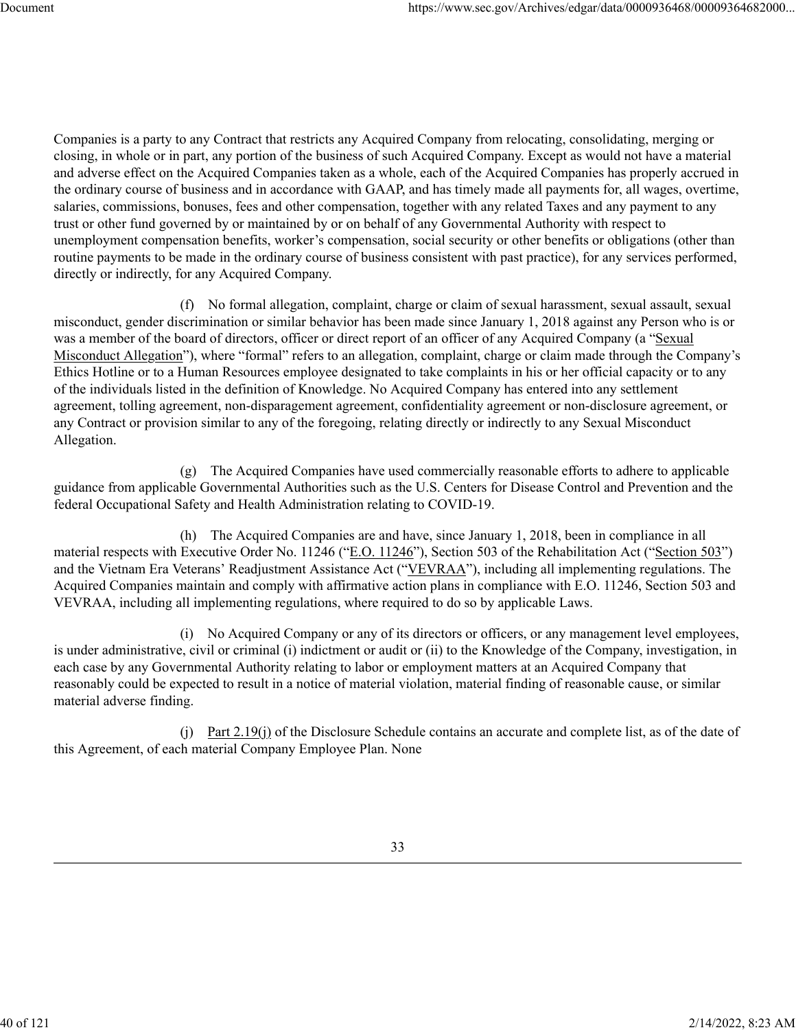Companies is a party to any Contract that restricts any Acquired Company from relocating, consolidating, merging or closing, in whole or in part, any portion of the business of such Acquired Company. Except as would not have a material and adverse effect on the Acquired Companies taken as a whole, each of the Acquired Companies has properly accrued in the ordinary course of business and in accordance with GAAP, and has timely made all payments for, all wages, overtime, salaries, commissions, bonuses, fees and other compensation, together with any related Taxes and any payment to any trust or other fund governed by or maintained by or on behalf of any Governmental Authority with respect to unemployment compensation benefits, worker's compensation, social security or other benefits or obligations (other than routine payments to be made in the ordinary course of business consistent with past practice), for any services performed, directly or indirectly, for any Acquired Company.

(f) No formal allegation, complaint, charge or claim of sexual harassment, sexual assault, sexual misconduct, gender discrimination or similar behavior has been made since January 1, 2018 against any Person who is or was a member of the board of directors, officer or direct report of an officer of any Acquired Company (a "Sexual Misconduct Allegation"), where "formal" refers to an allegation, complaint, charge or claim made through the Company's Ethics Hotline or to a Human Resources employee designated to take complaints in his or her official capacity or to any of the individuals listed in the definition of Knowledge. No Acquired Company has entered into any settlement agreement, tolling agreement, non-disparagement agreement, confidentiality agreement or non-disclosure agreement, or any Contract or provision similar to any of the foregoing, relating directly or indirectly to any Sexual Misconduct Allegation.

(g) The Acquired Companies have used commercially reasonable efforts to adhere to applicable guidance from applicable Governmental Authorities such as the U.S. Centers for Disease Control and Prevention and the federal Occupational Safety and Health Administration relating to COVID-19.

(h) The Acquired Companies are and have, since January 1, 2018, been in compliance in all material respects with Executive Order No. 11246 ("E.O. 11246"), Section 503 of the Rehabilitation Act ("Section 503") and the Vietnam Era Veterans' Readjustment Assistance Act ("VEVRAA"), including all implementing regulations. The Acquired Companies maintain and comply with affirmative action plans in compliance with E.O. 11246, Section 503 and VEVRAA, including all implementing regulations, where required to do so by applicable Laws.

(i) No Acquired Company or any of its directors or officers, or any management level employees, is under administrative, civil or criminal (i) indictment or audit or (ii) to the Knowledge of the Company, investigation, in each case by any Governmental Authority relating to labor or employment matters at an Acquired Company that reasonably could be expected to result in a notice of material violation, material finding of reasonable cause, or similar material adverse finding.

(j) Part  $2.19$ (j) of the Disclosure Schedule contains an accurate and complete list, as of the date of this Agreement, of each material Company Employee Plan. None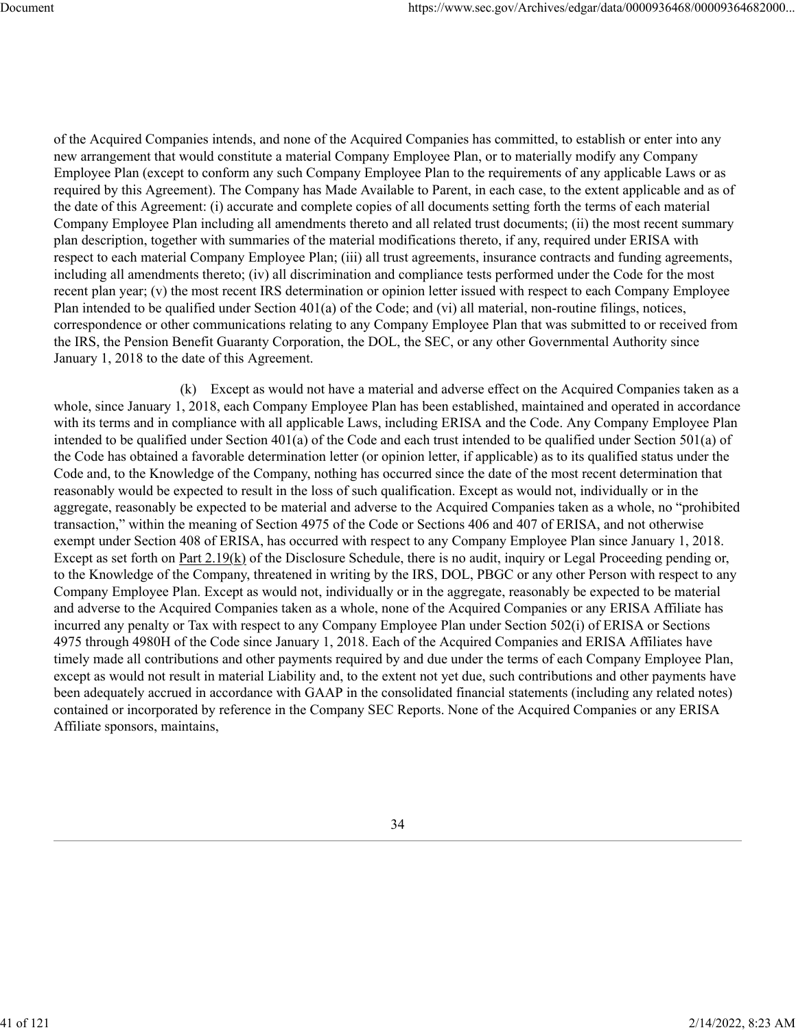of the Acquired Companies intends, and none of the Acquired Companies has committed, to establish or enter into any new arrangement that would constitute a material Company Employee Plan, or to materially modify any Company Employee Plan (except to conform any such Company Employee Plan to the requirements of any applicable Laws or as required by this Agreement). The Company has Made Available to Parent, in each case, to the extent applicable and as of the date of this Agreement: (i) accurate and complete copies of all documents setting forth the terms of each material Company Employee Plan including all amendments thereto and all related trust documents; (ii) the most recent summary plan description, together with summaries of the material modifications thereto, if any, required under ERISA with respect to each material Company Employee Plan; (iii) all trust agreements, insurance contracts and funding agreements, including all amendments thereto; (iv) all discrimination and compliance tests performed under the Code for the most recent plan year; (v) the most recent IRS determination or opinion letter issued with respect to each Company Employee Plan intended to be qualified under Section 401(a) of the Code; and (vi) all material, non-routine filings, notices, correspondence or other communications relating to any Company Employee Plan that was submitted to or received from the IRS, the Pension Benefit Guaranty Corporation, the DOL, the SEC, or any other Governmental Authority since January 1, 2018 to the date of this Agreement.

(k) Except as would not have a material and adverse effect on the Acquired Companies taken as a whole, since January 1, 2018, each Company Employee Plan has been established, maintained and operated in accordance with its terms and in compliance with all applicable Laws, including ERISA and the Code. Any Company Employee Plan intended to be qualified under Section 401(a) of the Code and each trust intended to be qualified under Section 501(a) of the Code has obtained a favorable determination letter (or opinion letter, if applicable) as to its qualified status under the Code and, to the Knowledge of the Company, nothing has occurred since the date of the most recent determination that reasonably would be expected to result in the loss of such qualification. Except as would not, individually or in the aggregate, reasonably be expected to be material and adverse to the Acquired Companies taken as a whole, no "prohibited transaction," within the meaning of Section 4975 of the Code or Sections 406 and 407 of ERISA, and not otherwise exempt under Section 408 of ERISA, has occurred with respect to any Company Employee Plan since January 1, 2018. Except as set forth on Part 2.19(k) of the Disclosure Schedule, there is no audit, inquiry or Legal Proceeding pending or, to the Knowledge of the Company, threatened in writing by the IRS, DOL, PBGC or any other Person with respect to any Company Employee Plan. Except as would not, individually or in the aggregate, reasonably be expected to be material and adverse to the Acquired Companies taken as a whole, none of the Acquired Companies or any ERISA Affiliate has incurred any penalty or Tax with respect to any Company Employee Plan under Section 502(i) of ERISA or Sections 4975 through 4980H of the Code since January 1, 2018. Each of the Acquired Companies and ERISA Affiliates have timely made all contributions and other payments required by and due under the terms of each Company Employee Plan, except as would not result in material Liability and, to the extent not yet due, such contributions and other payments have been adequately accrued in accordance with GAAP in the consolidated financial statements (including any related notes) contained or incorporated by reference in the Company SEC Reports. None of the Acquired Companies or any ERISA Affiliate sponsors, maintains,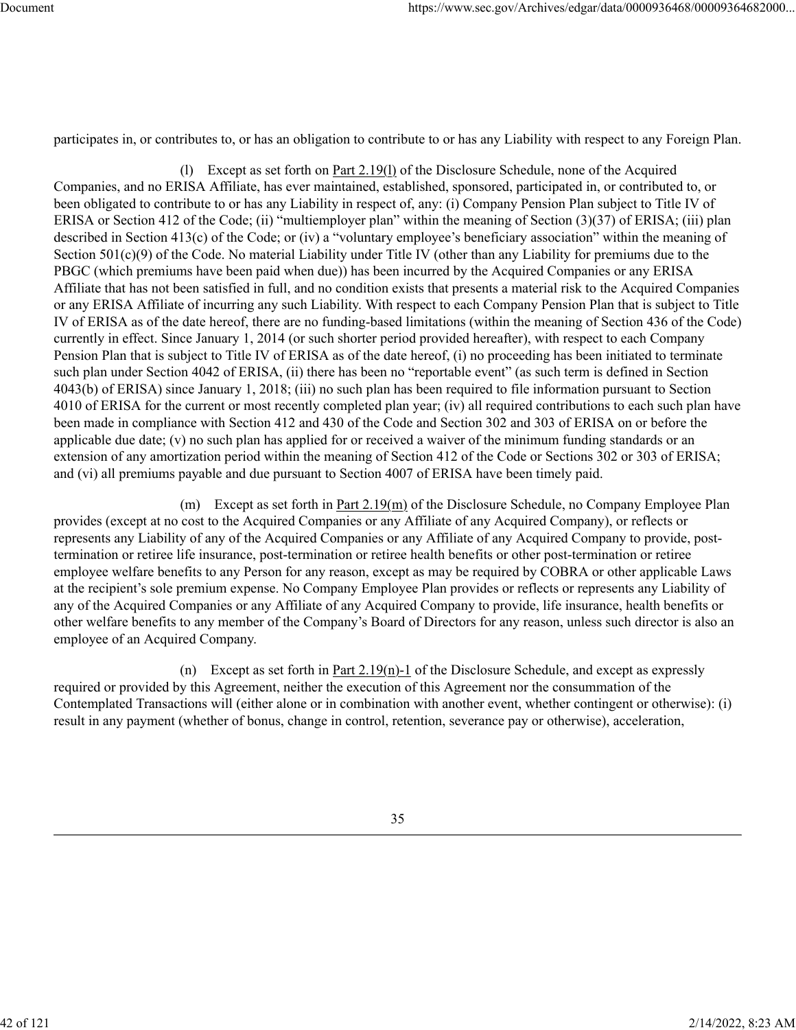participates in, or contributes to, or has an obligation to contribute to or has any Liability with respect to any Foreign Plan.

(1) Except as set forth on Part  $2.19(1)$  of the Disclosure Schedule, none of the Acquired Companies, and no ERISA Affiliate, has ever maintained, established, sponsored, participated in, or contributed to, or been obligated to contribute to or has any Liability in respect of, any: (i) Company Pension Plan subject to Title IV of ERISA or Section 412 of the Code; (ii) "multiemployer plan" within the meaning of Section (3)(37) of ERISA; (iii) plan described in Section 413(c) of the Code; or (iv) a "voluntary employee's beneficiary association" within the meaning of Section  $501(c)(9)$  of the Code. No material Liability under Title IV (other than any Liability for premiums due to the PBGC (which premiums have been paid when due)) has been incurred by the Acquired Companies or any ERISA Affiliate that has not been satisfied in full, and no condition exists that presents a material risk to the Acquired Companies or any ERISA Affiliate of incurring any such Liability. With respect to each Company Pension Plan that is subject to Title IV of ERISA as of the date hereof, there are no funding-based limitations (within the meaning of Section 436 of the Code) currently in effect. Since January 1, 2014 (or such shorter period provided hereafter), with respect to each Company Pension Plan that is subject to Title IV of ERISA as of the date hereof, (i) no proceeding has been initiated to terminate such plan under Section 4042 of ERISA, (ii) there has been no "reportable event" (as such term is defined in Section 4043(b) of ERISA) since January 1, 2018; (iii) no such plan has been required to file information pursuant to Section 4010 of ERISA for the current or most recently completed plan year; (iv) all required contributions to each such plan have been made in compliance with Section 412 and 430 of the Code and Section 302 and 303 of ERISA on or before the applicable due date; (v) no such plan has applied for or received a waiver of the minimum funding standards or an extension of any amortization period within the meaning of Section 412 of the Code or Sections 302 or 303 of ERISA; and (vi) all premiums payable and due pursuant to Section 4007 of ERISA have been timely paid.

(m) Except as set forth in Part 2.19(m) of the Disclosure Schedule, no Company Employee Plan provides (except at no cost to the Acquired Companies or any Affiliate of any Acquired Company), or reflects or represents any Liability of any of the Acquired Companies or any Affiliate of any Acquired Company to provide, posttermination or retiree life insurance, post-termination or retiree health benefits or other post-termination or retiree employee welfare benefits to any Person for any reason, except as may be required by COBRA or other applicable Laws at the recipient's sole premium expense. No Company Employee Plan provides or reflects or represents any Liability of any of the Acquired Companies or any Affiliate of any Acquired Company to provide, life insurance, health benefits or other welfare benefits to any member of the Company's Board of Directors for any reason, unless such director is also an employee of an Acquired Company.

(n) Except as set forth in Part  $2.19(n)-1$  of the Disclosure Schedule, and except as expressly required or provided by this Agreement, neither the execution of this Agreement nor the consummation of the Contemplated Transactions will (either alone or in combination with another event, whether contingent or otherwise): (i) result in any payment (whether of bonus, change in control, retention, severance pay or otherwise), acceleration,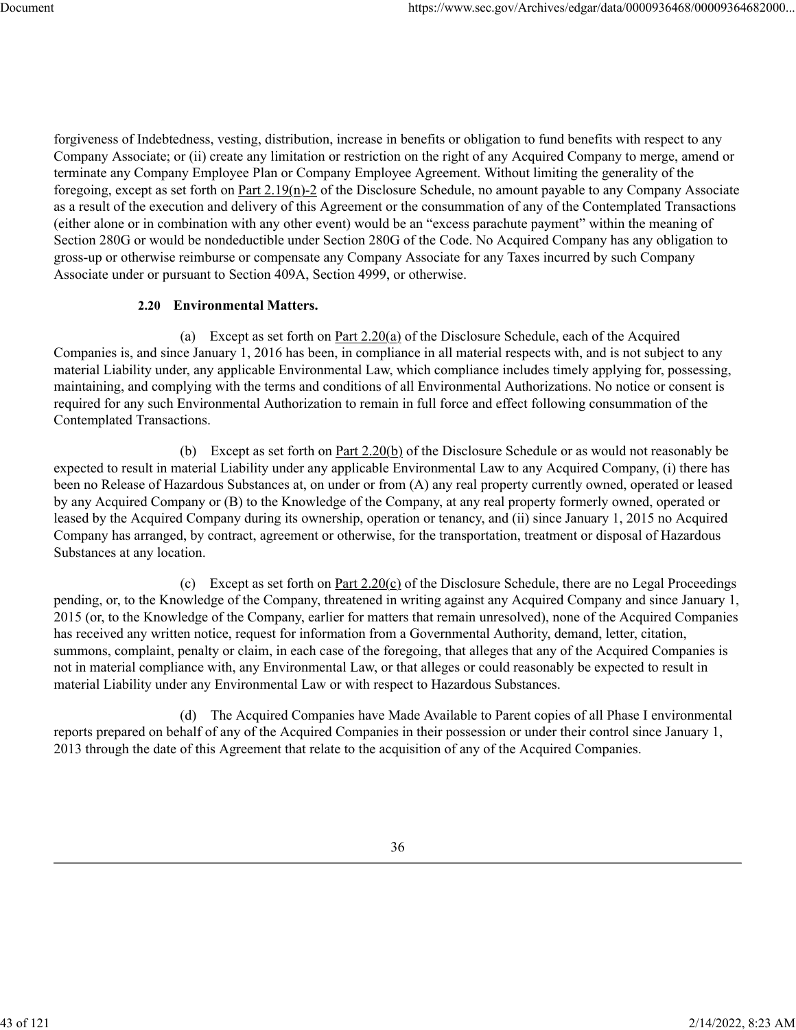forgiveness of Indebtedness, vesting, distribution, increase in benefits or obligation to fund benefits with respect to any Company Associate; or (ii) create any limitation or restriction on the right of any Acquired Company to merge, amend or terminate any Company Employee Plan or Company Employee Agreement. Without limiting the generality of the foregoing, except as set forth on Part 2.19(n)-2 of the Disclosure Schedule, no amount payable to any Company Associate as a result of the execution and delivery of this Agreement or the consummation of any of the Contemplated Transactions (either alone or in combination with any other event) would be an "excess parachute payment" within the meaning of Section 280G or would be nondeductible under Section 280G of the Code. No Acquired Company has any obligation to gross-up or otherwise reimburse or compensate any Company Associate for any Taxes incurred by such Company Associate under or pursuant to Section 409A, Section 4999, or otherwise.

## **2.20 Environmental Matters.**

(a) Except as set forth on Part 2.20(a) of the Disclosure Schedule, each of the Acquired Companies is, and since January 1, 2016 has been, in compliance in all material respects with, and is not subject to any material Liability under, any applicable Environmental Law, which compliance includes timely applying for, possessing, maintaining, and complying with the terms and conditions of all Environmental Authorizations. No notice or consent is required for any such Environmental Authorization to remain in full force and effect following consummation of the Contemplated Transactions.

(b) Except as set forth on Part 2.20(b) of the Disclosure Schedule or as would not reasonably be expected to result in material Liability under any applicable Environmental Law to any Acquired Company, (i) there has been no Release of Hazardous Substances at, on under or from (A) any real property currently owned, operated or leased by any Acquired Company or (B) to the Knowledge of the Company, at any real property formerly owned, operated or leased by the Acquired Company during its ownership, operation or tenancy, and (ii) since January 1, 2015 no Acquired Company has arranged, by contract, agreement or otherwise, for the transportation, treatment or disposal of Hazardous Substances at any location.

(c) Except as set forth on Part  $2.20(c)$  of the Disclosure Schedule, there are no Legal Proceedings pending, or, to the Knowledge of the Company, threatened in writing against any Acquired Company and since January 1, 2015 (or, to the Knowledge of the Company, earlier for matters that remain unresolved), none of the Acquired Companies has received any written notice, request for information from a Governmental Authority, demand, letter, citation, summons, complaint, penalty or claim, in each case of the foregoing, that alleges that any of the Acquired Companies is not in material compliance with, any Environmental Law, or that alleges or could reasonably be expected to result in material Liability under any Environmental Law or with respect to Hazardous Substances.

(d) The Acquired Companies have Made Available to Parent copies of all Phase I environmental reports prepared on behalf of any of the Acquired Companies in their possession or under their control since January 1, 2013 through the date of this Agreement that relate to the acquisition of any of the Acquired Companies.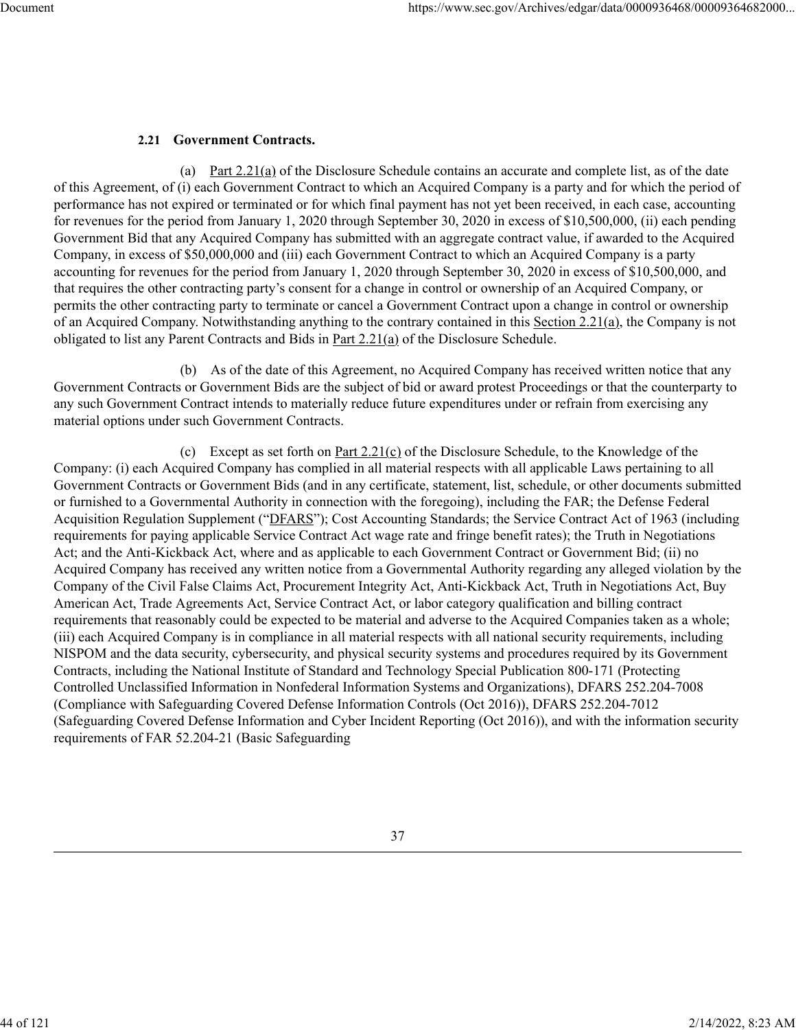# **2.21 Government Contracts.**

(a) Part  $2.21(a)$  of the Disclosure Schedule contains an accurate and complete list, as of the date of this Agreement, of (i) each Government Contract to which an Acquired Company is a party and for which the period of performance has not expired or terminated or for which final payment has not yet been received, in each case, accounting for revenues for the period from January 1, 2020 through September 30, 2020 in excess of \$10,500,000, (ii) each pending Government Bid that any Acquired Company has submitted with an aggregate contract value, if awarded to the Acquired Company, in excess of \$50,000,000 and (iii) each Government Contract to which an Acquired Company is a party accounting for revenues for the period from January 1, 2020 through September 30, 2020 in excess of \$10,500,000, and that requires the other contracting party's consent for a change in control or ownership of an Acquired Company, or permits the other contracting party to terminate or cancel a Government Contract upon a change in control or ownership of an Acquired Company. Notwithstanding anything to the contrary contained in this Section 2.21(a), the Company is not obligated to list any Parent Contracts and Bids in Part 2.21(a) of the Disclosure Schedule.

(b) As of the date of this Agreement, no Acquired Company has received written notice that any Government Contracts or Government Bids are the subject of bid or award protest Proceedings or that the counterparty to any such Government Contract intends to materially reduce future expenditures under or refrain from exercising any material options under such Government Contracts.

(c) Except as set forth on Part 2.21(c) of the Disclosure Schedule, to the Knowledge of the Company: (i) each Acquired Company has complied in all material respects with all applicable Laws pertaining to all Government Contracts or Government Bids (and in any certificate, statement, list, schedule, or other documents submitted or furnished to a Governmental Authority in connection with the foregoing), including the FAR; the Defense Federal Acquisition Regulation Supplement ("DFARS"); Cost Accounting Standards; the Service Contract Act of 1963 (including requirements for paying applicable Service Contract Act wage rate and fringe benefit rates); the Truth in Negotiations Act; and the Anti-Kickback Act, where and as applicable to each Government Contract or Government Bid; (ii) no Acquired Company has received any written notice from a Governmental Authority regarding any alleged violation by the Company of the Civil False Claims Act, Procurement Integrity Act, Anti-Kickback Act, Truth in Negotiations Act, Buy American Act, Trade Agreements Act, Service Contract Act, or labor category qualification and billing contract requirements that reasonably could be expected to be material and adverse to the Acquired Companies taken as a whole; (iii) each Acquired Company is in compliance in all material respects with all national security requirements, including NISPOM and the data security, cybersecurity, and physical security systems and procedures required by its Government Contracts, including the National Institute of Standard and Technology Special Publication 800-171 (Protecting Controlled Unclassified Information in Nonfederal Information Systems and Organizations), DFARS 252.204-7008 (Compliance with Safeguarding Covered Defense Information Controls (Oct 2016)), DFARS 252.204-7012 (Safeguarding Covered Defense Information and Cyber Incident Reporting (Oct 2016)), and with the information security requirements of FAR 52.204-21 (Basic Safeguarding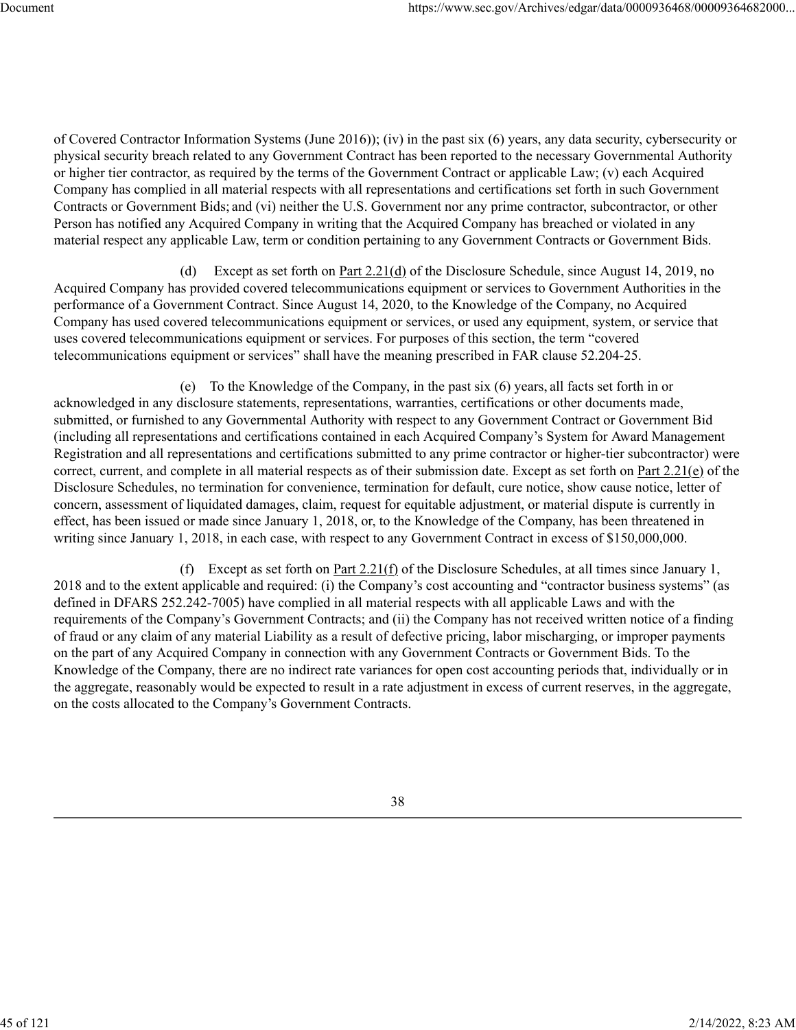of Covered Contractor Information Systems (June 2016)); (iv) in the past six (6) years, any data security, cybersecurity or physical security breach related to any Government Contract has been reported to the necessary Governmental Authority or higher tier contractor, as required by the terms of the Government Contract or applicable Law; (v) each Acquired Company has complied in all material respects with all representations and certifications set forth in such Government Contracts or Government Bids; and (vi) neither the U.S. Government nor any prime contractor, subcontractor, or other Person has notified any Acquired Company in writing that the Acquired Company has breached or violated in any material respect any applicable Law, term or condition pertaining to any Government Contracts or Government Bids.

(d) Except as set forth on Part 2.21(d) of the Disclosure Schedule, since August 14, 2019, no Acquired Company has provided covered telecommunications equipment or services to Government Authorities in the performance of a Government Contract. Since August 14, 2020, to the Knowledge of the Company, no Acquired Company has used covered telecommunications equipment or services, or used any equipment, system, or service that uses covered telecommunications equipment or services. For purposes of this section, the term "covered telecommunications equipment or services" shall have the meaning prescribed in FAR clause 52.204-25.

(e) To the Knowledge of the Company, in the past six (6) years, all facts set forth in or acknowledged in any disclosure statements, representations, warranties, certifications or other documents made, submitted, or furnished to any Governmental Authority with respect to any Government Contract or Government Bid (including all representations and certifications contained in each Acquired Company's System for Award Management Registration and all representations and certifications submitted to any prime contractor or higher-tier subcontractor) were correct, current, and complete in all material respects as of their submission date. Except as set forth on Part 2.21(e) of the Disclosure Schedules, no termination for convenience, termination for default, cure notice, show cause notice, letter of concern, assessment of liquidated damages, claim, request for equitable adjustment, or material dispute is currently in effect, has been issued or made since January 1, 2018, or, to the Knowledge of the Company, has been threatened in writing since January 1, 2018, in each case, with respect to any Government Contract in excess of \$150,000,000.

(f) Except as set forth on Part 2.21(f) of the Disclosure Schedules, at all times since January 1, 2018 and to the extent applicable and required: (i) the Company's cost accounting and "contractor business systems" (as defined in DFARS 252.242-7005) have complied in all material respects with all applicable Laws and with the requirements of the Company's Government Contracts; and (ii) the Company has not received written notice of a finding of fraud or any claim of any material Liability as a result of defective pricing, labor mischarging, or improper payments on the part of any Acquired Company in connection with any Government Contracts or Government Bids. To the Knowledge of the Company, there are no indirect rate variances for open cost accounting periods that, individually or in the aggregate, reasonably would be expected to result in a rate adjustment in excess of current reserves, in the aggregate, on the costs allocated to the Company's Government Contracts.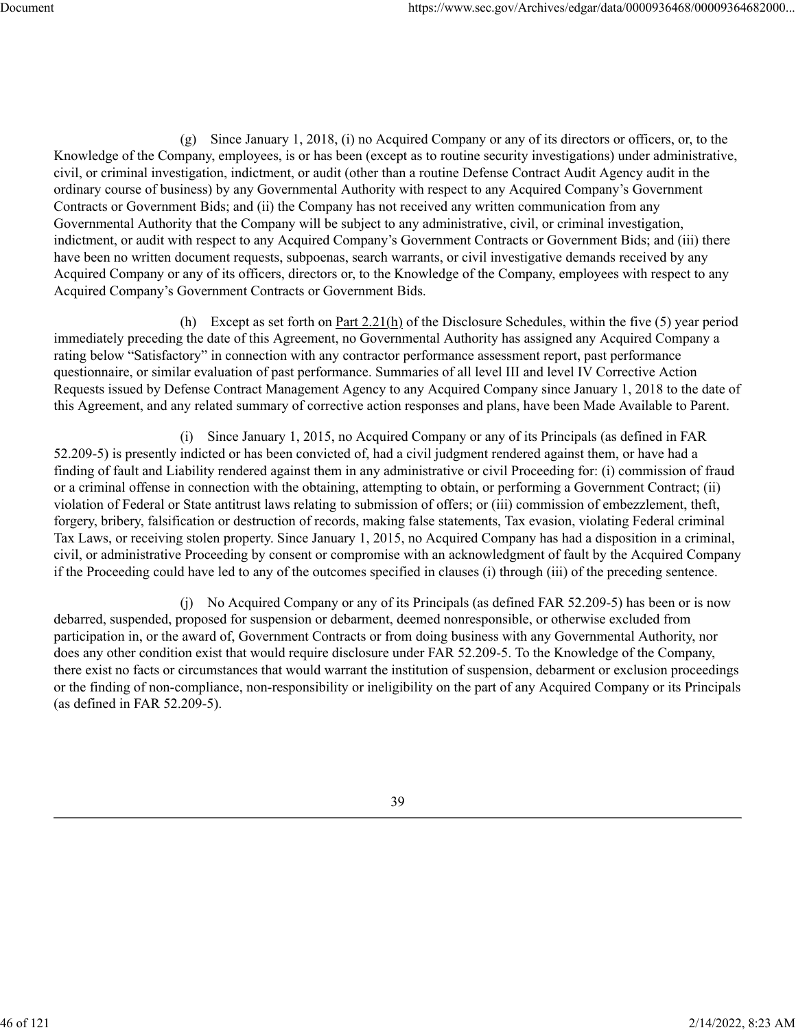(g) Since January 1, 2018, (i) no Acquired Company or any of its directors or officers, or, to the Knowledge of the Company, employees, is or has been (except as to routine security investigations) under administrative, civil, or criminal investigation, indictment, or audit (other than a routine Defense Contract Audit Agency audit in the ordinary course of business) by any Governmental Authority with respect to any Acquired Company's Government Contracts or Government Bids; and (ii) the Company has not received any written communication from any Governmental Authority that the Company will be subject to any administrative, civil, or criminal investigation, indictment, or audit with respect to any Acquired Company's Government Contracts or Government Bids; and (iii) there have been no written document requests, subpoenas, search warrants, or civil investigative demands received by any Acquired Company or any of its officers, directors or, to the Knowledge of the Company, employees with respect to any Acquired Company's Government Contracts or Government Bids.

(h) Except as set forth on Part  $2.21(h)$  of the Disclosure Schedules, within the five (5) year period immediately preceding the date of this Agreement, no Governmental Authority has assigned any Acquired Company a rating below "Satisfactory" in connection with any contractor performance assessment report, past performance questionnaire, or similar evaluation of past performance. Summaries of all level III and level IV Corrective Action Requests issued by Defense Contract Management Agency to any Acquired Company since January 1, 2018 to the date of this Agreement, and any related summary of corrective action responses and plans, have been Made Available to Parent.

(i) Since January 1, 2015, no Acquired Company or any of its Principals (as defined in FAR 52.209-5) is presently indicted or has been convicted of, had a civil judgment rendered against them, or have had a finding of fault and Liability rendered against them in any administrative or civil Proceeding for: (i) commission of fraud or a criminal offense in connection with the obtaining, attempting to obtain, or performing a Government Contract; (ii) violation of Federal or State antitrust laws relating to submission of offers; or (iii) commission of embezzlement, theft, forgery, bribery, falsification or destruction of records, making false statements, Tax evasion, violating Federal criminal Tax Laws, or receiving stolen property. Since January 1, 2015, no Acquired Company has had a disposition in a criminal, civil, or administrative Proceeding by consent or compromise with an acknowledgment of fault by the Acquired Company if the Proceeding could have led to any of the outcomes specified in clauses (i) through (iii) of the preceding sentence.

(j) No Acquired Company or any of its Principals (as defined FAR 52.209-5) has been or is now debarred, suspended, proposed for suspension or debarment, deemed nonresponsible, or otherwise excluded from participation in, or the award of, Government Contracts or from doing business with any Governmental Authority, nor does any other condition exist that would require disclosure under FAR 52.209-5. To the Knowledge of the Company, there exist no facts or circumstances that would warrant the institution of suspension, debarment or exclusion proceedings or the finding of non-compliance, non-responsibility or ineligibility on the part of any Acquired Company or its Principals (as defined in FAR 52.209-5).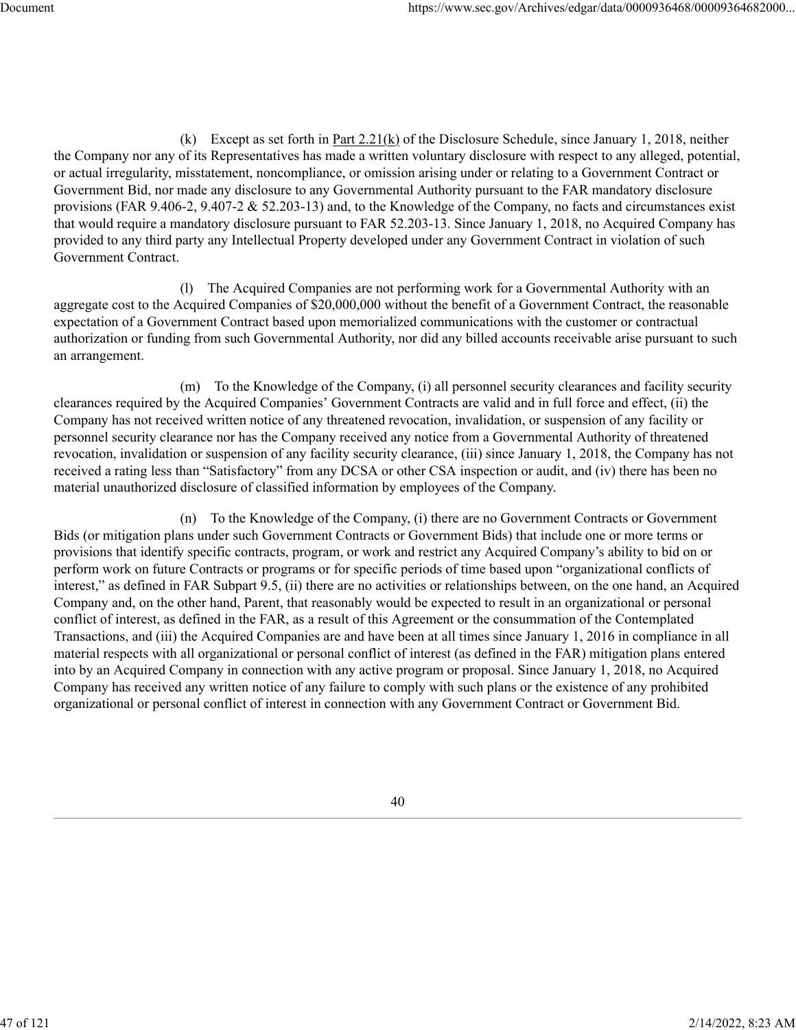(k) Except as set forth in Part 2.21(k) of the Disclosure Schedule, since January 1, 2018, neither the Company nor any of its Representatives has made a written voluntary disclosure with respect to any alleged, potential, or actual irregularity, misstatement, noncompliance, or omission arising under or relating to a Government Contract or Government Bid, nor made any disclosure to any Governmental Authority pursuant to the FAR mandatory disclosure provisions (FAR 9.406-2, 9.407-2 & 52.203-13) and, to the Knowledge of the Company, no facts and circumstances exist that would require a mandatory disclosure pursuant to FAR 52.203-13. Since January 1, 2018, no Acquired Company has provided to any third party any Intellectual Property developed under any Government Contract in violation of such Government Contract.

(l) The Acquired Companies are not performing work for a Governmental Authority with an aggregate cost to the Acquired Companies of \$20,000,000 without the benefit of a Government Contract, the reasonable expectation of a Government Contract based upon memorialized communications with the customer or contractual authorization or funding from such Governmental Authority, nor did any billed accounts receivable arise pursuant to such an arrangement.

(m) To the Knowledge of the Company, (i) all personnel security clearances and facility security clearances required by the Acquired Companies' Government Contracts are valid and in full force and effect, (ii) the Company has not received written notice of any threatened revocation, invalidation, or suspension of any facility or personnel security clearance nor has the Company received any notice from a Governmental Authority of threatened revocation, invalidation or suspension of any facility security clearance, (iii) since January 1, 2018, the Company has not received a rating less than "Satisfactory" from any DCSA or other CSA inspection or audit, and (iv) there has been no material unauthorized disclosure of classified information by employees of the Company.

(n) To the Knowledge of the Company, (i) there are no Government Contracts or Government Bids (or mitigation plans under such Government Contracts or Government Bids) that include one or more terms or provisions that identify specific contracts, program, or work and restrict any Acquired Company's ability to bid on or perform work on future Contracts or programs or for specific periods of time based upon "organizational conflicts of interest," as defined in FAR Subpart 9.5, (ii) there are no activities or relationships between, on the one hand, an Acquired Company and, on the other hand, Parent, that reasonably would be expected to result in an organizational or personal conflict of interest, as defined in the FAR, as a result of this Agreement or the consummation of the Contemplated Transactions, and (iii) the Acquired Companies are and have been at all times since January 1, 2016 in compliance in all material respects with all organizational or personal conflict of interest (as defined in the FAR) mitigation plans entered into by an Acquired Company in connection with any active program or proposal. Since January 1, 2018, no Acquired Company has received any written notice of any failure to comply with such plans or the existence of any prohibited organizational or personal conflict of interest in connection with any Government Contract or Government Bid.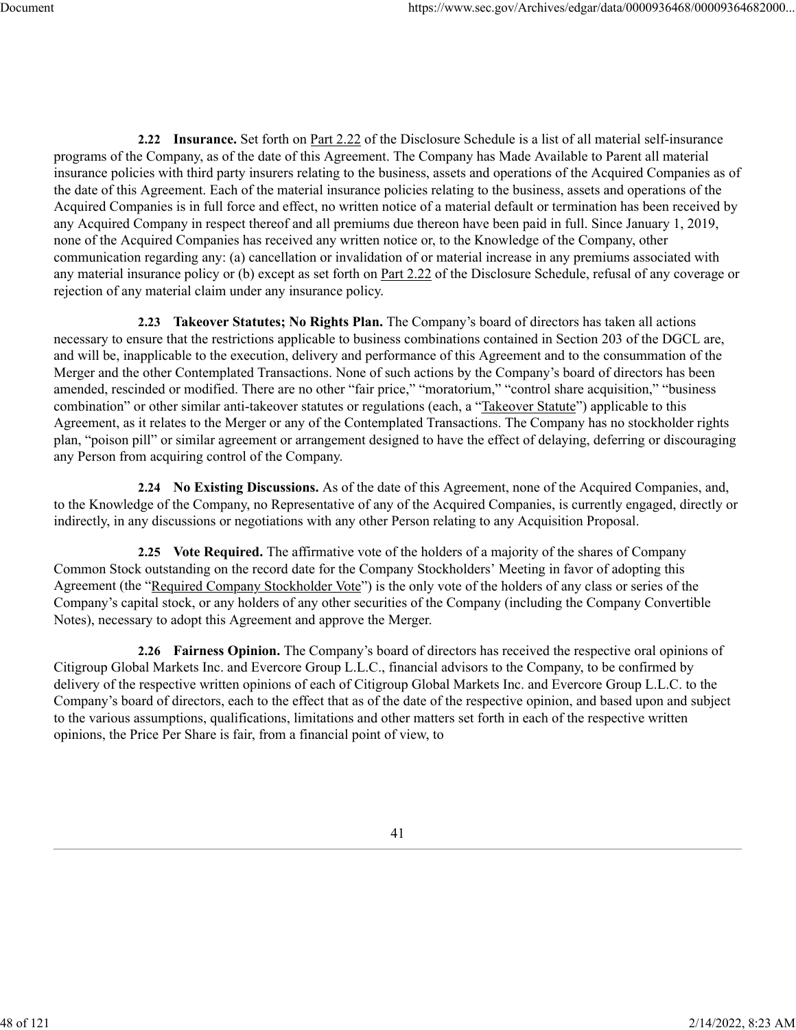**2.22 Insurance.** Set forth on Part 2.22 of the Disclosure Schedule is a list of all material self-insurance programs of the Company, as of the date of this Agreement. The Company has Made Available to Parent all material insurance policies with third party insurers relating to the business, assets and operations of the Acquired Companies as of the date of this Agreement. Each of the material insurance policies relating to the business, assets and operations of the Acquired Companies is in full force and effect, no written notice of a material default or termination has been received by any Acquired Company in respect thereof and all premiums due thereon have been paid in full. Since January 1, 2019, none of the Acquired Companies has received any written notice or, to the Knowledge of the Company, other communication regarding any: (a) cancellation or invalidation of or material increase in any premiums associated with any material insurance policy or (b) except as set forth on Part 2.22 of the Disclosure Schedule, refusal of any coverage or rejection of any material claim under any insurance policy.

**2.23 Takeover Statutes; No Rights Plan.** The Company's board of directors has taken all actions necessary to ensure that the restrictions applicable to business combinations contained in Section 203 of the DGCL are, and will be, inapplicable to the execution, delivery and performance of this Agreement and to the consummation of the Merger and the other Contemplated Transactions. None of such actions by the Company's board of directors has been amended, rescinded or modified. There are no other "fair price," "moratorium," "control share acquisition," "business combination" or other similar anti-takeover statutes or regulations (each, a "Takeover Statute") applicable to this Agreement, as it relates to the Merger or any of the Contemplated Transactions. The Company has no stockholder rights plan, "poison pill" or similar agreement or arrangement designed to have the effect of delaying, deferring or discouraging any Person from acquiring control of the Company.

**2.24 No Existing Discussions.** As of the date of this Agreement, none of the Acquired Companies, and, to the Knowledge of the Company, no Representative of any of the Acquired Companies, is currently engaged, directly or indirectly, in any discussions or negotiations with any other Person relating to any Acquisition Proposal.

**2.25 Vote Required.** The affirmative vote of the holders of a majority of the shares of Company Common Stock outstanding on the record date for the Company Stockholders' Meeting in favor of adopting this Agreement (the "Required Company Stockholder Vote") is the only vote of the holders of any class or series of the Company's capital stock, or any holders of any other securities of the Company (including the Company Convertible Notes), necessary to adopt this Agreement and approve the Merger.

**2.26 Fairness Opinion.** The Company's board of directors has received the respective oral opinions of Citigroup Global Markets Inc. and Evercore Group L.L.C., financial advisors to the Company, to be confirmed by delivery of the respective written opinions of each of Citigroup Global Markets Inc. and Evercore Group L.L.C. to the Company's board of directors, each to the effect that as of the date of the respective opinion, and based upon and subject to the various assumptions, qualifications, limitations and other matters set forth in each of the respective written opinions, the Price Per Share is fair, from a financial point of view, to

48 of 121 2/14/2022, 8:23 AM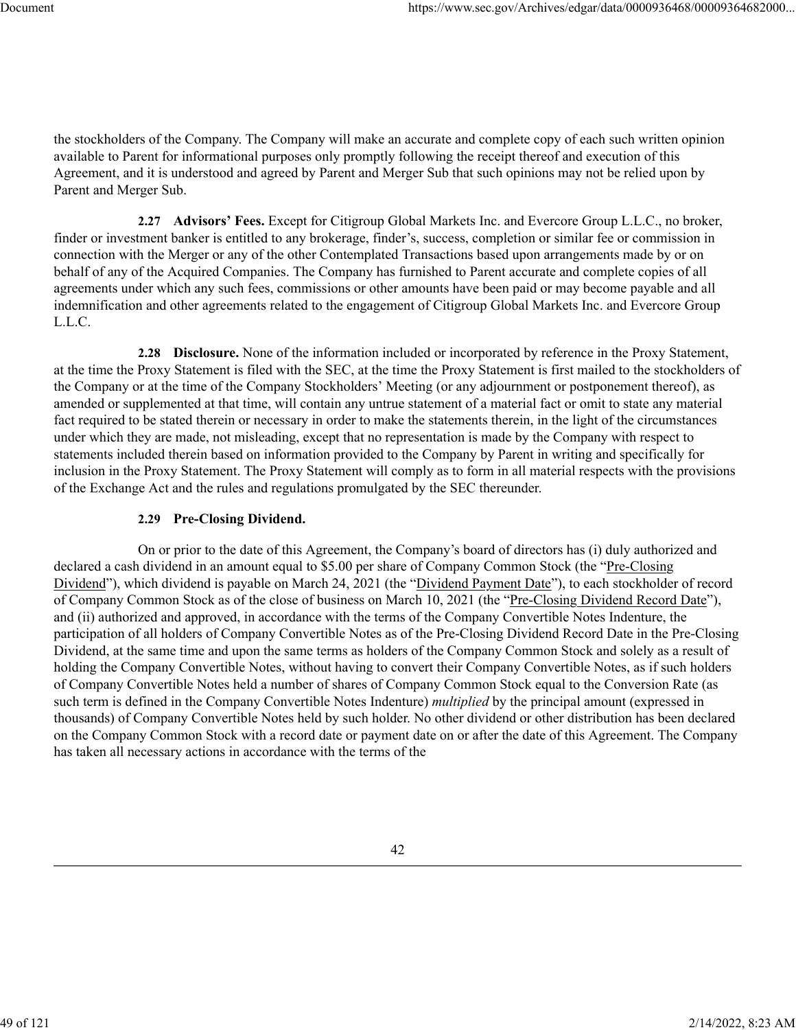the stockholders of the Company. The Company will make an accurate and complete copy of each such written opinion available to Parent for informational purposes only promptly following the receipt thereof and execution of this Agreement, and it is understood and agreed by Parent and Merger Sub that such opinions may not be relied upon by Parent and Merger Sub.

**2.27 Advisors' Fees.** Except for Citigroup Global Markets Inc. and Evercore Group L.L.C., no broker, finder or investment banker is entitled to any brokerage, finder's, success, completion or similar fee or commission in connection with the Merger or any of the other Contemplated Transactions based upon arrangements made by or on behalf of any of the Acquired Companies. The Company has furnished to Parent accurate and complete copies of all agreements under which any such fees, commissions or other amounts have been paid or may become payable and all indemnification and other agreements related to the engagement of Citigroup Global Markets Inc. and Evercore Group L.L.C.

**2.28 Disclosure.** None of the information included or incorporated by reference in the Proxy Statement, at the time the Proxy Statement is filed with the SEC, at the time the Proxy Statement is first mailed to the stockholders of the Company or at the time of the Company Stockholders' Meeting (or any adjournment or postponement thereof), as amended or supplemented at that time, will contain any untrue statement of a material fact or omit to state any material fact required to be stated therein or necessary in order to make the statements therein, in the light of the circumstances under which they are made, not misleading, except that no representation is made by the Company with respect to statements included therein based on information provided to the Company by Parent in writing and specifically for inclusion in the Proxy Statement. The Proxy Statement will comply as to form in all material respects with the provisions of the Exchange Act and the rules and regulations promulgated by the SEC thereunder.

## **2.29 Pre-Closing Dividend.**

On or prior to the date of this Agreement, the Company's board of directors has (i) duly authorized and declared a cash dividend in an amount equal to \$5.00 per share of Company Common Stock (the "Pre-Closing Dividend"), which dividend is payable on March 24, 2021 (the "Dividend Payment Date"), to each stockholder of record of Company Common Stock as of the close of business on March 10, 2021 (the "Pre-Closing Dividend Record Date"), and (ii) authorized and approved, in accordance with the terms of the Company Convertible Notes Indenture, the participation of all holders of Company Convertible Notes as of the Pre-Closing Dividend Record Date in the Pre-Closing Dividend, at the same time and upon the same terms as holders of the Company Common Stock and solely as a result of holding the Company Convertible Notes, without having to convert their Company Convertible Notes, as if such holders of Company Convertible Notes held a number of shares of Company Common Stock equal to the Conversion Rate (as such term is defined in the Company Convertible Notes Indenture) *multiplied* by the principal amount (expressed in thousands) of Company Convertible Notes held by such holder. No other dividend or other distribution has been declared on the Company Common Stock with a record date or payment date on or after the date of this Agreement. The Company has taken all necessary actions in accordance with the terms of the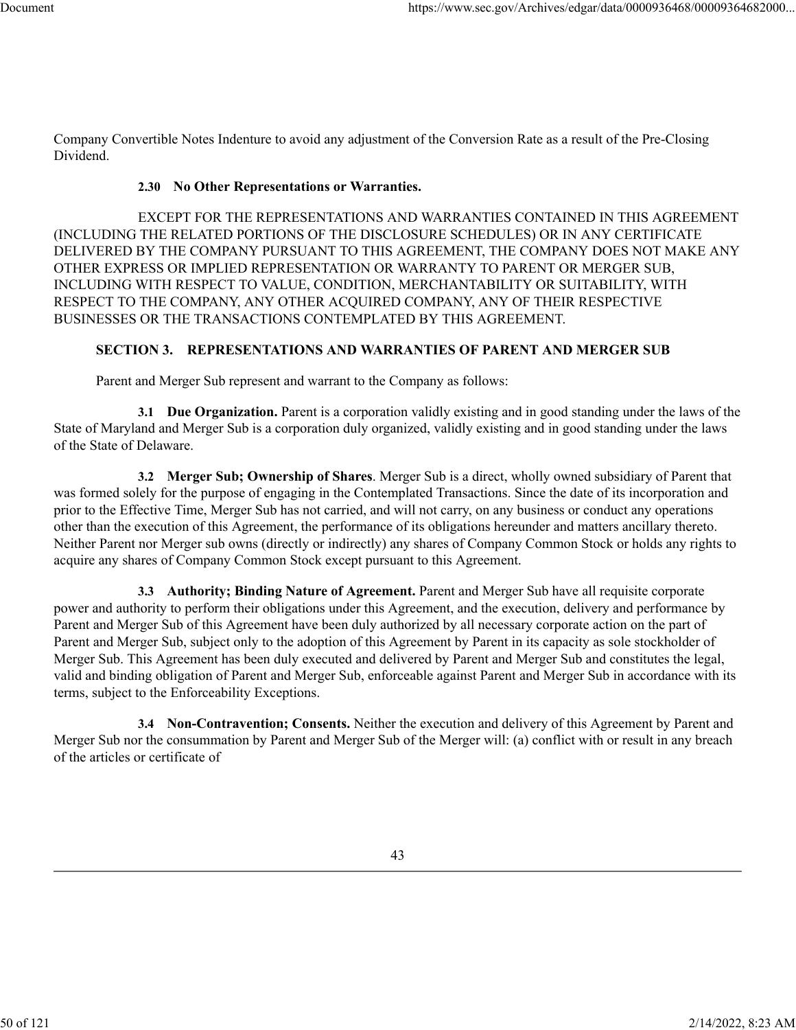Company Convertible Notes Indenture to avoid any adjustment of the Conversion Rate as a result of the Pre-Closing Dividend.

## **2.30 No Other Representations or Warranties.**

EXCEPT FOR THE REPRESENTATIONS AND WARRANTIES CONTAINED IN THIS AGREEMENT (INCLUDING THE RELATED PORTIONS OF THE DISCLOSURE SCHEDULES) OR IN ANY CERTIFICATE DELIVERED BY THE COMPANY PURSUANT TO THIS AGREEMENT, THE COMPANY DOES NOT MAKE ANY OTHER EXPRESS OR IMPLIED REPRESENTATION OR WARRANTY TO PARENT OR MERGER SUB, INCLUDING WITH RESPECT TO VALUE, CONDITION, MERCHANTABILITY OR SUITABILITY, WITH RESPECT TO THE COMPANY, ANY OTHER ACQUIRED COMPANY, ANY OF THEIR RESPECTIVE BUSINESSES OR THE TRANSACTIONS CONTEMPLATED BY THIS AGREEMENT.

## **SECTION 3. REPRESENTATIONS AND WARRANTIES OF PARENT AND MERGER SUB**

Parent and Merger Sub represent and warrant to the Company as follows:

**3.1 Due Organization.** Parent is a corporation validly existing and in good standing under the laws of the State of Maryland and Merger Sub is a corporation duly organized, validly existing and in good standing under the laws of the State of Delaware.

**3.2 Merger Sub; Ownership of Shares**. Merger Sub is a direct, wholly owned subsidiary of Parent that was formed solely for the purpose of engaging in the Contemplated Transactions. Since the date of its incorporation and prior to the Effective Time, Merger Sub has not carried, and will not carry, on any business or conduct any operations other than the execution of this Agreement, the performance of its obligations hereunder and matters ancillary thereto. Neither Parent nor Merger sub owns (directly or indirectly) any shares of Company Common Stock or holds any rights to acquire any shares of Company Common Stock except pursuant to this Agreement.

**3.3 Authority; Binding Nature of Agreement.** Parent and Merger Sub have all requisite corporate power and authority to perform their obligations under this Agreement, and the execution, delivery and performance by Parent and Merger Sub of this Agreement have been duly authorized by all necessary corporate action on the part of Parent and Merger Sub, subject only to the adoption of this Agreement by Parent in its capacity as sole stockholder of Merger Sub. This Agreement has been duly executed and delivered by Parent and Merger Sub and constitutes the legal, valid and binding obligation of Parent and Merger Sub, enforceable against Parent and Merger Sub in accordance with its terms, subject to the Enforceability Exceptions.

**3.4 Non-Contravention; Consents.** Neither the execution and delivery of this Agreement by Parent and Merger Sub nor the consummation by Parent and Merger Sub of the Merger will: (a) conflict with or result in any breach of the articles or certificate of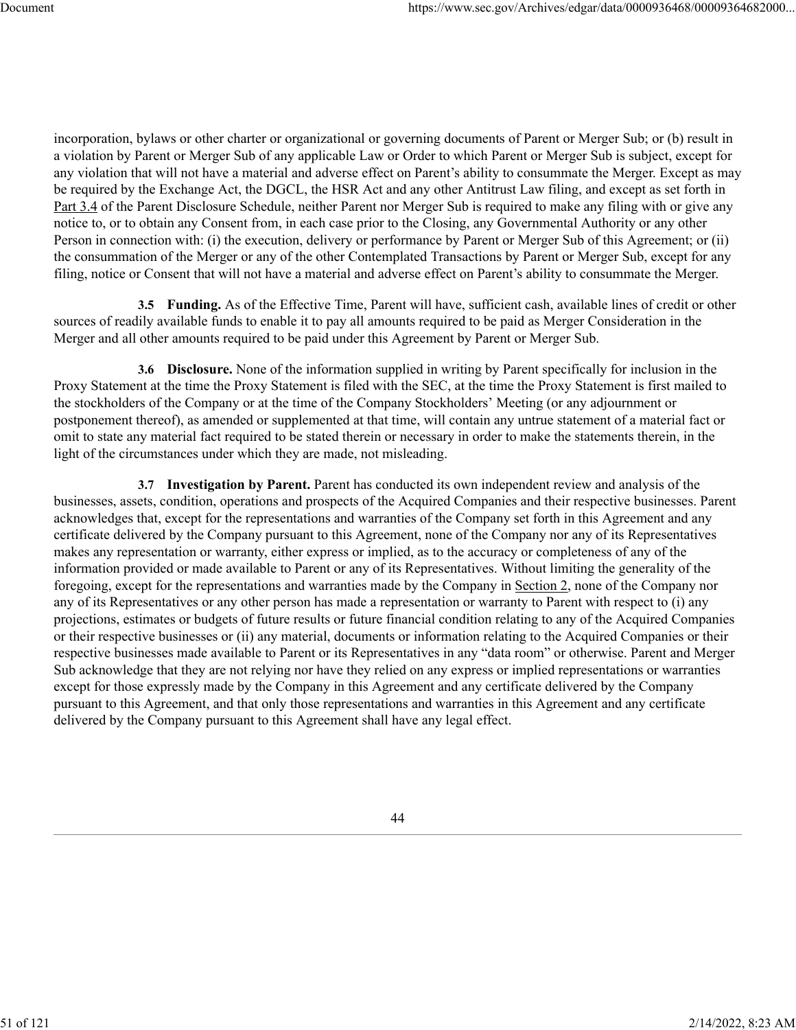incorporation, bylaws or other charter or organizational or governing documents of Parent or Merger Sub; or (b) result in a violation by Parent or Merger Sub of any applicable Law or Order to which Parent or Merger Sub is subject, except for any violation that will not have a material and adverse effect on Parent's ability to consummate the Merger. Except as may be required by the Exchange Act, the DGCL, the HSR Act and any other Antitrust Law filing, and except as set forth in Part 3.4 of the Parent Disclosure Schedule, neither Parent nor Merger Sub is required to make any filing with or give any notice to, or to obtain any Consent from, in each case prior to the Closing, any Governmental Authority or any other Person in connection with: (i) the execution, delivery or performance by Parent or Merger Sub of this Agreement; or (ii) the consummation of the Merger or any of the other Contemplated Transactions by Parent or Merger Sub, except for any filing, notice or Consent that will not have a material and adverse effect on Parent's ability to consummate the Merger.

**3.5 Funding.** As of the Effective Time, Parent will have, sufficient cash, available lines of credit or other sources of readily available funds to enable it to pay all amounts required to be paid as Merger Consideration in the Merger and all other amounts required to be paid under this Agreement by Parent or Merger Sub.

**3.6 Disclosure.** None of the information supplied in writing by Parent specifically for inclusion in the Proxy Statement at the time the Proxy Statement is filed with the SEC, at the time the Proxy Statement is first mailed to the stockholders of the Company or at the time of the Company Stockholders' Meeting (or any adjournment or postponement thereof), as amended or supplemented at that time, will contain any untrue statement of a material fact or omit to state any material fact required to be stated therein or necessary in order to make the statements therein, in the light of the circumstances under which they are made, not misleading.

**3.7 Investigation by Parent.** Parent has conducted its own independent review and analysis of the businesses, assets, condition, operations and prospects of the Acquired Companies and their respective businesses. Parent acknowledges that, except for the representations and warranties of the Company set forth in this Agreement and any certificate delivered by the Company pursuant to this Agreement, none of the Company nor any of its Representatives makes any representation or warranty, either express or implied, as to the accuracy or completeness of any of the information provided or made available to Parent or any of its Representatives. Without limiting the generality of the foregoing, except for the representations and warranties made by the Company in Section 2, none of the Company nor any of its Representatives or any other person has made a representation or warranty to Parent with respect to (i) any projections, estimates or budgets of future results or future financial condition relating to any of the Acquired Companies or their respective businesses or (ii) any material, documents or information relating to the Acquired Companies or their respective businesses made available to Parent or its Representatives in any "data room" or otherwise. Parent and Merger Sub acknowledge that they are not relying nor have they relied on any express or implied representations or warranties except for those expressly made by the Company in this Agreement and any certificate delivered by the Company pursuant to this Agreement, and that only those representations and warranties in this Agreement and any certificate delivered by the Company pursuant to this Agreement shall have any legal effect.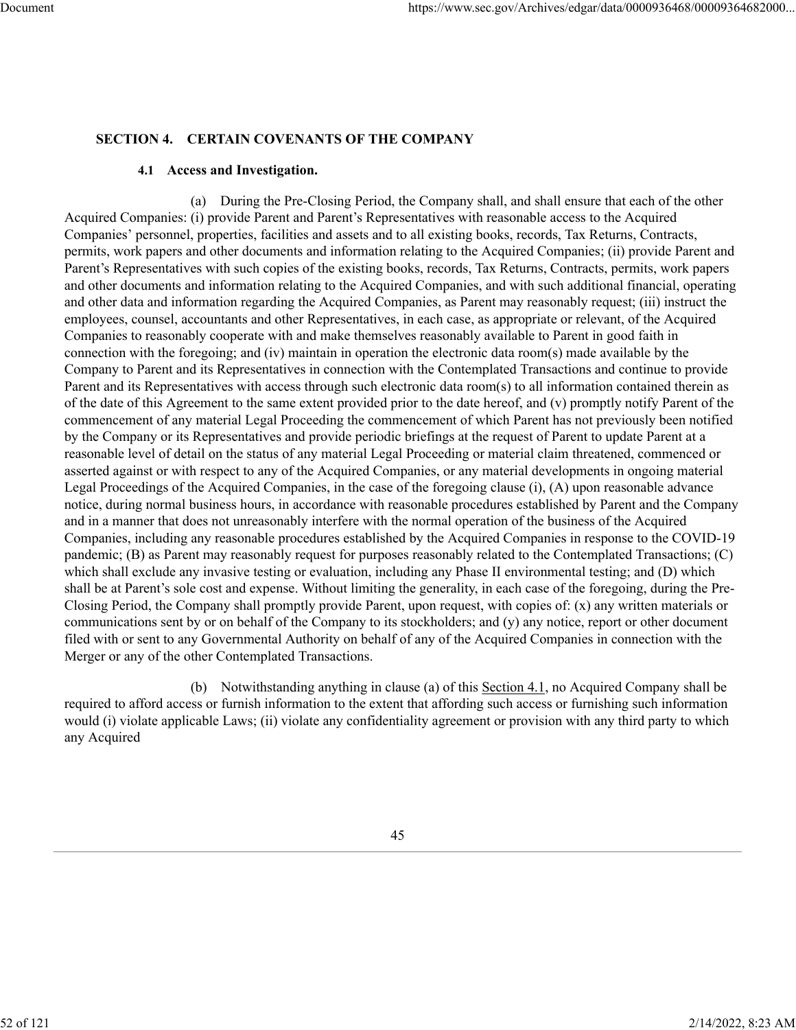## **SECTION 4. CERTAIN COVENANTS OF THE COMPANY**

#### **4.1 Access and Investigation.**

(a) During the Pre-Closing Period, the Company shall, and shall ensure that each of the other Acquired Companies: (i) provide Parent and Parent's Representatives with reasonable access to the Acquired Companies' personnel, properties, facilities and assets and to all existing books, records, Tax Returns, Contracts, permits, work papers and other documents and information relating to the Acquired Companies; (ii) provide Parent and Parent's Representatives with such copies of the existing books, records, Tax Returns, Contracts, permits, work papers and other documents and information relating to the Acquired Companies, and with such additional financial, operating and other data and information regarding the Acquired Companies, as Parent may reasonably request; (iii) instruct the employees, counsel, accountants and other Representatives, in each case, as appropriate or relevant, of the Acquired Companies to reasonably cooperate with and make themselves reasonably available to Parent in good faith in connection with the foregoing; and (iv) maintain in operation the electronic data room(s) made available by the Company to Parent and its Representatives in connection with the Contemplated Transactions and continue to provide Parent and its Representatives with access through such electronic data room(s) to all information contained therein as of the date of this Agreement to the same extent provided prior to the date hereof, and (v) promptly notify Parent of the commencement of any material Legal Proceeding the commencement of which Parent has not previously been notified by the Company or its Representatives and provide periodic briefings at the request of Parent to update Parent at a reasonable level of detail on the status of any material Legal Proceeding or material claim threatened, commenced or asserted against or with respect to any of the Acquired Companies, or any material developments in ongoing material Legal Proceedings of the Acquired Companies, in the case of the foregoing clause (i), (A) upon reasonable advance notice, during normal business hours, in accordance with reasonable procedures established by Parent and the Company and in a manner that does not unreasonably interfere with the normal operation of the business of the Acquired Companies, including any reasonable procedures established by the Acquired Companies in response to the COVID-19 pandemic; (B) as Parent may reasonably request for purposes reasonably related to the Contemplated Transactions; (C) which shall exclude any invasive testing or evaluation, including any Phase II environmental testing; and (D) which shall be at Parent's sole cost and expense. Without limiting the generality, in each case of the foregoing, during the Pre-Closing Period, the Company shall promptly provide Parent, upon request, with copies of: (x) any written materials or communications sent by or on behalf of the Company to its stockholders; and (y) any notice, report or other document filed with or sent to any Governmental Authority on behalf of any of the Acquired Companies in connection with the Merger or any of the other Contemplated Transactions.

(b) Notwithstanding anything in clause (a) of this Section 4.1, no Acquired Company shall be required to afford access or furnish information to the extent that affording such access or furnishing such information would (i) violate applicable Laws; (ii) violate any confidentiality agreement or provision with any third party to which any Acquired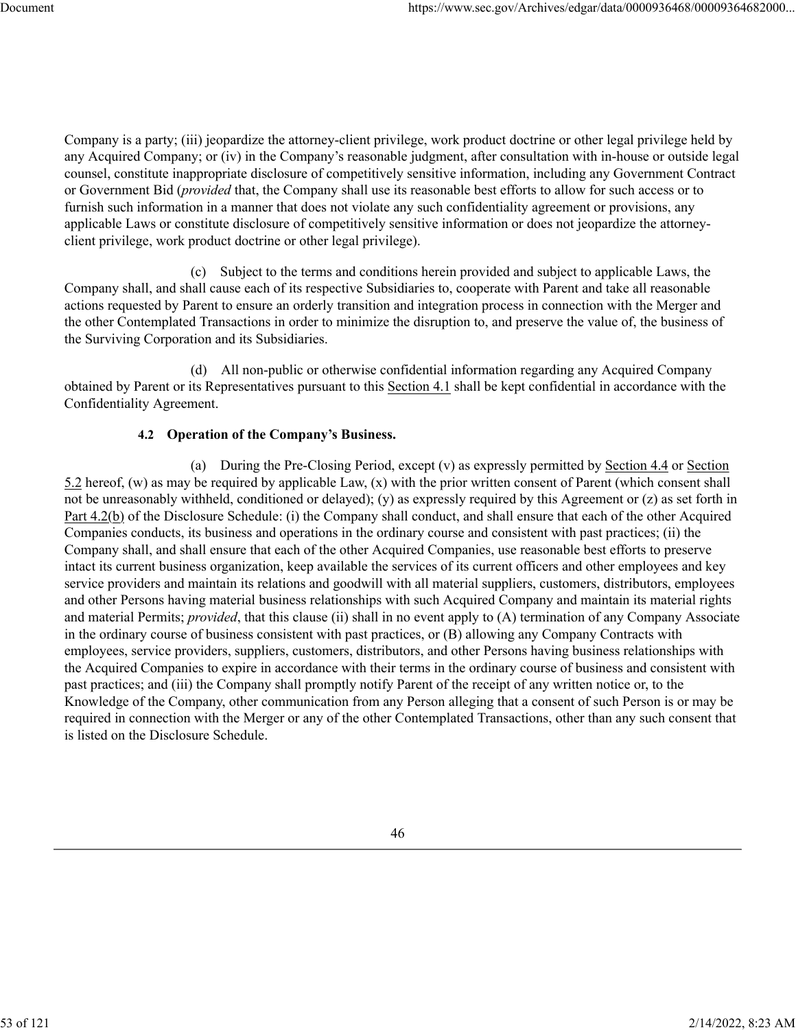Company is a party; (iii) jeopardize the attorney-client privilege, work product doctrine or other legal privilege held by any Acquired Company; or (iv) in the Company's reasonable judgment, after consultation with in-house or outside legal counsel, constitute inappropriate disclosure of competitively sensitive information, including any Government Contract or Government Bid (*provided* that, the Company shall use its reasonable best efforts to allow for such access or to furnish such information in a manner that does not violate any such confidentiality agreement or provisions, any applicable Laws or constitute disclosure of competitively sensitive information or does not jeopardize the attorneyclient privilege, work product doctrine or other legal privilege).

(c) Subject to the terms and conditions herein provided and subject to applicable Laws, the Company shall, and shall cause each of its respective Subsidiaries to, cooperate with Parent and take all reasonable actions requested by Parent to ensure an orderly transition and integration process in connection with the Merger and the other Contemplated Transactions in order to minimize the disruption to, and preserve the value of, the business of the Surviving Corporation and its Subsidiaries.

(d) All non-public or otherwise confidential information regarding any Acquired Company obtained by Parent or its Representatives pursuant to this Section 4.1 shall be kept confidential in accordance with the Confidentiality Agreement.

## **4.2 Operation of the Company's Business.**

(a) During the Pre-Closing Period, except (v) as expressly permitted by Section 4.4 or Section 5.2 hereof, (w) as may be required by applicable Law, (x) with the prior written consent of Parent (which consent shall not be unreasonably withheld, conditioned or delayed); (y) as expressly required by this Agreement or (z) as set forth in Part 4.2(b) of the Disclosure Schedule: (i) the Company shall conduct, and shall ensure that each of the other Acquired Companies conducts, its business and operations in the ordinary course and consistent with past practices; (ii) the Company shall, and shall ensure that each of the other Acquired Companies, use reasonable best efforts to preserve intact its current business organization, keep available the services of its current officers and other employees and key service providers and maintain its relations and goodwill with all material suppliers, customers, distributors, employees and other Persons having material business relationships with such Acquired Company and maintain its material rights and material Permits; *provided*, that this clause (ii) shall in no event apply to (A) termination of any Company Associate in the ordinary course of business consistent with past practices, or (B) allowing any Company Contracts with employees, service providers, suppliers, customers, distributors, and other Persons having business relationships with the Acquired Companies to expire in accordance with their terms in the ordinary course of business and consistent with past practices; and (iii) the Company shall promptly notify Parent of the receipt of any written notice or, to the Knowledge of the Company, other communication from any Person alleging that a consent of such Person is or may be required in connection with the Merger or any of the other Contemplated Transactions, other than any such consent that is listed on the Disclosure Schedule.

53 of 121 2/14/2022, 8:23 AM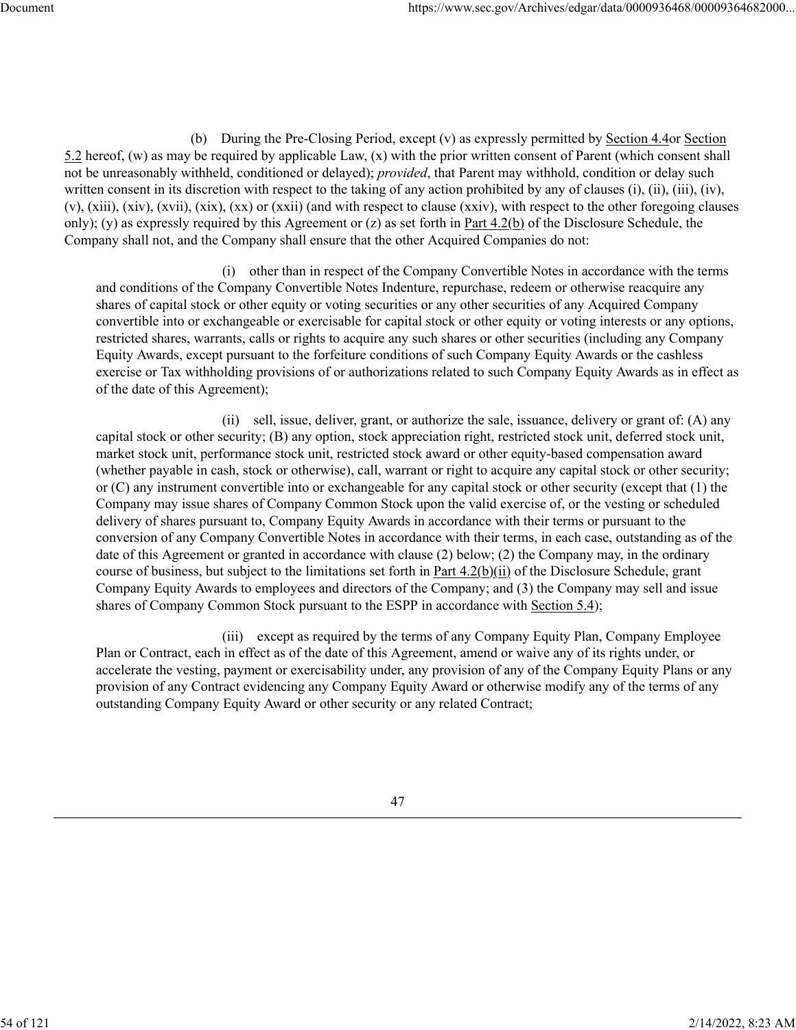(b) During the Pre-Closing Period, except (v) as expressly permitted by Section 4.4or Section 5.2 hereof, (w) as may be required by applicable Law, (x) with the prior written consent of Parent (which consent shall not be unreasonably withheld, conditioned or delayed); *provided*, that Parent may withhold, condition or delay such written consent in its discretion with respect to the taking of any action prohibited by any of clauses (i), (ii), (iii), (iv), (v), (xiii), (xiv), (xvii), (xix), (xx) or (xxii) (and with respect to clause (xxiv), with respect to the other foregoing clauses only); (y) as expressly required by this Agreement or  $(z)$  as set forth in Part 4.2(b) of the Disclosure Schedule, the Company shall not, and the Company shall ensure that the other Acquired Companies do not:

(i) other than in respect of the Company Convertible Notes in accordance with the terms and conditions of the Company Convertible Notes Indenture, repurchase, redeem or otherwise reacquire any shares of capital stock or other equity or voting securities or any other securities of any Acquired Company convertible into or exchangeable or exercisable for capital stock or other equity or voting interests or any options, restricted shares, warrants, calls or rights to acquire any such shares or other securities (including any Company Equity Awards, except pursuant to the forfeiture conditions of such Company Equity Awards or the cashless exercise or Tax withholding provisions of or authorizations related to such Company Equity Awards as in effect as of the date of this Agreement);

(ii) sell, issue, deliver, grant, or authorize the sale, issuance, delivery or grant of: (A) any capital stock or other security; (B) any option, stock appreciation right, restricted stock unit, deferred stock unit, market stock unit, performance stock unit, restricted stock award or other equity-based compensation award (whether payable in cash, stock or otherwise), call, warrant or right to acquire any capital stock or other security; or (C) any instrument convertible into or exchangeable for any capital stock or other security (except that (1) the Company may issue shares of Company Common Stock upon the valid exercise of, or the vesting or scheduled delivery of shares pursuant to, Company Equity Awards in accordance with their terms or pursuant to the conversion of any Company Convertible Notes in accordance with their terms, in each case, outstanding as of the date of this Agreement or granted in accordance with clause (2) below; (2) the Company may, in the ordinary course of business, but subject to the limitations set forth in Part 4.2(b)(ii) of the Disclosure Schedule, grant Company Equity Awards to employees and directors of the Company; and (3) the Company may sell and issue shares of Company Common Stock pursuant to the ESPP in accordance with Section 5.4);

(iii) except as required by the terms of any Company Equity Plan, Company Employee Plan or Contract, each in effect as of the date of this Agreement, amend or waive any of its rights under, or accelerate the vesting, payment or exercisability under, any provision of any of the Company Equity Plans or any provision of any Contract evidencing any Company Equity Award or otherwise modify any of the terms of any outstanding Company Equity Award or other security or any related Contract;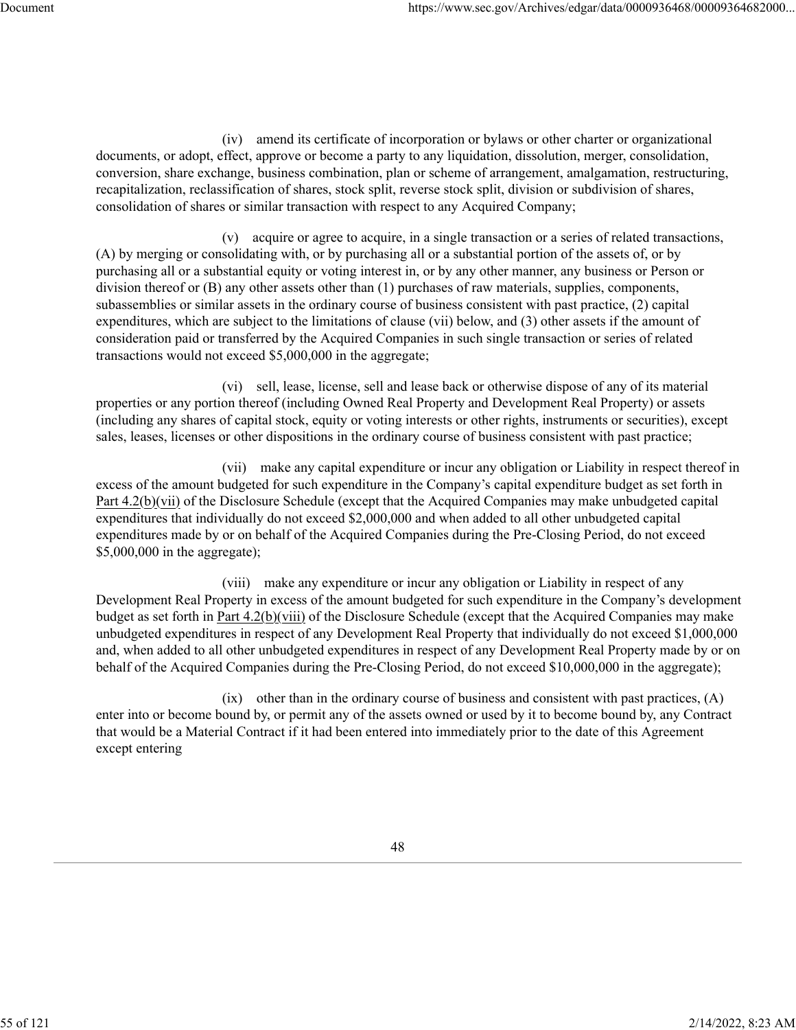(iv) amend its certificate of incorporation or bylaws or other charter or organizational documents, or adopt, effect, approve or become a party to any liquidation, dissolution, merger, consolidation, conversion, share exchange, business combination, plan or scheme of arrangement, amalgamation, restructuring, recapitalization, reclassification of shares, stock split, reverse stock split, division or subdivision of shares, consolidation of shares or similar transaction with respect to any Acquired Company;

(v) acquire or agree to acquire, in a single transaction or a series of related transactions, (A) by merging or consolidating with, or by purchasing all or a substantial portion of the assets of, or by purchasing all or a substantial equity or voting interest in, or by any other manner, any business or Person or division thereof or (B) any other assets other than (1) purchases of raw materials, supplies, components, subassemblies or similar assets in the ordinary course of business consistent with past practice, (2) capital expenditures, which are subject to the limitations of clause (vii) below, and (3) other assets if the amount of consideration paid or transferred by the Acquired Companies in such single transaction or series of related transactions would not exceed \$5,000,000 in the aggregate;

(vi) sell, lease, license, sell and lease back or otherwise dispose of any of its material properties or any portion thereof (including Owned Real Property and Development Real Property) or assets (including any shares of capital stock, equity or voting interests or other rights, instruments or securities), except sales, leases, licenses or other dispositions in the ordinary course of business consistent with past practice;

(vii) make any capital expenditure or incur any obligation or Liability in respect thereof in excess of the amount budgeted for such expenditure in the Company's capital expenditure budget as set forth in Part 4.2(b)(vii) of the Disclosure Schedule (except that the Acquired Companies may make unbudgeted capital expenditures that individually do not exceed \$2,000,000 and when added to all other unbudgeted capital expenditures made by or on behalf of the Acquired Companies during the Pre-Closing Period, do not exceed \$5,000,000 in the aggregate);

(viii) make any expenditure or incur any obligation or Liability in respect of any Development Real Property in excess of the amount budgeted for such expenditure in the Company's development budget as set forth in Part 4.2(b)(viii) of the Disclosure Schedule (except that the Acquired Companies may make unbudgeted expenditures in respect of any Development Real Property that individually do not exceed \$1,000,000 and, when added to all other unbudgeted expenditures in respect of any Development Real Property made by or on behalf of the Acquired Companies during the Pre-Closing Period, do not exceed \$10,000,000 in the aggregate);

(ix) other than in the ordinary course of business and consistent with past practices, (A) enter into or become bound by, or permit any of the assets owned or used by it to become bound by, any Contract that would be a Material Contract if it had been entered into immediately prior to the date of this Agreement except entering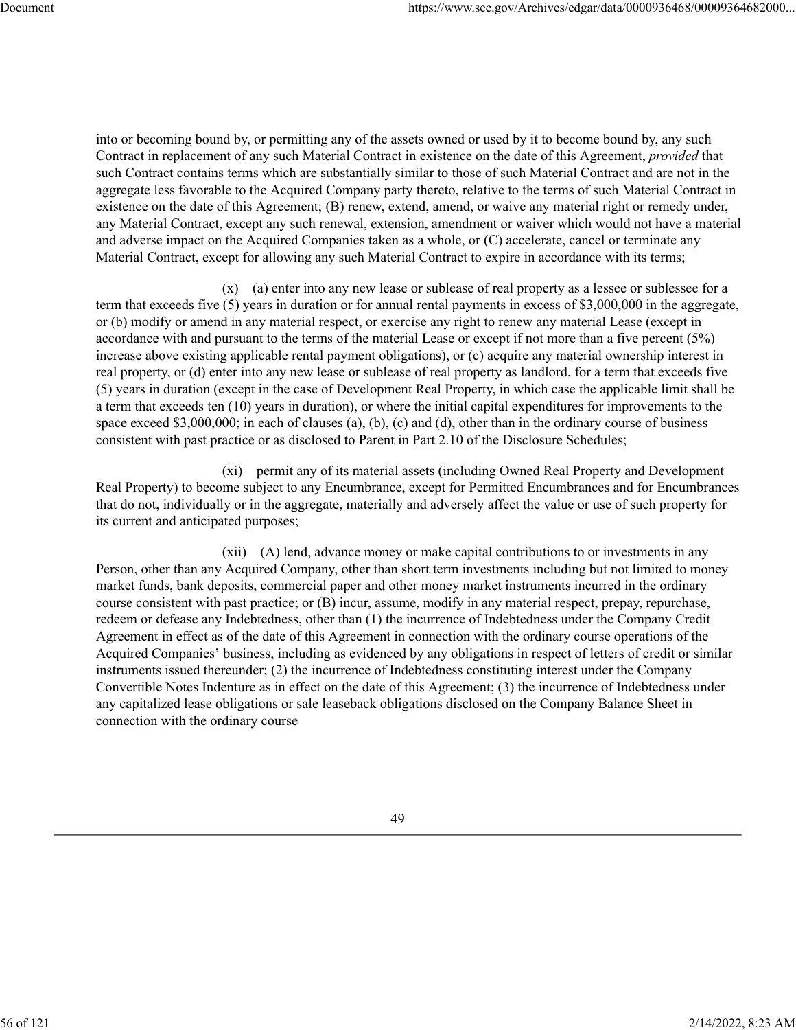into or becoming bound by, or permitting any of the assets owned or used by it to become bound by, any such Contract in replacement of any such Material Contract in existence on the date of this Agreement, *provided* that such Contract contains terms which are substantially similar to those of such Material Contract and are not in the aggregate less favorable to the Acquired Company party thereto, relative to the terms of such Material Contract in existence on the date of this Agreement; (B) renew, extend, amend, or waive any material right or remedy under, any Material Contract, except any such renewal, extension, amendment or waiver which would not have a material and adverse impact on the Acquired Companies taken as a whole, or (C) accelerate, cancel or terminate any Material Contract, except for allowing any such Material Contract to expire in accordance with its terms;

(x) (a) enter into any new lease or sublease of real property as a lessee or sublessee for a term that exceeds five (5) years in duration or for annual rental payments in excess of \$3,000,000 in the aggregate, or (b) modify or amend in any material respect, or exercise any right to renew any material Lease (except in accordance with and pursuant to the terms of the material Lease or except if not more than a five percent (5%) increase above existing applicable rental payment obligations), or (c) acquire any material ownership interest in real property, or (d) enter into any new lease or sublease of real property as landlord, for a term that exceeds five (5) years in duration (except in the case of Development Real Property, in which case the applicable limit shall be a term that exceeds ten (10) years in duration), or where the initial capital expenditures for improvements to the space exceed \$3,000,000; in each of clauses (a), (b), (c) and (d), other than in the ordinary course of business consistent with past practice or as disclosed to Parent in Part 2.10 of the Disclosure Schedules;

(xi) permit any of its material assets (including Owned Real Property and Development Real Property) to become subject to any Encumbrance, except for Permitted Encumbrances and for Encumbrances that do not, individually or in the aggregate, materially and adversely affect the value or use of such property for its current and anticipated purposes;

(xii) (A) lend, advance money or make capital contributions to or investments in any Person, other than any Acquired Company, other than short term investments including but not limited to money market funds, bank deposits, commercial paper and other money market instruments incurred in the ordinary course consistent with past practice; or (B) incur, assume, modify in any material respect, prepay, repurchase, redeem or defease any Indebtedness, other than (1) the incurrence of Indebtedness under the Company Credit Agreement in effect as of the date of this Agreement in connection with the ordinary course operations of the Acquired Companies' business, including as evidenced by any obligations in respect of letters of credit or similar instruments issued thereunder; (2) the incurrence of Indebtedness constituting interest under the Company Convertible Notes Indenture as in effect on the date of this Agreement; (3) the incurrence of Indebtedness under any capitalized lease obligations or sale leaseback obligations disclosed on the Company Balance Sheet in connection with the ordinary course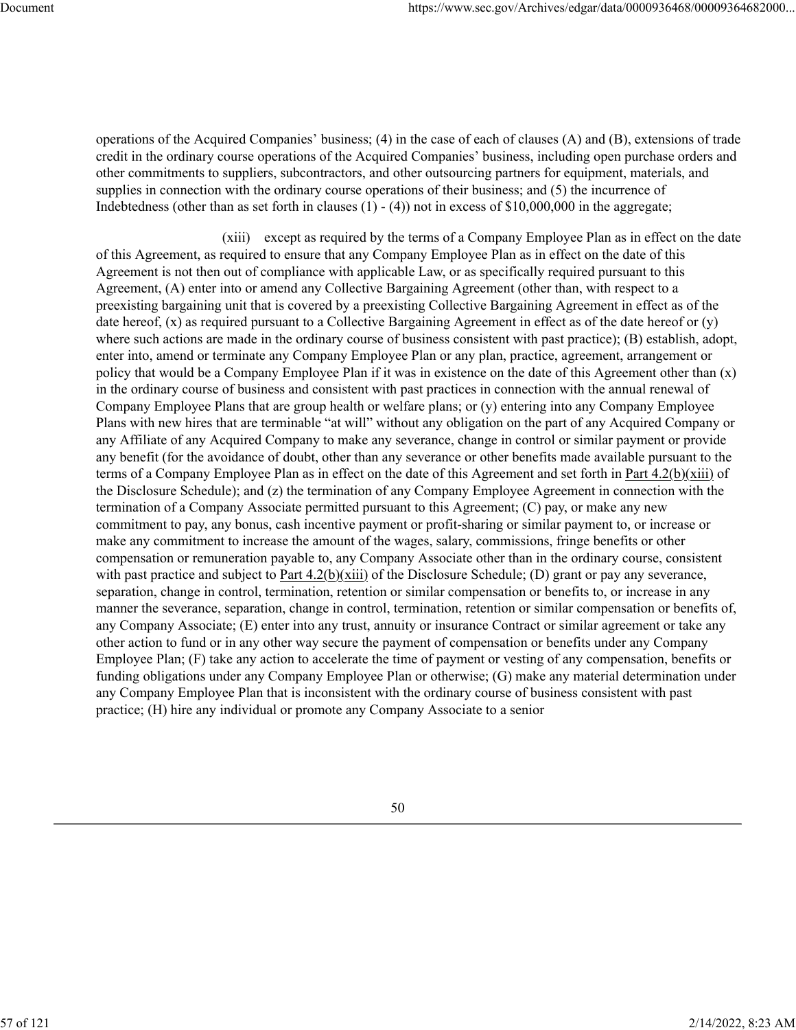operations of the Acquired Companies' business; (4) in the case of each of clauses (A) and (B), extensions of trade credit in the ordinary course operations of the Acquired Companies' business, including open purchase orders and other commitments to suppliers, subcontractors, and other outsourcing partners for equipment, materials, and supplies in connection with the ordinary course operations of their business; and (5) the incurrence of Indebtedness (other than as set forth in clauses (1) - (4)) not in excess of \$10,000,000 in the aggregate;

(xiii) except as required by the terms of a Company Employee Plan as in effect on the date of this Agreement, as required to ensure that any Company Employee Plan as in effect on the date of this Agreement is not then out of compliance with applicable Law, or as specifically required pursuant to this Agreement, (A) enter into or amend any Collective Bargaining Agreement (other than, with respect to a preexisting bargaining unit that is covered by a preexisting Collective Bargaining Agreement in effect as of the date hereof, (x) as required pursuant to a Collective Bargaining Agreement in effect as of the date hereof or (y) where such actions are made in the ordinary course of business consistent with past practice); (B) establish, adopt, enter into, amend or terminate any Company Employee Plan or any plan, practice, agreement, arrangement or policy that would be a Company Employee Plan if it was in existence on the date of this Agreement other than (x) in the ordinary course of business and consistent with past practices in connection with the annual renewal of Company Employee Plans that are group health or welfare plans; or (y) entering into any Company Employee Plans with new hires that are terminable "at will" without any obligation on the part of any Acquired Company or any Affiliate of any Acquired Company to make any severance, change in control or similar payment or provide any benefit (for the avoidance of doubt, other than any severance or other benefits made available pursuant to the terms of a Company Employee Plan as in effect on the date of this Agreement and set forth in Part 4.2(b)(xiii) of the Disclosure Schedule); and (z) the termination of any Company Employee Agreement in connection with the termination of a Company Associate permitted pursuant to this Agreement; (C) pay, or make any new commitment to pay, any bonus, cash incentive payment or profit-sharing or similar payment to, or increase or make any commitment to increase the amount of the wages, salary, commissions, fringe benefits or other compensation or remuneration payable to, any Company Associate other than in the ordinary course, consistent with past practice and subject to Part  $4.2(b)(xiii)$  of the Disclosure Schedule; (D) grant or pay any severance, separation, change in control, termination, retention or similar compensation or benefits to, or increase in any manner the severance, separation, change in control, termination, retention or similar compensation or benefits of, any Company Associate; (E) enter into any trust, annuity or insurance Contract or similar agreement or take any other action to fund or in any other way secure the payment of compensation or benefits under any Company Employee Plan; (F) take any action to accelerate the time of payment or vesting of any compensation, benefits or funding obligations under any Company Employee Plan or otherwise; (G) make any material determination under any Company Employee Plan that is inconsistent with the ordinary course of business consistent with past practice; (H) hire any individual or promote any Company Associate to a senior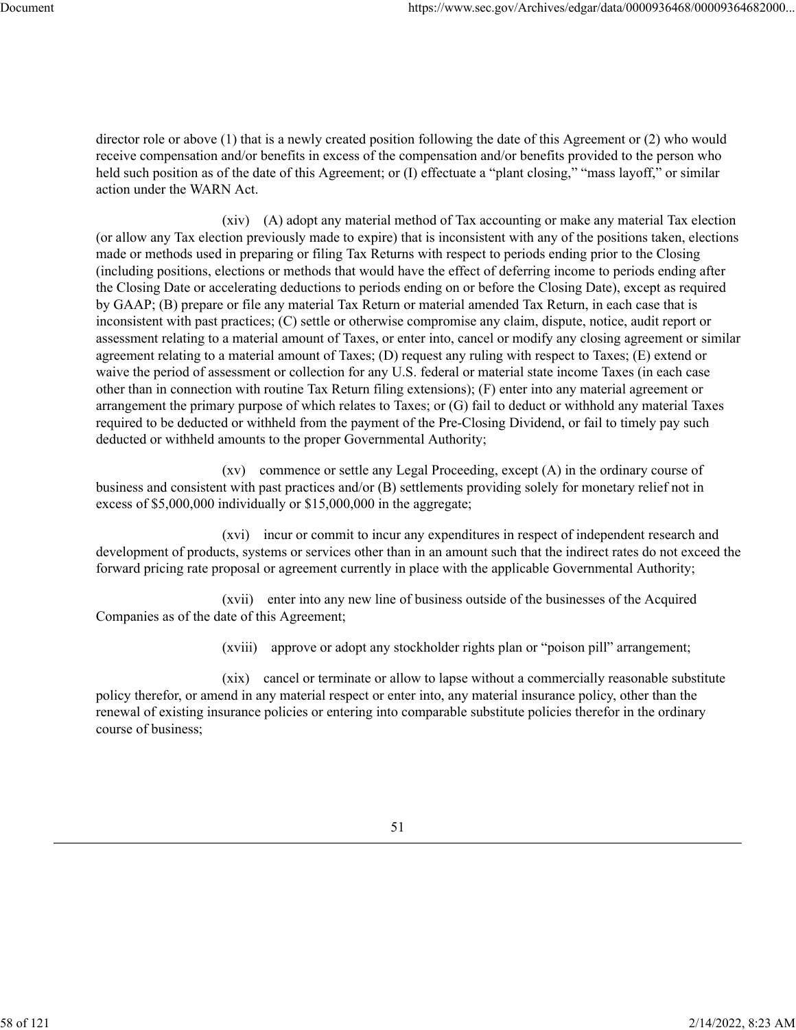director role or above (1) that is a newly created position following the date of this Agreement or (2) who would receive compensation and/or benefits in excess of the compensation and/or benefits provided to the person who held such position as of the date of this Agreement; or (I) effectuate a "plant closing," "mass layoff," or similar action under the WARN Act.

(xiv) (A) adopt any material method of Tax accounting or make any material Tax election (or allow any Tax election previously made to expire) that is inconsistent with any of the positions taken, elections made or methods used in preparing or filing Tax Returns with respect to periods ending prior to the Closing (including positions, elections or methods that would have the effect of deferring income to periods ending after the Closing Date or accelerating deductions to periods ending on or before the Closing Date), except as required by GAAP; (B) prepare or file any material Tax Return or material amended Tax Return, in each case that is inconsistent with past practices; (C) settle or otherwise compromise any claim, dispute, notice, audit report or assessment relating to a material amount of Taxes, or enter into, cancel or modify any closing agreement or similar agreement relating to a material amount of Taxes; (D) request any ruling with respect to Taxes; (E) extend or waive the period of assessment or collection for any U.S. federal or material state income Taxes (in each case other than in connection with routine Tax Return filing extensions); (F) enter into any material agreement or arrangement the primary purpose of which relates to Taxes; or (G) fail to deduct or withhold any material Taxes required to be deducted or withheld from the payment of the Pre-Closing Dividend, or fail to timely pay such deducted or withheld amounts to the proper Governmental Authority;

(xv) commence or settle any Legal Proceeding, except (A) in the ordinary course of business and consistent with past practices and/or (B) settlements providing solely for monetary relief not in excess of \$5,000,000 individually or \$15,000,000 in the aggregate;

(xvi) incur or commit to incur any expenditures in respect of independent research and development of products, systems or services other than in an amount such that the indirect rates do not exceed the forward pricing rate proposal or agreement currently in place with the applicable Governmental Authority;

(xvii) enter into any new line of business outside of the businesses of the Acquired Companies as of the date of this Agreement;

(xviii) approve or adopt any stockholder rights plan or "poison pill" arrangement;

(xix) cancel or terminate or allow to lapse without a commercially reasonable substitute policy therefor, or amend in any material respect or enter into, any material insurance policy, other than the renewal of existing insurance policies or entering into comparable substitute policies therefor in the ordinary course of business;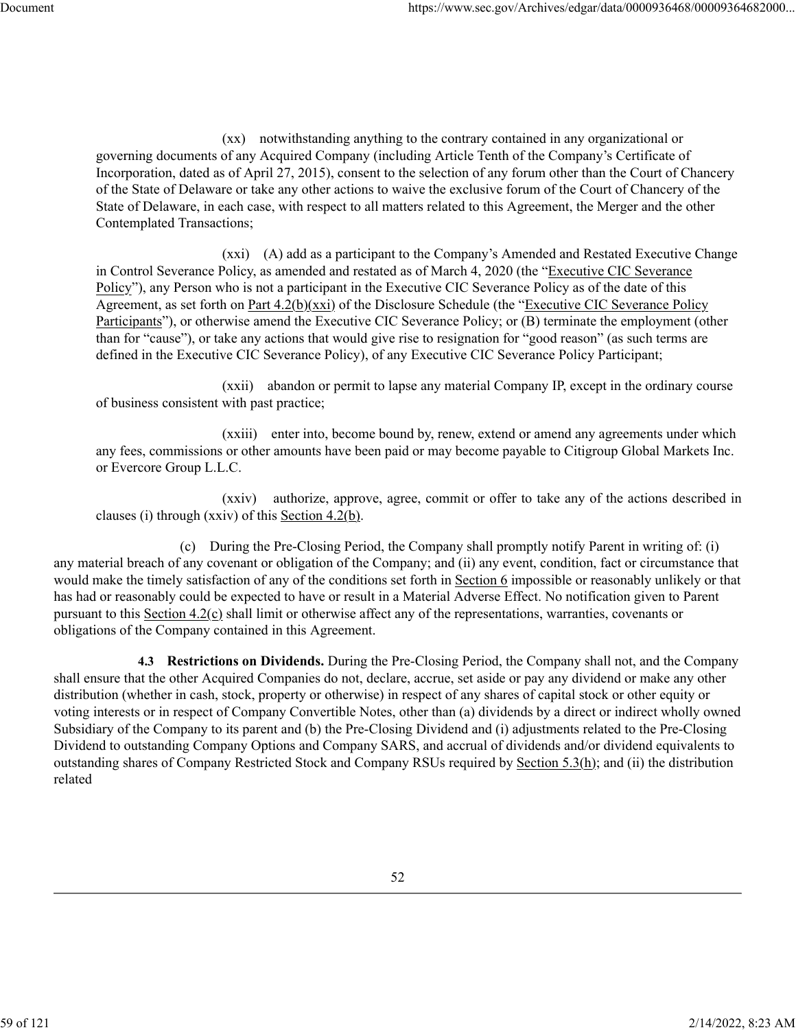(xx) notwithstanding anything to the contrary contained in any organizational or governing documents of any Acquired Company (including Article Tenth of the Company's Certificate of Incorporation, dated as of April 27, 2015), consent to the selection of any forum other than the Court of Chancery of the State of Delaware or take any other actions to waive the exclusive forum of the Court of Chancery of the State of Delaware, in each case, with respect to all matters related to this Agreement, the Merger and the other Contemplated Transactions;

(xxi) (A) add as a participant to the Company's Amended and Restated Executive Change in Control Severance Policy, as amended and restated as of March 4, 2020 (the "Executive CIC Severance Policy"), any Person who is not a participant in the Executive CIC Severance Policy as of the date of this Agreement, as set forth on Part 4.2(b)(xxi) of the Disclosure Schedule (the "Executive CIC Severance Policy Participants"), or otherwise amend the Executive CIC Severance Policy; or (B) terminate the employment (other than for "cause"), or take any actions that would give rise to resignation for "good reason" (as such terms are defined in the Executive CIC Severance Policy), of any Executive CIC Severance Policy Participant;

(xxii) abandon or permit to lapse any material Company IP, except in the ordinary course of business consistent with past practice;

(xxiii) enter into, become bound by, renew, extend or amend any agreements under which any fees, commissions or other amounts have been paid or may become payable to Citigroup Global Markets Inc. or Evercore Group L.L.C.

(xxiv) authorize, approve, agree, commit or offer to take any of the actions described in clauses (i) through (xxiv) of this Section  $4.2(b)$ .

(c) During the Pre-Closing Period, the Company shall promptly notify Parent in writing of: (i) any material breach of any covenant or obligation of the Company; and (ii) any event, condition, fact or circumstance that would make the timely satisfaction of any of the conditions set forth in Section 6 impossible or reasonably unlikely or that has had or reasonably could be expected to have or result in a Material Adverse Effect. No notification given to Parent pursuant to this Section  $4.2(c)$  shall limit or otherwise affect any of the representations, warranties, covenants or obligations of the Company contained in this Agreement.

**4.3 Restrictions on Dividends.** During the Pre-Closing Period, the Company shall not, and the Company shall ensure that the other Acquired Companies do not, declare, accrue, set aside or pay any dividend or make any other distribution (whether in cash, stock, property or otherwise) in respect of any shares of capital stock or other equity or voting interests or in respect of Company Convertible Notes, other than (a) dividends by a direct or indirect wholly owned Subsidiary of the Company to its parent and (b) the Pre-Closing Dividend and (i) adjustments related to the Pre-Closing Dividend to outstanding Company Options and Company SARS, and accrual of dividends and/or dividend equivalents to outstanding shares of Company Restricted Stock and Company RSUs required by Section 5.3(h); and (ii) the distribution related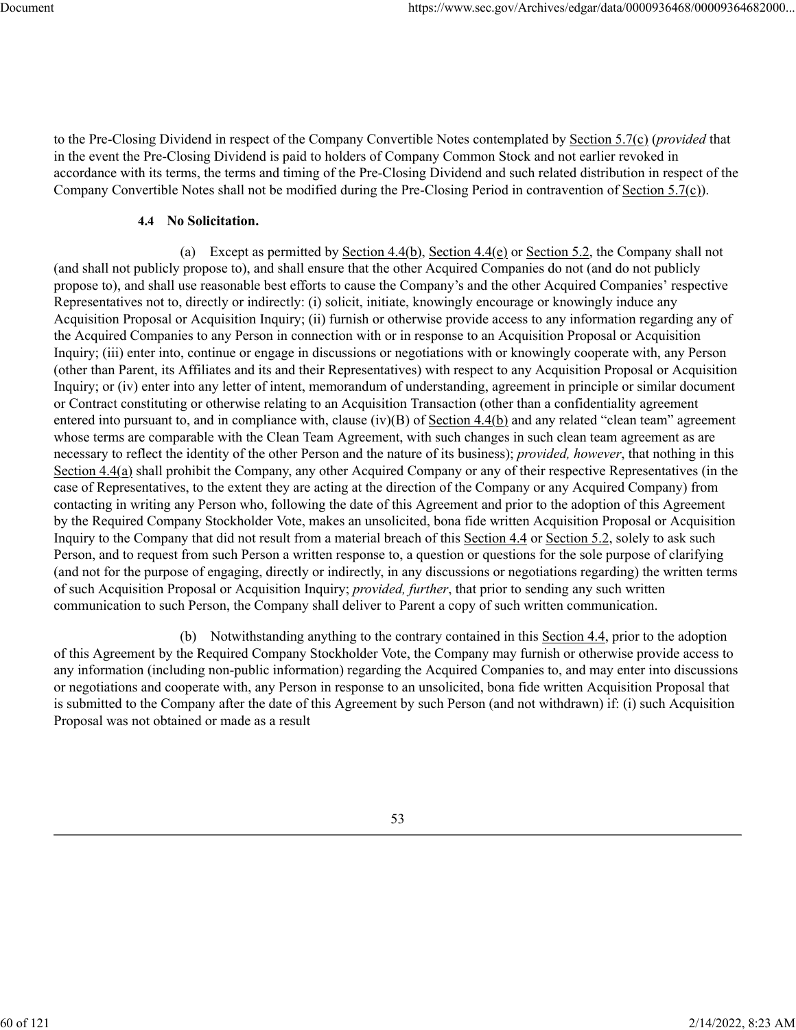to the Pre-Closing Dividend in respect of the Company Convertible Notes contemplated by Section 5.7(c) (*provided* that in the event the Pre-Closing Dividend is paid to holders of Company Common Stock and not earlier revoked in accordance with its terms, the terms and timing of the Pre-Closing Dividend and such related distribution in respect of the Company Convertible Notes shall not be modified during the Pre-Closing Period in contravention of Section 5.7(c)).

#### **4.4 No Solicitation.**

(a) Except as permitted by Section  $4.4(b)$ , Section  $4.4(e)$  or Section 5.2, the Company shall not (and shall not publicly propose to), and shall ensure that the other Acquired Companies do not (and do not publicly propose to), and shall use reasonable best efforts to cause the Company's and the other Acquired Companies' respective Representatives not to, directly or indirectly: (i) solicit, initiate, knowingly encourage or knowingly induce any Acquisition Proposal or Acquisition Inquiry; (ii) furnish or otherwise provide access to any information regarding any of the Acquired Companies to any Person in connection with or in response to an Acquisition Proposal or Acquisition Inquiry; (iii) enter into, continue or engage in discussions or negotiations with or knowingly cooperate with, any Person (other than Parent, its Affiliates and its and their Representatives) with respect to any Acquisition Proposal or Acquisition Inquiry; or (iv) enter into any letter of intent, memorandum of understanding, agreement in principle or similar document or Contract constituting or otherwise relating to an Acquisition Transaction (other than a confidentiality agreement entered into pursuant to, and in compliance with, clause (iv)(B) of Section 4.4(b) and any related "clean team" agreement whose terms are comparable with the Clean Team Agreement, with such changes in such clean team agreement as are necessary to reflect the identity of the other Person and the nature of its business); *provided, however*, that nothing in this Section 4.4(a) shall prohibit the Company, any other Acquired Company or any of their respective Representatives (in the case of Representatives, to the extent they are acting at the direction of the Company or any Acquired Company) from contacting in writing any Person who, following the date of this Agreement and prior to the adoption of this Agreement by the Required Company Stockholder Vote, makes an unsolicited, bona fide written Acquisition Proposal or Acquisition Inquiry to the Company that did not result from a material breach of this Section 4.4 or Section 5.2, solely to ask such Person, and to request from such Person a written response to, a question or questions for the sole purpose of clarifying (and not for the purpose of engaging, directly or indirectly, in any discussions or negotiations regarding) the written terms of such Acquisition Proposal or Acquisition Inquiry; *provided, further*, that prior to sending any such written communication to such Person, the Company shall deliver to Parent a copy of such written communication.

(b) Notwithstanding anything to the contrary contained in this Section 4.4, prior to the adoption of this Agreement by the Required Company Stockholder Vote, the Company may furnish or otherwise provide access to any information (including non-public information) regarding the Acquired Companies to, and may enter into discussions or negotiations and cooperate with, any Person in response to an unsolicited, bona fide written Acquisition Proposal that is submitted to the Company after the date of this Agreement by such Person (and not withdrawn) if: (i) such Acquisition Proposal was not obtained or made as a result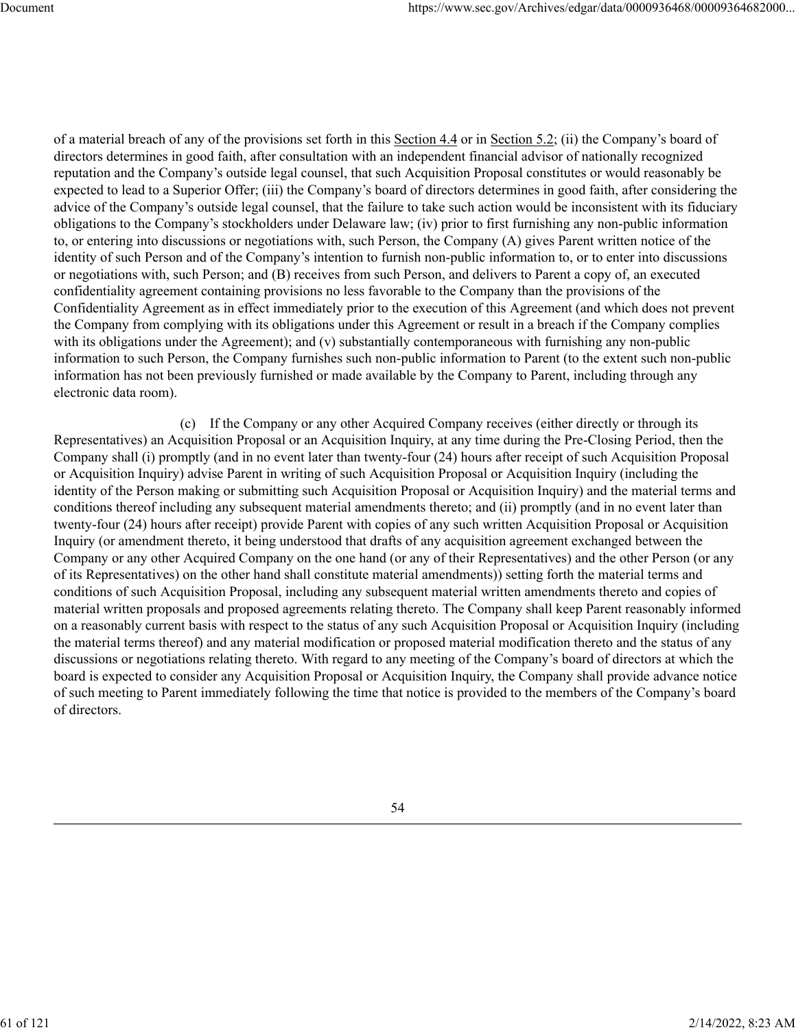of a material breach of any of the provisions set forth in this Section 4.4 or in Section 5.2; (ii) the Company's board of directors determines in good faith, after consultation with an independent financial advisor of nationally recognized reputation and the Company's outside legal counsel, that such Acquisition Proposal constitutes or would reasonably be expected to lead to a Superior Offer; (iii) the Company's board of directors determines in good faith, after considering the advice of the Company's outside legal counsel, that the failure to take such action would be inconsistent with its fiduciary obligations to the Company's stockholders under Delaware law; (iv) prior to first furnishing any non-public information to, or entering into discussions or negotiations with, such Person, the Company (A) gives Parent written notice of the identity of such Person and of the Company's intention to furnish non-public information to, or to enter into discussions or negotiations with, such Person; and (B) receives from such Person, and delivers to Parent a copy of, an executed confidentiality agreement containing provisions no less favorable to the Company than the provisions of the Confidentiality Agreement as in effect immediately prior to the execution of this Agreement (and which does not prevent the Company from complying with its obligations under this Agreement or result in a breach if the Company complies with its obligations under the Agreement); and (v) substantially contemporaneous with furnishing any non-public information to such Person, the Company furnishes such non-public information to Parent (to the extent such non-public information has not been previously furnished or made available by the Company to Parent, including through any electronic data room).

(c) If the Company or any other Acquired Company receives (either directly or through its Representatives) an Acquisition Proposal or an Acquisition Inquiry, at any time during the Pre-Closing Period, then the Company shall (i) promptly (and in no event later than twenty-four (24) hours after receipt of such Acquisition Proposal or Acquisition Inquiry) advise Parent in writing of such Acquisition Proposal or Acquisition Inquiry (including the identity of the Person making or submitting such Acquisition Proposal or Acquisition Inquiry) and the material terms and conditions thereof including any subsequent material amendments thereto; and (ii) promptly (and in no event later than twenty-four (24) hours after receipt) provide Parent with copies of any such written Acquisition Proposal or Acquisition Inquiry (or amendment thereto, it being understood that drafts of any acquisition agreement exchanged between the Company or any other Acquired Company on the one hand (or any of their Representatives) and the other Person (or any of its Representatives) on the other hand shall constitute material amendments)) setting forth the material terms and conditions of such Acquisition Proposal, including any subsequent material written amendments thereto and copies of material written proposals and proposed agreements relating thereto. The Company shall keep Parent reasonably informed on a reasonably current basis with respect to the status of any such Acquisition Proposal or Acquisition Inquiry (including the material terms thereof) and any material modification or proposed material modification thereto and the status of any discussions or negotiations relating thereto. With regard to any meeting of the Company's board of directors at which the board is expected to consider any Acquisition Proposal or Acquisition Inquiry, the Company shall provide advance notice of such meeting to Parent immediately following the time that notice is provided to the members of the Company's board of directors.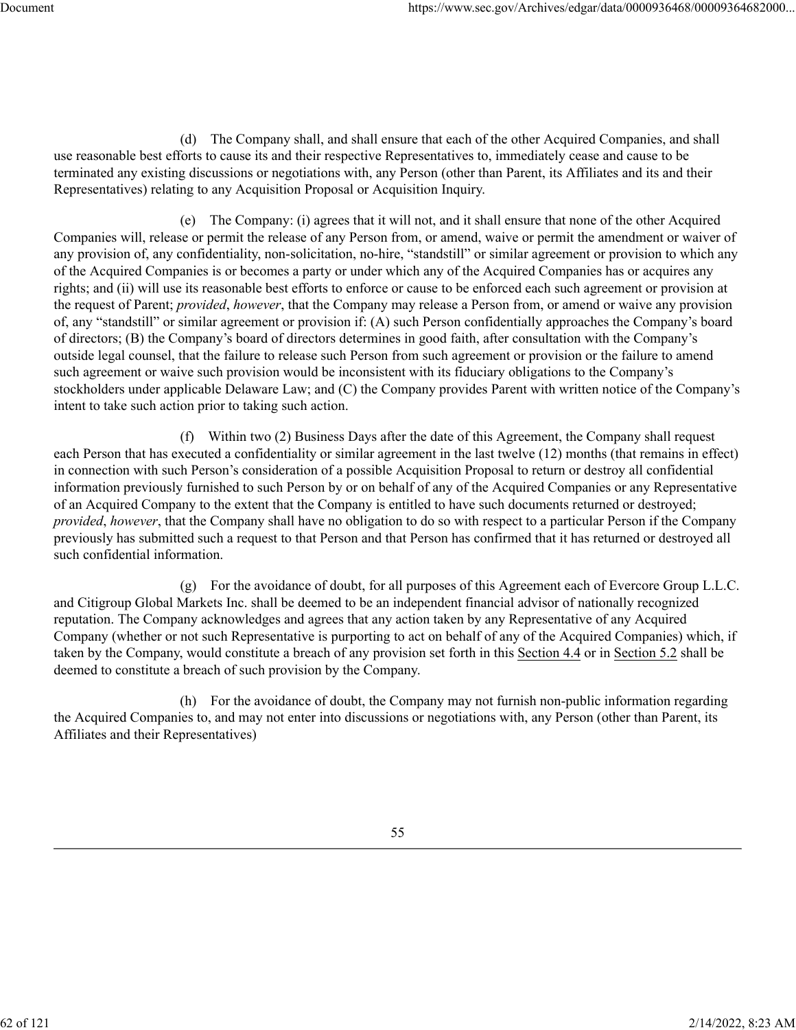(d) The Company shall, and shall ensure that each of the other Acquired Companies, and shall use reasonable best efforts to cause its and their respective Representatives to, immediately cease and cause to be terminated any existing discussions or negotiations with, any Person (other than Parent, its Affiliates and its and their Representatives) relating to any Acquisition Proposal or Acquisition Inquiry.

(e) The Company: (i) agrees that it will not, and it shall ensure that none of the other Acquired Companies will, release or permit the release of any Person from, or amend, waive or permit the amendment or waiver of any provision of, any confidentiality, non-solicitation, no-hire, "standstill" or similar agreement or provision to which any of the Acquired Companies is or becomes a party or under which any of the Acquired Companies has or acquires any rights; and (ii) will use its reasonable best efforts to enforce or cause to be enforced each such agreement or provision at the request of Parent; *provided*, *however*, that the Company may release a Person from, or amend or waive any provision of, any "standstill" or similar agreement or provision if: (A) such Person confidentially approaches the Company's board of directors; (B) the Company's board of directors determines in good faith, after consultation with the Company's outside legal counsel, that the failure to release such Person from such agreement or provision or the failure to amend such agreement or waive such provision would be inconsistent with its fiduciary obligations to the Company's stockholders under applicable Delaware Law; and (C) the Company provides Parent with written notice of the Company's intent to take such action prior to taking such action.

(f) Within two (2) Business Days after the date of this Agreement, the Company shall request each Person that has executed a confidentiality or similar agreement in the last twelve (12) months (that remains in effect) in connection with such Person's consideration of a possible Acquisition Proposal to return or destroy all confidential information previously furnished to such Person by or on behalf of any of the Acquired Companies or any Representative of an Acquired Company to the extent that the Company is entitled to have such documents returned or destroyed; *provided*, *however*, that the Company shall have no obligation to do so with respect to a particular Person if the Company previously has submitted such a request to that Person and that Person has confirmed that it has returned or destroyed all such confidential information.

(g) For the avoidance of doubt, for all purposes of this Agreement each of Evercore Group L.L.C. and Citigroup Global Markets Inc. shall be deemed to be an independent financial advisor of nationally recognized reputation. The Company acknowledges and agrees that any action taken by any Representative of any Acquired Company (whether or not such Representative is purporting to act on behalf of any of the Acquired Companies) which, if taken by the Company, would constitute a breach of any provision set forth in this Section 4.4 or in Section 5.2 shall be deemed to constitute a breach of such provision by the Company.

(h) For the avoidance of doubt, the Company may not furnish non-public information regarding the Acquired Companies to, and may not enter into discussions or negotiations with, any Person (other than Parent, its Affiliates and their Representatives)

62 of 121 2/14/2022, 8:23 AM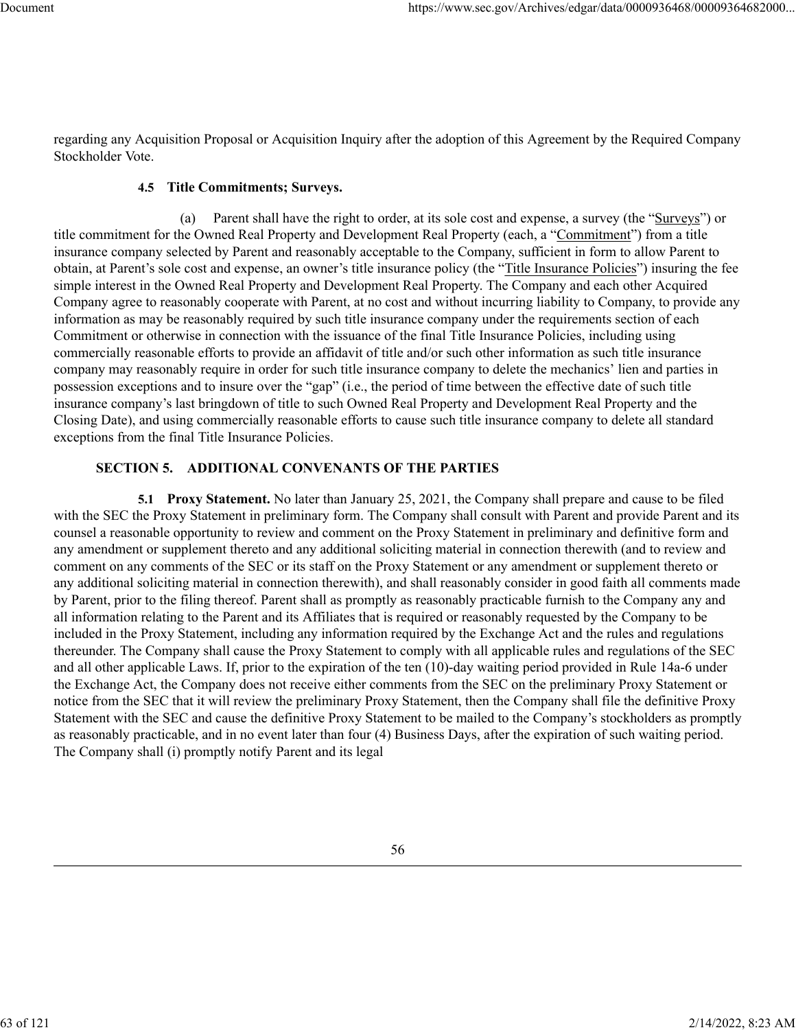regarding any Acquisition Proposal or Acquisition Inquiry after the adoption of this Agreement by the Required Company Stockholder Vote.

### **4.5 Title Commitments; Surveys.**

(a) Parent shall have the right to order, at its sole cost and expense, a survey (the "Surveys") or title commitment for the Owned Real Property and Development Real Property (each, a "Commitment") from a title insurance company selected by Parent and reasonably acceptable to the Company, sufficient in form to allow Parent to obtain, at Parent's sole cost and expense, an owner's title insurance policy (the "Title Insurance Policies") insuring the fee simple interest in the Owned Real Property and Development Real Property. The Company and each other Acquired Company agree to reasonably cooperate with Parent, at no cost and without incurring liability to Company, to provide any information as may be reasonably required by such title insurance company under the requirements section of each Commitment or otherwise in connection with the issuance of the final Title Insurance Policies, including using commercially reasonable efforts to provide an affidavit of title and/or such other information as such title insurance company may reasonably require in order for such title insurance company to delete the mechanics' lien and parties in possession exceptions and to insure over the "gap" (i.e., the period of time between the effective date of such title insurance company's last bringdown of title to such Owned Real Property and Development Real Property and the Closing Date), and using commercially reasonable efforts to cause such title insurance company to delete all standard exceptions from the final Title Insurance Policies.

### **SECTION 5. ADDITIONAL CONVENANTS OF THE PARTIES**

**5.1 Proxy Statement.** No later than January 25, 2021, the Company shall prepare and cause to be filed with the SEC the Proxy Statement in preliminary form. The Company shall consult with Parent and provide Parent and its counsel a reasonable opportunity to review and comment on the Proxy Statement in preliminary and definitive form and any amendment or supplement thereto and any additional soliciting material in connection therewith (and to review and comment on any comments of the SEC or its staff on the Proxy Statement or any amendment or supplement thereto or any additional soliciting material in connection therewith), and shall reasonably consider in good faith all comments made by Parent, prior to the filing thereof. Parent shall as promptly as reasonably practicable furnish to the Company any and all information relating to the Parent and its Affiliates that is required or reasonably requested by the Company to be included in the Proxy Statement, including any information required by the Exchange Act and the rules and regulations thereunder. The Company shall cause the Proxy Statement to comply with all applicable rules and regulations of the SEC and all other applicable Laws. If, prior to the expiration of the ten (10)-day waiting period provided in Rule 14a-6 under the Exchange Act, the Company does not receive either comments from the SEC on the preliminary Proxy Statement or notice from the SEC that it will review the preliminary Proxy Statement, then the Company shall file the definitive Proxy Statement with the SEC and cause the definitive Proxy Statement to be mailed to the Company's stockholders as promptly as reasonably practicable, and in no event later than four (4) Business Days, after the expiration of such waiting period. The Company shall (i) promptly notify Parent and its legal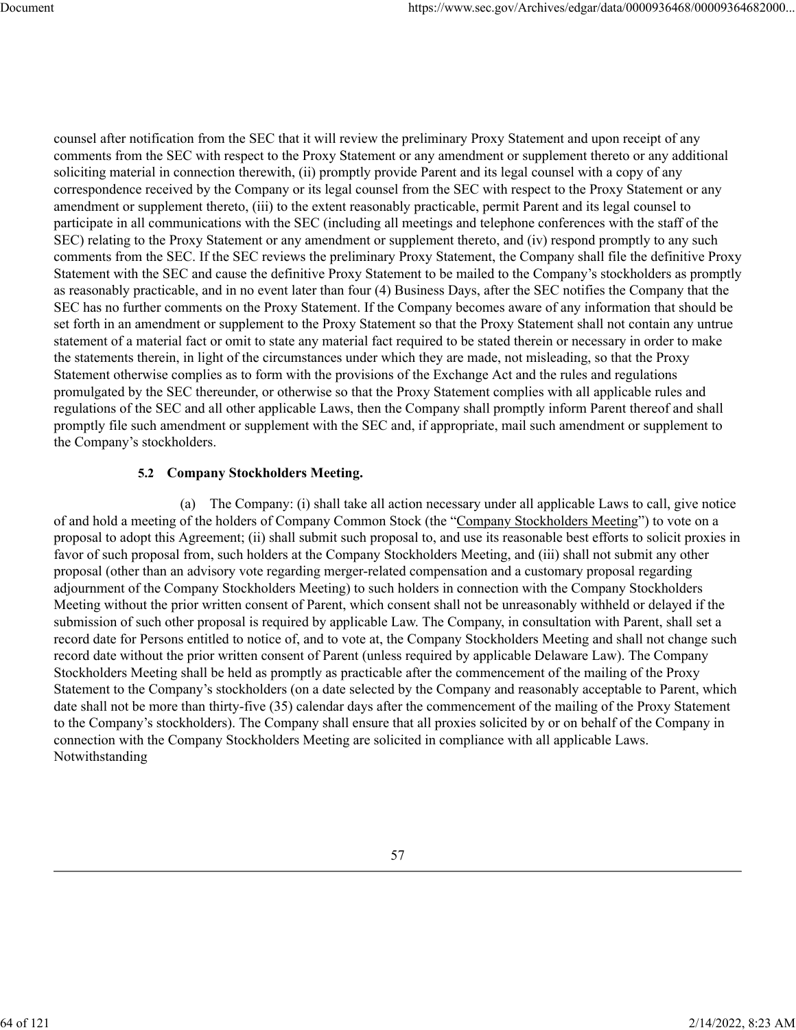counsel after notification from the SEC that it will review the preliminary Proxy Statement and upon receipt of any comments from the SEC with respect to the Proxy Statement or any amendment or supplement thereto or any additional soliciting material in connection therewith, (ii) promptly provide Parent and its legal counsel with a copy of any correspondence received by the Company or its legal counsel from the SEC with respect to the Proxy Statement or any amendment or supplement thereto, (iii) to the extent reasonably practicable, permit Parent and its legal counsel to participate in all communications with the SEC (including all meetings and telephone conferences with the staff of the SEC) relating to the Proxy Statement or any amendment or supplement thereto, and (iv) respond promptly to any such comments from the SEC. If the SEC reviews the preliminary Proxy Statement, the Company shall file the definitive Proxy Statement with the SEC and cause the definitive Proxy Statement to be mailed to the Company's stockholders as promptly as reasonably practicable, and in no event later than four (4) Business Days, after the SEC notifies the Company that the SEC has no further comments on the Proxy Statement. If the Company becomes aware of any information that should be set forth in an amendment or supplement to the Proxy Statement so that the Proxy Statement shall not contain any untrue statement of a material fact or omit to state any material fact required to be stated therein or necessary in order to make the statements therein, in light of the circumstances under which they are made, not misleading, so that the Proxy Statement otherwise complies as to form with the provisions of the Exchange Act and the rules and regulations promulgated by the SEC thereunder, or otherwise so that the Proxy Statement complies with all applicable rules and regulations of the SEC and all other applicable Laws, then the Company shall promptly inform Parent thereof and shall promptly file such amendment or supplement with the SEC and, if appropriate, mail such amendment or supplement to the Company's stockholders.

## **5.2 Company Stockholders Meeting.**

(a) The Company: (i) shall take all action necessary under all applicable Laws to call, give notice of and hold a meeting of the holders of Company Common Stock (the "Company Stockholders Meeting") to vote on a proposal to adopt this Agreement; (ii) shall submit such proposal to, and use its reasonable best efforts to solicit proxies in favor of such proposal from, such holders at the Company Stockholders Meeting, and (iii) shall not submit any other proposal (other than an advisory vote regarding merger-related compensation and a customary proposal regarding adjournment of the Company Stockholders Meeting) to such holders in connection with the Company Stockholders Meeting without the prior written consent of Parent, which consent shall not be unreasonably withheld or delayed if the submission of such other proposal is required by applicable Law. The Company, in consultation with Parent, shall set a record date for Persons entitled to notice of, and to vote at, the Company Stockholders Meeting and shall not change such record date without the prior written consent of Parent (unless required by applicable Delaware Law). The Company Stockholders Meeting shall be held as promptly as practicable after the commencement of the mailing of the Proxy Statement to the Company's stockholders (on a date selected by the Company and reasonably acceptable to Parent, which date shall not be more than thirty-five (35) calendar days after the commencement of the mailing of the Proxy Statement to the Company's stockholders). The Company shall ensure that all proxies solicited by or on behalf of the Company in connection with the Company Stockholders Meeting are solicited in compliance with all applicable Laws. Notwithstanding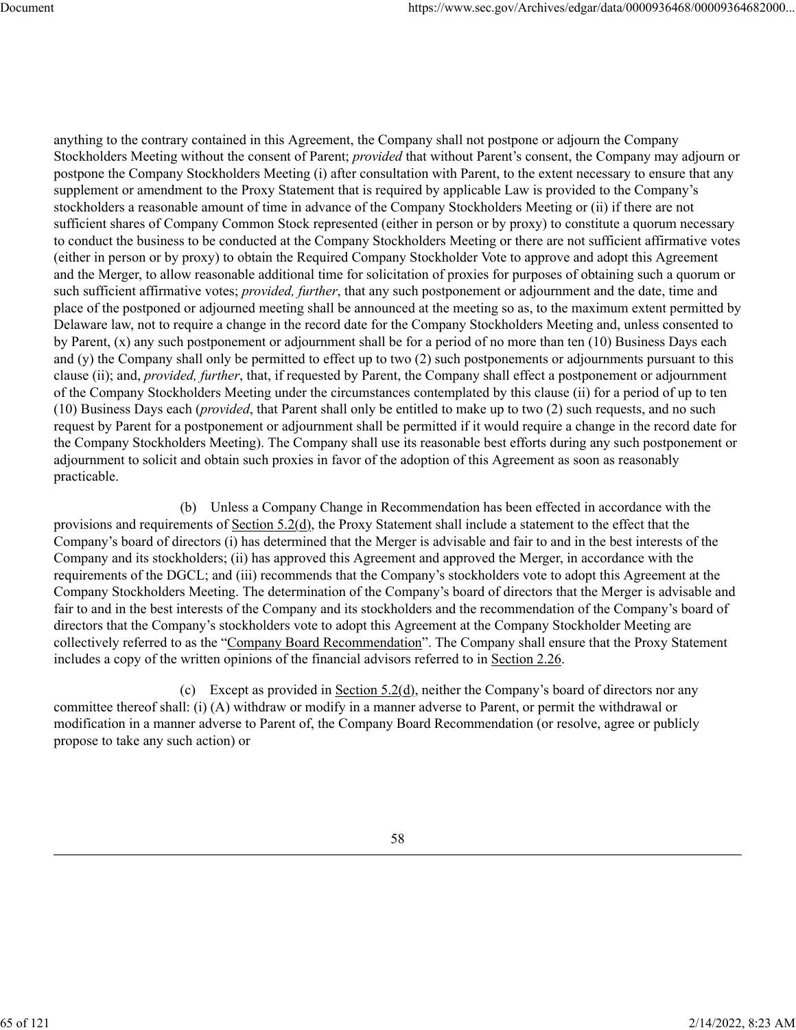anything to the contrary contained in this Agreement, the Company shall not postpone or adjourn the Company Stockholders Meeting without the consent of Parent; *provided* that without Parent's consent, the Company may adjourn or postpone the Company Stockholders Meeting (i) after consultation with Parent, to the extent necessary to ensure that any supplement or amendment to the Proxy Statement that is required by applicable Law is provided to the Company's stockholders a reasonable amount of time in advance of the Company Stockholders Meeting or (ii) if there are not sufficient shares of Company Common Stock represented (either in person or by proxy) to constitute a quorum necessary to conduct the business to be conducted at the Company Stockholders Meeting or there are not sufficient affirmative votes (either in person or by proxy) to obtain the Required Company Stockholder Vote to approve and adopt this Agreement and the Merger, to allow reasonable additional time for solicitation of proxies for purposes of obtaining such a quorum or such sufficient affirmative votes; *provided, further*, that any such postponement or adjournment and the date, time and place of the postponed or adjourned meeting shall be announced at the meeting so as, to the maximum extent permitted by Delaware law, not to require a change in the record date for the Company Stockholders Meeting and, unless consented to by Parent, (x) any such postponement or adjournment shall be for a period of no more than ten (10) Business Days each and (y) the Company shall only be permitted to effect up to two (2) such postponements or adjournments pursuant to this clause (ii); and, *provided, further*, that, if requested by Parent, the Company shall effect a postponement or adjournment of the Company Stockholders Meeting under the circumstances contemplated by this clause (ii) for a period of up to ten (10) Business Days each (*provided*, that Parent shall only be entitled to make up to two (2) such requests, and no such request by Parent for a postponement or adjournment shall be permitted if it would require a change in the record date for the Company Stockholders Meeting). The Company shall use its reasonable best efforts during any such postponement or adjournment to solicit and obtain such proxies in favor of the adoption of this Agreement as soon as reasonably practicable.

(b) Unless a Company Change in Recommendation has been effected in accordance with the provisions and requirements of Section 5.2(d), the Proxy Statement shall include a statement to the effect that the Company's board of directors (i) has determined that the Merger is advisable and fair to and in the best interests of the Company and its stockholders; (ii) has approved this Agreement and approved the Merger, in accordance with the requirements of the DGCL; and (iii) recommends that the Company's stockholders vote to adopt this Agreement at the Company Stockholders Meeting. The determination of the Company's board of directors that the Merger is advisable and fair to and in the best interests of the Company and its stockholders and the recommendation of the Company's board of directors that the Company's stockholders vote to adopt this Agreement at the Company Stockholder Meeting are collectively referred to as the "Company Board Recommendation". The Company shall ensure that the Proxy Statement includes a copy of the written opinions of the financial advisors referred to in Section 2.26.

(c) Except as provided in Section 5.2(d), neither the Company's board of directors nor any committee thereof shall: (i) (A) withdraw or modify in a manner adverse to Parent, or permit the withdrawal or modification in a manner adverse to Parent of, the Company Board Recommendation (or resolve, agree or publicly propose to take any such action) or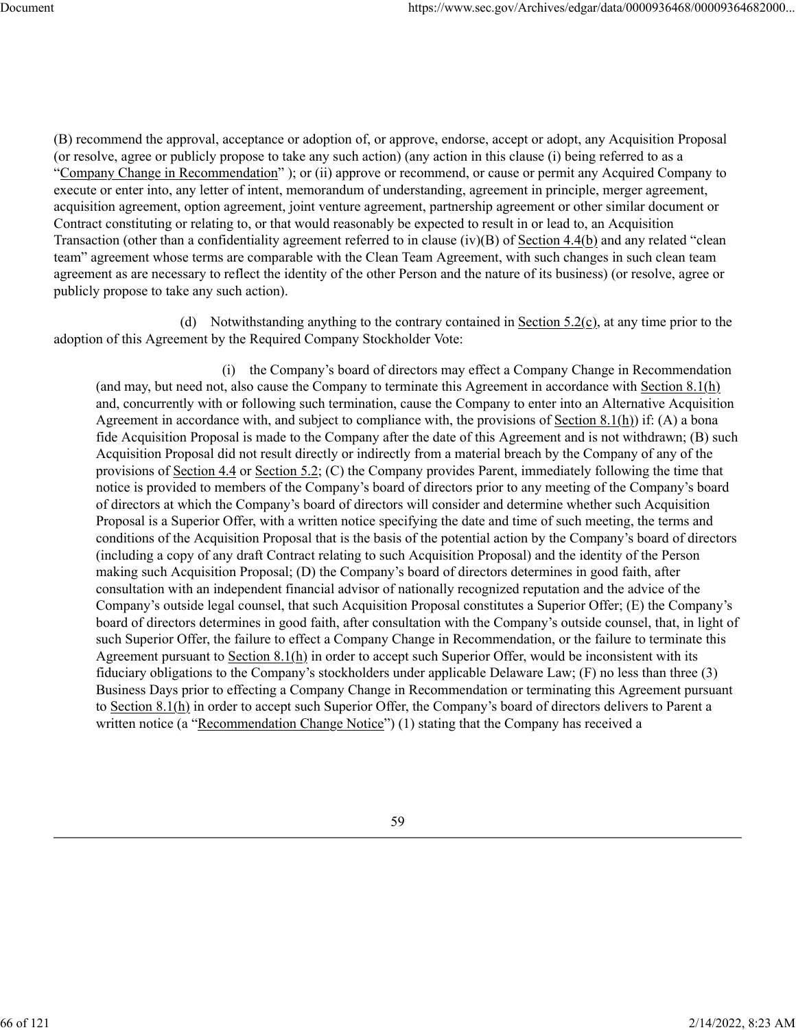(B) recommend the approval, acceptance or adoption of, or approve, endorse, accept or adopt, any Acquisition Proposal (or resolve, agree or publicly propose to take any such action) (any action in this clause (i) being referred to as a "Company Change in Recommendation" ); or (ii) approve or recommend, or cause or permit any Acquired Company to execute or enter into, any letter of intent, memorandum of understanding, agreement in principle, merger agreement, acquisition agreement, option agreement, joint venture agreement, partnership agreement or other similar document or Contract constituting or relating to, or that would reasonably be expected to result in or lead to, an Acquisition Transaction (other than a confidentiality agreement referred to in clause (iv)(B) of Section 4.4(b) and any related "clean team" agreement whose terms are comparable with the Clean Team Agreement, with such changes in such clean team agreement as are necessary to reflect the identity of the other Person and the nature of its business) (or resolve, agree or publicly propose to take any such action).

(d) Notwithstanding anything to the contrary contained in Section  $5.2(c)$ , at any time prior to the adoption of this Agreement by the Required Company Stockholder Vote:

(i) the Company's board of directors may effect a Company Change in Recommendation (and may, but need not, also cause the Company to terminate this Agreement in accordance with Section  $8.1(h)$ ) and, concurrently with or following such termination, cause the Company to enter into an Alternative Acquisition Agreement in accordance with, and subject to compliance with, the provisions of Section 8.1(h)) if: (A) a bona fide Acquisition Proposal is made to the Company after the date of this Agreement and is not withdrawn; (B) such Acquisition Proposal did not result directly or indirectly from a material breach by the Company of any of the provisions of Section 4.4 or Section 5.2; (C) the Company provides Parent, immediately following the time that notice is provided to members of the Company's board of directors prior to any meeting of the Company's board of directors at which the Company's board of directors will consider and determine whether such Acquisition Proposal is a Superior Offer, with a written notice specifying the date and time of such meeting, the terms and conditions of the Acquisition Proposal that is the basis of the potential action by the Company's board of directors (including a copy of any draft Contract relating to such Acquisition Proposal) and the identity of the Person making such Acquisition Proposal; (D) the Company's board of directors determines in good faith, after consultation with an independent financial advisor of nationally recognized reputation and the advice of the Company's outside legal counsel, that such Acquisition Proposal constitutes a Superior Offer; (E) the Company's board of directors determines in good faith, after consultation with the Company's outside counsel, that, in light of such Superior Offer, the failure to effect a Company Change in Recommendation, or the failure to terminate this Agreement pursuant to Section 8.1(h) in order to accept such Superior Offer, would be inconsistent with its fiduciary obligations to the Company's stockholders under applicable Delaware Law; (F) no less than three (3) Business Days prior to effecting a Company Change in Recommendation or terminating this Agreement pursuant to Section 8.1(h) in order to accept such Superior Offer, the Company's board of directors delivers to Parent a written notice (a "Recommendation Change Notice") (1) stating that the Company has received a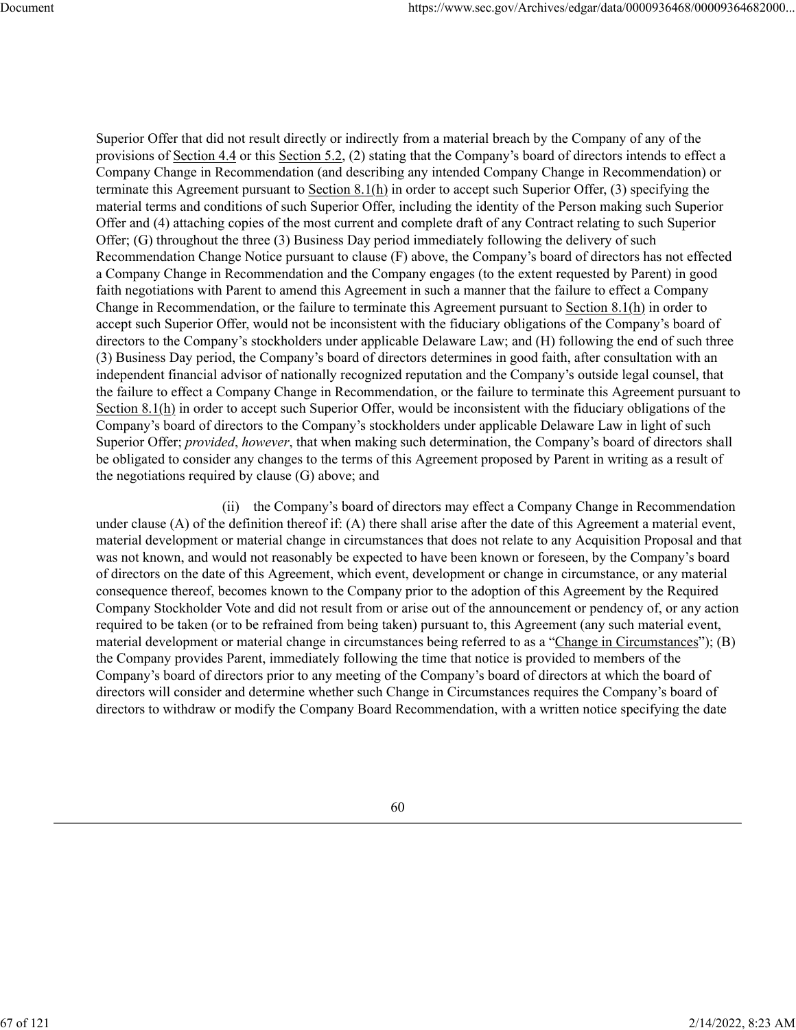Superior Offer that did not result directly or indirectly from a material breach by the Company of any of the provisions of Section 4.4 or this Section 5.2, (2) stating that the Company's board of directors intends to effect a Company Change in Recommendation (and describing any intended Company Change in Recommendation) or terminate this Agreement pursuant to Section  $8.1(h)$  in order to accept such Superior Offer, (3) specifying the material terms and conditions of such Superior Offer, including the identity of the Person making such Superior Offer and (4) attaching copies of the most current and complete draft of any Contract relating to such Superior Offer; (G) throughout the three (3) Business Day period immediately following the delivery of such Recommendation Change Notice pursuant to clause (F) above, the Company's board of directors has not effected a Company Change in Recommendation and the Company engages (to the extent requested by Parent) in good faith negotiations with Parent to amend this Agreement in such a manner that the failure to effect a Company Change in Recommendation, or the failure to terminate this Agreement pursuant to Section  $8.1(h)$  in order to accept such Superior Offer, would not be inconsistent with the fiduciary obligations of the Company's board of directors to the Company's stockholders under applicable Delaware Law; and (H) following the end of such three (3) Business Day period, the Company's board of directors determines in good faith, after consultation with an independent financial advisor of nationally recognized reputation and the Company's outside legal counsel, that the failure to effect a Company Change in Recommendation, or the failure to terminate this Agreement pursuant to Section 8.1(h) in order to accept such Superior Offer, would be inconsistent with the fiduciary obligations of the Company's board of directors to the Company's stockholders under applicable Delaware Law in light of such Superior Offer; *provided*, *however*, that when making such determination, the Company's board of directors shall be obligated to consider any changes to the terms of this Agreement proposed by Parent in writing as a result of the negotiations required by clause (G) above; and

(ii) the Company's board of directors may effect a Company Change in Recommendation under clause (A) of the definition thereof if: (A) there shall arise after the date of this Agreement a material event, material development or material change in circumstances that does not relate to any Acquisition Proposal and that was not known, and would not reasonably be expected to have been known or foreseen, by the Company's board of directors on the date of this Agreement, which event, development or change in circumstance, or any material consequence thereof, becomes known to the Company prior to the adoption of this Agreement by the Required Company Stockholder Vote and did not result from or arise out of the announcement or pendency of, or any action required to be taken (or to be refrained from being taken) pursuant to, this Agreement (any such material event, material development or material change in circumstances being referred to as a "Change in Circumstances"); (B) the Company provides Parent, immediately following the time that notice is provided to members of the Company's board of directors prior to any meeting of the Company's board of directors at which the board of directors will consider and determine whether such Change in Circumstances requires the Company's board of directors to withdraw or modify the Company Board Recommendation, with a written notice specifying the date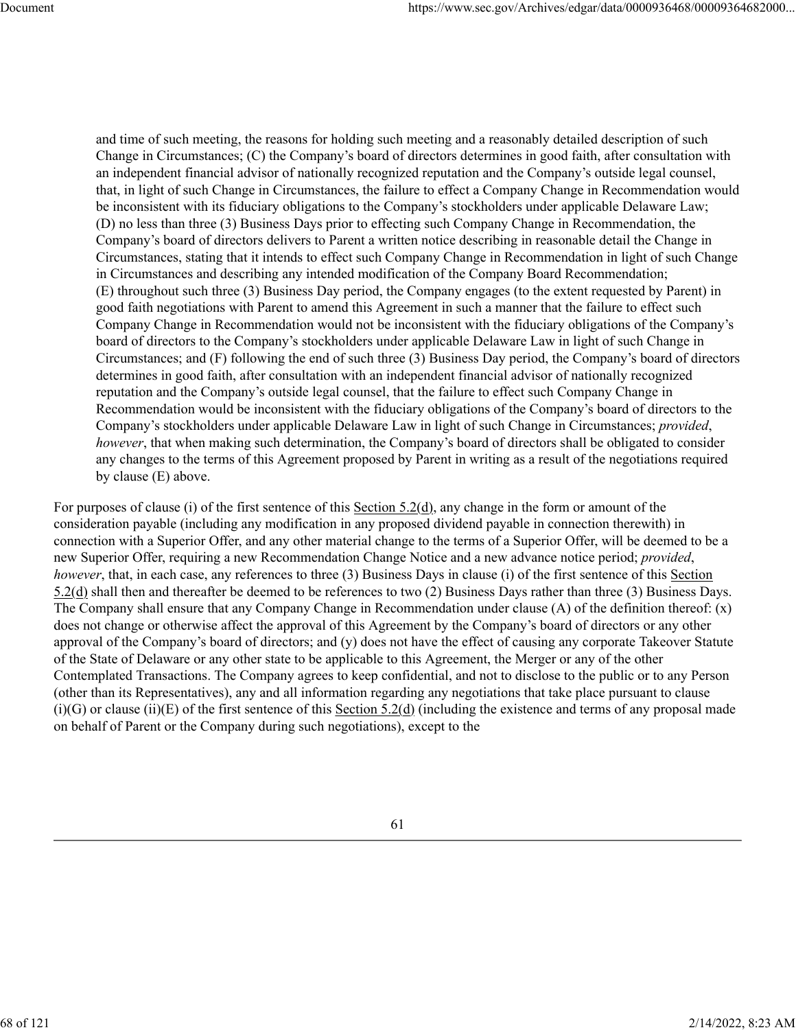and time of such meeting, the reasons for holding such meeting and a reasonably detailed description of such Change in Circumstances; (C) the Company's board of directors determines in good faith, after consultation with an independent financial advisor of nationally recognized reputation and the Company's outside legal counsel, that, in light of such Change in Circumstances, the failure to effect a Company Change in Recommendation would be inconsistent with its fiduciary obligations to the Company's stockholders under applicable Delaware Law; (D) no less than three (3) Business Days prior to effecting such Company Change in Recommendation, the Company's board of directors delivers to Parent a written notice describing in reasonable detail the Change in Circumstances, stating that it intends to effect such Company Change in Recommendation in light of such Change in Circumstances and describing any intended modification of the Company Board Recommendation; (E) throughout such three (3) Business Day period, the Company engages (to the extent requested by Parent) in good faith negotiations with Parent to amend this Agreement in such a manner that the failure to effect such Company Change in Recommendation would not be inconsistent with the fiduciary obligations of the Company's board of directors to the Company's stockholders under applicable Delaware Law in light of such Change in Circumstances; and (F) following the end of such three (3) Business Day period, the Company's board of directors determines in good faith, after consultation with an independent financial advisor of nationally recognized reputation and the Company's outside legal counsel, that the failure to effect such Company Change in Recommendation would be inconsistent with the fiduciary obligations of the Company's board of directors to the Company's stockholders under applicable Delaware Law in light of such Change in Circumstances; *provided*, *however*, that when making such determination, the Company's board of directors shall be obligated to consider any changes to the terms of this Agreement proposed by Parent in writing as a result of the negotiations required by clause (E) above.

For purposes of clause (i) of the first sentence of this Section 5.2(d), any change in the form or amount of the consideration payable (including any modification in any proposed dividend payable in connection therewith) in connection with a Superior Offer, and any other material change to the terms of a Superior Offer, will be deemed to be a new Superior Offer, requiring a new Recommendation Change Notice and a new advance notice period; *provided*, *however*, that, in each case, any references to three (3) Business Days in clause (i) of the first sentence of this Section 5.2(d) shall then and thereafter be deemed to be references to two (2) Business Days rather than three (3) Business Days. The Company shall ensure that any Company Change in Recommendation under clause (A) of the definition thereof: (x) does not change or otherwise affect the approval of this Agreement by the Company's board of directors or any other approval of the Company's board of directors; and (y) does not have the effect of causing any corporate Takeover Statute of the State of Delaware or any other state to be applicable to this Agreement, the Merger or any of the other Contemplated Transactions. The Company agrees to keep confidential, and not to disclose to the public or to any Person (other than its Representatives), any and all information regarding any negotiations that take place pursuant to clause  $(i)(G)$  or clause  $(ii)(E)$  of the first sentence of this Section 5.2(d) (including the existence and terms of any proposal made on behalf of Parent or the Company during such negotiations), except to the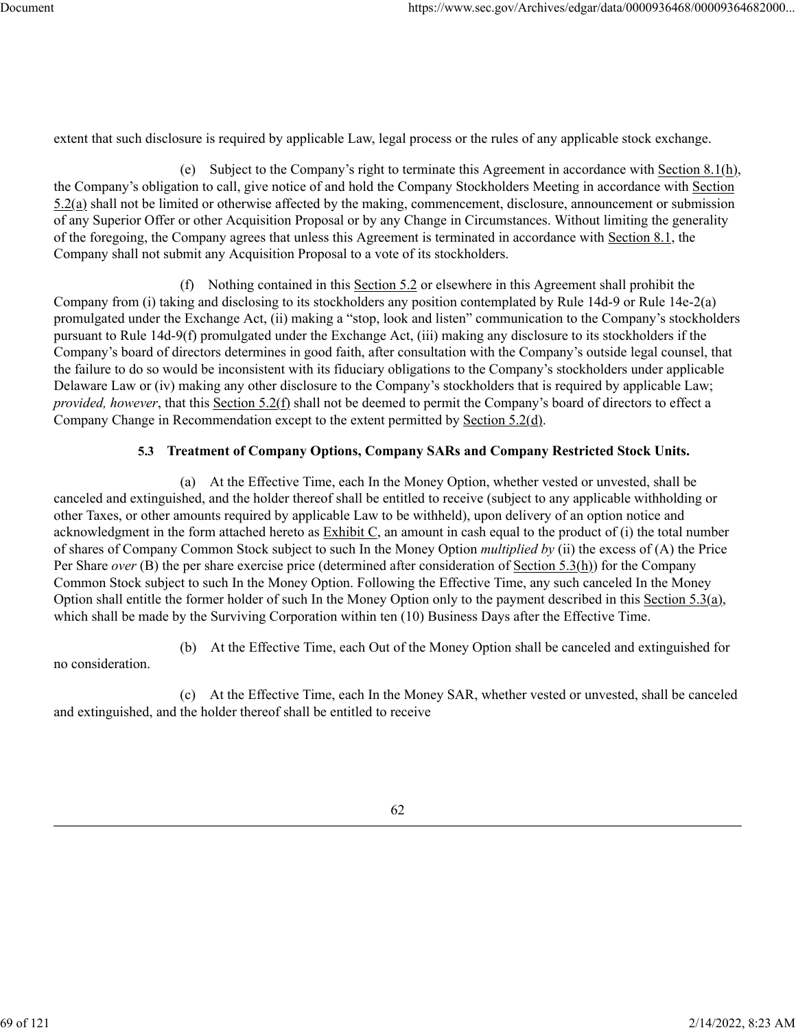extent that such disclosure is required by applicable Law, legal process or the rules of any applicable stock exchange.

(e) Subject to the Company's right to terminate this Agreement in accordance with Section 8.1(h), the Company's obligation to call, give notice of and hold the Company Stockholders Meeting in accordance with Section 5.2(a) shall not be limited or otherwise affected by the making, commencement, disclosure, announcement or submission of any Superior Offer or other Acquisition Proposal or by any Change in Circumstances. Without limiting the generality of the foregoing, the Company agrees that unless this Agreement is terminated in accordance with Section 8.1, the Company shall not submit any Acquisition Proposal to a vote of its stockholders.

(f) Nothing contained in this Section 5.2 or elsewhere in this Agreement shall prohibit the Company from (i) taking and disclosing to its stockholders any position contemplated by Rule 14d-9 or Rule 14e-2(a) promulgated under the Exchange Act, (ii) making a "stop, look and listen" communication to the Company's stockholders pursuant to Rule 14d-9(f) promulgated under the Exchange Act, (iii) making any disclosure to its stockholders if the Company's board of directors determines in good faith, after consultation with the Company's outside legal counsel, that the failure to do so would be inconsistent with its fiduciary obligations to the Company's stockholders under applicable Delaware Law or (iv) making any other disclosure to the Company's stockholders that is required by applicable Law; *provided, however*, that this Section 5.2(f) shall not be deemed to permit the Company's board of directors to effect a Company Change in Recommendation except to the extent permitted by Section 5.2(d).

# **5.3 Treatment of Company Options, Company SARs and Company Restricted Stock Units.**

(a) At the Effective Time, each In the Money Option, whether vested or unvested, shall be canceled and extinguished, and the holder thereof shall be entitled to receive (subject to any applicable withholding or other Taxes, or other amounts required by applicable Law to be withheld), upon delivery of an option notice and acknowledgment in the form attached hereto as Exhibit C, an amount in cash equal to the product of (i) the total number of shares of Company Common Stock subject to such In the Money Option *multiplied by* (ii) the excess of (A) the Price Per Share *over* (B) the per share exercise price (determined after consideration of Section 5.3(h)) for the Company Common Stock subject to such In the Money Option. Following the Effective Time, any such canceled In the Money Option shall entitle the former holder of such In the Money Option only to the payment described in this Section 5.3(a), which shall be made by the Surviving Corporation within ten (10) Business Days after the Effective Time.

(b) At the Effective Time, each Out of the Money Option shall be canceled and extinguished for

no consideration.

(c) At the Effective Time, each In the Money SAR, whether vested or unvested, shall be canceled and extinguished, and the holder thereof shall be entitled to receive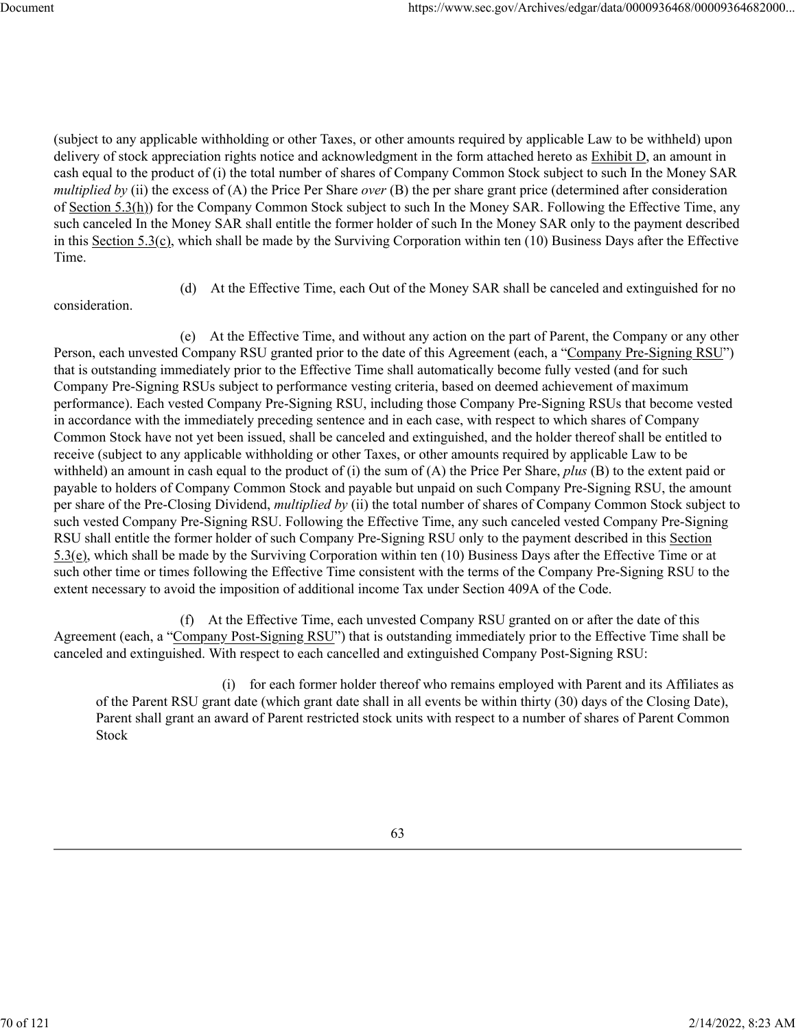(subject to any applicable withholding or other Taxes, or other amounts required by applicable Law to be withheld) upon delivery of stock appreciation rights notice and acknowledgment in the form attached hereto as Exhibit D, an amount in cash equal to the product of (i) the total number of shares of Company Common Stock subject to such In the Money SAR *multiplied by* (ii) the excess of (A) the Price Per Share *over* (B) the per share grant price (determined after consideration of Section 5.3(h)) for the Company Common Stock subject to such In the Money SAR. Following the Effective Time, any such canceled In the Money SAR shall entitle the former holder of such In the Money SAR only to the payment described in this Section 5.3(c), which shall be made by the Surviving Corporation within ten (10) Business Days after the Effective Time.

consideration.

(d) At the Effective Time, each Out of the Money SAR shall be canceled and extinguished for no

(e) At the Effective Time, and without any action on the part of Parent, the Company or any other Person, each unvested Company RSU granted prior to the date of this Agreement (each, a "Company Pre-Signing RSU") that is outstanding immediately prior to the Effective Time shall automatically become fully vested (and for such Company Pre-Signing RSUs subject to performance vesting criteria, based on deemed achievement of maximum performance). Each vested Company Pre-Signing RSU, including those Company Pre-Signing RSUs that become vested in accordance with the immediately preceding sentence and in each case, with respect to which shares of Company Common Stock have not yet been issued, shall be canceled and extinguished, and the holder thereof shall be entitled to receive (subject to any applicable withholding or other Taxes, or other amounts required by applicable Law to be withheld) an amount in cash equal to the product of (i) the sum of (A) the Price Per Share, *plus* (B) to the extent paid or payable to holders of Company Common Stock and payable but unpaid on such Company Pre-Signing RSU, the amount per share of the Pre-Closing Dividend, *multiplied by* (ii) the total number of shares of Company Common Stock subject to such vested Company Pre-Signing RSU. Following the Effective Time, any such canceled vested Company Pre-Signing RSU shall entitle the former holder of such Company Pre-Signing RSU only to the payment described in this Section 5.3(e), which shall be made by the Surviving Corporation within ten (10) Business Days after the Effective Time or at such other time or times following the Effective Time consistent with the terms of the Company Pre-Signing RSU to the extent necessary to avoid the imposition of additional income Tax under Section 409A of the Code.

(f) At the Effective Time, each unvested Company RSU granted on or after the date of this Agreement (each, a "Company Post-Signing RSU") that is outstanding immediately prior to the Effective Time shall be canceled and extinguished. With respect to each cancelled and extinguished Company Post-Signing RSU:

(i) for each former holder thereof who remains employed with Parent and its Affiliates as of the Parent RSU grant date (which grant date shall in all events be within thirty (30) days of the Closing Date), Parent shall grant an award of Parent restricted stock units with respect to a number of shares of Parent Common Stock

70 of 121 2/14/2022, 8:23 AM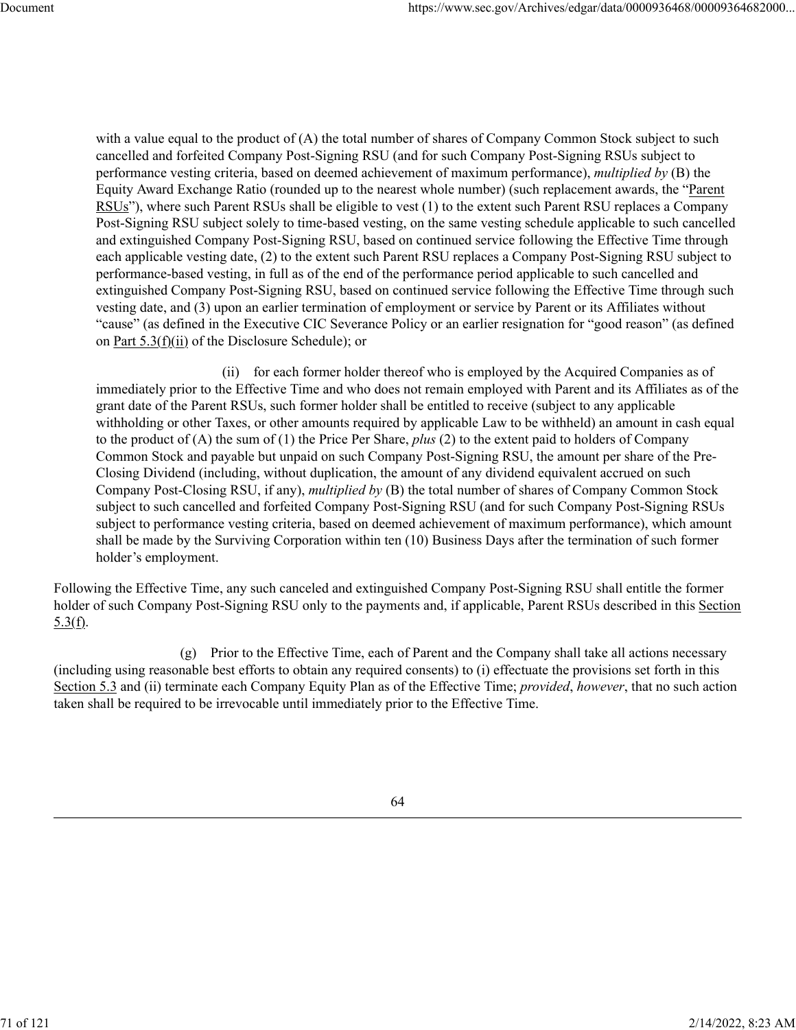with a value equal to the product of (A) the total number of shares of Company Common Stock subject to such cancelled and forfeited Company Post-Signing RSU (and for such Company Post-Signing RSUs subject to performance vesting criteria, based on deemed achievement of maximum performance), *multiplied by* (B) the Equity Award Exchange Ratio (rounded up to the nearest whole number) (such replacement awards, the "Parent RSUs"), where such Parent RSUs shall be eligible to vest (1) to the extent such Parent RSU replaces a Company Post-Signing RSU subject solely to time-based vesting, on the same vesting schedule applicable to such cancelled and extinguished Company Post-Signing RSU, based on continued service following the Effective Time through each applicable vesting date, (2) to the extent such Parent RSU replaces a Company Post-Signing RSU subject to performance-based vesting, in full as of the end of the performance period applicable to such cancelled and extinguished Company Post-Signing RSU, based on continued service following the Effective Time through such vesting date, and (3) upon an earlier termination of employment or service by Parent or its Affiliates without "cause" (as defined in the Executive CIC Severance Policy or an earlier resignation for "good reason" (as defined on Part 5.3(f)(ii) of the Disclosure Schedule); or

(ii) for each former holder thereof who is employed by the Acquired Companies as of immediately prior to the Effective Time and who does not remain employed with Parent and its Affiliates as of the grant date of the Parent RSUs, such former holder shall be entitled to receive (subject to any applicable withholding or other Taxes, or other amounts required by applicable Law to be withheld) an amount in cash equal to the product of (A) the sum of (1) the Price Per Share, *plus* (2) to the extent paid to holders of Company Common Stock and payable but unpaid on such Company Post-Signing RSU, the amount per share of the Pre-Closing Dividend (including, without duplication, the amount of any dividend equivalent accrued on such Company Post-Closing RSU, if any), *multiplied by* (B) the total number of shares of Company Common Stock subject to such cancelled and forfeited Company Post-Signing RSU (and for such Company Post-Signing RSUs subject to performance vesting criteria, based on deemed achievement of maximum performance), which amount shall be made by the Surviving Corporation within ten (10) Business Days after the termination of such former holder's employment.

Following the Effective Time, any such canceled and extinguished Company Post-Signing RSU shall entitle the former holder of such Company Post-Signing RSU only to the payments and, if applicable, Parent RSUs described in this Section  $5.3(f)$ .

(g) Prior to the Effective Time, each of Parent and the Company shall take all actions necessary (including using reasonable best efforts to obtain any required consents) to (i) effectuate the provisions set forth in this Section 5.3 and (ii) terminate each Company Equity Plan as of the Effective Time; *provided*, *however*, that no such action taken shall be required to be irrevocable until immediately prior to the Effective Time.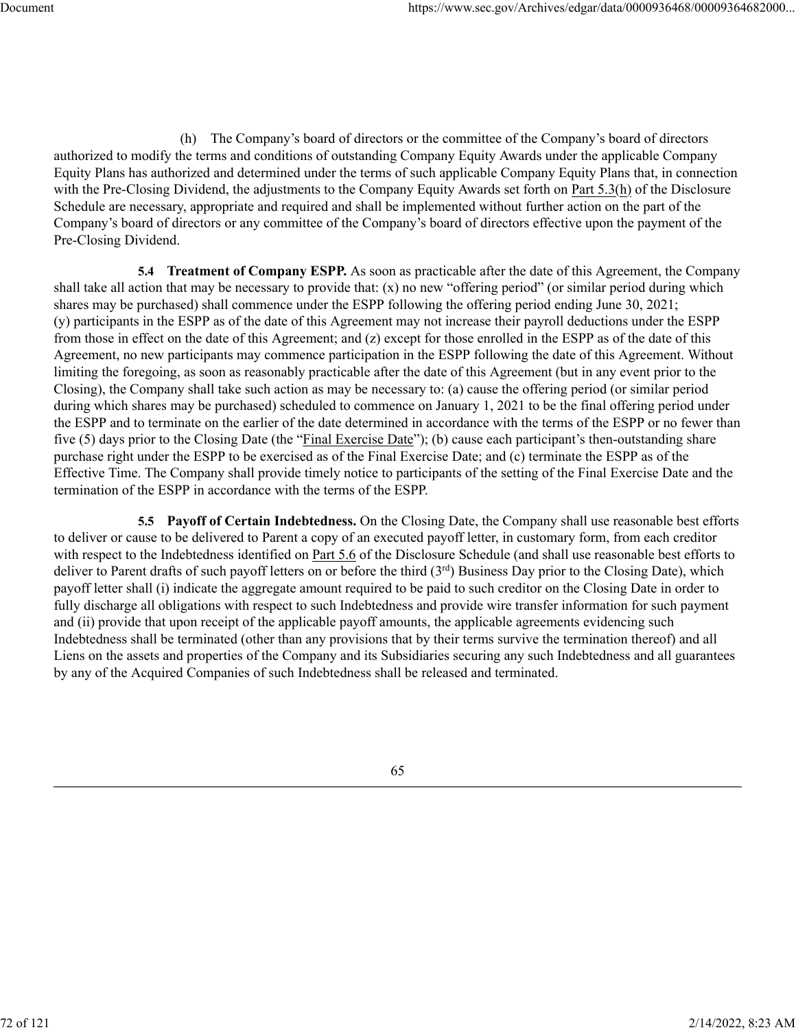(h) The Company's board of directors or the committee of the Company's board of directors authorized to modify the terms and conditions of outstanding Company Equity Awards under the applicable Company Equity Plans has authorized and determined under the terms of such applicable Company Equity Plans that, in connection with the Pre-Closing Dividend, the adjustments to the Company Equity Awards set forth on Part 5.3(h) of the Disclosure Schedule are necessary, appropriate and required and shall be implemented without further action on the part of the Company's board of directors or any committee of the Company's board of directors effective upon the payment of the Pre-Closing Dividend.

**5.4 Treatment of Company ESPP.** As soon as practicable after the date of this Agreement, the Company shall take all action that may be necessary to provide that: (x) no new "offering period" (or similar period during which shares may be purchased) shall commence under the ESPP following the offering period ending June 30, 2021; (y) participants in the ESPP as of the date of this Agreement may not increase their payroll deductions under the ESPP from those in effect on the date of this Agreement; and (z) except for those enrolled in the ESPP as of the date of this Agreement, no new participants may commence participation in the ESPP following the date of this Agreement. Without limiting the foregoing, as soon as reasonably practicable after the date of this Agreement (but in any event prior to the Closing), the Company shall take such action as may be necessary to: (a) cause the offering period (or similar period during which shares may be purchased) scheduled to commence on January 1, 2021 to be the final offering period under the ESPP and to terminate on the earlier of the date determined in accordance with the terms of the ESPP or no fewer than five (5) days prior to the Closing Date (the "Final Exercise Date"); (b) cause each participant's then-outstanding share purchase right under the ESPP to be exercised as of the Final Exercise Date; and (c) terminate the ESPP as of the Effective Time. The Company shall provide timely notice to participants of the setting of the Final Exercise Date and the termination of the ESPP in accordance with the terms of the ESPP.

**5.5 Payoff of Certain Indebtedness.** On the Closing Date, the Company shall use reasonable best efforts to deliver or cause to be delivered to Parent a copy of an executed payoff letter, in customary form, from each creditor with respect to the Indebtedness identified on Part 5.6 of the Disclosure Schedule (and shall use reasonable best efforts to deliver to Parent drafts of such payoff letters on or before the third (3rd) Business Day prior to the Closing Date), which payoff letter shall (i) indicate the aggregate amount required to be paid to such creditor on the Closing Date in order to fully discharge all obligations with respect to such Indebtedness and provide wire transfer information for such payment and (ii) provide that upon receipt of the applicable payoff amounts, the applicable agreements evidencing such Indebtedness shall be terminated (other than any provisions that by their terms survive the termination thereof) and all Liens on the assets and properties of the Company and its Subsidiaries securing any such Indebtedness and all guarantees by any of the Acquired Companies of such Indebtedness shall be released and terminated.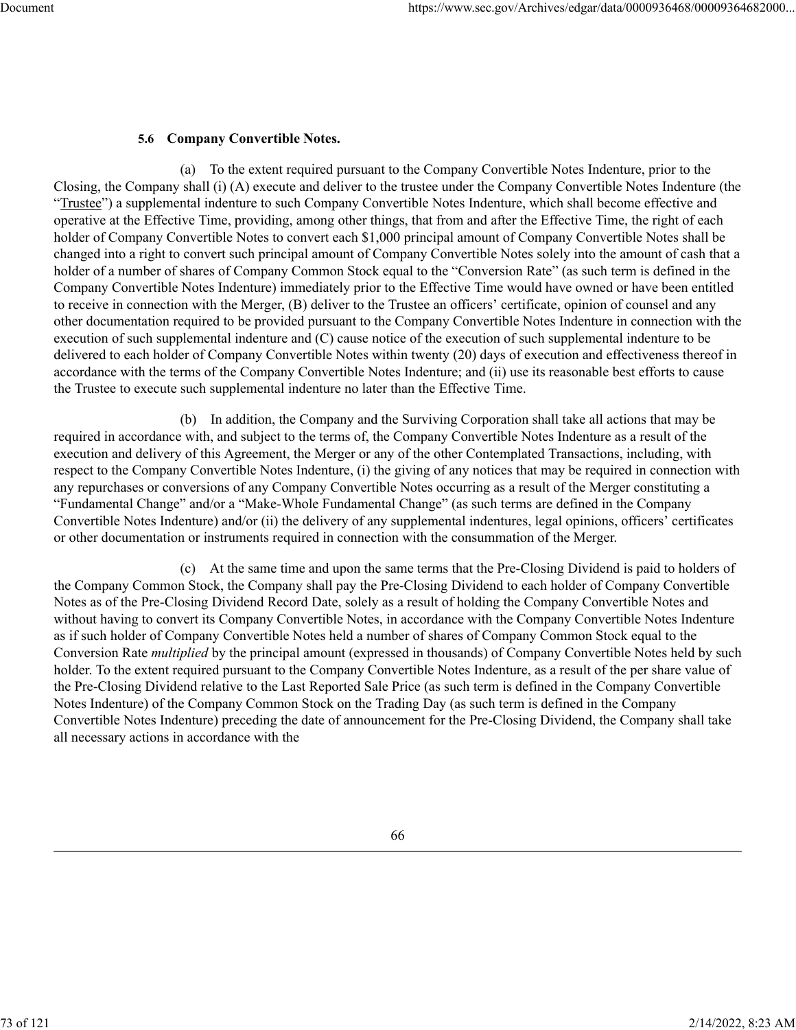# **5.6 Company Convertible Notes.**

(a) To the extent required pursuant to the Company Convertible Notes Indenture, prior to the Closing, the Company shall (i) (A) execute and deliver to the trustee under the Company Convertible Notes Indenture (the "Trustee") a supplemental indenture to such Company Convertible Notes Indenture, which shall become effective and operative at the Effective Time, providing, among other things, that from and after the Effective Time, the right of each holder of Company Convertible Notes to convert each \$1,000 principal amount of Company Convertible Notes shall be changed into a right to convert such principal amount of Company Convertible Notes solely into the amount of cash that a holder of a number of shares of Company Common Stock equal to the "Conversion Rate" (as such term is defined in the Company Convertible Notes Indenture) immediately prior to the Effective Time would have owned or have been entitled to receive in connection with the Merger, (B) deliver to the Trustee an officers' certificate, opinion of counsel and any other documentation required to be provided pursuant to the Company Convertible Notes Indenture in connection with the execution of such supplemental indenture and (C) cause notice of the execution of such supplemental indenture to be delivered to each holder of Company Convertible Notes within twenty (20) days of execution and effectiveness thereof in accordance with the terms of the Company Convertible Notes Indenture; and (ii) use its reasonable best efforts to cause the Trustee to execute such supplemental indenture no later than the Effective Time.

(b) In addition, the Company and the Surviving Corporation shall take all actions that may be required in accordance with, and subject to the terms of, the Company Convertible Notes Indenture as a result of the execution and delivery of this Agreement, the Merger or any of the other Contemplated Transactions, including, with respect to the Company Convertible Notes Indenture, (i) the giving of any notices that may be required in connection with any repurchases or conversions of any Company Convertible Notes occurring as a result of the Merger constituting a "Fundamental Change" and/or a "Make-Whole Fundamental Change" (as such terms are defined in the Company Convertible Notes Indenture) and/or (ii) the delivery of any supplemental indentures, legal opinions, officers' certificates or other documentation or instruments required in connection with the consummation of the Merger.

(c) At the same time and upon the same terms that the Pre-Closing Dividend is paid to holders of the Company Common Stock, the Company shall pay the Pre-Closing Dividend to each holder of Company Convertible Notes as of the Pre-Closing Dividend Record Date, solely as a result of holding the Company Convertible Notes and without having to convert its Company Convertible Notes, in accordance with the Company Convertible Notes Indenture as if such holder of Company Convertible Notes held a number of shares of Company Common Stock equal to the Conversion Rate *multiplied* by the principal amount (expressed in thousands) of Company Convertible Notes held by such holder. To the extent required pursuant to the Company Convertible Notes Indenture, as a result of the per share value of the Pre-Closing Dividend relative to the Last Reported Sale Price (as such term is defined in the Company Convertible Notes Indenture) of the Company Common Stock on the Trading Day (as such term is defined in the Company Convertible Notes Indenture) preceding the date of announcement for the Pre-Closing Dividend, the Company shall take all necessary actions in accordance with the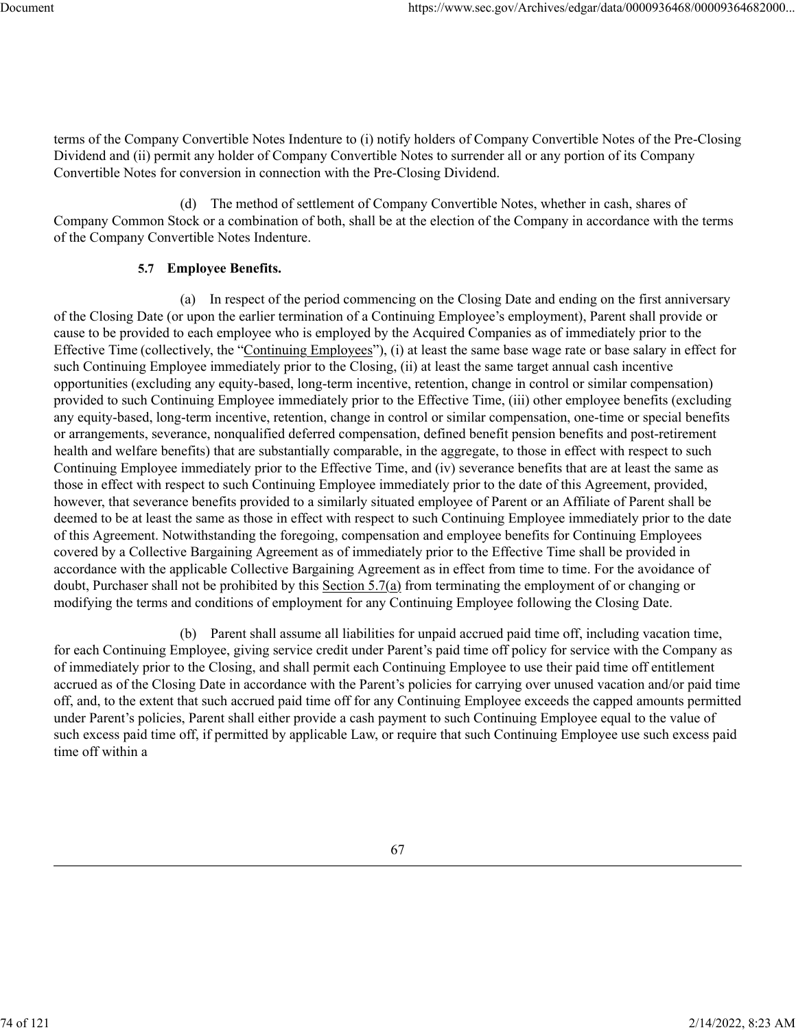terms of the Company Convertible Notes Indenture to (i) notify holders of Company Convertible Notes of the Pre-Closing Dividend and (ii) permit any holder of Company Convertible Notes to surrender all or any portion of its Company Convertible Notes for conversion in connection with the Pre-Closing Dividend.

(d) The method of settlement of Company Convertible Notes, whether in cash, shares of Company Common Stock or a combination of both, shall be at the election of the Company in accordance with the terms of the Company Convertible Notes Indenture.

## **5.7 Employee Benefits.**

(a) In respect of the period commencing on the Closing Date and ending on the first anniversary of the Closing Date (or upon the earlier termination of a Continuing Employee's employment), Parent shall provide or cause to be provided to each employee who is employed by the Acquired Companies as of immediately prior to the Effective Time (collectively, the "Continuing Employees"), (i) at least the same base wage rate or base salary in effect for such Continuing Employee immediately prior to the Closing, (ii) at least the same target annual cash incentive opportunities (excluding any equity-based, long-term incentive, retention, change in control or similar compensation) provided to such Continuing Employee immediately prior to the Effective Time, (iii) other employee benefits (excluding any equity-based, long-term incentive, retention, change in control or similar compensation, one-time or special benefits or arrangements, severance, nonqualified deferred compensation, defined benefit pension benefits and post-retirement health and welfare benefits) that are substantially comparable, in the aggregate, to those in effect with respect to such Continuing Employee immediately prior to the Effective Time, and (iv) severance benefits that are at least the same as those in effect with respect to such Continuing Employee immediately prior to the date of this Agreement, provided, however, that severance benefits provided to a similarly situated employee of Parent or an Affiliate of Parent shall be deemed to be at least the same as those in effect with respect to such Continuing Employee immediately prior to the date of this Agreement. Notwithstanding the foregoing, compensation and employee benefits for Continuing Employees covered by a Collective Bargaining Agreement as of immediately prior to the Effective Time shall be provided in accordance with the applicable Collective Bargaining Agreement as in effect from time to time. For the avoidance of doubt, Purchaser shall not be prohibited by this Section 5.7(a) from terminating the employment of or changing or modifying the terms and conditions of employment for any Continuing Employee following the Closing Date.

(b) Parent shall assume all liabilities for unpaid accrued paid time off, including vacation time, for each Continuing Employee, giving service credit under Parent's paid time off policy for service with the Company as of immediately prior to the Closing, and shall permit each Continuing Employee to use their paid time off entitlement accrued as of the Closing Date in accordance with the Parent's policies for carrying over unused vacation and/or paid time off, and, to the extent that such accrued paid time off for any Continuing Employee exceeds the capped amounts permitted under Parent's policies, Parent shall either provide a cash payment to such Continuing Employee equal to the value of such excess paid time off, if permitted by applicable Law, or require that such Continuing Employee use such excess paid time off within a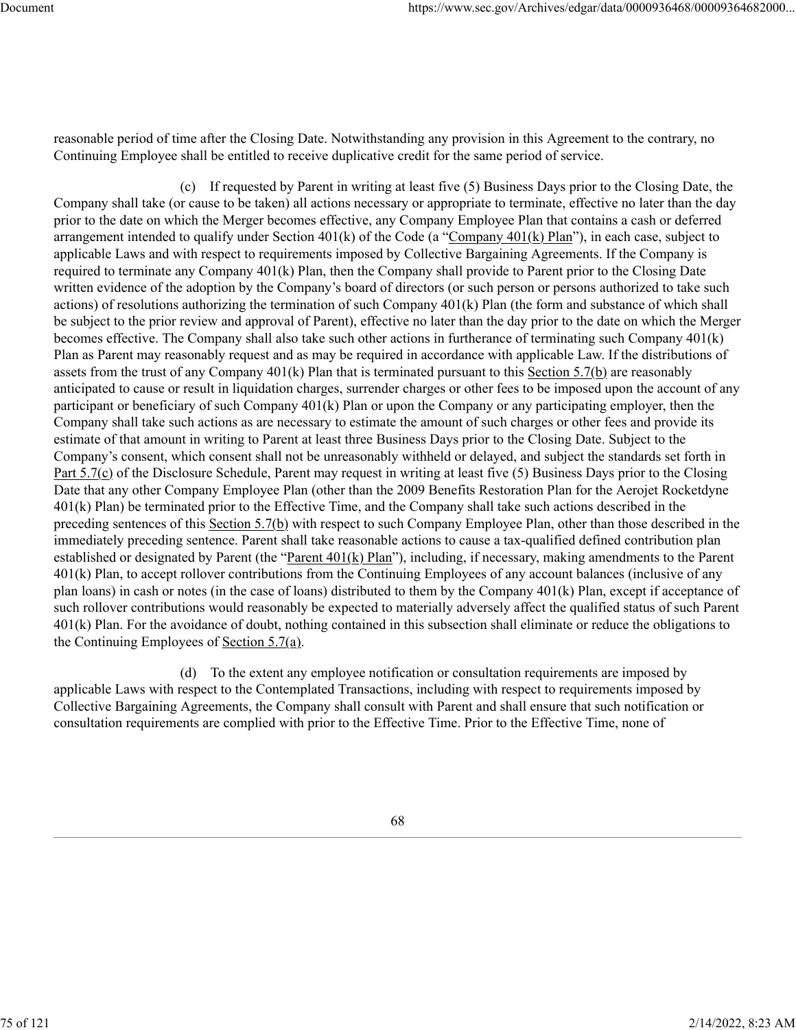reasonable period of time after the Closing Date. Notwithstanding any provision in this Agreement to the contrary, no Continuing Employee shall be entitled to receive duplicative credit for the same period of service.

(c) If requested by Parent in writing at least five (5) Business Days prior to the Closing Date, the Company shall take (or cause to be taken) all actions necessary or appropriate to terminate, effective no later than the day prior to the date on which the Merger becomes effective, any Company Employee Plan that contains a cash or deferred arrangement intended to qualify under Section 401(k) of the Code (a "Company 401(k) Plan"), in each case, subject to applicable Laws and with respect to requirements imposed by Collective Bargaining Agreements. If the Company is required to terminate any Company 401(k) Plan, then the Company shall provide to Parent prior to the Closing Date written evidence of the adoption by the Company's board of directors (or such person or persons authorized to take such actions) of resolutions authorizing the termination of such Company 401(k) Plan (the form and substance of which shall be subject to the prior review and approval of Parent), effective no later than the day prior to the date on which the Merger becomes effective. The Company shall also take such other actions in furtherance of terminating such Company 401(k) Plan as Parent may reasonably request and as may be required in accordance with applicable Law. If the distributions of assets from the trust of any Company  $401(k)$  Plan that is terminated pursuant to this Section 5.7(b) are reasonably anticipated to cause or result in liquidation charges, surrender charges or other fees to be imposed upon the account of any participant or beneficiary of such Company 401(k) Plan or upon the Company or any participating employer, then the Company shall take such actions as are necessary to estimate the amount of such charges or other fees and provide its estimate of that amount in writing to Parent at least three Business Days prior to the Closing Date. Subject to the Company's consent, which consent shall not be unreasonably withheld or delayed, and subject the standards set forth in Part 5.7(c) of the Disclosure Schedule, Parent may request in writing at least five (5) Business Days prior to the Closing Date that any other Company Employee Plan (other than the 2009 Benefits Restoration Plan for the Aerojet Rocketdyne 401(k) Plan) be terminated prior to the Effective Time, and the Company shall take such actions described in the preceding sentences of this Section 5.7(b) with respect to such Company Employee Plan, other than those described in the immediately preceding sentence. Parent shall take reasonable actions to cause a tax-qualified defined contribution plan established or designated by Parent (the "Parent 401(k) Plan"), including, if necessary, making amendments to the Parent 401(k) Plan, to accept rollover contributions from the Continuing Employees of any account balances (inclusive of any plan loans) in cash or notes (in the case of loans) distributed to them by the Company 401(k) Plan, except if acceptance of such rollover contributions would reasonably be expected to materially adversely affect the qualified status of such Parent 401(k) Plan. For the avoidance of doubt, nothing contained in this subsection shall eliminate or reduce the obligations to the Continuing Employees of Section 5.7(a).

(d) To the extent any employee notification or consultation requirements are imposed by applicable Laws with respect to the Contemplated Transactions, including with respect to requirements imposed by Collective Bargaining Agreements, the Company shall consult with Parent and shall ensure that such notification or consultation requirements are complied with prior to the Effective Time. Prior to the Effective Time, none of

68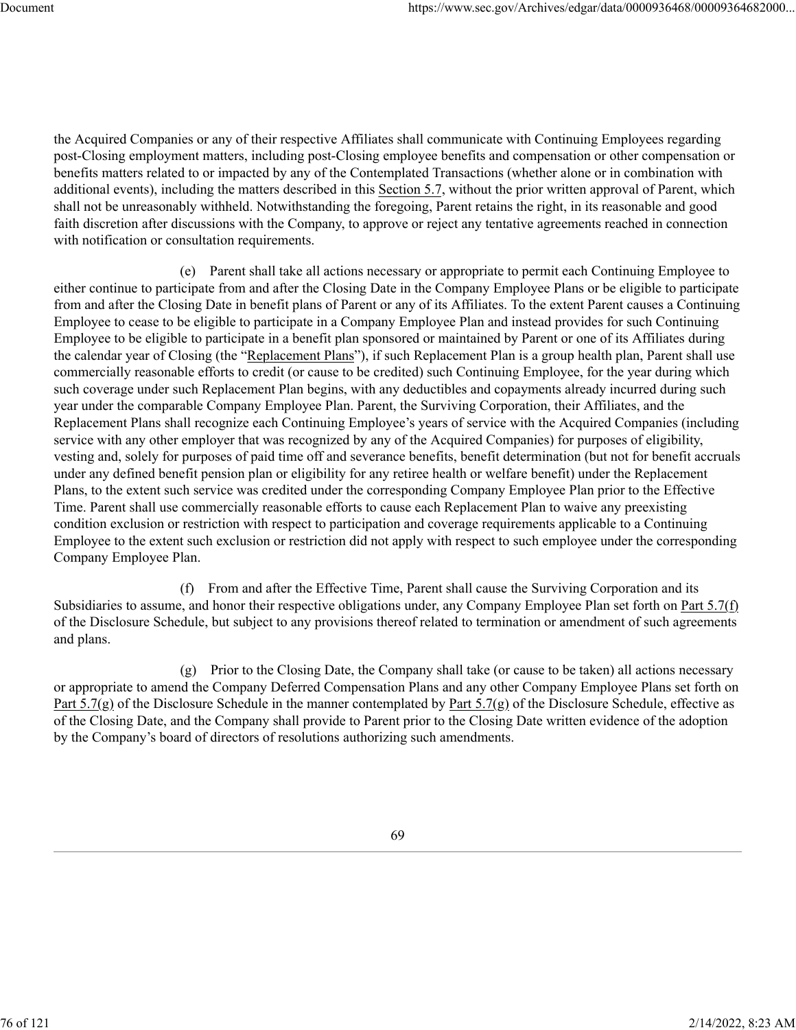the Acquired Companies or any of their respective Affiliates shall communicate with Continuing Employees regarding post-Closing employment matters, including post-Closing employee benefits and compensation or other compensation or benefits matters related to or impacted by any of the Contemplated Transactions (whether alone or in combination with additional events), including the matters described in this Section 5.7, without the prior written approval of Parent, which shall not be unreasonably withheld. Notwithstanding the foregoing, Parent retains the right, in its reasonable and good faith discretion after discussions with the Company, to approve or reject any tentative agreements reached in connection with notification or consultation requirements.

(e) Parent shall take all actions necessary or appropriate to permit each Continuing Employee to either continue to participate from and after the Closing Date in the Company Employee Plans or be eligible to participate from and after the Closing Date in benefit plans of Parent or any of its Affiliates. To the extent Parent causes a Continuing Employee to cease to be eligible to participate in a Company Employee Plan and instead provides for such Continuing Employee to be eligible to participate in a benefit plan sponsored or maintained by Parent or one of its Affiliates during the calendar year of Closing (the "Replacement Plans"), if such Replacement Plan is a group health plan, Parent shall use commercially reasonable efforts to credit (or cause to be credited) such Continuing Employee, for the year during which such coverage under such Replacement Plan begins, with any deductibles and copayments already incurred during such year under the comparable Company Employee Plan. Parent, the Surviving Corporation, their Affiliates, and the Replacement Plans shall recognize each Continuing Employee's years of service with the Acquired Companies (including service with any other employer that was recognized by any of the Acquired Companies) for purposes of eligibility, vesting and, solely for purposes of paid time off and severance benefits, benefit determination (but not for benefit accruals under any defined benefit pension plan or eligibility for any retiree health or welfare benefit) under the Replacement Plans, to the extent such service was credited under the corresponding Company Employee Plan prior to the Effective Time. Parent shall use commercially reasonable efforts to cause each Replacement Plan to waive any preexisting condition exclusion or restriction with respect to participation and coverage requirements applicable to a Continuing Employee to the extent such exclusion or restriction did not apply with respect to such employee under the corresponding Company Employee Plan.

(f) From and after the Effective Time, Parent shall cause the Surviving Corporation and its Subsidiaries to assume, and honor their respective obligations under, any Company Employee Plan set forth on Part 5.7(f) of the Disclosure Schedule, but subject to any provisions thereof related to termination or amendment of such agreements and plans.

(g) Prior to the Closing Date, the Company shall take (or cause to be taken) all actions necessary or appropriate to amend the Company Deferred Compensation Plans and any other Company Employee Plans set forth on Part  $5.7(g)$  of the Disclosure Schedule in the manner contemplated by Part  $5.7(g)$  of the Disclosure Schedule, effective as of the Closing Date, and the Company shall provide to Parent prior to the Closing Date written evidence of the adoption by the Company's board of directors of resolutions authorizing such amendments.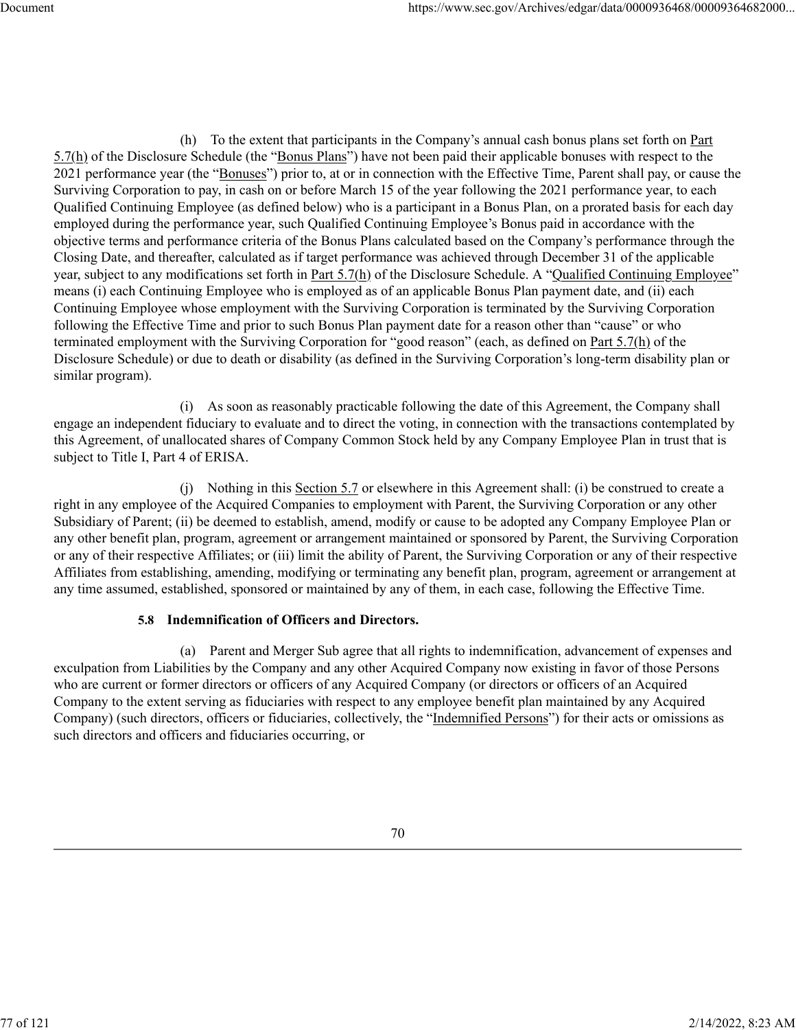(h) To the extent that participants in the Company's annual cash bonus plans set forth on Part 5.7(h) of the Disclosure Schedule (the "Bonus Plans") have not been paid their applicable bonuses with respect to the 2021 performance year (the "Bonuses") prior to, at or in connection with the Effective Time, Parent shall pay, or cause the Surviving Corporation to pay, in cash on or before March 15 of the year following the 2021 performance year, to each Qualified Continuing Employee (as defined below) who is a participant in a Bonus Plan, on a prorated basis for each day employed during the performance year, such Qualified Continuing Employee's Bonus paid in accordance with the objective terms and performance criteria of the Bonus Plans calculated based on the Company's performance through the Closing Date, and thereafter, calculated as if target performance was achieved through December 31 of the applicable year, subject to any modifications set forth in Part 5.7(h) of the Disclosure Schedule. A "Qualified Continuing Employee" means (i) each Continuing Employee who is employed as of an applicable Bonus Plan payment date, and (ii) each Continuing Employee whose employment with the Surviving Corporation is terminated by the Surviving Corporation following the Effective Time and prior to such Bonus Plan payment date for a reason other than "cause" or who terminated employment with the Surviving Corporation for "good reason" (each, as defined on Part 5.7(h) of the Disclosure Schedule) or due to death or disability (as defined in the Surviving Corporation's long-term disability plan or similar program).

(i) As soon as reasonably practicable following the date of this Agreement, the Company shall engage an independent fiduciary to evaluate and to direct the voting, in connection with the transactions contemplated by this Agreement, of unallocated shares of Company Common Stock held by any Company Employee Plan in trust that is subject to Title I, Part 4 of ERISA.

(j) Nothing in this Section 5.7 or elsewhere in this Agreement shall: (i) be construed to create a right in any employee of the Acquired Companies to employment with Parent, the Surviving Corporation or any other Subsidiary of Parent; (ii) be deemed to establish, amend, modify or cause to be adopted any Company Employee Plan or any other benefit plan, program, agreement or arrangement maintained or sponsored by Parent, the Surviving Corporation or any of their respective Affiliates; or (iii) limit the ability of Parent, the Surviving Corporation or any of their respective Affiliates from establishing, amending, modifying or terminating any benefit plan, program, agreement or arrangement at any time assumed, established, sponsored or maintained by any of them, in each case, following the Effective Time.

# **5.8 Indemnification of Officers and Directors.**

(a) Parent and Merger Sub agree that all rights to indemnification, advancement of expenses and exculpation from Liabilities by the Company and any other Acquired Company now existing in favor of those Persons who are current or former directors or officers of any Acquired Company (or directors or officers of an Acquired Company to the extent serving as fiduciaries with respect to any employee benefit plan maintained by any Acquired Company) (such directors, officers or fiduciaries, collectively, the "Indemnified Persons") for their acts or omissions as such directors and officers and fiduciaries occurring, or

77 of 121 2/14/2022, 8:23 AM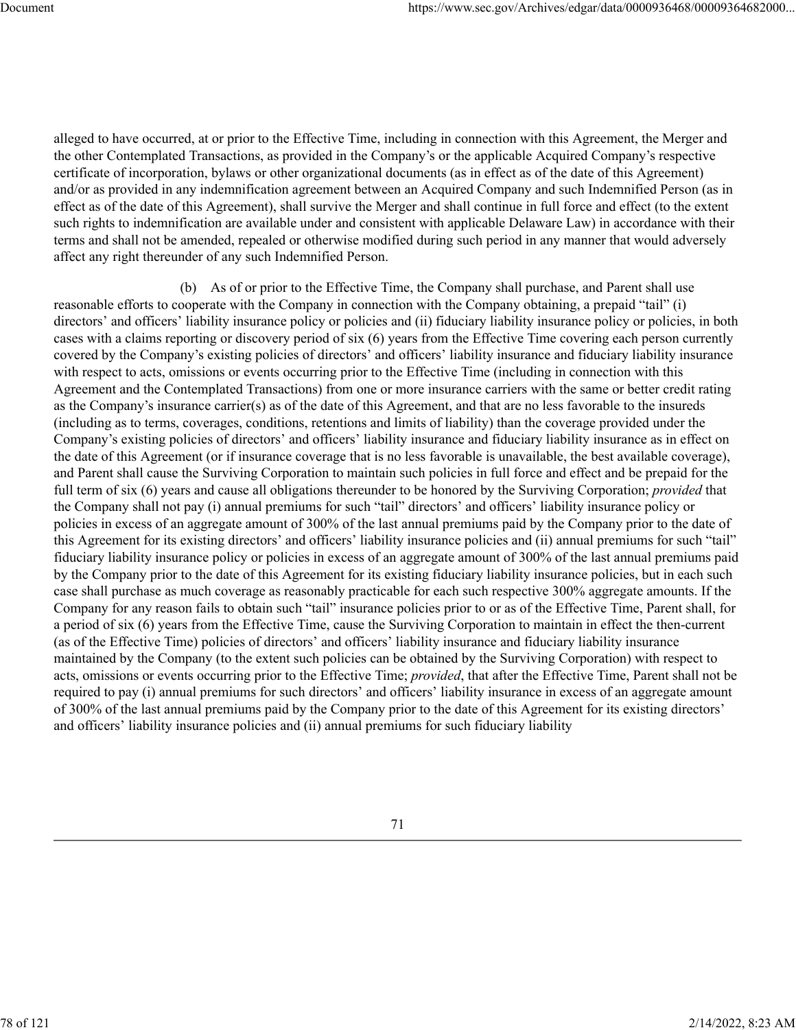alleged to have occurred, at or prior to the Effective Time, including in connection with this Agreement, the Merger and the other Contemplated Transactions, as provided in the Company's or the applicable Acquired Company's respective certificate of incorporation, bylaws or other organizational documents (as in effect as of the date of this Agreement) and/or as provided in any indemnification agreement between an Acquired Company and such Indemnified Person (as in effect as of the date of this Agreement), shall survive the Merger and shall continue in full force and effect (to the extent such rights to indemnification are available under and consistent with applicable Delaware Law) in accordance with their terms and shall not be amended, repealed or otherwise modified during such period in any manner that would adversely affect any right thereunder of any such Indemnified Person.

(b) As of or prior to the Effective Time, the Company shall purchase, and Parent shall use reasonable efforts to cooperate with the Company in connection with the Company obtaining, a prepaid "tail" (i) directors' and officers' liability insurance policy or policies and (ii) fiduciary liability insurance policy or policies, in both cases with a claims reporting or discovery period of six (6) years from the Effective Time covering each person currently covered by the Company's existing policies of directors' and officers' liability insurance and fiduciary liability insurance with respect to acts, omissions or events occurring prior to the Effective Time (including in connection with this Agreement and the Contemplated Transactions) from one or more insurance carriers with the same or better credit rating as the Company's insurance carrier(s) as of the date of this Agreement, and that are no less favorable to the insureds (including as to terms, coverages, conditions, retentions and limits of liability) than the coverage provided under the Company's existing policies of directors' and officers' liability insurance and fiduciary liability insurance as in effect on the date of this Agreement (or if insurance coverage that is no less favorable is unavailable, the best available coverage), and Parent shall cause the Surviving Corporation to maintain such policies in full force and effect and be prepaid for the full term of six (6) years and cause all obligations thereunder to be honored by the Surviving Corporation; *provided* that the Company shall not pay (i) annual premiums for such "tail" directors' and officers' liability insurance policy or policies in excess of an aggregate amount of 300% of the last annual premiums paid by the Company prior to the date of this Agreement for its existing directors' and officers' liability insurance policies and (ii) annual premiums for such "tail" fiduciary liability insurance policy or policies in excess of an aggregate amount of 300% of the last annual premiums paid by the Company prior to the date of this Agreement for its existing fiduciary liability insurance policies, but in each such case shall purchase as much coverage as reasonably practicable for each such respective 300% aggregate amounts. If the Company for any reason fails to obtain such "tail" insurance policies prior to or as of the Effective Time, Parent shall, for a period of six (6) years from the Effective Time, cause the Surviving Corporation to maintain in effect the then-current (as of the Effective Time) policies of directors' and officers' liability insurance and fiduciary liability insurance maintained by the Company (to the extent such policies can be obtained by the Surviving Corporation) with respect to acts, omissions or events occurring prior to the Effective Time; *provided*, that after the Effective Time, Parent shall not be required to pay (i) annual premiums for such directors' and officers' liability insurance in excess of an aggregate amount of 300% of the last annual premiums paid by the Company prior to the date of this Agreement for its existing directors' and officers' liability insurance policies and (ii) annual premiums for such fiduciary liability

71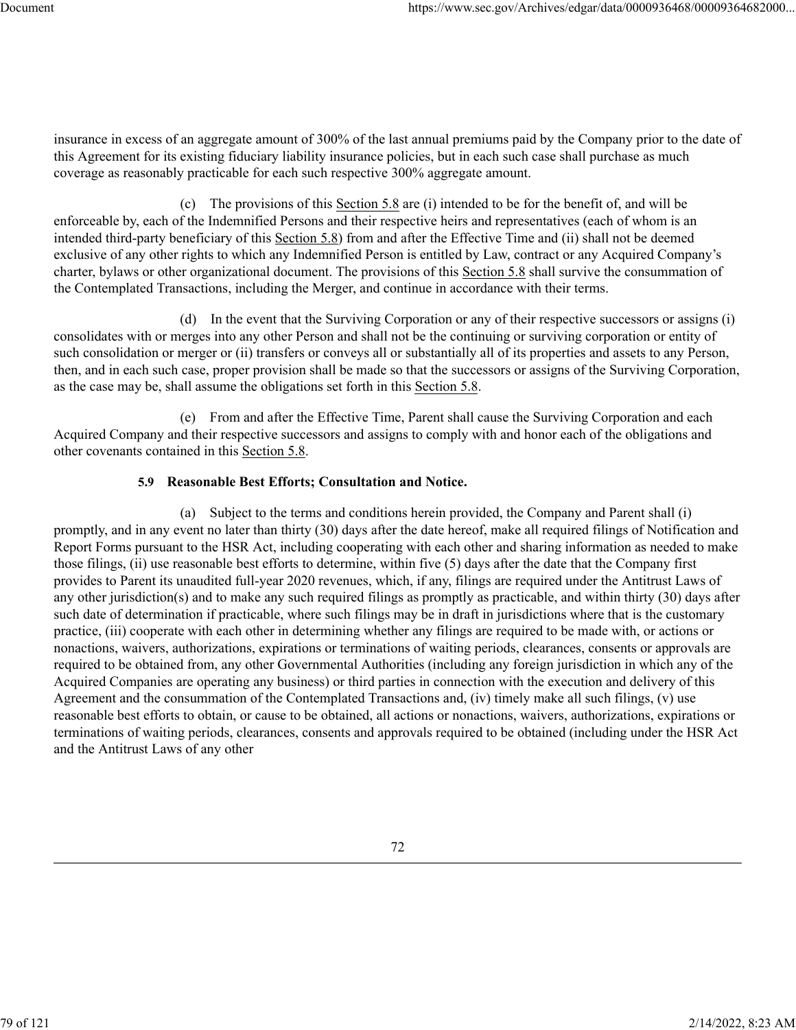insurance in excess of an aggregate amount of 300% of the last annual premiums paid by the Company prior to the date of this Agreement for its existing fiduciary liability insurance policies, but in each such case shall purchase as much coverage as reasonably practicable for each such respective 300% aggregate amount.

(c) The provisions of this Section 5.8 are (i) intended to be for the benefit of, and will be enforceable by, each of the Indemnified Persons and their respective heirs and representatives (each of whom is an intended third-party beneficiary of this Section 5.8) from and after the Effective Time and (ii) shall not be deemed exclusive of any other rights to which any Indemnified Person is entitled by Law, contract or any Acquired Company's charter, bylaws or other organizational document. The provisions of this Section 5.8 shall survive the consummation of the Contemplated Transactions, including the Merger, and continue in accordance with their terms.

(d) In the event that the Surviving Corporation or any of their respective successors or assigns (i) consolidates with or merges into any other Person and shall not be the continuing or surviving corporation or entity of such consolidation or merger or (ii) transfers or conveys all or substantially all of its properties and assets to any Person, then, and in each such case, proper provision shall be made so that the successors or assigns of the Surviving Corporation, as the case may be, shall assume the obligations set forth in this Section 5.8.

(e) From and after the Effective Time, Parent shall cause the Surviving Corporation and each Acquired Company and their respective successors and assigns to comply with and honor each of the obligations and other covenants contained in this Section 5.8.

# **5.9 Reasonable Best Efforts; Consultation and Notice.**

(a) Subject to the terms and conditions herein provided, the Company and Parent shall (i) promptly, and in any event no later than thirty (30) days after the date hereof, make all required filings of Notification and Report Forms pursuant to the HSR Act, including cooperating with each other and sharing information as needed to make those filings, (ii) use reasonable best efforts to determine, within five (5) days after the date that the Company first provides to Parent its unaudited full-year 2020 revenues, which, if any, filings are required under the Antitrust Laws of any other jurisdiction(s) and to make any such required filings as promptly as practicable, and within thirty (30) days after such date of determination if practicable, where such filings may be in draft in jurisdictions where that is the customary practice, (iii) cooperate with each other in determining whether any filings are required to be made with, or actions or nonactions, waivers, authorizations, expirations or terminations of waiting periods, clearances, consents or approvals are required to be obtained from, any other Governmental Authorities (including any foreign jurisdiction in which any of the Acquired Companies are operating any business) or third parties in connection with the execution and delivery of this Agreement and the consummation of the Contemplated Transactions and, (iv) timely make all such filings, (v) use reasonable best efforts to obtain, or cause to be obtained, all actions or nonactions, waivers, authorizations, expirations or terminations of waiting periods, clearances, consents and approvals required to be obtained (including under the HSR Act and the Antitrust Laws of any other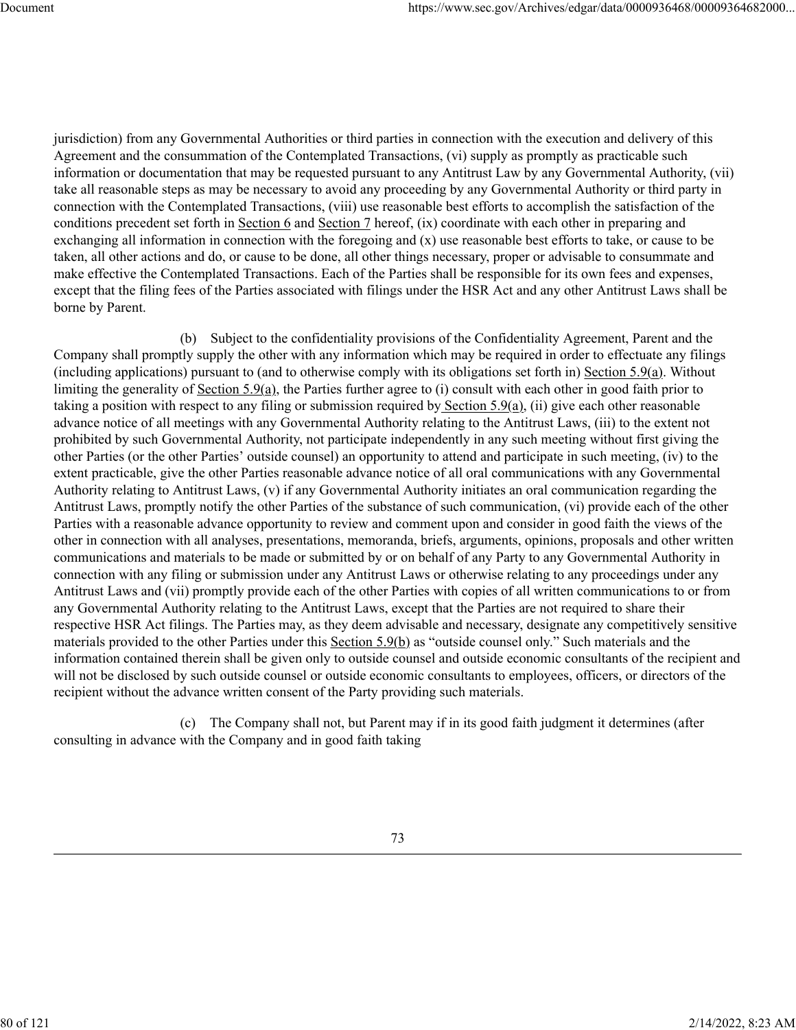jurisdiction) from any Governmental Authorities or third parties in connection with the execution and delivery of this Agreement and the consummation of the Contemplated Transactions, (vi) supply as promptly as practicable such information or documentation that may be requested pursuant to any Antitrust Law by any Governmental Authority, (vii) take all reasonable steps as may be necessary to avoid any proceeding by any Governmental Authority or third party in connection with the Contemplated Transactions, (viii) use reasonable best efforts to accomplish the satisfaction of the conditions precedent set forth in Section 6 and Section 7 hereof, (ix) coordinate with each other in preparing and exchanging all information in connection with the foregoing and (x) use reasonable best efforts to take, or cause to be taken, all other actions and do, or cause to be done, all other things necessary, proper or advisable to consummate and make effective the Contemplated Transactions. Each of the Parties shall be responsible for its own fees and expenses, except that the filing fees of the Parties associated with filings under the HSR Act and any other Antitrust Laws shall be borne by Parent.

(b) Subject to the confidentiality provisions of the Confidentiality Agreement, Parent and the Company shall promptly supply the other with any information which may be required in order to effectuate any filings (including applications) pursuant to (and to otherwise comply with its obligations set forth in) Section 5.9(a). Without limiting the generality of Section 5.9(a), the Parties further agree to (i) consult with each other in good faith prior to taking a position with respect to any filing or submission required by Section  $5.9(a)$ , (ii) give each other reasonable advance notice of all meetings with any Governmental Authority relating to the Antitrust Laws, (iii) to the extent not prohibited by such Governmental Authority, not participate independently in any such meeting without first giving the other Parties (or the other Parties' outside counsel) an opportunity to attend and participate in such meeting, (iv) to the extent practicable, give the other Parties reasonable advance notice of all oral communications with any Governmental Authority relating to Antitrust Laws, (v) if any Governmental Authority initiates an oral communication regarding the Antitrust Laws, promptly notify the other Parties of the substance of such communication, (vi) provide each of the other Parties with a reasonable advance opportunity to review and comment upon and consider in good faith the views of the other in connection with all analyses, presentations, memoranda, briefs, arguments, opinions, proposals and other written communications and materials to be made or submitted by or on behalf of any Party to any Governmental Authority in connection with any filing or submission under any Antitrust Laws or otherwise relating to any proceedings under any Antitrust Laws and (vii) promptly provide each of the other Parties with copies of all written communications to or from any Governmental Authority relating to the Antitrust Laws, except that the Parties are not required to share their respective HSR Act filings. The Parties may, as they deem advisable and necessary, designate any competitively sensitive materials provided to the other Parties under this Section 5.9(b) as "outside counsel only." Such materials and the information contained therein shall be given only to outside counsel and outside economic consultants of the recipient and will not be disclosed by such outside counsel or outside economic consultants to employees, officers, or directors of the recipient without the advance written consent of the Party providing such materials.

(c) The Company shall not, but Parent may if in its good faith judgment it determines (after consulting in advance with the Company and in good faith taking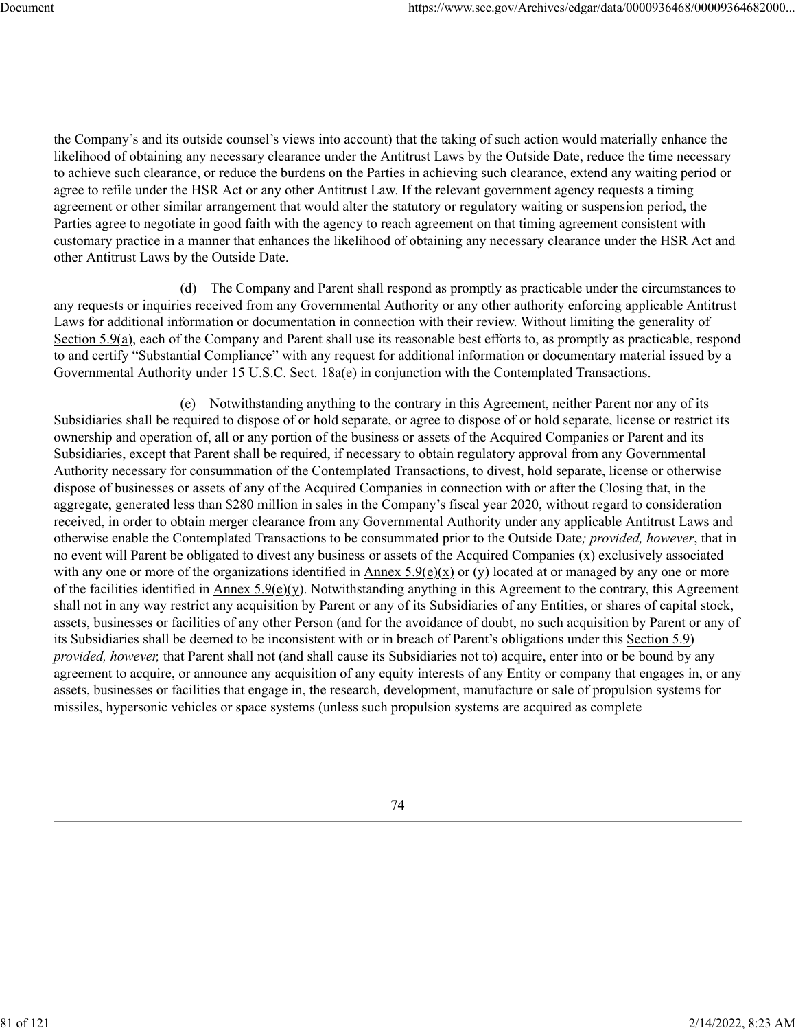the Company's and its outside counsel's views into account) that the taking of such action would materially enhance the likelihood of obtaining any necessary clearance under the Antitrust Laws by the Outside Date, reduce the time necessary to achieve such clearance, or reduce the burdens on the Parties in achieving such clearance, extend any waiting period or agree to refile under the HSR Act or any other Antitrust Law. If the relevant government agency requests a timing agreement or other similar arrangement that would alter the statutory or regulatory waiting or suspension period, the Parties agree to negotiate in good faith with the agency to reach agreement on that timing agreement consistent with customary practice in a manner that enhances the likelihood of obtaining any necessary clearance under the HSR Act and other Antitrust Laws by the Outside Date.

(d) The Company and Parent shall respond as promptly as practicable under the circumstances to any requests or inquiries received from any Governmental Authority or any other authority enforcing applicable Antitrust Laws for additional information or documentation in connection with their review. Without limiting the generality of Section 5.9(a), each of the Company and Parent shall use its reasonable best efforts to, as promptly as practicable, respond to and certify "Substantial Compliance" with any request for additional information or documentary material issued by a Governmental Authority under 15 U.S.C. Sect. 18a(e) in conjunction with the Contemplated Transactions.

(e) Notwithstanding anything to the contrary in this Agreement, neither Parent nor any of its Subsidiaries shall be required to dispose of or hold separate, or agree to dispose of or hold separate, license or restrict its ownership and operation of, all or any portion of the business or assets of the Acquired Companies or Parent and its Subsidiaries, except that Parent shall be required, if necessary to obtain regulatory approval from any Governmental Authority necessary for consummation of the Contemplated Transactions, to divest, hold separate, license or otherwise dispose of businesses or assets of any of the Acquired Companies in connection with or after the Closing that, in the aggregate, generated less than \$280 million in sales in the Company's fiscal year 2020, without regard to consideration received, in order to obtain merger clearance from any Governmental Authority under any applicable Antitrust Laws and otherwise enable the Contemplated Transactions to be consummated prior to the Outside Date*; provided, however*, that in no event will Parent be obligated to divest any business or assets of the Acquired Companies (x) exclusively associated with any one or more of the organizations identified in Annex  $5.9(e)(x)$  or (y) located at or managed by any one or more of the facilities identified in Annex 5.9(e)(y). Notwithstanding anything in this Agreement to the contrary, this Agreement shall not in any way restrict any acquisition by Parent or any of its Subsidiaries of any Entities, or shares of capital stock, assets, businesses or facilities of any other Person (and for the avoidance of doubt, no such acquisition by Parent or any of its Subsidiaries shall be deemed to be inconsistent with or in breach of Parent's obligations under this Section 5.9) *provided, however,* that Parent shall not (and shall cause its Subsidiaries not to) acquire, enter into or be bound by any agreement to acquire, or announce any acquisition of any equity interests of any Entity or company that engages in, or any assets, businesses or facilities that engage in, the research, development, manufacture or sale of propulsion systems for missiles, hypersonic vehicles or space systems (unless such propulsion systems are acquired as complete

74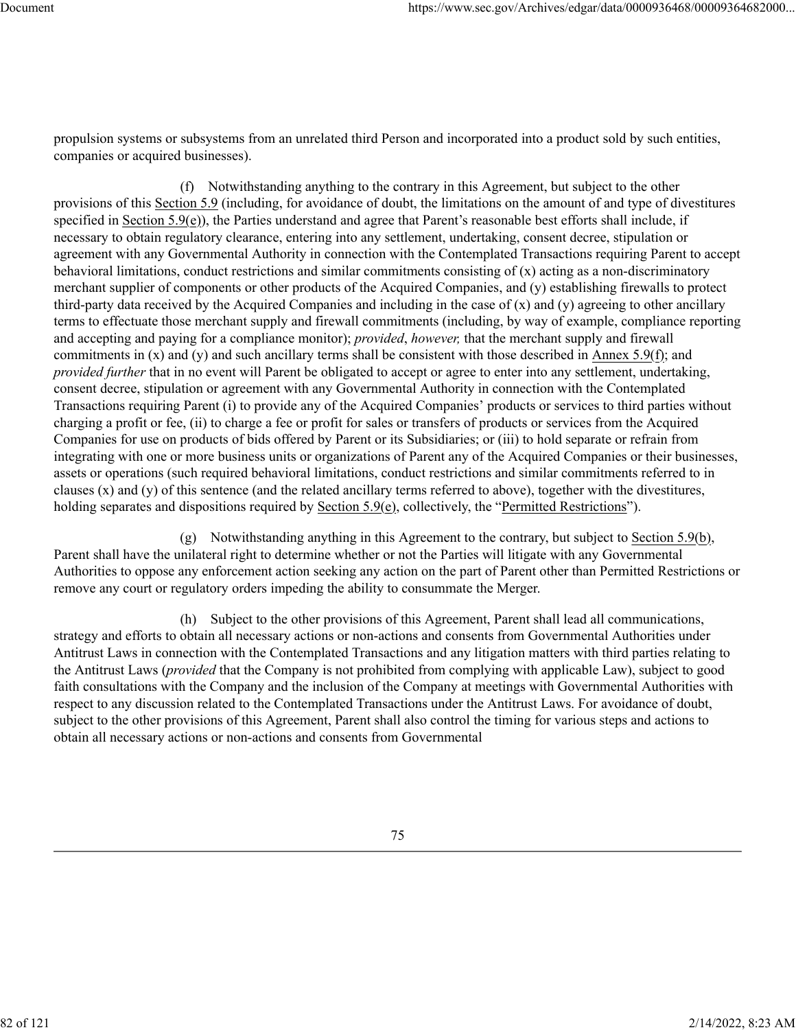propulsion systems or subsystems from an unrelated third Person and incorporated into a product sold by such entities, companies or acquired businesses).

(f) Notwithstanding anything to the contrary in this Agreement, but subject to the other provisions of this Section 5.9 (including, for avoidance of doubt, the limitations on the amount of and type of divestitures specified in Section 5.9(e)), the Parties understand and agree that Parent's reasonable best efforts shall include, if necessary to obtain regulatory clearance, entering into any settlement, undertaking, consent decree, stipulation or agreement with any Governmental Authority in connection with the Contemplated Transactions requiring Parent to accept behavioral limitations, conduct restrictions and similar commitments consisting of (x) acting as a non-discriminatory merchant supplier of components or other products of the Acquired Companies, and (y) establishing firewalls to protect third-party data received by the Acquired Companies and including in the case of  $(x)$  and  $(y)$  agreeing to other ancillary terms to effectuate those merchant supply and firewall commitments (including, by way of example, compliance reporting and accepting and paying for a compliance monitor); *provided*, *however,* that the merchant supply and firewall commitments in  $(x)$  and  $(y)$  and such ancillary terms shall be consistent with those described in Annex 5.9(f); and *provided further* that in no event will Parent be obligated to accept or agree to enter into any settlement, undertaking, consent decree, stipulation or agreement with any Governmental Authority in connection with the Contemplated Transactions requiring Parent (i) to provide any of the Acquired Companies' products or services to third parties without charging a profit or fee, (ii) to charge a fee or profit for sales or transfers of products or services from the Acquired Companies for use on products of bids offered by Parent or its Subsidiaries; or (iii) to hold separate or refrain from integrating with one or more business units or organizations of Parent any of the Acquired Companies or their businesses, assets or operations (such required behavioral limitations, conduct restrictions and similar commitments referred to in clauses  $(x)$  and  $(y)$  of this sentence (and the related ancillary terms referred to above), together with the divestitures, holding separates and dispositions required by Section 5.9(e), collectively, the "Permitted Restrictions").

(g) Notwithstanding anything in this Agreement to the contrary, but subject to Section 5.9(b), Parent shall have the unilateral right to determine whether or not the Parties will litigate with any Governmental Authorities to oppose any enforcement action seeking any action on the part of Parent other than Permitted Restrictions or remove any court or regulatory orders impeding the ability to consummate the Merger.

(h) Subject to the other provisions of this Agreement, Parent shall lead all communications, strategy and efforts to obtain all necessary actions or non-actions and consents from Governmental Authorities under Antitrust Laws in connection with the Contemplated Transactions and any litigation matters with third parties relating to the Antitrust Laws (*provided* that the Company is not prohibited from complying with applicable Law), subject to good faith consultations with the Company and the inclusion of the Company at meetings with Governmental Authorities with respect to any discussion related to the Contemplated Transactions under the Antitrust Laws. For avoidance of doubt, subject to the other provisions of this Agreement, Parent shall also control the timing for various steps and actions to obtain all necessary actions or non-actions and consents from Governmental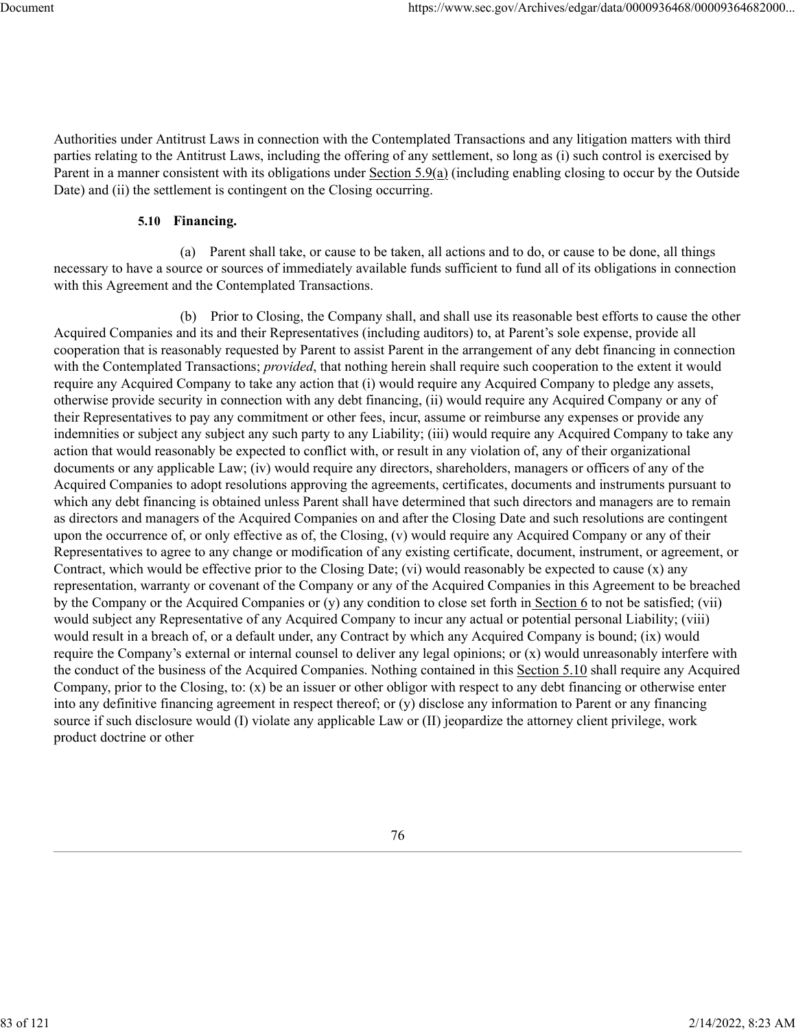Authorities under Antitrust Laws in connection with the Contemplated Transactions and any litigation matters with third parties relating to the Antitrust Laws, including the offering of any settlement, so long as (i) such control is exercised by Parent in a manner consistent with its obligations under Section 5.9(a) (including enabling closing to occur by the Outside Date) and (ii) the settlement is contingent on the Closing occurring.

#### **5.10 Financing.**

(a) Parent shall take, or cause to be taken, all actions and to do, or cause to be done, all things necessary to have a source or sources of immediately available funds sufficient to fund all of its obligations in connection with this Agreement and the Contemplated Transactions.

(b) Prior to Closing, the Company shall, and shall use its reasonable best efforts to cause the other Acquired Companies and its and their Representatives (including auditors) to, at Parent's sole expense, provide all cooperation that is reasonably requested by Parent to assist Parent in the arrangement of any debt financing in connection with the Contemplated Transactions; *provided*, that nothing herein shall require such cooperation to the extent it would require any Acquired Company to take any action that (i) would require any Acquired Company to pledge any assets, otherwise provide security in connection with any debt financing, (ii) would require any Acquired Company or any of their Representatives to pay any commitment or other fees, incur, assume or reimburse any expenses or provide any indemnities or subject any subject any such party to any Liability; (iii) would require any Acquired Company to take any action that would reasonably be expected to conflict with, or result in any violation of, any of their organizational documents or any applicable Law; (iv) would require any directors, shareholders, managers or officers of any of the Acquired Companies to adopt resolutions approving the agreements, certificates, documents and instruments pursuant to which any debt financing is obtained unless Parent shall have determined that such directors and managers are to remain as directors and managers of the Acquired Companies on and after the Closing Date and such resolutions are contingent upon the occurrence of, or only effective as of, the Closing, (v) would require any Acquired Company or any of their Representatives to agree to any change or modification of any existing certificate, document, instrument, or agreement, or Contract, which would be effective prior to the Closing Date; (vi) would reasonably be expected to cause  $(x)$  any representation, warranty or covenant of the Company or any of the Acquired Companies in this Agreement to be breached by the Company or the Acquired Companies or (y) any condition to close set forth in Section 6 to not be satisfied; (vii) would subject any Representative of any Acquired Company to incur any actual or potential personal Liability; (viii) would result in a breach of, or a default under, any Contract by which any Acquired Company is bound; (ix) would require the Company's external or internal counsel to deliver any legal opinions; or (x) would unreasonably interfere with the conduct of the business of the Acquired Companies. Nothing contained in this Section 5.10 shall require any Acquired Company, prior to the Closing, to: (x) be an issuer or other obligor with respect to any debt financing or otherwise enter into any definitive financing agreement in respect thereof; or (y) disclose any information to Parent or any financing source if such disclosure would (I) violate any applicable Law or (II) jeopardize the attorney client privilege, work product doctrine or other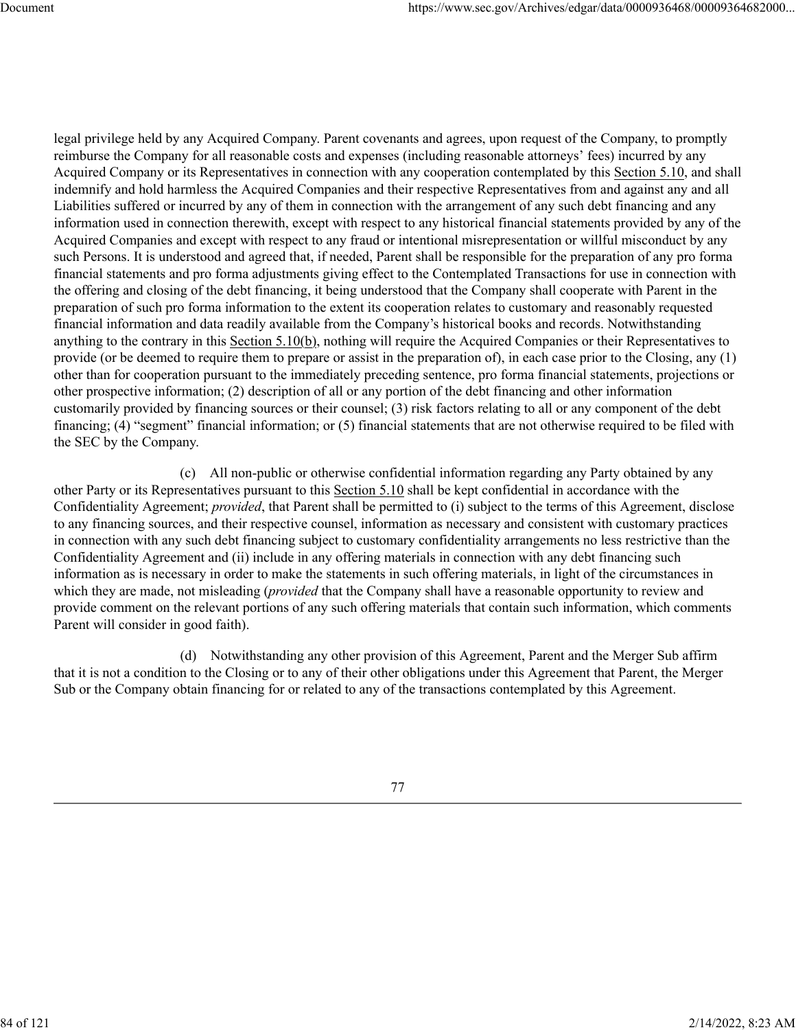legal privilege held by any Acquired Company. Parent covenants and agrees, upon request of the Company, to promptly reimburse the Company for all reasonable costs and expenses (including reasonable attorneys' fees) incurred by any Acquired Company or its Representatives in connection with any cooperation contemplated by this Section 5.10, and shall indemnify and hold harmless the Acquired Companies and their respective Representatives from and against any and all Liabilities suffered or incurred by any of them in connection with the arrangement of any such debt financing and any information used in connection therewith, except with respect to any historical financial statements provided by any of the Acquired Companies and except with respect to any fraud or intentional misrepresentation or willful misconduct by any such Persons. It is understood and agreed that, if needed, Parent shall be responsible for the preparation of any pro forma financial statements and pro forma adjustments giving effect to the Contemplated Transactions for use in connection with the offering and closing of the debt financing, it being understood that the Company shall cooperate with Parent in the preparation of such pro forma information to the extent its cooperation relates to customary and reasonably requested financial information and data readily available from the Company's historical books and records. Notwithstanding anything to the contrary in this Section 5.10(b), nothing will require the Acquired Companies or their Representatives to provide (or be deemed to require them to prepare or assist in the preparation of), in each case prior to the Closing, any (1) other than for cooperation pursuant to the immediately preceding sentence, pro forma financial statements, projections or other prospective information; (2) description of all or any portion of the debt financing and other information customarily provided by financing sources or their counsel; (3) risk factors relating to all or any component of the debt financing; (4) "segment" financial information; or (5) financial statements that are not otherwise required to be filed with the SEC by the Company.

(c) All non-public or otherwise confidential information regarding any Party obtained by any other Party or its Representatives pursuant to this Section 5.10 shall be kept confidential in accordance with the Confidentiality Agreement; *provided*, that Parent shall be permitted to (i) subject to the terms of this Agreement, disclose to any financing sources, and their respective counsel, information as necessary and consistent with customary practices in connection with any such debt financing subject to customary confidentiality arrangements no less restrictive than the Confidentiality Agreement and (ii) include in any offering materials in connection with any debt financing such information as is necessary in order to make the statements in such offering materials, in light of the circumstances in which they are made, not misleading (*provided* that the Company shall have a reasonable opportunity to review and provide comment on the relevant portions of any such offering materials that contain such information, which comments Parent will consider in good faith).

(d) Notwithstanding any other provision of this Agreement, Parent and the Merger Sub affirm that it is not a condition to the Closing or to any of their other obligations under this Agreement that Parent, the Merger Sub or the Company obtain financing for or related to any of the transactions contemplated by this Agreement.

77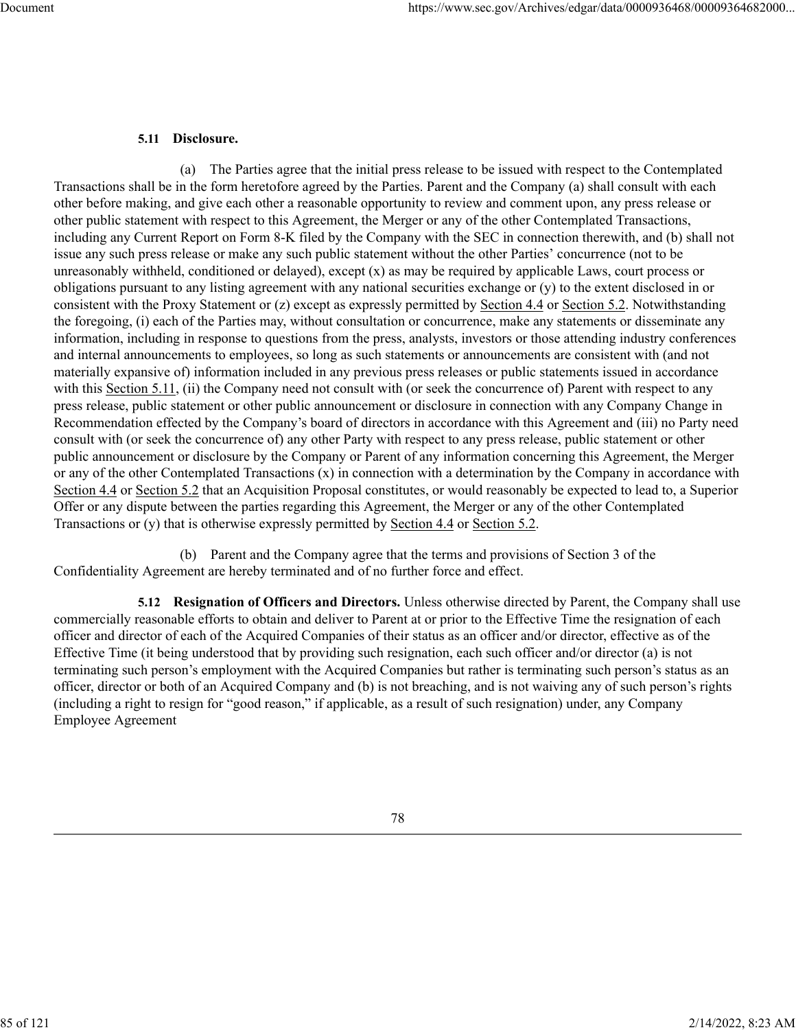## **5.11 Disclosure.**

(a) The Parties agree that the initial press release to be issued with respect to the Contemplated Transactions shall be in the form heretofore agreed by the Parties. Parent and the Company (a) shall consult with each other before making, and give each other a reasonable opportunity to review and comment upon, any press release or other public statement with respect to this Agreement, the Merger or any of the other Contemplated Transactions, including any Current Report on Form 8-K filed by the Company with the SEC in connection therewith, and (b) shall not issue any such press release or make any such public statement without the other Parties' concurrence (not to be unreasonably withheld, conditioned or delayed), except  $(x)$  as may be required by applicable Laws, court process or obligations pursuant to any listing agreement with any national securities exchange or (y) to the extent disclosed in or consistent with the Proxy Statement or (z) except as expressly permitted by Section 4.4 or Section 5.2. Notwithstanding the foregoing, (i) each of the Parties may, without consultation or concurrence, make any statements or disseminate any information, including in response to questions from the press, analysts, investors or those attending industry conferences and internal announcements to employees, so long as such statements or announcements are consistent with (and not materially expansive of) information included in any previous press releases or public statements issued in accordance with this Section 5.11, (ii) the Company need not consult with (or seek the concurrence of) Parent with respect to any press release, public statement or other public announcement or disclosure in connection with any Company Change in Recommendation effected by the Company's board of directors in accordance with this Agreement and (iii) no Party need consult with (or seek the concurrence of) any other Party with respect to any press release, public statement or other public announcement or disclosure by the Company or Parent of any information concerning this Agreement, the Merger or any of the other Contemplated Transactions (x) in connection with a determination by the Company in accordance with Section 4.4 or Section 5.2 that an Acquisition Proposal constitutes, or would reasonably be expected to lead to, a Superior Offer or any dispute between the parties regarding this Agreement, the Merger or any of the other Contemplated Transactions or (y) that is otherwise expressly permitted by Section 4.4 or Section 5.2.

(b) Parent and the Company agree that the terms and provisions of Section 3 of the Confidentiality Agreement are hereby terminated and of no further force and effect.

**5.12 Resignation of Officers and Directors.** Unless otherwise directed by Parent, the Company shall use commercially reasonable efforts to obtain and deliver to Parent at or prior to the Effective Time the resignation of each officer and director of each of the Acquired Companies of their status as an officer and/or director, effective as of the Effective Time (it being understood that by providing such resignation, each such officer and/or director (a) is not terminating such person's employment with the Acquired Companies but rather is terminating such person's status as an officer, director or both of an Acquired Company and (b) is not breaching, and is not waiving any of such person's rights (including a right to resign for "good reason," if applicable, as a result of such resignation) under, any Company Employee Agreement

78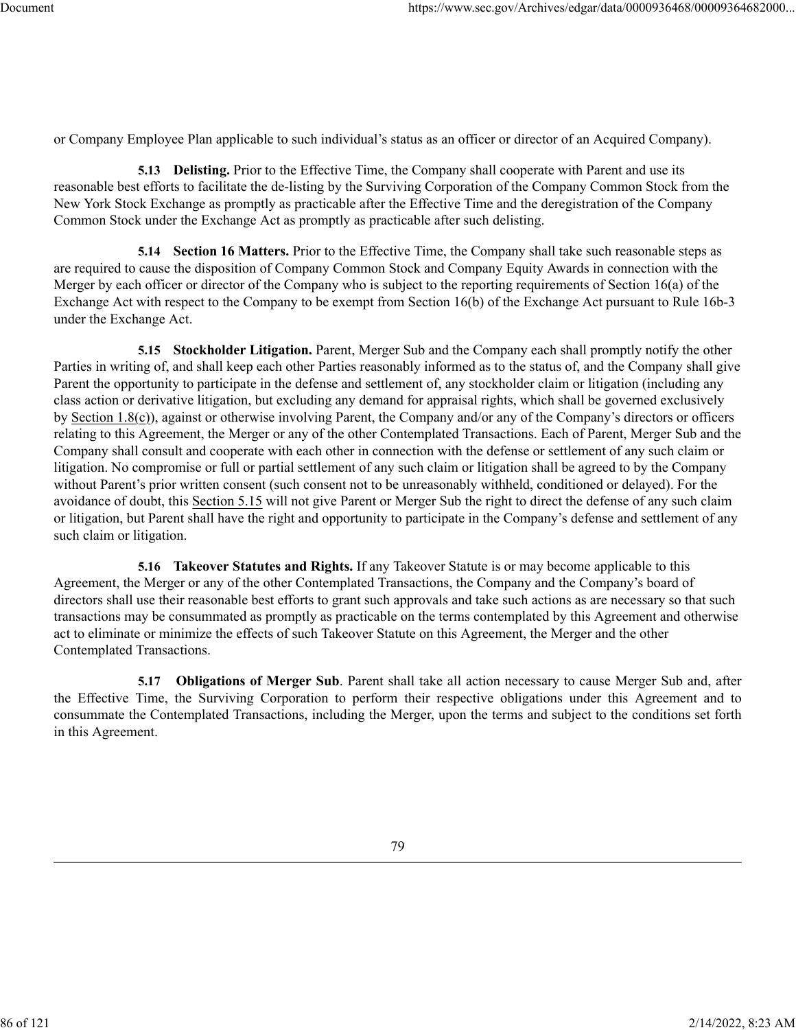or Company Employee Plan applicable to such individual's status as an officer or director of an Acquired Company).

**5.13 Delisting.** Prior to the Effective Time, the Company shall cooperate with Parent and use its reasonable best efforts to facilitate the de-listing by the Surviving Corporation of the Company Common Stock from the New York Stock Exchange as promptly as practicable after the Effective Time and the deregistration of the Company Common Stock under the Exchange Act as promptly as practicable after such delisting.

**5.14 Section 16 Matters.** Prior to the Effective Time, the Company shall take such reasonable steps as are required to cause the disposition of Company Common Stock and Company Equity Awards in connection with the Merger by each officer or director of the Company who is subject to the reporting requirements of Section 16(a) of the Exchange Act with respect to the Company to be exempt from Section 16(b) of the Exchange Act pursuant to Rule 16b-3 under the Exchange Act.

**5.15 Stockholder Litigation.** Parent, Merger Sub and the Company each shall promptly notify the other Parties in writing of, and shall keep each other Parties reasonably informed as to the status of, and the Company shall give Parent the opportunity to participate in the defense and settlement of, any stockholder claim or litigation (including any class action or derivative litigation, but excluding any demand for appraisal rights, which shall be governed exclusively by Section 1.8(c)), against or otherwise involving Parent, the Company and/or any of the Company's directors or officers relating to this Agreement, the Merger or any of the other Contemplated Transactions. Each of Parent, Merger Sub and the Company shall consult and cooperate with each other in connection with the defense or settlement of any such claim or litigation. No compromise or full or partial settlement of any such claim or litigation shall be agreed to by the Company without Parent's prior written consent (such consent not to be unreasonably withheld, conditioned or delayed). For the avoidance of doubt, this Section 5.15 will not give Parent or Merger Sub the right to direct the defense of any such claim or litigation, but Parent shall have the right and opportunity to participate in the Company's defense and settlement of any such claim or litigation.

**5.16 Takeover Statutes and Rights.** If any Takeover Statute is or may become applicable to this Agreement, the Merger or any of the other Contemplated Transactions, the Company and the Company's board of directors shall use their reasonable best efforts to grant such approvals and take such actions as are necessary so that such transactions may be consummated as promptly as practicable on the terms contemplated by this Agreement and otherwise act to eliminate or minimize the effects of such Takeover Statute on this Agreement, the Merger and the other Contemplated Transactions.

**5.17 Obligations of Merger Sub**. Parent shall take all action necessary to cause Merger Sub and, after the Effective Time, the Surviving Corporation to perform their respective obligations under this Agreement and to consummate the Contemplated Transactions, including the Merger, upon the terms and subject to the conditions set forth in this Agreement.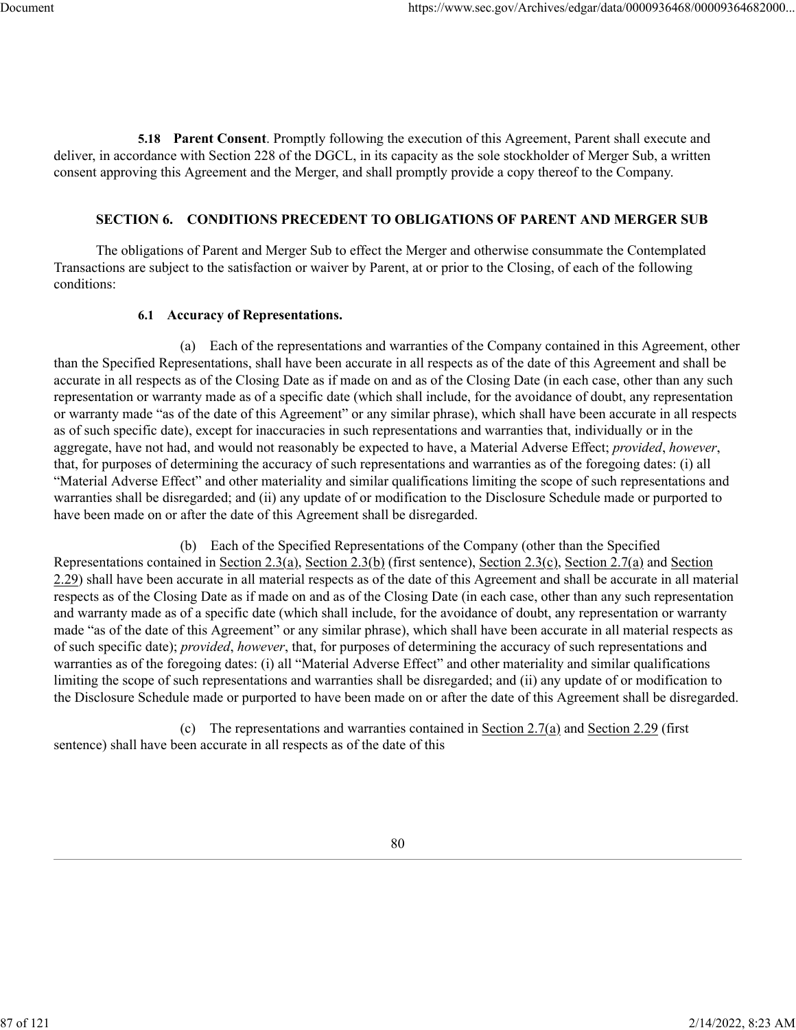**5.18 Parent Consent**. Promptly following the execution of this Agreement, Parent shall execute and deliver, in accordance with Section 228 of the DGCL, in its capacity as the sole stockholder of Merger Sub, a written consent approving this Agreement and the Merger, and shall promptly provide a copy thereof to the Company.

## **SECTION 6. CONDITIONS PRECEDENT TO OBLIGATIONS OF PARENT AND MERGER SUB**

The obligations of Parent and Merger Sub to effect the Merger and otherwise consummate the Contemplated Transactions are subject to the satisfaction or waiver by Parent, at or prior to the Closing, of each of the following conditions:

## **6.1 Accuracy of Representations.**

(a) Each of the representations and warranties of the Company contained in this Agreement, other than the Specified Representations, shall have been accurate in all respects as of the date of this Agreement and shall be accurate in all respects as of the Closing Date as if made on and as of the Closing Date (in each case, other than any such representation or warranty made as of a specific date (which shall include, for the avoidance of doubt, any representation or warranty made "as of the date of this Agreement" or any similar phrase), which shall have been accurate in all respects as of such specific date), except for inaccuracies in such representations and warranties that, individually or in the aggregate, have not had, and would not reasonably be expected to have, a Material Adverse Effect; *provided*, *however*, that, for purposes of determining the accuracy of such representations and warranties as of the foregoing dates: (i) all "Material Adverse Effect" and other materiality and similar qualifications limiting the scope of such representations and warranties shall be disregarded; and (ii) any update of or modification to the Disclosure Schedule made or purported to have been made on or after the date of this Agreement shall be disregarded.

(b) Each of the Specified Representations of the Company (other than the Specified Representations contained in Section 2.3(a), Section 2.3(b) (first sentence), Section 2.3(c), Section 2.7(a) and Section 2.29) shall have been accurate in all material respects as of the date of this Agreement and shall be accurate in all material respects as of the Closing Date as if made on and as of the Closing Date (in each case, other than any such representation and warranty made as of a specific date (which shall include, for the avoidance of doubt, any representation or warranty made "as of the date of this Agreement" or any similar phrase), which shall have been accurate in all material respects as of such specific date); *provided*, *however*, that, for purposes of determining the accuracy of such representations and warranties as of the foregoing dates: (i) all "Material Adverse Effect" and other materiality and similar qualifications limiting the scope of such representations and warranties shall be disregarded; and (ii) any update of or modification to the Disclosure Schedule made or purported to have been made on or after the date of this Agreement shall be disregarded.

(c) The representations and warranties contained in Section 2.7(a) and Section 2.29 (first sentence) shall have been accurate in all respects as of the date of this

87 of 121 2/14/2022, 8:23 AM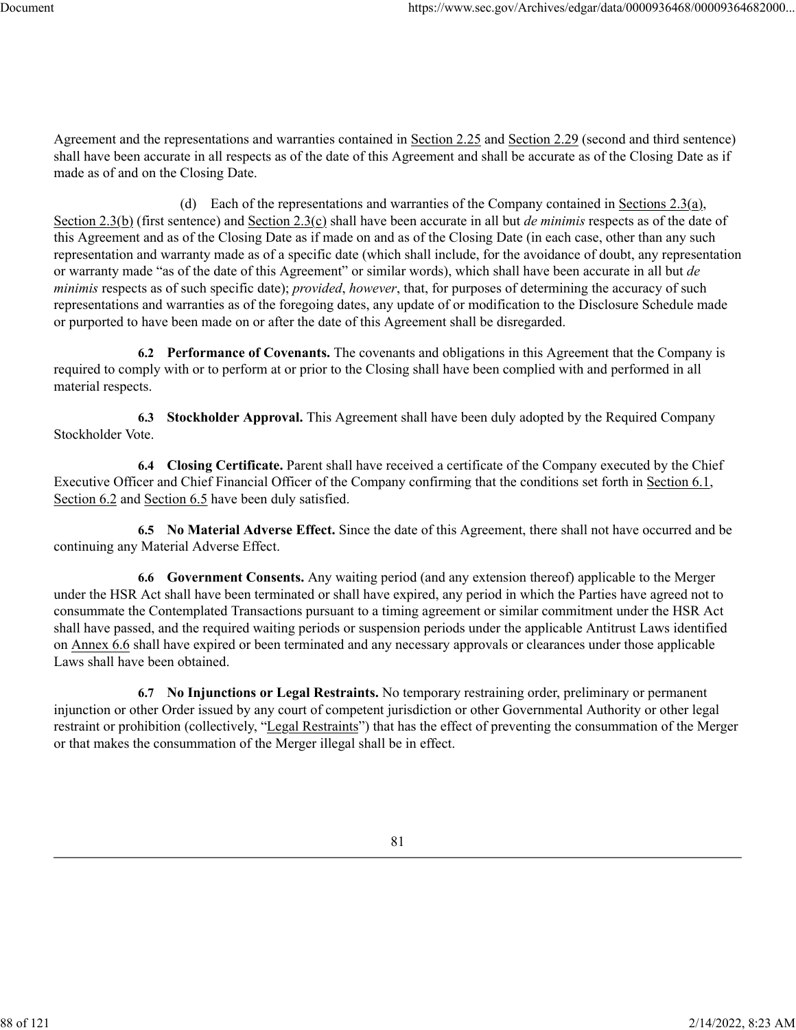Agreement and the representations and warranties contained in Section 2.25 and Section 2.29 (second and third sentence) shall have been accurate in all respects as of the date of this Agreement and shall be accurate as of the Closing Date as if made as of and on the Closing Date.

(d) Each of the representations and warranties of the Company contained in Sections 2.3(a), Section 2.3(b) (first sentence) and Section 2.3(c) shall have been accurate in all but *de minimis* respects as of the date of this Agreement and as of the Closing Date as if made on and as of the Closing Date (in each case, other than any such representation and warranty made as of a specific date (which shall include, for the avoidance of doubt, any representation or warranty made "as of the date of this Agreement" or similar words), which shall have been accurate in all but *de minimis* respects as of such specific date); *provided*, *however*, that, for purposes of determining the accuracy of such representations and warranties as of the foregoing dates, any update of or modification to the Disclosure Schedule made or purported to have been made on or after the date of this Agreement shall be disregarded.

**6.2 Performance of Covenants.** The covenants and obligations in this Agreement that the Company is required to comply with or to perform at or prior to the Closing shall have been complied with and performed in all material respects.

**6.3 Stockholder Approval.** This Agreement shall have been duly adopted by the Required Company Stockholder Vote.

**6.4 Closing Certificate.** Parent shall have received a certificate of the Company executed by the Chief Executive Officer and Chief Financial Officer of the Company confirming that the conditions set forth in Section 6.1, Section 6.2 and Section 6.5 have been duly satisfied.

**6.5 No Material Adverse Effect.** Since the date of this Agreement, there shall not have occurred and be continuing any Material Adverse Effect.

**6.6 Government Consents.** Any waiting period (and any extension thereof) applicable to the Merger under the HSR Act shall have been terminated or shall have expired, any period in which the Parties have agreed not to consummate the Contemplated Transactions pursuant to a timing agreement or similar commitment under the HSR Act shall have passed, and the required waiting periods or suspension periods under the applicable Antitrust Laws identified on Annex 6.6 shall have expired or been terminated and any necessary approvals or clearances under those applicable Laws shall have been obtained.

**6.7 No Injunctions or Legal Restraints.** No temporary restraining order, preliminary or permanent injunction or other Order issued by any court of competent jurisdiction or other Governmental Authority or other legal restraint or prohibition (collectively, "Legal Restraints") that has the effect of preventing the consummation of the Merger or that makes the consummation of the Merger illegal shall be in effect.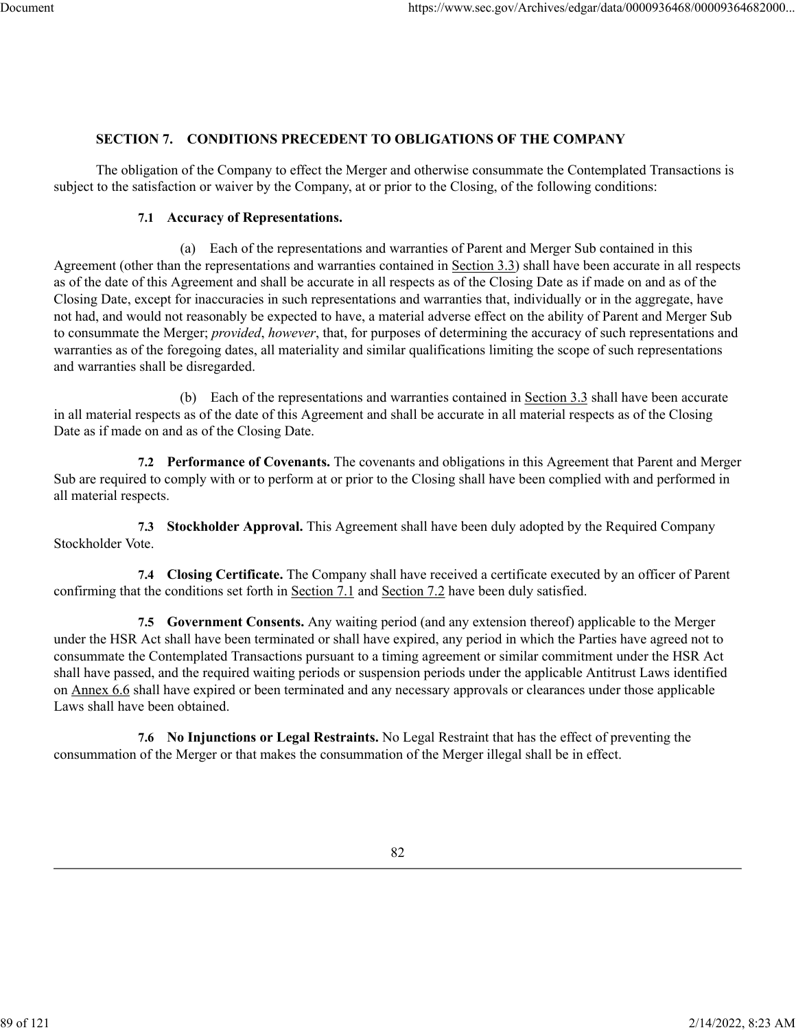## **SECTION 7. CONDITIONS PRECEDENT TO OBLIGATIONS OF THE COMPANY**

The obligation of the Company to effect the Merger and otherwise consummate the Contemplated Transactions is subject to the satisfaction or waiver by the Company, at or prior to the Closing, of the following conditions:

#### **7.1 Accuracy of Representations.**

(a) Each of the representations and warranties of Parent and Merger Sub contained in this Agreement (other than the representations and warranties contained in Section 3.3) shall have been accurate in all respects as of the date of this Agreement and shall be accurate in all respects as of the Closing Date as if made on and as of the Closing Date, except for inaccuracies in such representations and warranties that, individually or in the aggregate, have not had, and would not reasonably be expected to have, a material adverse effect on the ability of Parent and Merger Sub to consummate the Merger; *provided*, *however*, that, for purposes of determining the accuracy of such representations and warranties as of the foregoing dates, all materiality and similar qualifications limiting the scope of such representations and warranties shall be disregarded.

(b) Each of the representations and warranties contained in Section 3.3 shall have been accurate in all material respects as of the date of this Agreement and shall be accurate in all material respects as of the Closing Date as if made on and as of the Closing Date.

**7.2 Performance of Covenants.** The covenants and obligations in this Agreement that Parent and Merger Sub are required to comply with or to perform at or prior to the Closing shall have been complied with and performed in all material respects.

**7.3 Stockholder Approval.** This Agreement shall have been duly adopted by the Required Company Stockholder Vote.

**7.4 Closing Certificate.** The Company shall have received a certificate executed by an officer of Parent confirming that the conditions set forth in Section 7.1 and Section 7.2 have been duly satisfied.

**7.5 Government Consents.** Any waiting period (and any extension thereof) applicable to the Merger under the HSR Act shall have been terminated or shall have expired, any period in which the Parties have agreed not to consummate the Contemplated Transactions pursuant to a timing agreement or similar commitment under the HSR Act shall have passed, and the required waiting periods or suspension periods under the applicable Antitrust Laws identified on Annex 6.6 shall have expired or been terminated and any necessary approvals or clearances under those applicable Laws shall have been obtained.

**7.6 No Injunctions or Legal Restraints.** No Legal Restraint that has the effect of preventing the consummation of the Merger or that makes the consummation of the Merger illegal shall be in effect.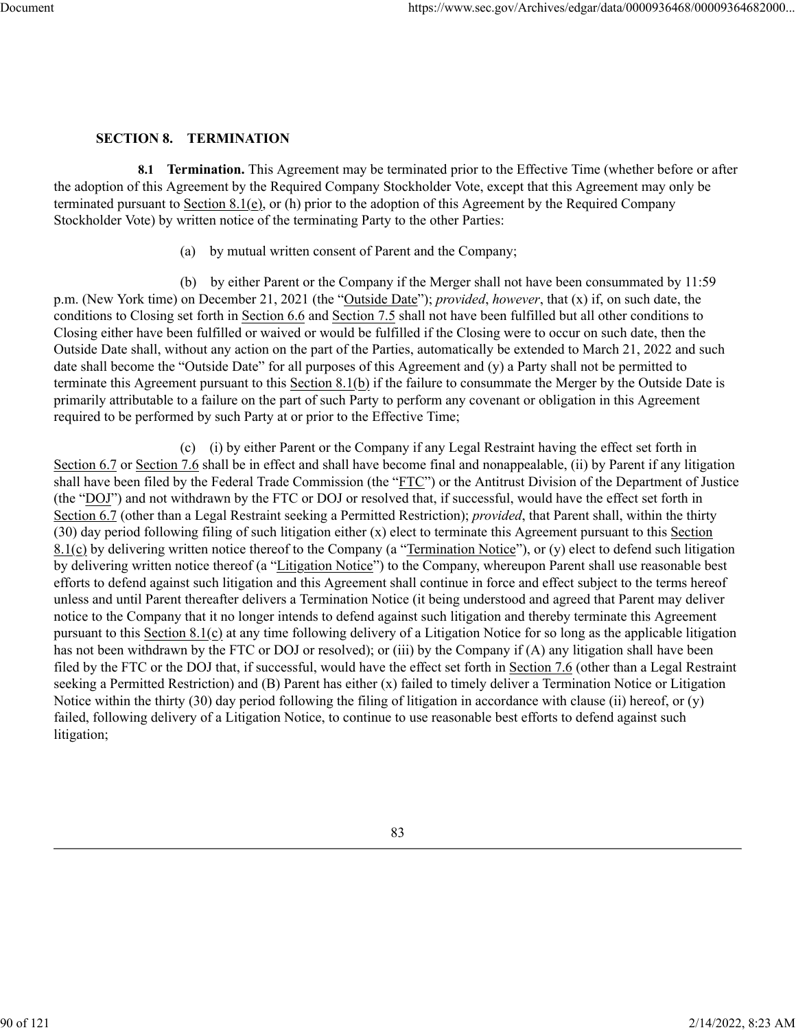#### **SECTION 8. TERMINATION**

**8.1 Termination.** This Agreement may be terminated prior to the Effective Time (whether before or after the adoption of this Agreement by the Required Company Stockholder Vote, except that this Agreement may only be terminated pursuant to Section 8.1(e), or (h) prior to the adoption of this Agreement by the Required Company Stockholder Vote) by written notice of the terminating Party to the other Parties:

(a) by mutual written consent of Parent and the Company;

(b) by either Parent or the Company if the Merger shall not have been consummated by 11:59 p.m. (New York time) on December 21, 2021 (the "Outside Date"); *provided*, *however*, that (x) if, on such date, the conditions to Closing set forth in Section 6.6 and Section 7.5 shall not have been fulfilled but all other conditions to Closing either have been fulfilled or waived or would be fulfilled if the Closing were to occur on such date, then the Outside Date shall, without any action on the part of the Parties, automatically be extended to March 21, 2022 and such date shall become the "Outside Date" for all purposes of this Agreement and (y) a Party shall not be permitted to terminate this Agreement pursuant to this Section 8.1(b) if the failure to consummate the Merger by the Outside Date is primarily attributable to a failure on the part of such Party to perform any covenant or obligation in this Agreement required to be performed by such Party at or prior to the Effective Time;

(c) (i) by either Parent or the Company if any Legal Restraint having the effect set forth in Section 6.7 or Section 7.6 shall be in effect and shall have become final and nonappealable, (ii) by Parent if any litigation shall have been filed by the Federal Trade Commission (the "FTC") or the Antitrust Division of the Department of Justice (the "DOJ") and not withdrawn by the FTC or DOJ or resolved that, if successful, would have the effect set forth in Section 6.7 (other than a Legal Restraint seeking a Permitted Restriction); *provided*, that Parent shall, within the thirty (30) day period following filing of such litigation either (x) elect to terminate this Agreement pursuant to this Section  $8.1(c)$  by delivering written notice thereof to the Company (a "Termination Notice"), or (y) elect to defend such litigation by delivering written notice thereof (a "Litigation Notice") to the Company, whereupon Parent shall use reasonable best efforts to defend against such litigation and this Agreement shall continue in force and effect subject to the terms hereof unless and until Parent thereafter delivers a Termination Notice (it being understood and agreed that Parent may deliver notice to the Company that it no longer intends to defend against such litigation and thereby terminate this Agreement pursuant to this Section 8.1(c) at any time following delivery of a Litigation Notice for so long as the applicable litigation has not been withdrawn by the FTC or DOJ or resolved); or (iii) by the Company if (A) any litigation shall have been filed by the FTC or the DOJ that, if successful, would have the effect set forth in Section 7.6 (other than a Legal Restraint seeking a Permitted Restriction) and (B) Parent has either (x) failed to timely deliver a Termination Notice or Litigation Notice within the thirty (30) day period following the filing of litigation in accordance with clause (ii) hereof, or (y) failed, following delivery of a Litigation Notice, to continue to use reasonable best efforts to defend against such litigation;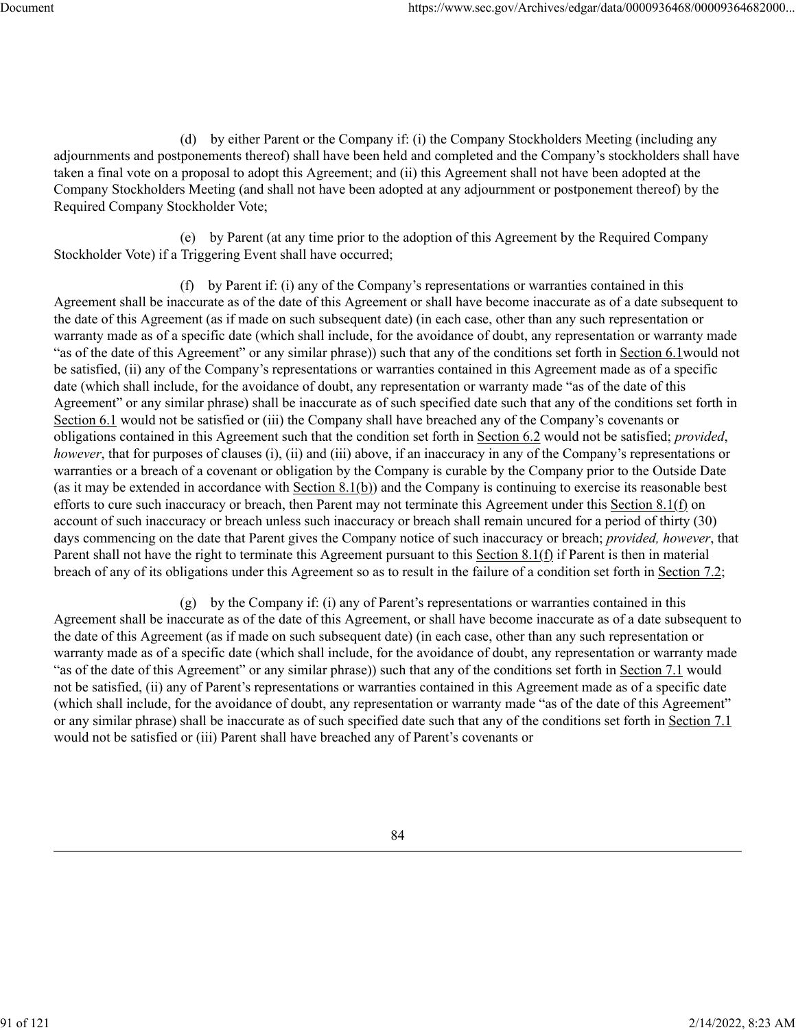(d) by either Parent or the Company if: (i) the Company Stockholders Meeting (including any adjournments and postponements thereof) shall have been held and completed and the Company's stockholders shall have taken a final vote on a proposal to adopt this Agreement; and (ii) this Agreement shall not have been adopted at the Company Stockholders Meeting (and shall not have been adopted at any adjournment or postponement thereof) by the Required Company Stockholder Vote;

(e) by Parent (at any time prior to the adoption of this Agreement by the Required Company Stockholder Vote) if a Triggering Event shall have occurred;

(f) by Parent if: (i) any of the Company's representations or warranties contained in this Agreement shall be inaccurate as of the date of this Agreement or shall have become inaccurate as of a date subsequent to the date of this Agreement (as if made on such subsequent date) (in each case, other than any such representation or warranty made as of a specific date (which shall include, for the avoidance of doubt, any representation or warranty made "as of the date of this Agreement" or any similar phrase)) such that any of the conditions set forth in Section 6.1would not be satisfied, (ii) any of the Company's representations or warranties contained in this Agreement made as of a specific date (which shall include, for the avoidance of doubt, any representation or warranty made "as of the date of this Agreement" or any similar phrase) shall be inaccurate as of such specified date such that any of the conditions set forth in Section 6.1 would not be satisfied or (iii) the Company shall have breached any of the Company's covenants or obligations contained in this Agreement such that the condition set forth in Section 6.2 would not be satisfied; *provided*, *however*, that for purposes of clauses (i), (ii) and (iii) above, if an inaccuracy in any of the Company's representations or warranties or a breach of a covenant or obligation by the Company is curable by the Company prior to the Outside Date (as it may be extended in accordance with Section 8.1(b)) and the Company is continuing to exercise its reasonable best efforts to cure such inaccuracy or breach, then Parent may not terminate this Agreement under this Section 8.1(f) on account of such inaccuracy or breach unless such inaccuracy or breach shall remain uncured for a period of thirty (30) days commencing on the date that Parent gives the Company notice of such inaccuracy or breach; *provided, however*, that Parent shall not have the right to terminate this Agreement pursuant to this Section 8.1(f) if Parent is then in material breach of any of its obligations under this Agreement so as to result in the failure of a condition set forth in Section 7.2;

(g) by the Company if: (i) any of Parent's representations or warranties contained in this Agreement shall be inaccurate as of the date of this Agreement, or shall have become inaccurate as of a date subsequent to the date of this Agreement (as if made on such subsequent date) (in each case, other than any such representation or warranty made as of a specific date (which shall include, for the avoidance of doubt, any representation or warranty made "as of the date of this Agreement" or any similar phrase)) such that any of the conditions set forth in Section 7.1 would not be satisfied, (ii) any of Parent's representations or warranties contained in this Agreement made as of a specific date (which shall include, for the avoidance of doubt, any representation or warranty made "as of the date of this Agreement" or any similar phrase) shall be inaccurate as of such specified date such that any of the conditions set forth in Section 7.1 would not be satisfied or (iii) Parent shall have breached any of Parent's covenants or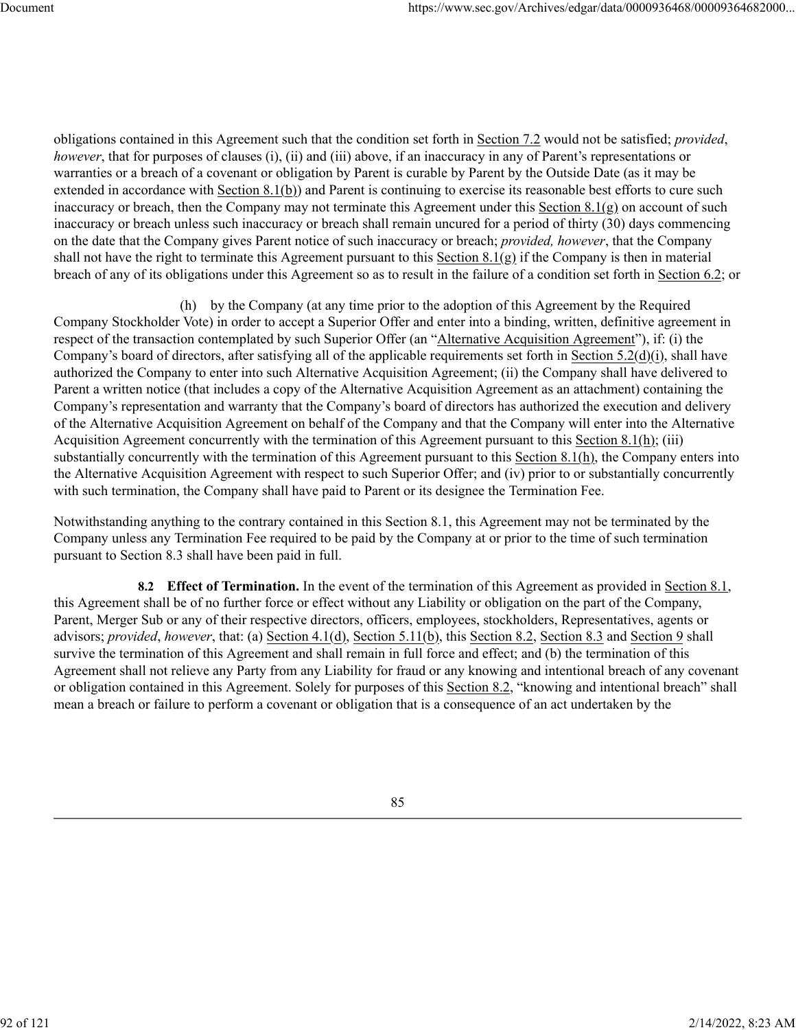obligations contained in this Agreement such that the condition set forth in Section 7.2 would not be satisfied; *provided*, *however*, that for purposes of clauses (i), (ii) and (iii) above, if an inaccuracy in any of Parent's representations or warranties or a breach of a covenant or obligation by Parent is curable by Parent by the Outside Date (as it may be extended in accordance with Section 8.1(b)) and Parent is continuing to exercise its reasonable best efforts to cure such inaccuracy or breach, then the Company may not terminate this Agreement under this Section  $8.1(g)$  on account of such inaccuracy or breach unless such inaccuracy or breach shall remain uncured for a period of thirty (30) days commencing on the date that the Company gives Parent notice of such inaccuracy or breach; *provided, however*, that the Company shall not have the right to terminate this Agreement pursuant to this Section 8.1(g) if the Company is then in material breach of any of its obligations under this Agreement so as to result in the failure of a condition set forth in Section 6.2; or

(h) by the Company (at any time prior to the adoption of this Agreement by the Required Company Stockholder Vote) in order to accept a Superior Offer and enter into a binding, written, definitive agreement in respect of the transaction contemplated by such Superior Offer (an "Alternative Acquisition Agreement"), if: (i) the Company's board of directors, after satisfying all of the applicable requirements set forth in Section 5.2(d)(i), shall have authorized the Company to enter into such Alternative Acquisition Agreement; (ii) the Company shall have delivered to Parent a written notice (that includes a copy of the Alternative Acquisition Agreement as an attachment) containing the Company's representation and warranty that the Company's board of directors has authorized the execution and delivery of the Alternative Acquisition Agreement on behalf of the Company and that the Company will enter into the Alternative Acquisition Agreement concurrently with the termination of this Agreement pursuant to this Section 8.1(h); (iii) substantially concurrently with the termination of this Agreement pursuant to this Section 8.1(h), the Company enters into the Alternative Acquisition Agreement with respect to such Superior Offer; and (iv) prior to or substantially concurrently with such termination, the Company shall have paid to Parent or its designee the Termination Fee.

Notwithstanding anything to the contrary contained in this Section 8.1, this Agreement may not be terminated by the Company unless any Termination Fee required to be paid by the Company at or prior to the time of such termination pursuant to Section 8.3 shall have been paid in full.

**8.2 Effect of Termination.** In the event of the termination of this Agreement as provided in Section 8.1, this Agreement shall be of no further force or effect without any Liability or obligation on the part of the Company, Parent, Merger Sub or any of their respective directors, officers, employees, stockholders, Representatives, agents or advisors; *provided*, however, that: (a) Section 4.1(d), Section 5.11(b), this Section 8.2, Section 8.3 and Section 9 shall survive the termination of this Agreement and shall remain in full force and effect; and (b) the termination of this Agreement shall not relieve any Party from any Liability for fraud or any knowing and intentional breach of any covenant or obligation contained in this Agreement. Solely for purposes of this Section 8.2, "knowing and intentional breach" shall mean a breach or failure to perform a covenant or obligation that is a consequence of an act undertaken by the

85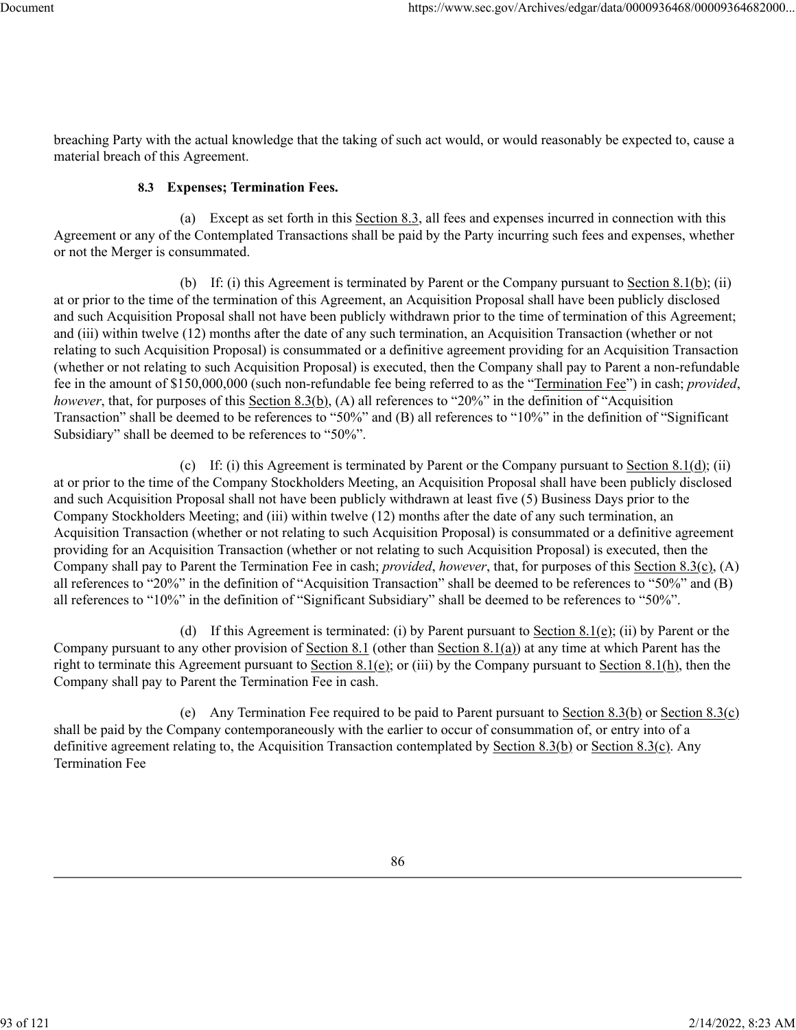breaching Party with the actual knowledge that the taking of such act would, or would reasonably be expected to, cause a material breach of this Agreement.

## **8.3 Expenses; Termination Fees.**

(a) Except as set forth in this Section 8.3, all fees and expenses incurred in connection with this Agreement or any of the Contemplated Transactions shall be paid by the Party incurring such fees and expenses, whether or not the Merger is consummated.

(b) If: (i) this Agreement is terminated by Parent or the Company pursuant to Section  $8.1(b)$ ; (ii) at or prior to the time of the termination of this Agreement, an Acquisition Proposal shall have been publicly disclosed and such Acquisition Proposal shall not have been publicly withdrawn prior to the time of termination of this Agreement; and (iii) within twelve (12) months after the date of any such termination, an Acquisition Transaction (whether or not relating to such Acquisition Proposal) is consummated or a definitive agreement providing for an Acquisition Transaction (whether or not relating to such Acquisition Proposal) is executed, then the Company shall pay to Parent a non-refundable fee in the amount of \$150,000,000 (such non-refundable fee being referred to as the "Termination Fee") in cash; *provided*, *however*, that, for purposes of this Section 8.3(b), (A) all references to "20%" in the definition of "Acquisition Transaction" shall be deemed to be references to "50%" and (B) all references to "10%" in the definition of "Significant Subsidiary" shall be deemed to be references to "50%".

(c) If: (i) this Agreement is terminated by Parent or the Company pursuant to Section  $8.1(d)$ ; (ii) at or prior to the time of the Company Stockholders Meeting, an Acquisition Proposal shall have been publicly disclosed and such Acquisition Proposal shall not have been publicly withdrawn at least five (5) Business Days prior to the Company Stockholders Meeting; and (iii) within twelve (12) months after the date of any such termination, an Acquisition Transaction (whether or not relating to such Acquisition Proposal) is consummated or a definitive agreement providing for an Acquisition Transaction (whether or not relating to such Acquisition Proposal) is executed, then the Company shall pay to Parent the Termination Fee in cash; *provided*, *however*, that, for purposes of this Section 8.3(c), (A) all references to "20%" in the definition of "Acquisition Transaction" shall be deemed to be references to "50%" and (B) all references to "10%" in the definition of "Significant Subsidiary" shall be deemed to be references to "50%".

(d) If this Agreement is terminated: (i) by Parent pursuant to Section 8.1(e); (ii) by Parent or the Company pursuant to any other provision of Section 8.1 (other than Section 8.1(a)) at any time at which Parent has the right to terminate this Agreement pursuant to Section 8.1(e); or (iii) by the Company pursuant to Section 8.1(h), then the Company shall pay to Parent the Termination Fee in cash.

(e) Any Termination Fee required to be paid to Parent pursuant to Section 8.3(b) or Section 8.3(c) shall be paid by the Company contemporaneously with the earlier to occur of consummation of, or entry into of a definitive agreement relating to, the Acquisition Transaction contemplated by Section 8.3(b) or Section 8.3(c). Any Termination Fee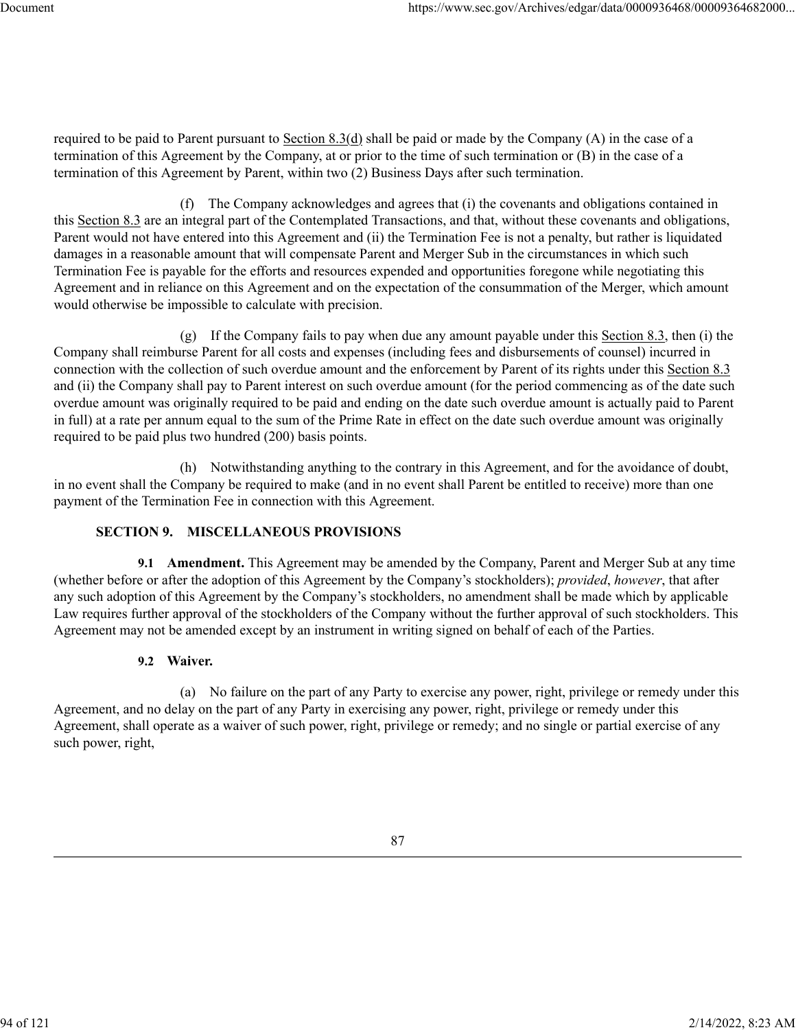required to be paid to Parent pursuant to Section 8.3(d) shall be paid or made by the Company (A) in the case of a termination of this Agreement by the Company, at or prior to the time of such termination or (B) in the case of a termination of this Agreement by Parent, within two (2) Business Days after such termination.

(f) The Company acknowledges and agrees that (i) the covenants and obligations contained in this Section 8.3 are an integral part of the Contemplated Transactions, and that, without these covenants and obligations, Parent would not have entered into this Agreement and (ii) the Termination Fee is not a penalty, but rather is liquidated damages in a reasonable amount that will compensate Parent and Merger Sub in the circumstances in which such Termination Fee is payable for the efforts and resources expended and opportunities foregone while negotiating this Agreement and in reliance on this Agreement and on the expectation of the consummation of the Merger, which amount would otherwise be impossible to calculate with precision.

(g) If the Company fails to pay when due any amount payable under this Section  $8.3$ , then (i) the Company shall reimburse Parent for all costs and expenses (including fees and disbursements of counsel) incurred in connection with the collection of such overdue amount and the enforcement by Parent of its rights under this Section 8.3 and (ii) the Company shall pay to Parent interest on such overdue amount (for the period commencing as of the date such overdue amount was originally required to be paid and ending on the date such overdue amount is actually paid to Parent in full) at a rate per annum equal to the sum of the Prime Rate in effect on the date such overdue amount was originally required to be paid plus two hundred (200) basis points.

(h) Notwithstanding anything to the contrary in this Agreement, and for the avoidance of doubt, in no event shall the Company be required to make (and in no event shall Parent be entitled to receive) more than one payment of the Termination Fee in connection with this Agreement.

# **SECTION 9. MISCELLANEOUS PROVISIONS**

**9.1 Amendment.** This Agreement may be amended by the Company, Parent and Merger Sub at any time (whether before or after the adoption of this Agreement by the Company's stockholders); *provided*, *however*, that after any such adoption of this Agreement by the Company's stockholders, no amendment shall be made which by applicable Law requires further approval of the stockholders of the Company without the further approval of such stockholders. This Agreement may not be amended except by an instrument in writing signed on behalf of each of the Parties.

# **9.2 Waiver.**

(a) No failure on the part of any Party to exercise any power, right, privilege or remedy under this Agreement, and no delay on the part of any Party in exercising any power, right, privilege or remedy under this Agreement, shall operate as a waiver of such power, right, privilege or remedy; and no single or partial exercise of any such power, right,

94 of 121 2/14/2022, 8:23 AM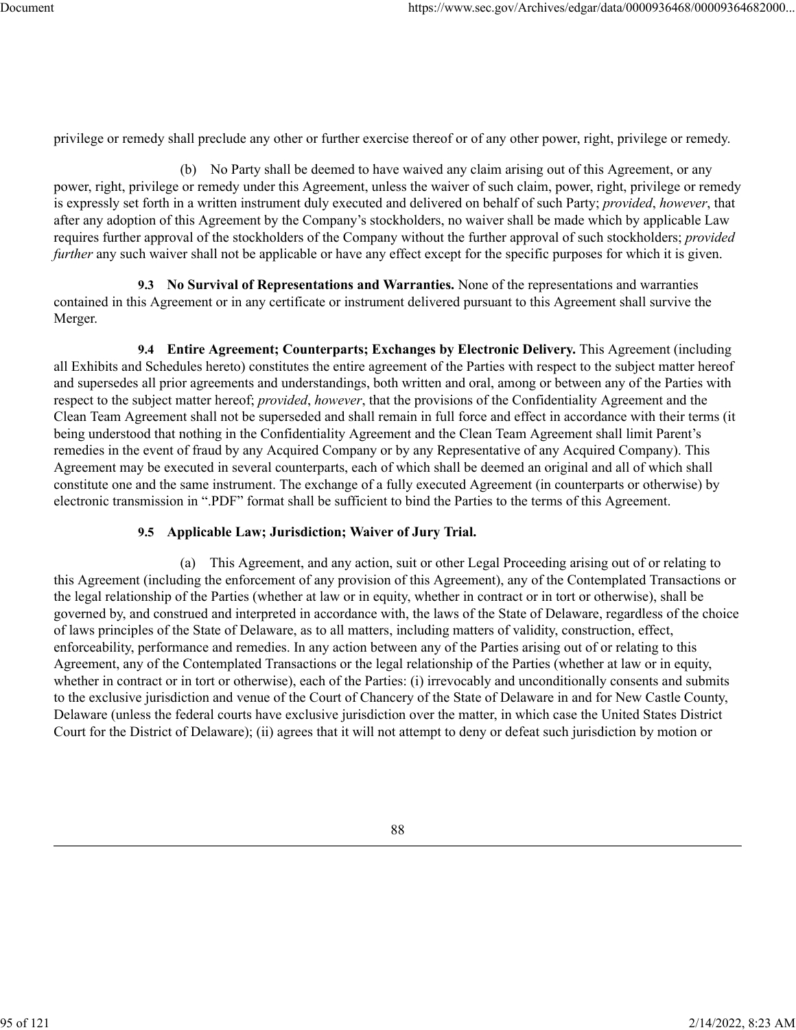privilege or remedy shall preclude any other or further exercise thereof or of any other power, right, privilege or remedy.

(b) No Party shall be deemed to have waived any claim arising out of this Agreement, or any power, right, privilege or remedy under this Agreement, unless the waiver of such claim, power, right, privilege or remedy is expressly set forth in a written instrument duly executed and delivered on behalf of such Party; *provided*, *however*, that after any adoption of this Agreement by the Company's stockholders, no waiver shall be made which by applicable Law requires further approval of the stockholders of the Company without the further approval of such stockholders; *provided further* any such waiver shall not be applicable or have any effect except for the specific purposes for which it is given.

**9.3 No Survival of Representations and Warranties.** None of the representations and warranties contained in this Agreement or in any certificate or instrument delivered pursuant to this Agreement shall survive the Merger.

**9.4 Entire Agreement; Counterparts; Exchanges by Electronic Delivery.** This Agreement (including all Exhibits and Schedules hereto) constitutes the entire agreement of the Parties with respect to the subject matter hereof and supersedes all prior agreements and understandings, both written and oral, among or between any of the Parties with respect to the subject matter hereof; *provided*, *however*, that the provisions of the Confidentiality Agreement and the Clean Team Agreement shall not be superseded and shall remain in full force and effect in accordance with their terms (it being understood that nothing in the Confidentiality Agreement and the Clean Team Agreement shall limit Parent's remedies in the event of fraud by any Acquired Company or by any Representative of any Acquired Company). This Agreement may be executed in several counterparts, each of which shall be deemed an original and all of which shall constitute one and the same instrument. The exchange of a fully executed Agreement (in counterparts or otherwise) by electronic transmission in ".PDF" format shall be sufficient to bind the Parties to the terms of this Agreement.

#### **9.5 Applicable Law; Jurisdiction; Waiver of Jury Trial.**

(a) This Agreement, and any action, suit or other Legal Proceeding arising out of or relating to this Agreement (including the enforcement of any provision of this Agreement), any of the Contemplated Transactions or the legal relationship of the Parties (whether at law or in equity, whether in contract or in tort or otherwise), shall be governed by, and construed and interpreted in accordance with, the laws of the State of Delaware, regardless of the choice of laws principles of the State of Delaware, as to all matters, including matters of validity, construction, effect, enforceability, performance and remedies. In any action between any of the Parties arising out of or relating to this Agreement, any of the Contemplated Transactions or the legal relationship of the Parties (whether at law or in equity, whether in contract or in tort or otherwise), each of the Parties: (i) irrevocably and unconditionally consents and submits to the exclusive jurisdiction and venue of the Court of Chancery of the State of Delaware in and for New Castle County, Delaware (unless the federal courts have exclusive jurisdiction over the matter, in which case the United States District Court for the District of Delaware); (ii) agrees that it will not attempt to deny or defeat such jurisdiction by motion or

88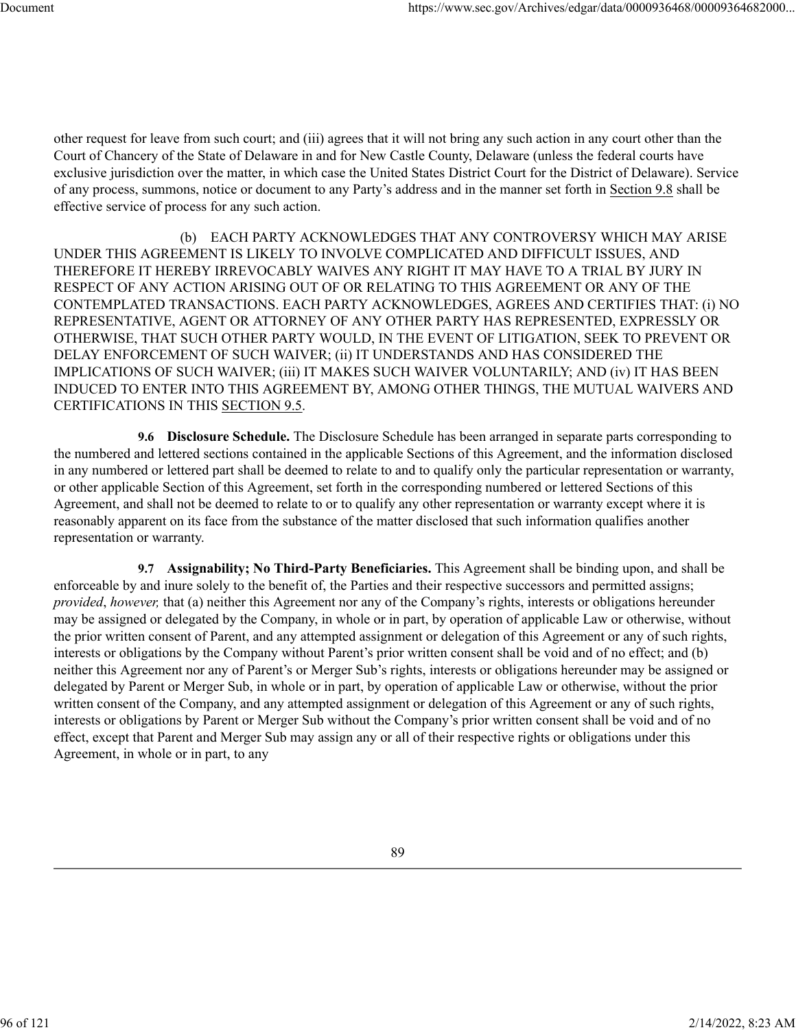other request for leave from such court; and (iii) agrees that it will not bring any such action in any court other than the Court of Chancery of the State of Delaware in and for New Castle County, Delaware (unless the federal courts have exclusive jurisdiction over the matter, in which case the United States District Court for the District of Delaware). Service of any process, summons, notice or document to any Party's address and in the manner set forth in Section 9.8 shall be effective service of process for any such action.

(b) EACH PARTY ACKNOWLEDGES THAT ANY CONTROVERSY WHICH MAY ARISE UNDER THIS AGREEMENT IS LIKELY TO INVOLVE COMPLICATED AND DIFFICULT ISSUES, AND THEREFORE IT HEREBY IRREVOCABLY WAIVES ANY RIGHT IT MAY HAVE TO A TRIAL BY JURY IN RESPECT OF ANY ACTION ARISING OUT OF OR RELATING TO THIS AGREEMENT OR ANY OF THE CONTEMPLATED TRANSACTIONS. EACH PARTY ACKNOWLEDGES, AGREES AND CERTIFIES THAT: (i) NO REPRESENTATIVE, AGENT OR ATTORNEY OF ANY OTHER PARTY HAS REPRESENTED, EXPRESSLY OR OTHERWISE, THAT SUCH OTHER PARTY WOULD, IN THE EVENT OF LITIGATION, SEEK TO PREVENT OR DELAY ENFORCEMENT OF SUCH WAIVER; (ii) IT UNDERSTANDS AND HAS CONSIDERED THE IMPLICATIONS OF SUCH WAIVER; (iii) IT MAKES SUCH WAIVER VOLUNTARILY; AND (iv) IT HAS BEEN INDUCED TO ENTER INTO THIS AGREEMENT BY, AMONG OTHER THINGS, THE MUTUAL WAIVERS AND CERTIFICATIONS IN THIS SECTION 9.5.

**9.6 Disclosure Schedule.** The Disclosure Schedule has been arranged in separate parts corresponding to the numbered and lettered sections contained in the applicable Sections of this Agreement, and the information disclosed in any numbered or lettered part shall be deemed to relate to and to qualify only the particular representation or warranty, or other applicable Section of this Agreement, set forth in the corresponding numbered or lettered Sections of this Agreement, and shall not be deemed to relate to or to qualify any other representation or warranty except where it is reasonably apparent on its face from the substance of the matter disclosed that such information qualifies another representation or warranty.

**9.7 Assignability; No Third-Party Beneficiaries.** This Agreement shall be binding upon, and shall be enforceable by and inure solely to the benefit of, the Parties and their respective successors and permitted assigns; *provided*, *however,* that (a) neither this Agreement nor any of the Company's rights, interests or obligations hereunder may be assigned or delegated by the Company, in whole or in part, by operation of applicable Law or otherwise, without the prior written consent of Parent, and any attempted assignment or delegation of this Agreement or any of such rights, interests or obligations by the Company without Parent's prior written consent shall be void and of no effect; and (b) neither this Agreement nor any of Parent's or Merger Sub's rights, interests or obligations hereunder may be assigned or delegated by Parent or Merger Sub, in whole or in part, by operation of applicable Law or otherwise, without the prior written consent of the Company, and any attempted assignment or delegation of this Agreement or any of such rights, interests or obligations by Parent or Merger Sub without the Company's prior written consent shall be void and of no effect, except that Parent and Merger Sub may assign any or all of their respective rights or obligations under this Agreement, in whole or in part, to any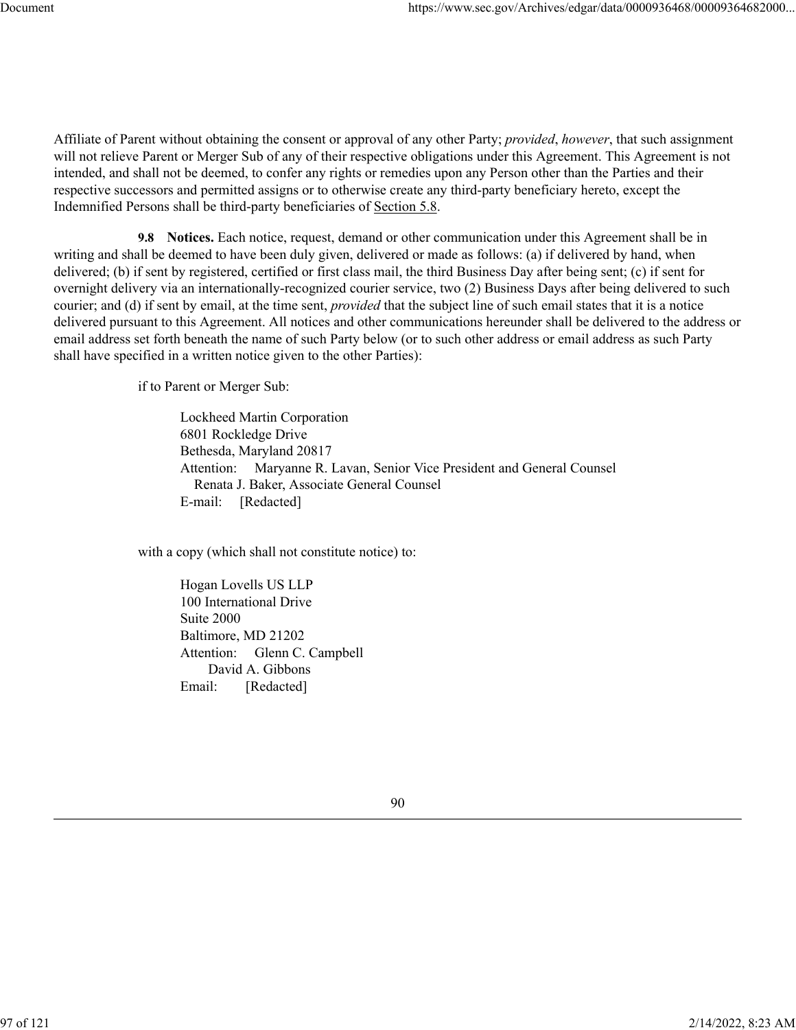Affiliate of Parent without obtaining the consent or approval of any other Party; *provided*, *however*, that such assignment will not relieve Parent or Merger Sub of any of their respective obligations under this Agreement. This Agreement is not intended, and shall not be deemed, to confer any rights or remedies upon any Person other than the Parties and their respective successors and permitted assigns or to otherwise create any third-party beneficiary hereto, except the Indemnified Persons shall be third-party beneficiaries of Section 5.8.

**9.8 Notices.** Each notice, request, demand or other communication under this Agreement shall be in writing and shall be deemed to have been duly given, delivered or made as follows: (a) if delivered by hand, when delivered; (b) if sent by registered, certified or first class mail, the third Business Day after being sent; (c) if sent for overnight delivery via an internationally-recognized courier service, two (2) Business Days after being delivered to such courier; and (d) if sent by email, at the time sent, *provided* that the subject line of such email states that it is a notice delivered pursuant to this Agreement. All notices and other communications hereunder shall be delivered to the address or email address set forth beneath the name of such Party below (or to such other address or email address as such Party shall have specified in a written notice given to the other Parties):

if to Parent or Merger Sub:

Lockheed Martin Corporation 6801 Rockledge Drive Bethesda, Maryland 20817 Attention: Maryanne R. Lavan, Senior Vice President and General Counsel Renata J. Baker, Associate General Counsel E-mail: [Redacted]

with a copy (which shall not constitute notice) to:

Hogan Lovells US LLP 100 International Drive Suite 2000 Baltimore, MD 21202 Attention: Glenn C. Campbell David A. Gibbons Email: [Redacted]

90

97 of 121 2/14/2022, 8:23 AM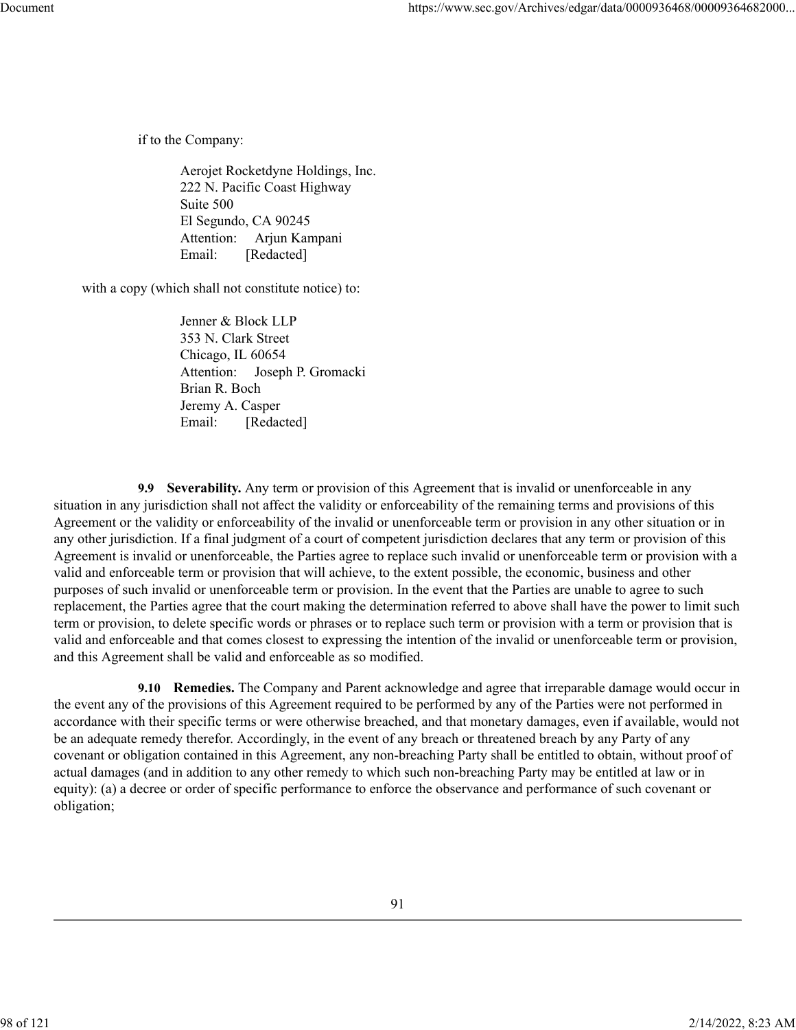if to the Company:

Aerojet Rocketdyne Holdings, Inc. 222 N. Pacific Coast Highway Suite 500 El Segundo, CA 90245 Attention: Arjun Kampani Email: [Redacted]

with a copy (which shall not constitute notice) to:

Jenner & Block LLP 353 N. Clark Street Chicago, IL 60654 Attention: Joseph P. Gromacki Brian R. Boch Jeremy A. Casper Email: [Redacted]

**9.9 Severability.** Any term or provision of this Agreement that is invalid or unenforceable in any situation in any jurisdiction shall not affect the validity or enforceability of the remaining terms and provisions of this Agreement or the validity or enforceability of the invalid or unenforceable term or provision in any other situation or in any other jurisdiction. If a final judgment of a court of competent jurisdiction declares that any term or provision of this Agreement is invalid or unenforceable, the Parties agree to replace such invalid or unenforceable term or provision with a valid and enforceable term or provision that will achieve, to the extent possible, the economic, business and other purposes of such invalid or unenforceable term or provision. In the event that the Parties are unable to agree to such replacement, the Parties agree that the court making the determination referred to above shall have the power to limit such term or provision, to delete specific words or phrases or to replace such term or provision with a term or provision that is valid and enforceable and that comes closest to expressing the intention of the invalid or unenforceable term or provision, and this Agreement shall be valid and enforceable as so modified.

**9.10 Remedies.** The Company and Parent acknowledge and agree that irreparable damage would occur in the event any of the provisions of this Agreement required to be performed by any of the Parties were not performed in accordance with their specific terms or were otherwise breached, and that monetary damages, even if available, would not be an adequate remedy therefor. Accordingly, in the event of any breach or threatened breach by any Party of any covenant or obligation contained in this Agreement, any non-breaching Party shall be entitled to obtain, without proof of actual damages (and in addition to any other remedy to which such non-breaching Party may be entitled at law or in equity): (a) a decree or order of specific performance to enforce the observance and performance of such covenant or obligation;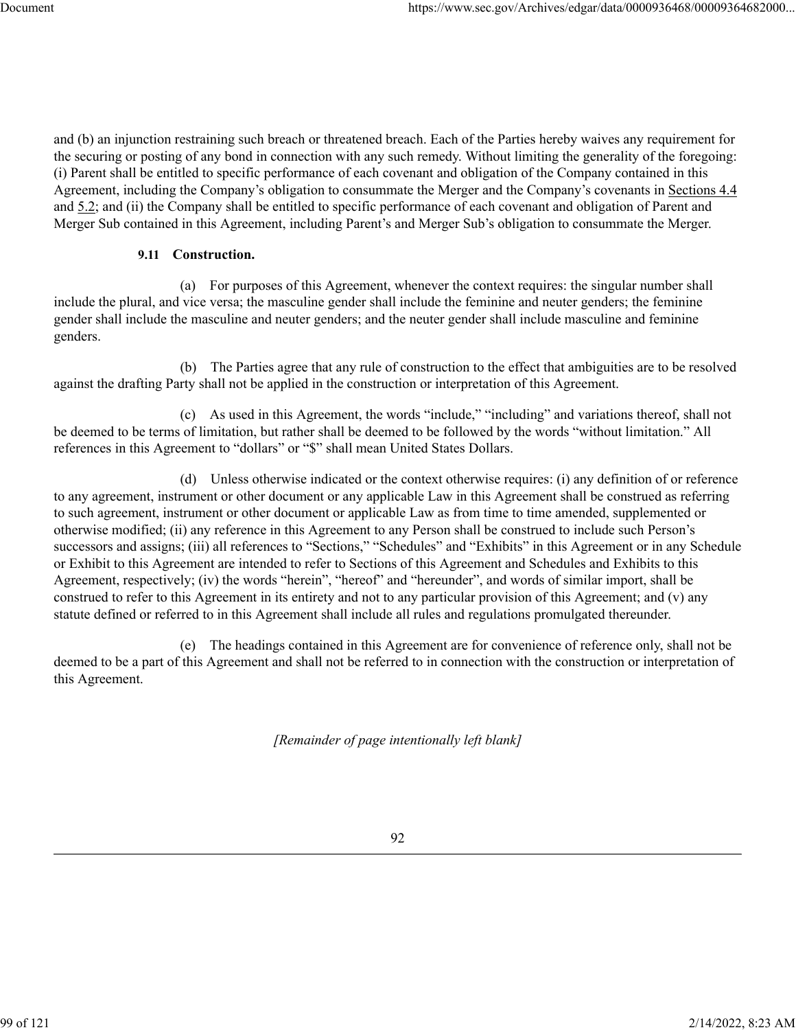and (b) an injunction restraining such breach or threatened breach. Each of the Parties hereby waives any requirement for the securing or posting of any bond in connection with any such remedy. Without limiting the generality of the foregoing: (i) Parent shall be entitled to specific performance of each covenant and obligation of the Company contained in this Agreement, including the Company's obligation to consummate the Merger and the Company's covenants in Sections 4.4 and 5.2; and (ii) the Company shall be entitled to specific performance of each covenant and obligation of Parent and Merger Sub contained in this Agreement, including Parent's and Merger Sub's obligation to consummate the Merger.

## **9.11 Construction.**

(a) For purposes of this Agreement, whenever the context requires: the singular number shall include the plural, and vice versa; the masculine gender shall include the feminine and neuter genders; the feminine gender shall include the masculine and neuter genders; and the neuter gender shall include masculine and feminine genders.

(b) The Parties agree that any rule of construction to the effect that ambiguities are to be resolved against the drafting Party shall not be applied in the construction or interpretation of this Agreement.

(c) As used in this Agreement, the words "include," "including" and variations thereof, shall not be deemed to be terms of limitation, but rather shall be deemed to be followed by the words "without limitation." All references in this Agreement to "dollars" or "\$" shall mean United States Dollars.

(d) Unless otherwise indicated or the context otherwise requires: (i) any definition of or reference to any agreement, instrument or other document or any applicable Law in this Agreement shall be construed as referring to such agreement, instrument or other document or applicable Law as from time to time amended, supplemented or otherwise modified; (ii) any reference in this Agreement to any Person shall be construed to include such Person's successors and assigns; (iii) all references to "Sections," "Schedules" and "Exhibits" in this Agreement or in any Schedule or Exhibit to this Agreement are intended to refer to Sections of this Agreement and Schedules and Exhibits to this Agreement, respectively; (iv) the words "herein", "hereof" and "hereunder", and words of similar import, shall be construed to refer to this Agreement in its entirety and not to any particular provision of this Agreement; and (v) any statute defined or referred to in this Agreement shall include all rules and regulations promulgated thereunder.

(e) The headings contained in this Agreement are for convenience of reference only, shall not be deemed to be a part of this Agreement and shall not be referred to in connection with the construction or interpretation of this Agreement.

*[Remainder of page intentionally left blank]*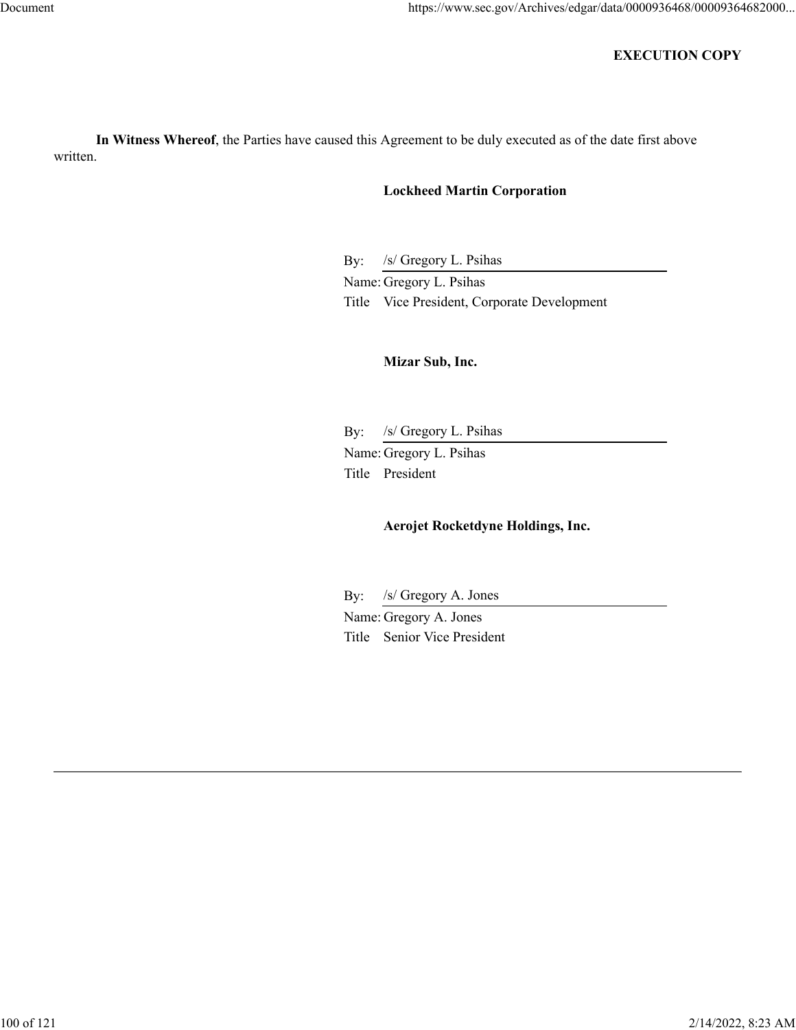# **EXECUTION COPY**

**In Witness Whereof**, the Parties have caused this Agreement to be duly executed as of the date first above written.

# **Lockheed Martin Corporation**

By: /s/ Gregory L. Psihas

Name: Gregory L. Psihas Title Vice President, Corporate Development

# **Mizar Sub, Inc.**

By: /s/ Gregory L. Psihas Name: Gregory L. Psihas Title President

# **Aerojet Rocketdyne Holdings, Inc.**

By: /s/ Gregory A. Jones

Name: Gregory A. Jones Title Senior Vice President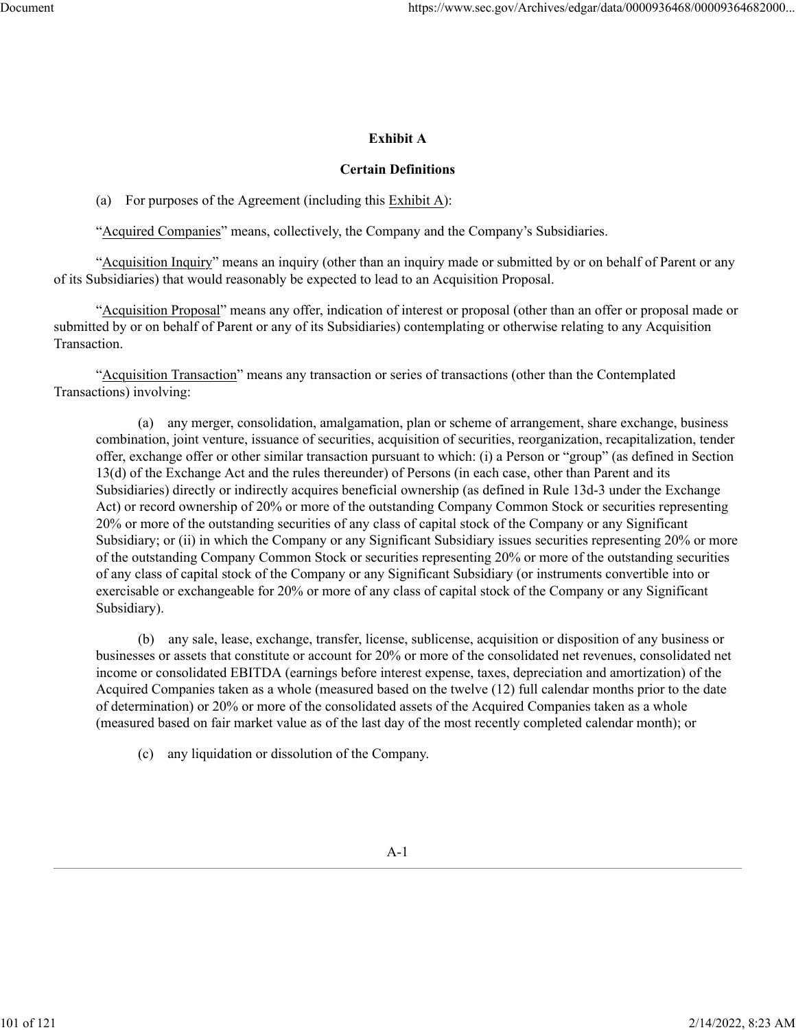## **Exhibit A**

#### **Certain Definitions**

(a) For purposes of the Agreement (including this Exhibit A):

"Acquired Companies" means, collectively, the Company and the Company's Subsidiaries.

"Acquisition Inquiry" means an inquiry (other than an inquiry made or submitted by or on behalf of Parent or any of its Subsidiaries) that would reasonably be expected to lead to an Acquisition Proposal.

"Acquisition Proposal" means any offer, indication of interest or proposal (other than an offer or proposal made or submitted by or on behalf of Parent or any of its Subsidiaries) contemplating or otherwise relating to any Acquisition Transaction.

"Acquisition Transaction" means any transaction or series of transactions (other than the Contemplated Transactions) involving:

(a) any merger, consolidation, amalgamation, plan or scheme of arrangement, share exchange, business combination, joint venture, issuance of securities, acquisition of securities, reorganization, recapitalization, tender offer, exchange offer or other similar transaction pursuant to which: (i) a Person or "group" (as defined in Section 13(d) of the Exchange Act and the rules thereunder) of Persons (in each case, other than Parent and its Subsidiaries) directly or indirectly acquires beneficial ownership (as defined in Rule 13d-3 under the Exchange Act) or record ownership of 20% or more of the outstanding Company Common Stock or securities representing 20% or more of the outstanding securities of any class of capital stock of the Company or any Significant Subsidiary; or (ii) in which the Company or any Significant Subsidiary issues securities representing 20% or more of the outstanding Company Common Stock or securities representing 20% or more of the outstanding securities of any class of capital stock of the Company or any Significant Subsidiary (or instruments convertible into or exercisable or exchangeable for 20% or more of any class of capital stock of the Company or any Significant Subsidiary).

(b) any sale, lease, exchange, transfer, license, sublicense, acquisition or disposition of any business or businesses or assets that constitute or account for 20% or more of the consolidated net revenues, consolidated net income or consolidated EBITDA (earnings before interest expense, taxes, depreciation and amortization) of the Acquired Companies taken as a whole (measured based on the twelve (12) full calendar months prior to the date of determination) or 20% or more of the consolidated assets of the Acquired Companies taken as a whole (measured based on fair market value as of the last day of the most recently completed calendar month); or

(c) any liquidation or dissolution of the Company.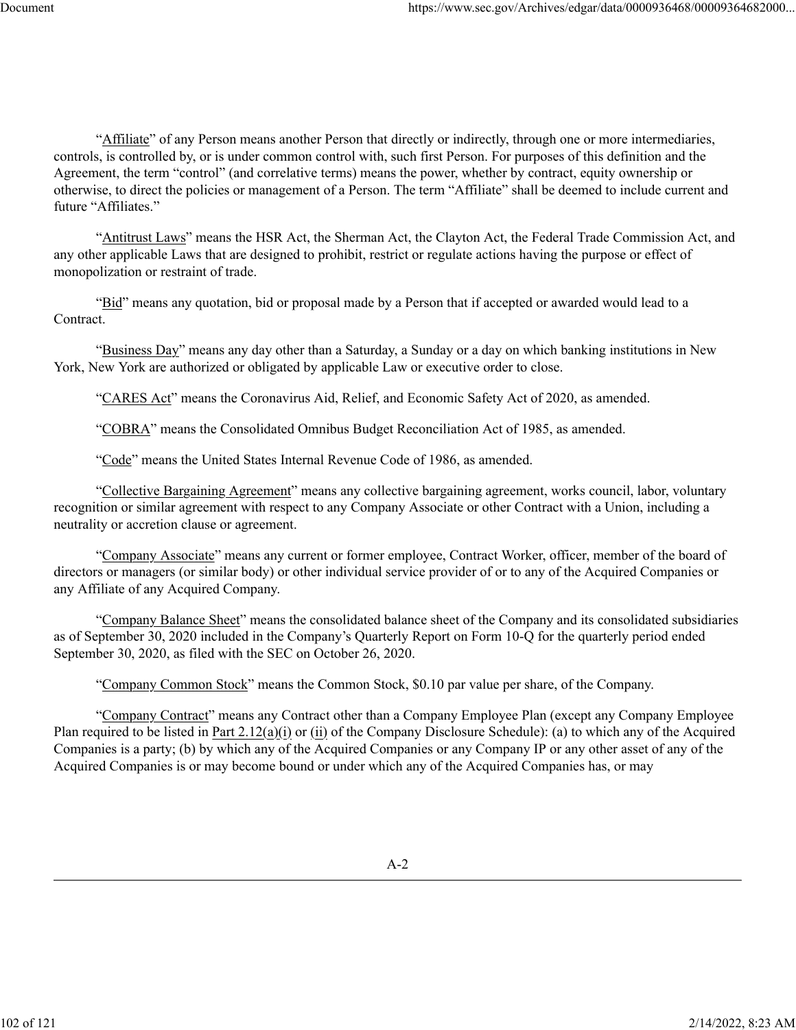"Affiliate" of any Person means another Person that directly or indirectly, through one or more intermediaries, controls, is controlled by, or is under common control with, such first Person. For purposes of this definition and the Agreement, the term "control" (and correlative terms) means the power, whether by contract, equity ownership or otherwise, to direct the policies or management of a Person. The term "Affiliate" shall be deemed to include current and future "Affiliates."

"Antitrust Laws" means the HSR Act, the Sherman Act, the Clayton Act, the Federal Trade Commission Act, and any other applicable Laws that are designed to prohibit, restrict or regulate actions having the purpose or effect of monopolization or restraint of trade.

"Bid" means any quotation, bid or proposal made by a Person that if accepted or awarded would lead to a Contract.

"Business Day" means any day other than a Saturday, a Sunday or a day on which banking institutions in New York, New York are authorized or obligated by applicable Law or executive order to close.

"CARES Act" means the Coronavirus Aid, Relief, and Economic Safety Act of 2020, as amended.

"COBRA" means the Consolidated Omnibus Budget Reconciliation Act of 1985, as amended.

"Code" means the United States Internal Revenue Code of 1986, as amended.

"Collective Bargaining Agreement" means any collective bargaining agreement, works council, labor, voluntary recognition or similar agreement with respect to any Company Associate or other Contract with a Union, including a neutrality or accretion clause or agreement.

"Company Associate" means any current or former employee, Contract Worker, officer, member of the board of directors or managers (or similar body) or other individual service provider of or to any of the Acquired Companies or any Affiliate of any Acquired Company.

"Company Balance Sheet" means the consolidated balance sheet of the Company and its consolidated subsidiaries as of September 30, 2020 included in the Company's Quarterly Report on Form 10-Q for the quarterly period ended September 30, 2020, as filed with the SEC on October 26, 2020.

"Company Common Stock" means the Common Stock, \$0.10 par value per share, of the Company.

"Company Contract" means any Contract other than a Company Employee Plan (except any Company Employee Plan required to be listed in Part 2.12(a)(i) or (ii) of the Company Disclosure Schedule): (a) to which any of the Acquired Companies is a party; (b) by which any of the Acquired Companies or any Company IP or any other asset of any of the Acquired Companies is or may become bound or under which any of the Acquired Companies has, or may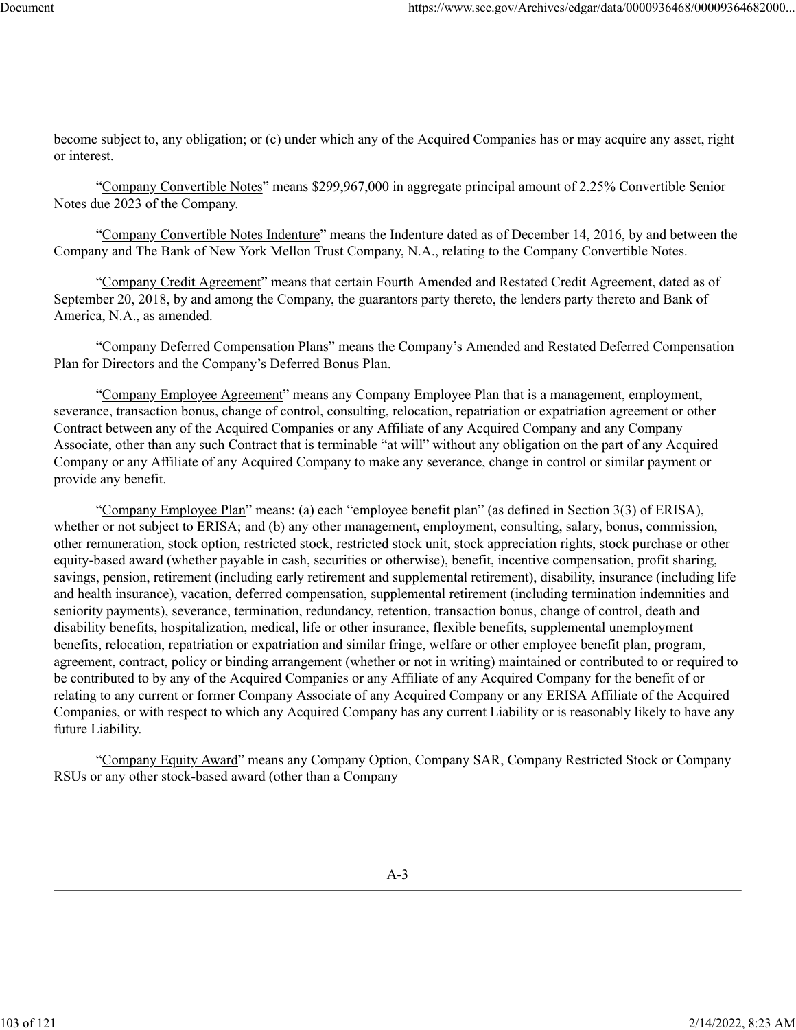become subject to, any obligation; or (c) under which any of the Acquired Companies has or may acquire any asset, right or interest.

"Company Convertible Notes" means \$299,967,000 in aggregate principal amount of 2.25% Convertible Senior Notes due 2023 of the Company.

"Company Convertible Notes Indenture" means the Indenture dated as of December 14, 2016, by and between the Company and The Bank of New York Mellon Trust Company, N.A., relating to the Company Convertible Notes.

"Company Credit Agreement" means that certain Fourth Amended and Restated Credit Agreement, dated as of September 20, 2018, by and among the Company, the guarantors party thereto, the lenders party thereto and Bank of America, N.A., as amended.

"Company Deferred Compensation Plans" means the Company's Amended and Restated Deferred Compensation Plan for Directors and the Company's Deferred Bonus Plan.

"Company Employee Agreement" means any Company Employee Plan that is a management, employment, severance, transaction bonus, change of control, consulting, relocation, repatriation or expatriation agreement or other Contract between any of the Acquired Companies or any Affiliate of any Acquired Company and any Company Associate, other than any such Contract that is terminable "at will" without any obligation on the part of any Acquired Company or any Affiliate of any Acquired Company to make any severance, change in control or similar payment or provide any benefit.

"Company Employee Plan" means: (a) each "employee benefit plan" (as defined in Section 3(3) of ERISA), whether or not subject to ERISA; and (b) any other management, employment, consulting, salary, bonus, commission, other remuneration, stock option, restricted stock, restricted stock unit, stock appreciation rights, stock purchase or other equity-based award (whether payable in cash, securities or otherwise), benefit, incentive compensation, profit sharing, savings, pension, retirement (including early retirement and supplemental retirement), disability, insurance (including life and health insurance), vacation, deferred compensation, supplemental retirement (including termination indemnities and seniority payments), severance, termination, redundancy, retention, transaction bonus, change of control, death and disability benefits, hospitalization, medical, life or other insurance, flexible benefits, supplemental unemployment benefits, relocation, repatriation or expatriation and similar fringe, welfare or other employee benefit plan, program, agreement, contract, policy or binding arrangement (whether or not in writing) maintained or contributed to or required to be contributed to by any of the Acquired Companies or any Affiliate of any Acquired Company for the benefit of or relating to any current or former Company Associate of any Acquired Company or any ERISA Affiliate of the Acquired Companies, or with respect to which any Acquired Company has any current Liability or is reasonably likely to have any future Liability.

"Company Equity Award" means any Company Option, Company SAR, Company Restricted Stock or Company RSUs or any other stock-based award (other than a Company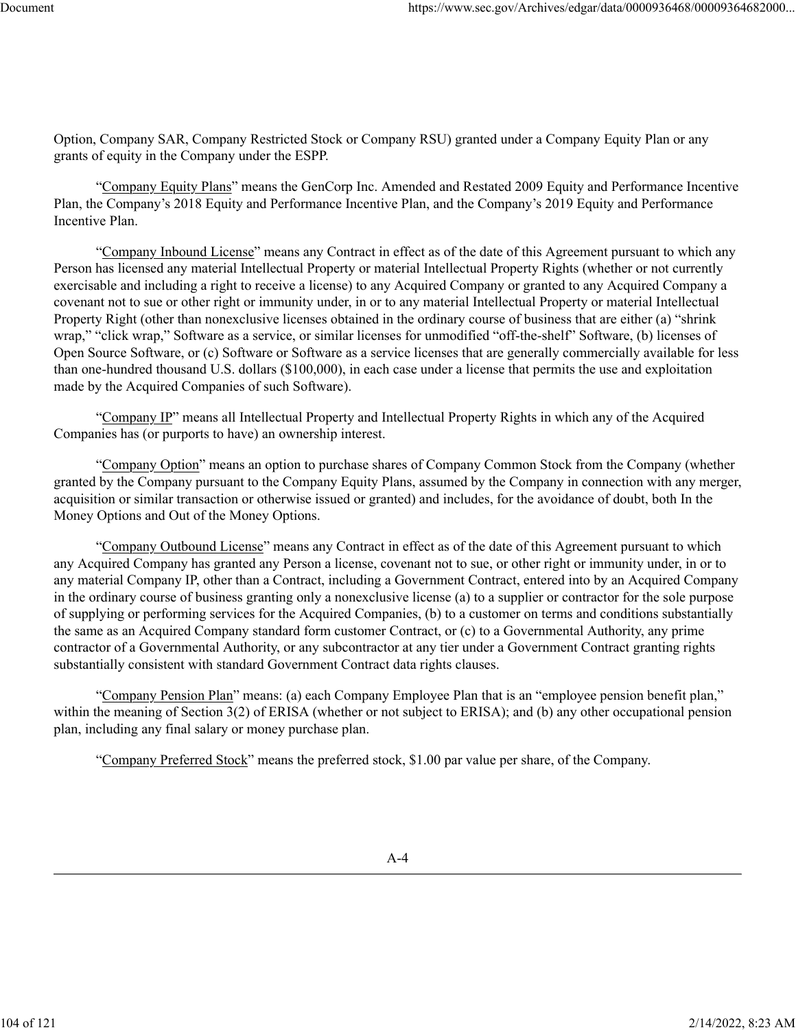Option, Company SAR, Company Restricted Stock or Company RSU) granted under a Company Equity Plan or any grants of equity in the Company under the ESPP.

"Company Equity Plans" means the GenCorp Inc. Amended and Restated 2009 Equity and Performance Incentive Plan, the Company's 2018 Equity and Performance Incentive Plan, and the Company's 2019 Equity and Performance Incentive Plan.

"Company Inbound License" means any Contract in effect as of the date of this Agreement pursuant to which any Person has licensed any material Intellectual Property or material Intellectual Property Rights (whether or not currently exercisable and including a right to receive a license) to any Acquired Company or granted to any Acquired Company a covenant not to sue or other right or immunity under, in or to any material Intellectual Property or material Intellectual Property Right (other than nonexclusive licenses obtained in the ordinary course of business that are either (a) "shrink wrap," "click wrap," Software as a service, or similar licenses for unmodified "off-the-shelf" Software, (b) licenses of Open Source Software, or (c) Software or Software as a service licenses that are generally commercially available for less than one-hundred thousand U.S. dollars (\$100,000), in each case under a license that permits the use and exploitation made by the Acquired Companies of such Software).

"Company IP" means all Intellectual Property and Intellectual Property Rights in which any of the Acquired Companies has (or purports to have) an ownership interest.

"Company Option" means an option to purchase shares of Company Common Stock from the Company (whether granted by the Company pursuant to the Company Equity Plans, assumed by the Company in connection with any merger, acquisition or similar transaction or otherwise issued or granted) and includes, for the avoidance of doubt, both In the Money Options and Out of the Money Options.

"Company Outbound License" means any Contract in effect as of the date of this Agreement pursuant to which any Acquired Company has granted any Person a license, covenant not to sue, or other right or immunity under, in or to any material Company IP, other than a Contract, including a Government Contract, entered into by an Acquired Company in the ordinary course of business granting only a nonexclusive license (a) to a supplier or contractor for the sole purpose of supplying or performing services for the Acquired Companies, (b) to a customer on terms and conditions substantially the same as an Acquired Company standard form customer Contract, or (c) to a Governmental Authority, any prime contractor of a Governmental Authority, or any subcontractor at any tier under a Government Contract granting rights substantially consistent with standard Government Contract data rights clauses.

"Company Pension Plan" means: (a) each Company Employee Plan that is an "employee pension benefit plan," within the meaning of Section 3(2) of ERISA (whether or not subject to ERISA); and (b) any other occupational pension plan, including any final salary or money purchase plan.

"Company Preferred Stock" means the preferred stock, \$1.00 par value per share, of the Company.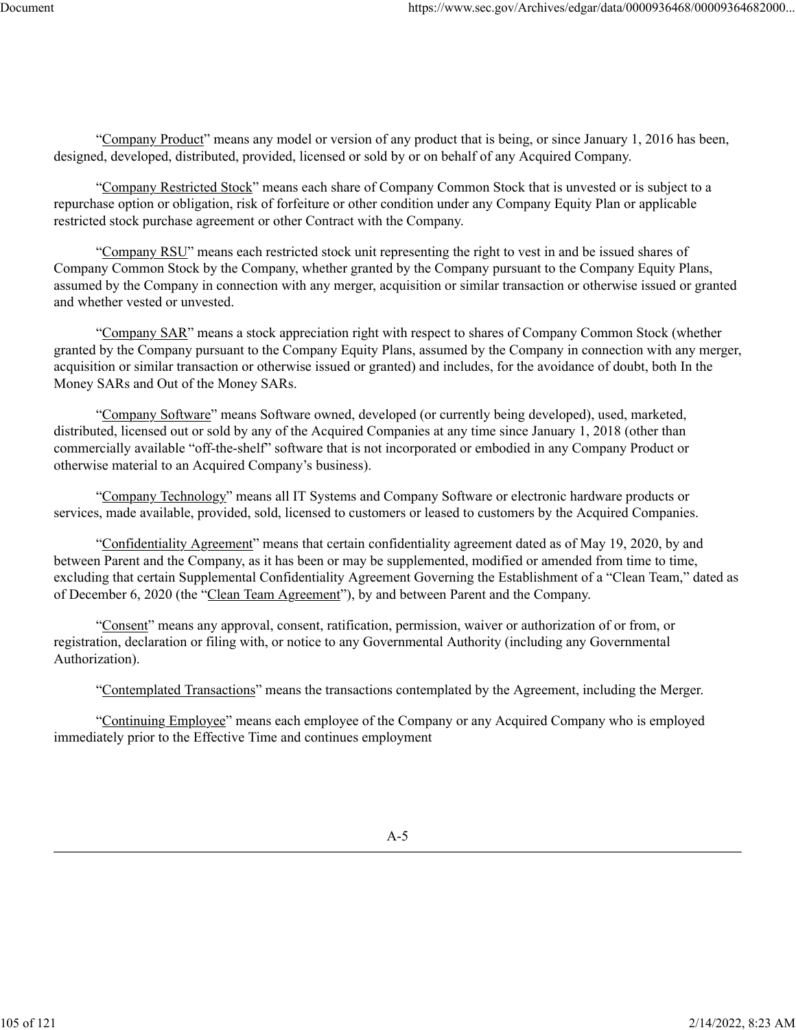"Company Product" means any model or version of any product that is being, or since January 1, 2016 has been, designed, developed, distributed, provided, licensed or sold by or on behalf of any Acquired Company.

"Company Restricted Stock" means each share of Company Common Stock that is unvested or is subject to a repurchase option or obligation, risk of forfeiture or other condition under any Company Equity Plan or applicable restricted stock purchase agreement or other Contract with the Company.

"Company RSU" means each restricted stock unit representing the right to vest in and be issued shares of Company Common Stock by the Company, whether granted by the Company pursuant to the Company Equity Plans, assumed by the Company in connection with any merger, acquisition or similar transaction or otherwise issued or granted and whether vested or unvested.

"Company SAR" means a stock appreciation right with respect to shares of Company Common Stock (whether granted by the Company pursuant to the Company Equity Plans, assumed by the Company in connection with any merger, acquisition or similar transaction or otherwise issued or granted) and includes, for the avoidance of doubt, both In the Money SARs and Out of the Money SARs.

"Company Software" means Software owned, developed (or currently being developed), used, marketed, distributed, licensed out or sold by any of the Acquired Companies at any time since January 1, 2018 (other than commercially available "off-the-shelf" software that is not incorporated or embodied in any Company Product or otherwise material to an Acquired Company's business).

"Company Technology" means all IT Systems and Company Software or electronic hardware products or services, made available, provided, sold, licensed to customers or leased to customers by the Acquired Companies.

"Confidentiality Agreement" means that certain confidentiality agreement dated as of May 19, 2020, by and between Parent and the Company, as it has been or may be supplemented, modified or amended from time to time, excluding that certain Supplemental Confidentiality Agreement Governing the Establishment of a "Clean Team," dated as of December 6, 2020 (the "Clean Team Agreement"), by and between Parent and the Company.

"Consent" means any approval, consent, ratification, permission, waiver or authorization of or from, or registration, declaration or filing with, or notice to any Governmental Authority (including any Governmental Authorization).

"Contemplated Transactions" means the transactions contemplated by the Agreement, including the Merger.

"Continuing Employee" means each employee of the Company or any Acquired Company who is employed immediately prior to the Effective Time and continues employment

105 of 121 2/14/2022, 8:23 AM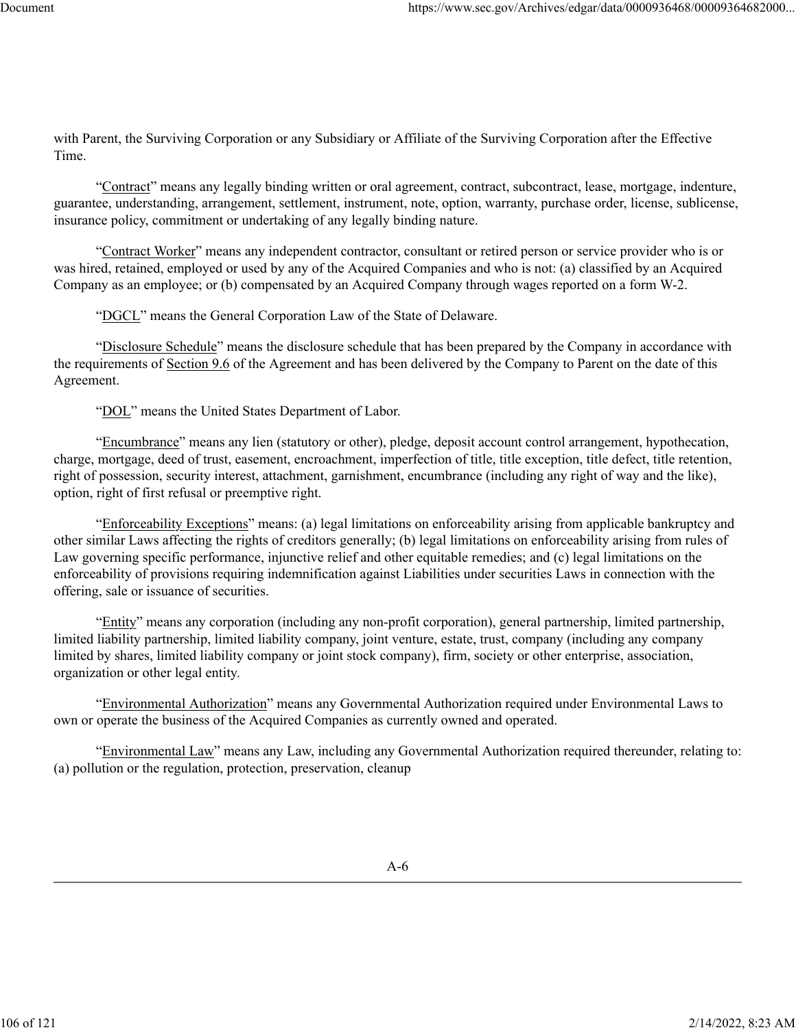with Parent, the Surviving Corporation or any Subsidiary or Affiliate of the Surviving Corporation after the Effective Time.

"Contract" means any legally binding written or oral agreement, contract, subcontract, lease, mortgage, indenture, guarantee, understanding, arrangement, settlement, instrument, note, option, warranty, purchase order, license, sublicense, insurance policy, commitment or undertaking of any legally binding nature.

"Contract Worker" means any independent contractor, consultant or retired person or service provider who is or was hired, retained, employed or used by any of the Acquired Companies and who is not: (a) classified by an Acquired Company as an employee; or (b) compensated by an Acquired Company through wages reported on a form W-2.

"DGCL" means the General Corporation Law of the State of Delaware.

"Disclosure Schedule" means the disclosure schedule that has been prepared by the Company in accordance with the requirements of Section 9.6 of the Agreement and has been delivered by the Company to Parent on the date of this Agreement.

"DOL" means the United States Department of Labor.

"Encumbrance" means any lien (statutory or other), pledge, deposit account control arrangement, hypothecation, charge, mortgage, deed of trust, easement, encroachment, imperfection of title, title exception, title defect, title retention, right of possession, security interest, attachment, garnishment, encumbrance (including any right of way and the like), option, right of first refusal or preemptive right.

"Enforceability Exceptions" means: (a) legal limitations on enforceability arising from applicable bankruptcy and other similar Laws affecting the rights of creditors generally; (b) legal limitations on enforceability arising from rules of Law governing specific performance, injunctive relief and other equitable remedies; and (c) legal limitations on the enforceability of provisions requiring indemnification against Liabilities under securities Laws in connection with the offering, sale or issuance of securities.

"Entity" means any corporation (including any non-profit corporation), general partnership, limited partnership, limited liability partnership, limited liability company, joint venture, estate, trust, company (including any company limited by shares, limited liability company or joint stock company), firm, society or other enterprise, association, organization or other legal entity.

"Environmental Authorization" means any Governmental Authorization required under Environmental Laws to own or operate the business of the Acquired Companies as currently owned and operated.

"Environmental Law" means any Law, including any Governmental Authorization required thereunder, relating to: (a) pollution or the regulation, protection, preservation, cleanup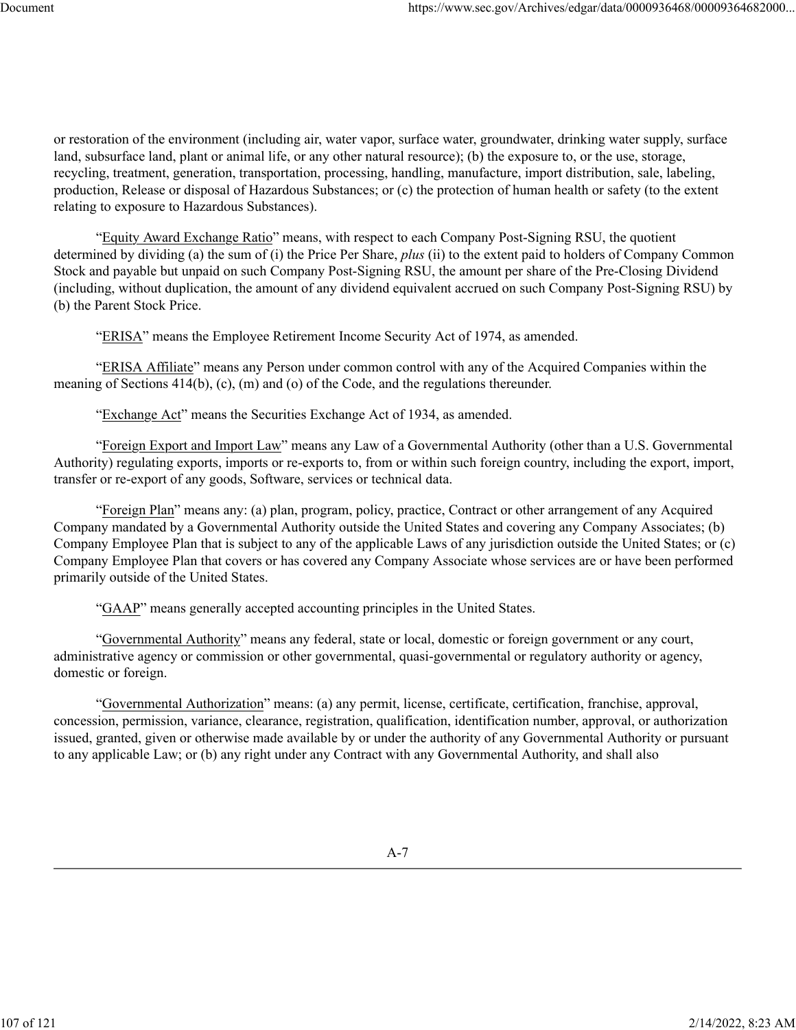or restoration of the environment (including air, water vapor, surface water, groundwater, drinking water supply, surface land, subsurface land, plant or animal life, or any other natural resource); (b) the exposure to, or the use, storage, recycling, treatment, generation, transportation, processing, handling, manufacture, import distribution, sale, labeling, production, Release or disposal of Hazardous Substances; or (c) the protection of human health or safety (to the extent relating to exposure to Hazardous Substances).

"Equity Award Exchange Ratio" means, with respect to each Company Post-Signing RSU, the quotient determined by dividing (a) the sum of (i) the Price Per Share, *plus* (ii) to the extent paid to holders of Company Common Stock and payable but unpaid on such Company Post-Signing RSU, the amount per share of the Pre-Closing Dividend (including, without duplication, the amount of any dividend equivalent accrued on such Company Post-Signing RSU) by (b) the Parent Stock Price.

"ERISA" means the Employee Retirement Income Security Act of 1974, as amended.

"ERISA Affiliate" means any Person under common control with any of the Acquired Companies within the meaning of Sections 414(b), (c), (m) and (o) of the Code, and the regulations thereunder.

"Exchange Act" means the Securities Exchange Act of 1934, as amended.

"Foreign Export and Import Law" means any Law of a Governmental Authority (other than a U.S. Governmental Authority) regulating exports, imports or re-exports to, from or within such foreign country, including the export, import, transfer or re-export of any goods, Software, services or technical data.

"Foreign Plan" means any: (a) plan, program, policy, practice, Contract or other arrangement of any Acquired Company mandated by a Governmental Authority outside the United States and covering any Company Associates; (b) Company Employee Plan that is subject to any of the applicable Laws of any jurisdiction outside the United States; or (c) Company Employee Plan that covers or has covered any Company Associate whose services are or have been performed primarily outside of the United States.

"GAAP" means generally accepted accounting principles in the United States.

"Governmental Authority" means any federal, state or local, domestic or foreign government or any court, administrative agency or commission or other governmental, quasi-governmental or regulatory authority or agency, domestic or foreign.

"Governmental Authorization" means: (a) any permit, license, certificate, certification, franchise, approval, concession, permission, variance, clearance, registration, qualification, identification number, approval, or authorization issued, granted, given or otherwise made available by or under the authority of any Governmental Authority or pursuant to any applicable Law; or (b) any right under any Contract with any Governmental Authority, and shall also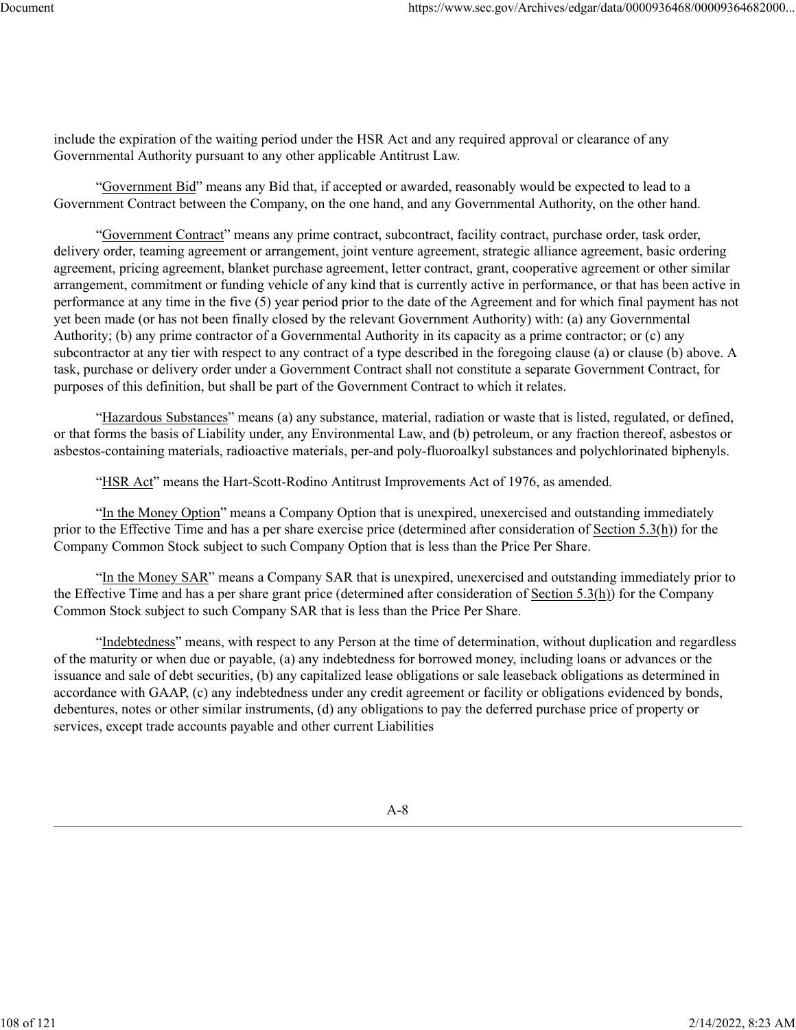include the expiration of the waiting period under the HSR Act and any required approval or clearance of any Governmental Authority pursuant to any other applicable Antitrust Law.

"Government Bid" means any Bid that, if accepted or awarded, reasonably would be expected to lead to a Government Contract between the Company, on the one hand, and any Governmental Authority, on the other hand.

"Government Contract" means any prime contract, subcontract, facility contract, purchase order, task order, delivery order, teaming agreement or arrangement, joint venture agreement, strategic alliance agreement, basic ordering agreement, pricing agreement, blanket purchase agreement, letter contract, grant, cooperative agreement or other similar arrangement, commitment or funding vehicle of any kind that is currently active in performance, or that has been active in performance at any time in the five (5) year period prior to the date of the Agreement and for which final payment has not yet been made (or has not been finally closed by the relevant Government Authority) with: (a) any Governmental Authority; (b) any prime contractor of a Governmental Authority in its capacity as a prime contractor; or (c) any subcontractor at any tier with respect to any contract of a type described in the foregoing clause (a) or clause (b) above. A task, purchase or delivery order under a Government Contract shall not constitute a separate Government Contract, for purposes of this definition, but shall be part of the Government Contract to which it relates.

"Hazardous Substances" means (a) any substance, material, radiation or waste that is listed, regulated, or defined, or that forms the basis of Liability under, any Environmental Law, and (b) petroleum, or any fraction thereof, asbestos or asbestos-containing materials, radioactive materials, per-and poly-fluoroalkyl substances and polychlorinated biphenyls.

"HSR Act" means the Hart-Scott-Rodino Antitrust Improvements Act of 1976, as amended.

"In the Money Option" means a Company Option that is unexpired, unexercised and outstanding immediately prior to the Effective Time and has a per share exercise price (determined after consideration of Section 5.3(h)) for the Company Common Stock subject to such Company Option that is less than the Price Per Share.

"In the Money SAR" means a Company SAR that is unexpired, unexercised and outstanding immediately prior to the Effective Time and has a per share grant price (determined after consideration of Section  $5.3(h)$ ) for the Company Common Stock subject to such Company SAR that is less than the Price Per Share.

"Indebtedness" means, with respect to any Person at the time of determination, without duplication and regardless of the maturity or when due or payable, (a) any indebtedness for borrowed money, including loans or advances or the issuance and sale of debt securities, (b) any capitalized lease obligations or sale leaseback obligations as determined in accordance with GAAP, (c) any indebtedness under any credit agreement or facility or obligations evidenced by bonds, debentures, notes or other similar instruments, (d) any obligations to pay the deferred purchase price of property or services, except trade accounts payable and other current Liabilities

A-8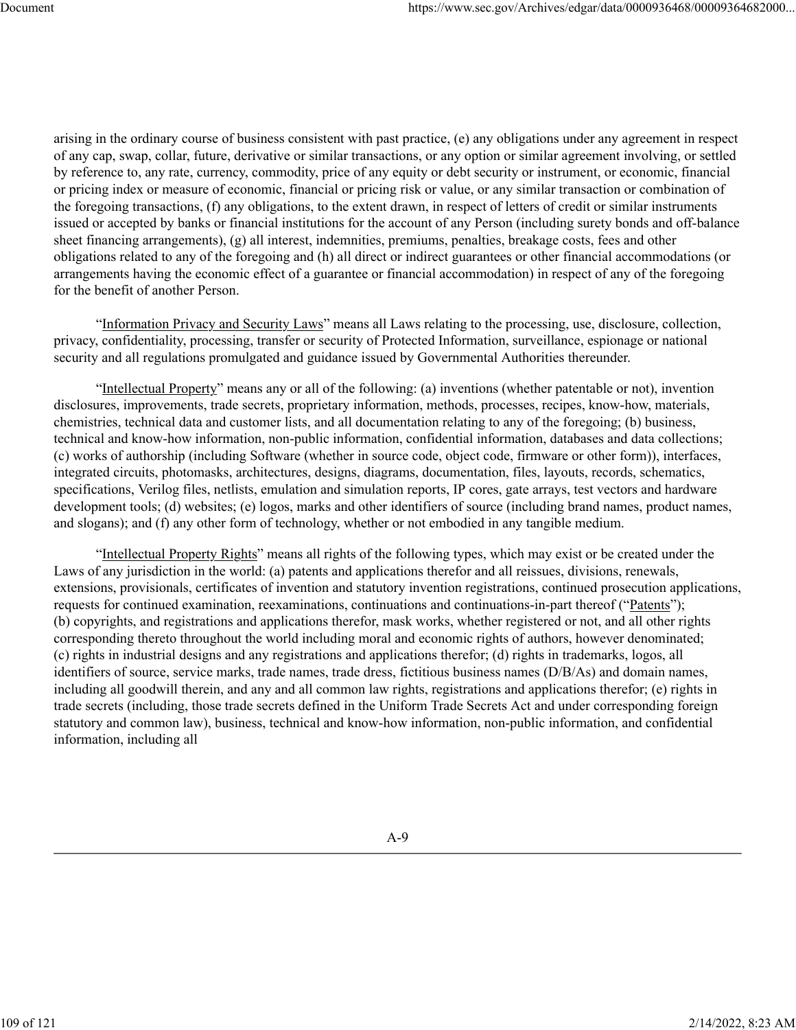arising in the ordinary course of business consistent with past practice, (e) any obligations under any agreement in respect of any cap, swap, collar, future, derivative or similar transactions, or any option or similar agreement involving, or settled by reference to, any rate, currency, commodity, price of any equity or debt security or instrument, or economic, financial or pricing index or measure of economic, financial or pricing risk or value, or any similar transaction or combination of the foregoing transactions, (f) any obligations, to the extent drawn, in respect of letters of credit or similar instruments issued or accepted by banks or financial institutions for the account of any Person (including surety bonds and off-balance sheet financing arrangements), (g) all interest, indemnities, premiums, penalties, breakage costs, fees and other obligations related to any of the foregoing and (h) all direct or indirect guarantees or other financial accommodations (or arrangements having the economic effect of a guarantee or financial accommodation) in respect of any of the foregoing for the benefit of another Person.

"Information Privacy and Security Laws" means all Laws relating to the processing, use, disclosure, collection, privacy, confidentiality, processing, transfer or security of Protected Information, surveillance, espionage or national security and all regulations promulgated and guidance issued by Governmental Authorities thereunder.

"Intellectual Property" means any or all of the following: (a) inventions (whether patentable or not), invention disclosures, improvements, trade secrets, proprietary information, methods, processes, recipes, know-how, materials, chemistries, technical data and customer lists, and all documentation relating to any of the foregoing; (b) business, technical and know-how information, non-public information, confidential information, databases and data collections; (c) works of authorship (including Software (whether in source code, object code, firmware or other form)), interfaces, integrated circuits, photomasks, architectures, designs, diagrams, documentation, files, layouts, records, schematics, specifications, Verilog files, netlists, emulation and simulation reports, IP cores, gate arrays, test vectors and hardware development tools; (d) websites; (e) logos, marks and other identifiers of source (including brand names, product names, and slogans); and (f) any other form of technology, whether or not embodied in any tangible medium.

"Intellectual Property Rights" means all rights of the following types, which may exist or be created under the Laws of any jurisdiction in the world: (a) patents and applications therefor and all reissues, divisions, renewals, extensions, provisionals, certificates of invention and statutory invention registrations, continued prosecution applications, requests for continued examination, reexaminations, continuations and continuations-in-part thereof ("Patents"); (b) copyrights, and registrations and applications therefor, mask works, whether registered or not, and all other rights corresponding thereto throughout the world including moral and economic rights of authors, however denominated; (c) rights in industrial designs and any registrations and applications therefor; (d) rights in trademarks, logos, all identifiers of source, service marks, trade names, trade dress, fictitious business names (D/B/As) and domain names, including all goodwill therein, and any and all common law rights, registrations and applications therefor; (e) rights in trade secrets (including, those trade secrets defined in the Uniform Trade Secrets Act and under corresponding foreign statutory and common law), business, technical and know-how information, non-public information, and confidential information, including all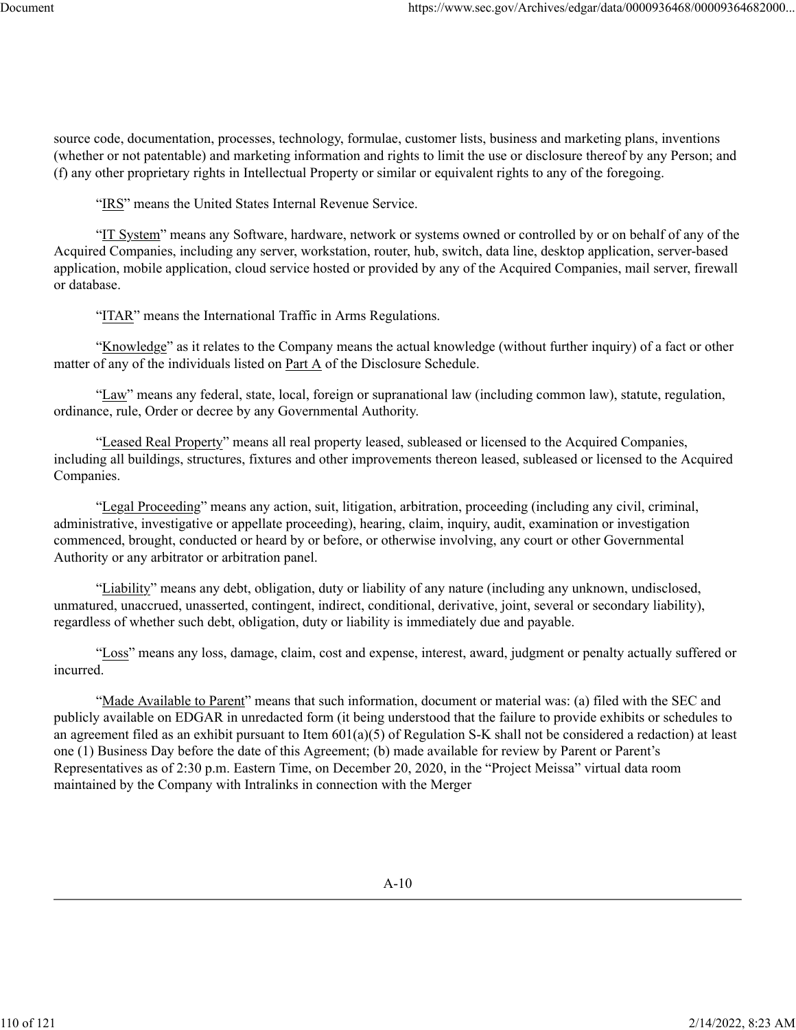source code, documentation, processes, technology, formulae, customer lists, business and marketing plans, inventions (whether or not patentable) and marketing information and rights to limit the use or disclosure thereof by any Person; and (f) any other proprietary rights in Intellectual Property or similar or equivalent rights to any of the foregoing.

"IRS" means the United States Internal Revenue Service.

"IT System" means any Software, hardware, network or systems owned or controlled by or on behalf of any of the Acquired Companies, including any server, workstation, router, hub, switch, data line, desktop application, server-based application, mobile application, cloud service hosted or provided by any of the Acquired Companies, mail server, firewall or database.

"ITAR" means the International Traffic in Arms Regulations.

"Knowledge" as it relates to the Company means the actual knowledge (without further inquiry) of a fact or other matter of any of the individuals listed on Part A of the Disclosure Schedule.

"Law" means any federal, state, local, foreign or supranational law (including common law), statute, regulation, ordinance, rule, Order or decree by any Governmental Authority.

"Leased Real Property" means all real property leased, subleased or licensed to the Acquired Companies, including all buildings, structures, fixtures and other improvements thereon leased, subleased or licensed to the Acquired Companies.

"Legal Proceeding" means any action, suit, litigation, arbitration, proceeding (including any civil, criminal, administrative, investigative or appellate proceeding), hearing, claim, inquiry, audit, examination or investigation commenced, brought, conducted or heard by or before, or otherwise involving, any court or other Governmental Authority or any arbitrator or arbitration panel.

"Liability" means any debt, obligation, duty or liability of any nature (including any unknown, undisclosed, unmatured, unaccrued, unasserted, contingent, indirect, conditional, derivative, joint, several or secondary liability), regardless of whether such debt, obligation, duty or liability is immediately due and payable.

"Loss" means any loss, damage, claim, cost and expense, interest, award, judgment or penalty actually suffered or incurred.

"Made Available to Parent" means that such information, document or material was: (a) filed with the SEC and publicly available on EDGAR in unredacted form (it being understood that the failure to provide exhibits or schedules to an agreement filed as an exhibit pursuant to Item 601(a)(5) of Regulation S-K shall not be considered a redaction) at least one (1) Business Day before the date of this Agreement; (b) made available for review by Parent or Parent's Representatives as of 2:30 p.m. Eastern Time, on December 20, 2020, in the "Project Meissa" virtual data room maintained by the Company with Intralinks in connection with the Merger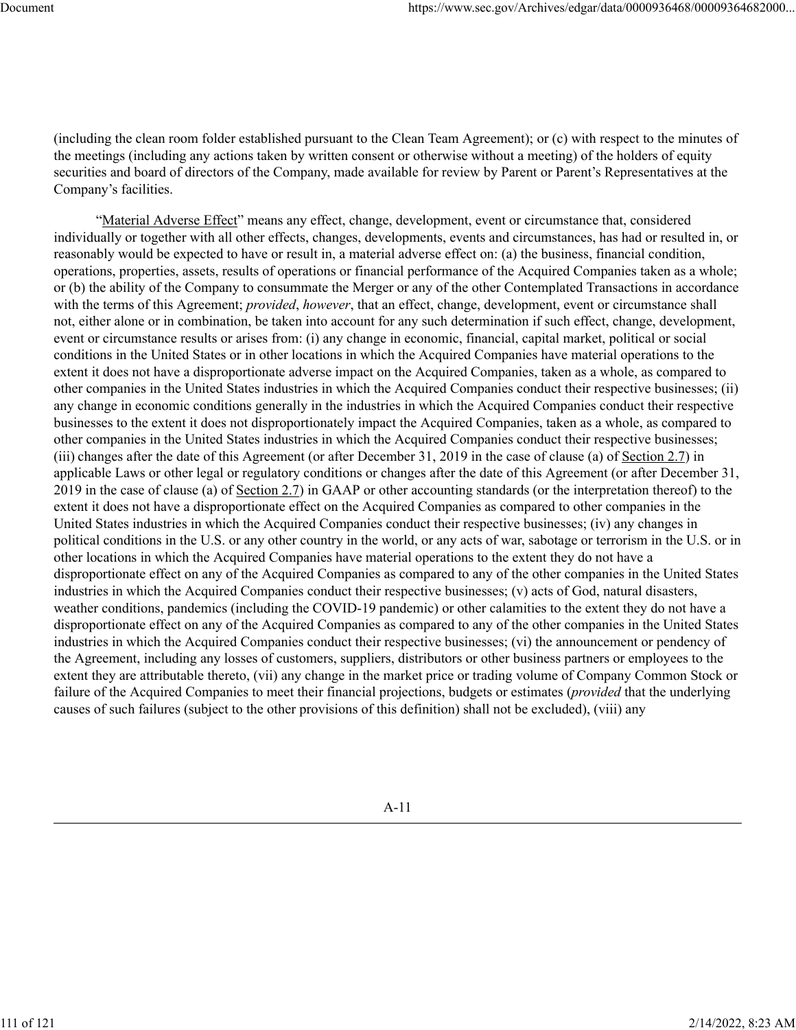(including the clean room folder established pursuant to the Clean Team Agreement); or (c) with respect to the minutes of the meetings (including any actions taken by written consent or otherwise without a meeting) of the holders of equity securities and board of directors of the Company, made available for review by Parent or Parent's Representatives at the Company's facilities.

"Material Adverse Effect" means any effect, change, development, event or circumstance that, considered individually or together with all other effects, changes, developments, events and circumstances, has had or resulted in, or reasonably would be expected to have or result in, a material adverse effect on: (a) the business, financial condition, operations, properties, assets, results of operations or financial performance of the Acquired Companies taken as a whole; or (b) the ability of the Company to consummate the Merger or any of the other Contemplated Transactions in accordance with the terms of this Agreement; *provided*, *however*, that an effect, change, development, event or circumstance shall not, either alone or in combination, be taken into account for any such determination if such effect, change, development, event or circumstance results or arises from: (i) any change in economic, financial, capital market, political or social conditions in the United States or in other locations in which the Acquired Companies have material operations to the extent it does not have a disproportionate adverse impact on the Acquired Companies, taken as a whole, as compared to other companies in the United States industries in which the Acquired Companies conduct their respective businesses; (ii) any change in economic conditions generally in the industries in which the Acquired Companies conduct their respective businesses to the extent it does not disproportionately impact the Acquired Companies, taken as a whole, as compared to other companies in the United States industries in which the Acquired Companies conduct their respective businesses; (iii) changes after the date of this Agreement (or after December 31, 2019 in the case of clause (a) of Section 2.7) in applicable Laws or other legal or regulatory conditions or changes after the date of this Agreement (or after December 31, 2019 in the case of clause (a) of Section 2.7) in GAAP or other accounting standards (or the interpretation thereof) to the extent it does not have a disproportionate effect on the Acquired Companies as compared to other companies in the United States industries in which the Acquired Companies conduct their respective businesses; (iv) any changes in political conditions in the U.S. or any other country in the world, or any acts of war, sabotage or terrorism in the U.S. or in other locations in which the Acquired Companies have material operations to the extent they do not have a disproportionate effect on any of the Acquired Companies as compared to any of the other companies in the United States industries in which the Acquired Companies conduct their respective businesses; (v) acts of God, natural disasters, weather conditions, pandemics (including the COVID-19 pandemic) or other calamities to the extent they do not have a disproportionate effect on any of the Acquired Companies as compared to any of the other companies in the United States industries in which the Acquired Companies conduct their respective businesses; (vi) the announcement or pendency of the Agreement, including any losses of customers, suppliers, distributors or other business partners or employees to the extent they are attributable thereto, (vii) any change in the market price or trading volume of Company Common Stock or failure of the Acquired Companies to meet their financial projections, budgets or estimates (*provided* that the underlying causes of such failures (subject to the other provisions of this definition) shall not be excluded), (viii) any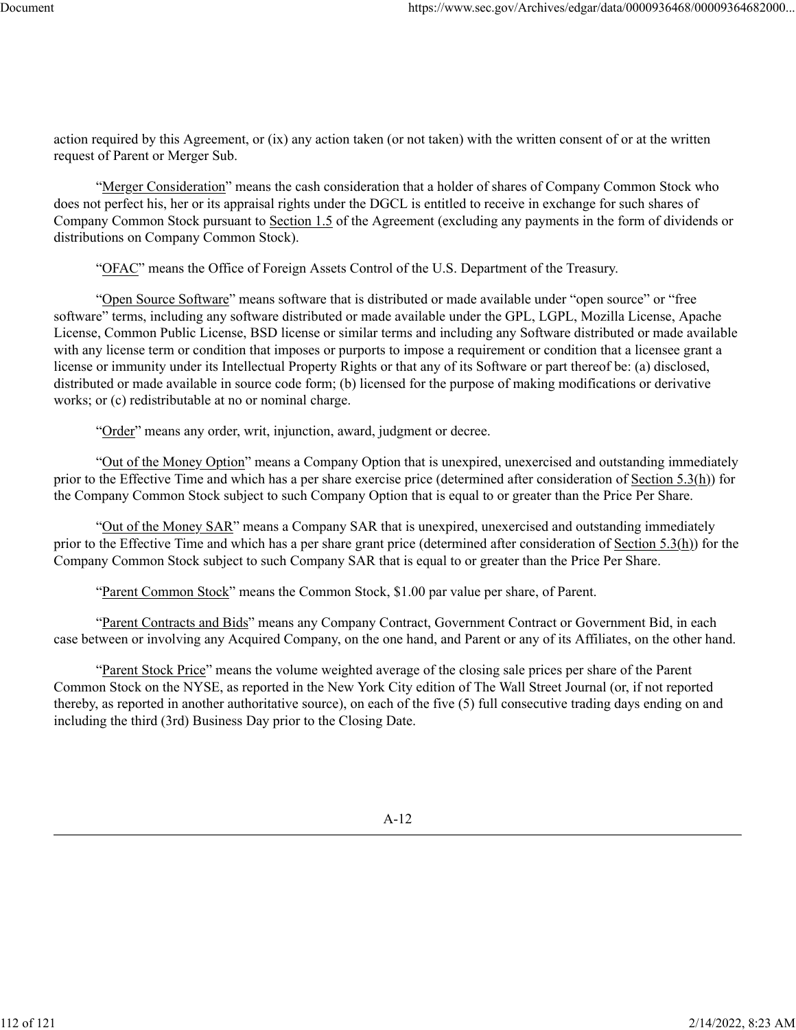action required by this Agreement, or (ix) any action taken (or not taken) with the written consent of or at the written request of Parent or Merger Sub.

"Merger Consideration" means the cash consideration that a holder of shares of Company Common Stock who does not perfect his, her or its appraisal rights under the DGCL is entitled to receive in exchange for such shares of Company Common Stock pursuant to Section 1.5 of the Agreement (excluding any payments in the form of dividends or distributions on Company Common Stock).

"OFAC" means the Office of Foreign Assets Control of the U.S. Department of the Treasury.

"Open Source Software" means software that is distributed or made available under "open source" or "free software" terms, including any software distributed or made available under the GPL, LGPL, Mozilla License, Apache License, Common Public License, BSD license or similar terms and including any Software distributed or made available with any license term or condition that imposes or purports to impose a requirement or condition that a licensee grant a license or immunity under its Intellectual Property Rights or that any of its Software or part thereof be: (a) disclosed, distributed or made available in source code form; (b) licensed for the purpose of making modifications or derivative works; or (c) redistributable at no or nominal charge.

"Order" means any order, writ, injunction, award, judgment or decree.

"Out of the Money Option" means a Company Option that is unexpired, unexercised and outstanding immediately prior to the Effective Time and which has a per share exercise price (determined after consideration of Section 5.3(h)) for the Company Common Stock subject to such Company Option that is equal to or greater than the Price Per Share.

"Out of the Money SAR" means a Company SAR that is unexpired, unexercised and outstanding immediately prior to the Effective Time and which has a per share grant price (determined after consideration of Section 5.3(h)) for the Company Common Stock subject to such Company SAR that is equal to or greater than the Price Per Share.

"Parent Common Stock" means the Common Stock, \$1.00 par value per share, of Parent.

"Parent Contracts and Bids" means any Company Contract, Government Contract or Government Bid, in each case between or involving any Acquired Company, on the one hand, and Parent or any of its Affiliates, on the other hand.

"Parent Stock Price" means the volume weighted average of the closing sale prices per share of the Parent Common Stock on the NYSE, as reported in the New York City edition of The Wall Street Journal (or, if not reported thereby, as reported in another authoritative source), on each of the five (5) full consecutive trading days ending on and including the third (3rd) Business Day prior to the Closing Date.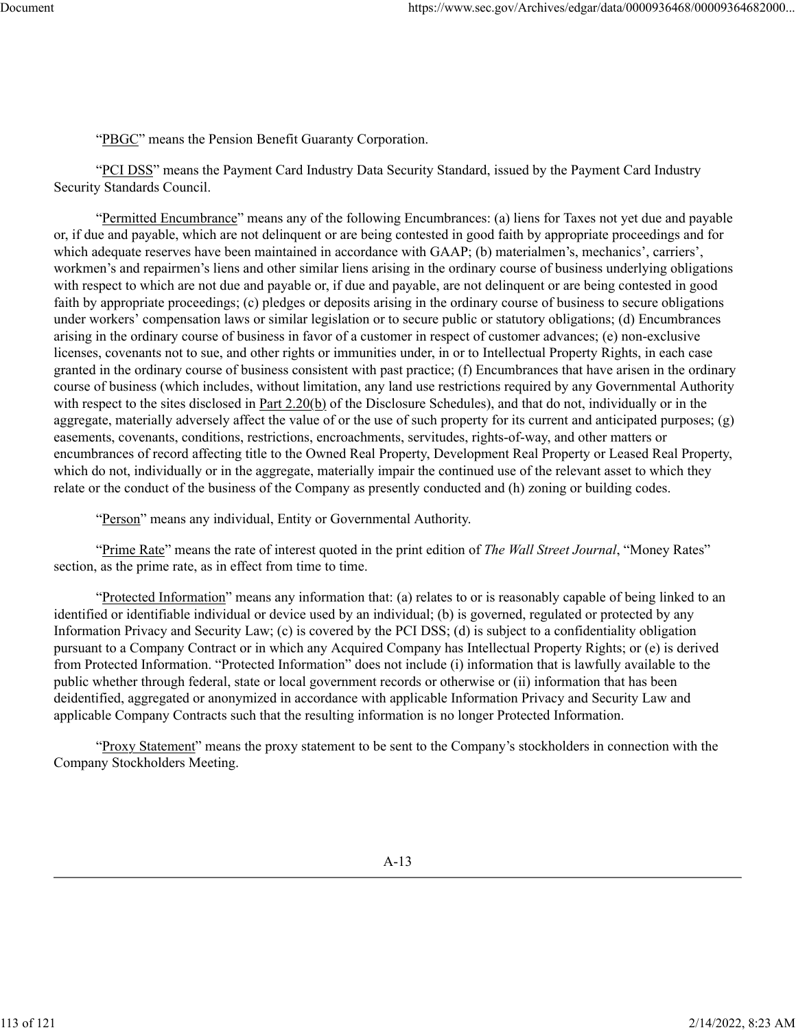"PBGC" means the Pension Benefit Guaranty Corporation.

"PCI DSS" means the Payment Card Industry Data Security Standard, issued by the Payment Card Industry Security Standards Council.

"Permitted Encumbrance" means any of the following Encumbrances: (a) liens for Taxes not yet due and payable or, if due and payable, which are not delinquent or are being contested in good faith by appropriate proceedings and for which adequate reserves have been maintained in accordance with GAAP; (b) materialmen's, mechanics', carriers', workmen's and repairmen's liens and other similar liens arising in the ordinary course of business underlying obligations with respect to which are not due and payable or, if due and payable, are not delinquent or are being contested in good faith by appropriate proceedings; (c) pledges or deposits arising in the ordinary course of business to secure obligations under workers' compensation laws or similar legislation or to secure public or statutory obligations; (d) Encumbrances arising in the ordinary course of business in favor of a customer in respect of customer advances; (e) non-exclusive licenses, covenants not to sue, and other rights or immunities under, in or to Intellectual Property Rights, in each case granted in the ordinary course of business consistent with past practice; (f) Encumbrances that have arisen in the ordinary course of business (which includes, without limitation, any land use restrictions required by any Governmental Authority with respect to the sites disclosed in Part 2.20(b) of the Disclosure Schedules), and that do not, individually or in the aggregate, materially adversely affect the value of or the use of such property for its current and anticipated purposes; (g) easements, covenants, conditions, restrictions, encroachments, servitudes, rights-of-way, and other matters or encumbrances of record affecting title to the Owned Real Property, Development Real Property or Leased Real Property, which do not, individually or in the aggregate, materially impair the continued use of the relevant asset to which they relate or the conduct of the business of the Company as presently conducted and (h) zoning or building codes.

"Person" means any individual, Entity or Governmental Authority.

"Prime Rate" means the rate of interest quoted in the print edition of *The Wall Street Journal*, "Money Rates" section, as the prime rate, as in effect from time to time.

"Protected Information" means any information that: (a) relates to or is reasonably capable of being linked to an identified or identifiable individual or device used by an individual; (b) is governed, regulated or protected by any Information Privacy and Security Law; (c) is covered by the PCI DSS; (d) is subject to a confidentiality obligation pursuant to a Company Contract or in which any Acquired Company has Intellectual Property Rights; or (e) is derived from Protected Information. "Protected Information" does not include (i) information that is lawfully available to the public whether through federal, state or local government records or otherwise or (ii) information that has been deidentified, aggregated or anonymized in accordance with applicable Information Privacy and Security Law and applicable Company Contracts such that the resulting information is no longer Protected Information.

"Proxy Statement" means the proxy statement to be sent to the Company's stockholders in connection with the Company Stockholders Meeting.

113 of 121 2/14/2022, 8:23 AM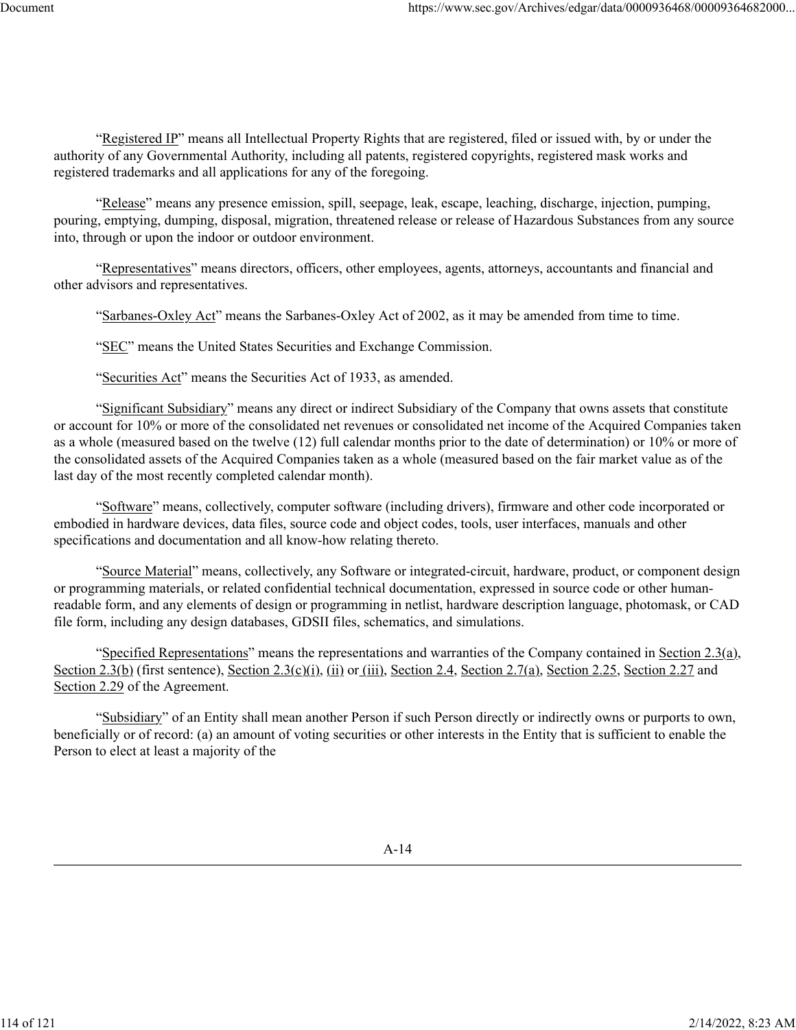"Registered IP" means all Intellectual Property Rights that are registered, filed or issued with, by or under the authority of any Governmental Authority, including all patents, registered copyrights, registered mask works and registered trademarks and all applications for any of the foregoing.

"Release" means any presence emission, spill, seepage, leak, escape, leaching, discharge, injection, pumping, pouring, emptying, dumping, disposal, migration, threatened release or release of Hazardous Substances from any source into, through or upon the indoor or outdoor environment.

"Representatives" means directors, officers, other employees, agents, attorneys, accountants and financial and other advisors and representatives.

"Sarbanes-Oxley Act" means the Sarbanes-Oxley Act of 2002, as it may be amended from time to time.

"SEC" means the United States Securities and Exchange Commission.

"Securities Act" means the Securities Act of 1933, as amended.

"Significant Subsidiary" means any direct or indirect Subsidiary of the Company that owns assets that constitute or account for 10% or more of the consolidated net revenues or consolidated net income of the Acquired Companies taken as a whole (measured based on the twelve (12) full calendar months prior to the date of determination) or 10% or more of the consolidated assets of the Acquired Companies taken as a whole (measured based on the fair market value as of the last day of the most recently completed calendar month).

"Software" means, collectively, computer software (including drivers), firmware and other code incorporated or embodied in hardware devices, data files, source code and object codes, tools, user interfaces, manuals and other specifications and documentation and all know-how relating thereto.

"Source Material" means, collectively, any Software or integrated-circuit, hardware, product, or component design or programming materials, or related confidential technical documentation, expressed in source code or other humanreadable form, and any elements of design or programming in netlist, hardware description language, photomask, or CAD file form, including any design databases, GDSII files, schematics, and simulations.

"Specified Representations" means the representations and warranties of the Company contained in Section 2.3(a), Section 2.3(b) (first sentence), Section 2.3(c)(i), (ii) or (iii), Section 2.4, Section 2.7(a), Section 2.25, Section 2.27 and Section 2.29 of the Agreement.

"Subsidiary" of an Entity shall mean another Person if such Person directly or indirectly owns or purports to own, beneficially or of record: (a) an amount of voting securities or other interests in the Entity that is sufficient to enable the Person to elect at least a majority of the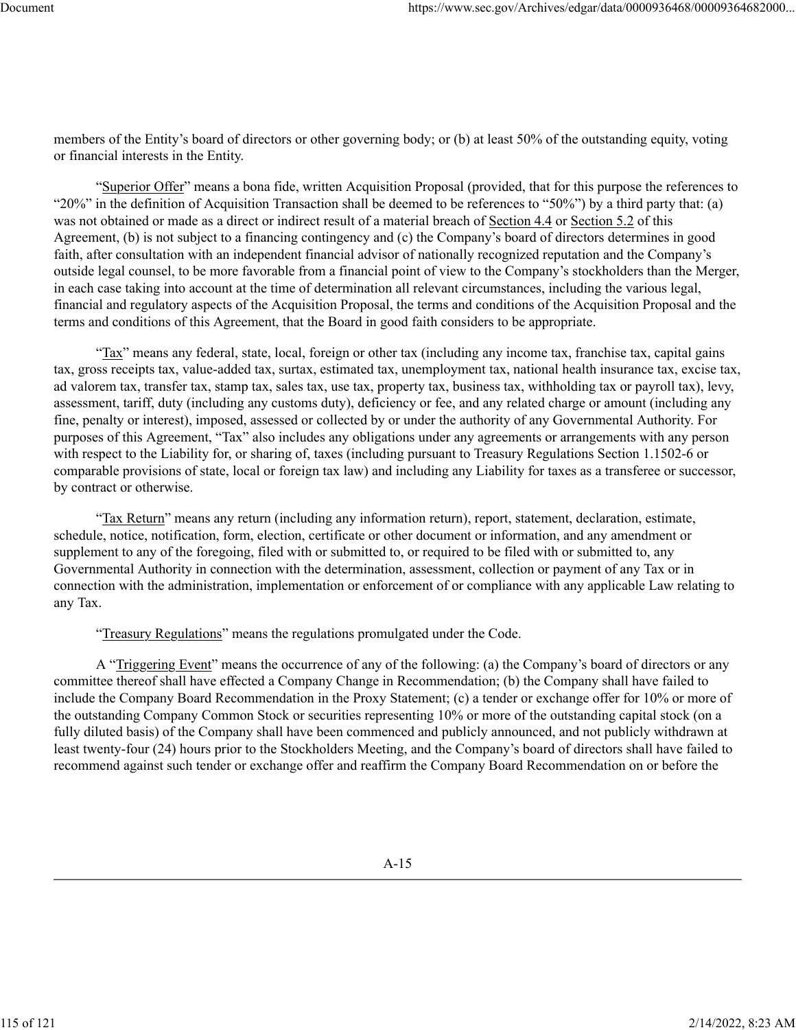members of the Entity's board of directors or other governing body; or (b) at least 50% of the outstanding equity, voting or financial interests in the Entity.

"Superior Offer" means a bona fide, written Acquisition Proposal (provided, that for this purpose the references to "20%" in the definition of Acquisition Transaction shall be deemed to be references to "50%") by a third party that: (a) was not obtained or made as a direct or indirect result of a material breach of Section 4.4 or Section 5.2 of this Agreement, (b) is not subject to a financing contingency and (c) the Company's board of directors determines in good faith, after consultation with an independent financial advisor of nationally recognized reputation and the Company's outside legal counsel, to be more favorable from a financial point of view to the Company's stockholders than the Merger, in each case taking into account at the time of determination all relevant circumstances, including the various legal, financial and regulatory aspects of the Acquisition Proposal, the terms and conditions of the Acquisition Proposal and the terms and conditions of this Agreement, that the Board in good faith considers to be appropriate.

"Tax" means any federal, state, local, foreign or other tax (including any income tax, franchise tax, capital gains tax, gross receipts tax, value-added tax, surtax, estimated tax, unemployment tax, national health insurance tax, excise tax, ad valorem tax, transfer tax, stamp tax, sales tax, use tax, property tax, business tax, withholding tax or payroll tax), levy, assessment, tariff, duty (including any customs duty), deficiency or fee, and any related charge or amount (including any fine, penalty or interest), imposed, assessed or collected by or under the authority of any Governmental Authority. For purposes of this Agreement, "Tax" also includes any obligations under any agreements or arrangements with any person with respect to the Liability for, or sharing of, taxes (including pursuant to Treasury Regulations Section 1.1502-6 or comparable provisions of state, local or foreign tax law) and including any Liability for taxes as a transferee or successor, by contract or otherwise.

"Tax Return" means any return (including any information return), report, statement, declaration, estimate, schedule, notice, notification, form, election, certificate or other document or information, and any amendment or supplement to any of the foregoing, filed with or submitted to, or required to be filed with or submitted to, any Governmental Authority in connection with the determination, assessment, collection or payment of any Tax or in connection with the administration, implementation or enforcement of or compliance with any applicable Law relating to any Tax.

"Treasury Regulations" means the regulations promulgated under the Code.

A "Triggering Event" means the occurrence of any of the following: (a) the Company's board of directors or any committee thereof shall have effected a Company Change in Recommendation; (b) the Company shall have failed to include the Company Board Recommendation in the Proxy Statement; (c) a tender or exchange offer for 10% or more of the outstanding Company Common Stock or securities representing 10% or more of the outstanding capital stock (on a fully diluted basis) of the Company shall have been commenced and publicly announced, and not publicly withdrawn at least twenty-four (24) hours prior to the Stockholders Meeting, and the Company's board of directors shall have failed to recommend against such tender or exchange offer and reaffirm the Company Board Recommendation on or before the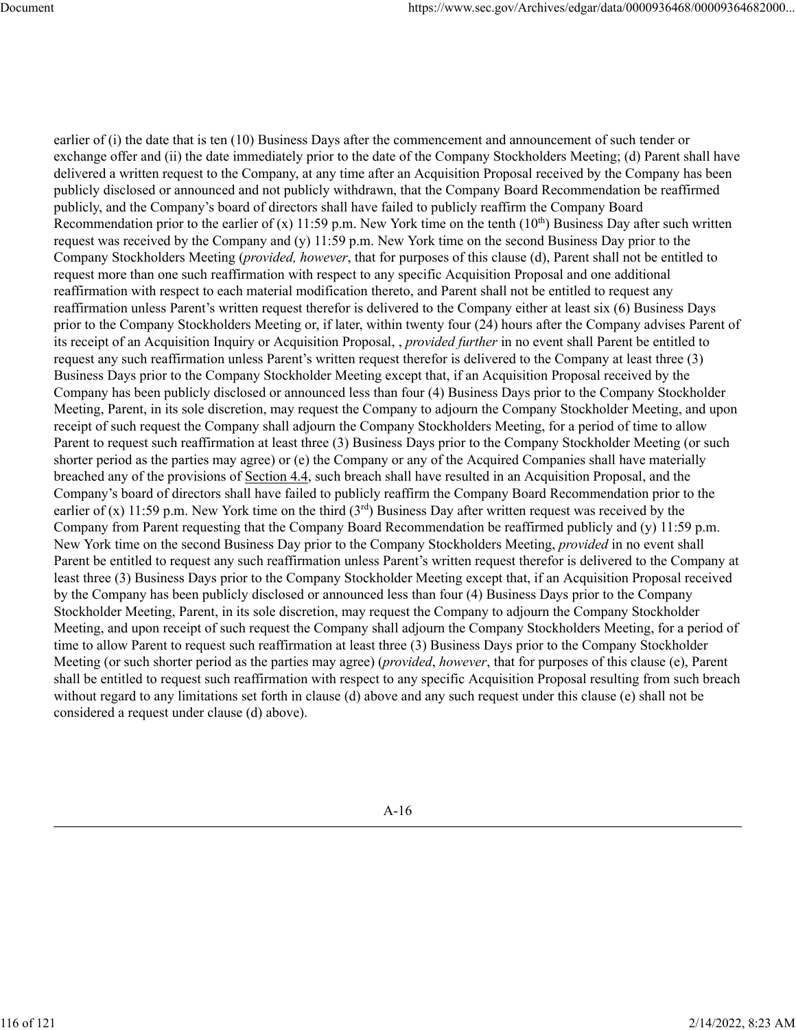earlier of (i) the date that is ten (10) Business Days after the commencement and announcement of such tender or exchange offer and (ii) the date immediately prior to the date of the Company Stockholders Meeting; (d) Parent shall have delivered a written request to the Company, at any time after an Acquisition Proposal received by the Company has been publicly disclosed or announced and not publicly withdrawn, that the Company Board Recommendation be reaffirmed publicly, and the Company's board of directors shall have failed to publicly reaffirm the Company Board Recommendation prior to the earlier of (x) 11:59 p.m. New York time on the tenth  $(10<sup>th</sup>)$  Business Day after such written request was received by the Company and (y) 11:59 p.m. New York time on the second Business Day prior to the Company Stockholders Meeting (*provided, however*, that for purposes of this clause (d), Parent shall not be entitled to request more than one such reaffirmation with respect to any specific Acquisition Proposal and one additional reaffirmation with respect to each material modification thereto, and Parent shall not be entitled to request any reaffirmation unless Parent's written request therefor is delivered to the Company either at least six (6) Business Days prior to the Company Stockholders Meeting or, if later, within twenty four (24) hours after the Company advises Parent of its receipt of an Acquisition Inquiry or Acquisition Proposal, , *provided further* in no event shall Parent be entitled to request any such reaffirmation unless Parent's written request therefor is delivered to the Company at least three (3) Business Days prior to the Company Stockholder Meeting except that, if an Acquisition Proposal received by the Company has been publicly disclosed or announced less than four (4) Business Days prior to the Company Stockholder Meeting, Parent, in its sole discretion, may request the Company to adjourn the Company Stockholder Meeting, and upon receipt of such request the Company shall adjourn the Company Stockholders Meeting, for a period of time to allow Parent to request such reaffirmation at least three (3) Business Days prior to the Company Stockholder Meeting (or such shorter period as the parties may agree) or (e) the Company or any of the Acquired Companies shall have materially breached any of the provisions of Section 4.4, such breach shall have resulted in an Acquisition Proposal, and the Company's board of directors shall have failed to publicly reaffirm the Company Board Recommendation prior to the earlier of (x) 11:59 p.m. New York time on the third  $(3<sup>rd</sup>)$  Business Day after written request was received by the Company from Parent requesting that the Company Board Recommendation be reaffirmed publicly and (y) 11:59 p.m. New York time on the second Business Day prior to the Company Stockholders Meeting, *provided* in no event shall Parent be entitled to request any such reaffirmation unless Parent's written request therefor is delivered to the Company at least three (3) Business Days prior to the Company Stockholder Meeting except that, if an Acquisition Proposal received by the Company has been publicly disclosed or announced less than four (4) Business Days prior to the Company Stockholder Meeting, Parent, in its sole discretion, may request the Company to adjourn the Company Stockholder Meeting, and upon receipt of such request the Company shall adjourn the Company Stockholders Meeting, for a period of time to allow Parent to request such reaffirmation at least three (3) Business Days prior to the Company Stockholder Meeting (or such shorter period as the parties may agree) (*provided*, *however*, that for purposes of this clause (e), Parent shall be entitled to request such reaffirmation with respect to any specific Acquisition Proposal resulting from such breach without regard to any limitations set forth in clause (d) above and any such request under this clause (e) shall not be considered a request under clause (d) above).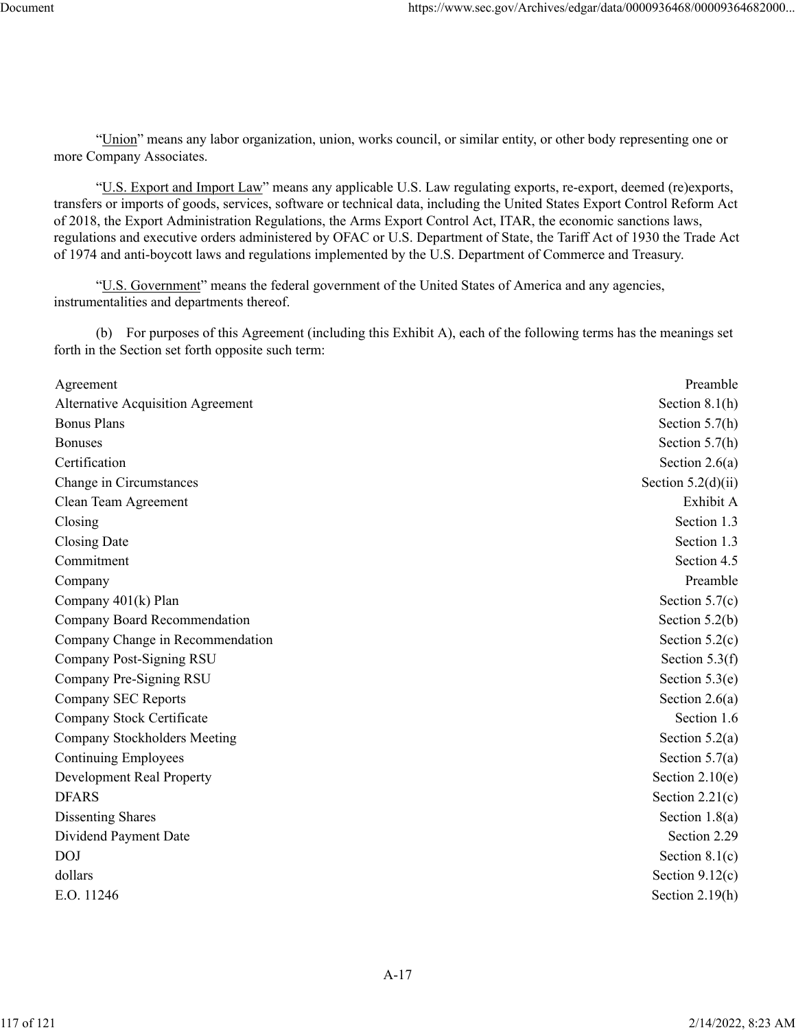"Union" means any labor organization, union, works council, or similar entity, or other body representing one or more Company Associates.

"U.S. Export and Import Law" means any applicable U.S. Law regulating exports, re-export, deemed (re)exports, transfers or imports of goods, services, software or technical data, including the United States Export Control Reform Act of 2018, the Export Administration Regulations, the Arms Export Control Act, ITAR, the economic sanctions laws, regulations and executive orders administered by OFAC or U.S. Department of State, the Tariff Act of 1930 the Trade Act of 1974 and anti-boycott laws and regulations implemented by the U.S. Department of Commerce and Treasury.

"U.S. Government" means the federal government of the United States of America and any agencies, instrumentalities and departments thereof.

(b) For purposes of this Agreement (including this Exhibit A), each of the following terms has the meanings set forth in the Section set forth opposite such term:

| Agreement                         | Preamble             |
|-----------------------------------|----------------------|
| Alternative Acquisition Agreement | Section $8.1(h)$     |
| <b>Bonus Plans</b>                | Section $5.7(h)$     |
| <b>Bonuses</b>                    | Section $5.7(h)$     |
| Certification                     | Section $2.6(a)$     |
| Change in Circumstances           | Section $5.2(d)(ii)$ |
| Clean Team Agreement              | Exhibit A            |
| Closing                           | Section 1.3          |
| Closing Date                      | Section 1.3          |
| Commitment                        | Section 4.5          |
| Company                           | Preamble             |
| Company 401(k) Plan               | Section $5.7(c)$     |
| Company Board Recommendation      | Section $5.2(b)$     |
| Company Change in Recommendation  | Section $5.2(c)$     |
| Company Post-Signing RSU          | Section $5.3(f)$     |
| Company Pre-Signing RSU           | Section $5.3(e)$     |
| Company SEC Reports               | Section $2.6(a)$     |
| Company Stock Certificate         | Section 1.6          |
| Company Stockholders Meeting      | Section $5.2(a)$     |
| <b>Continuing Employees</b>       | Section $5.7(a)$     |
| Development Real Property         | Section $2.10(e)$    |
| <b>DFARS</b>                      | Section $2.21(c)$    |
| <b>Dissenting Shares</b>          | Section $1.8(a)$     |
| Dividend Payment Date             | Section 2.29         |
| <b>DOJ</b>                        | Section $8.1(c)$     |
| dollars                           | Section $9.12(c)$    |
| E.O. 11246                        | Section $2.19(h)$    |
|                                   |                      |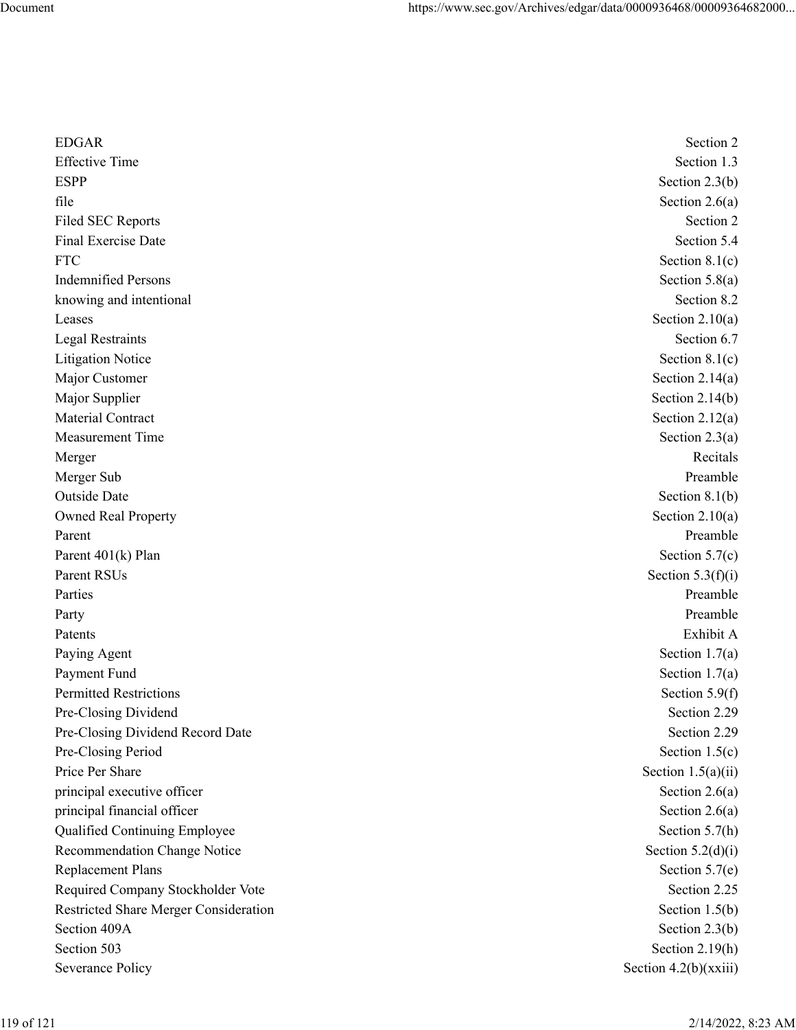| <b>EDGAR</b>                          | Section 2             |
|---------------------------------------|-----------------------|
| <b>Effective Time</b>                 | Section 1.3           |
| <b>ESPP</b>                           | Section $2.3(b)$      |
| file                                  | Section $2.6(a)$      |
| <b>Filed SEC Reports</b>              | Section 2             |
| Final Exercise Date                   | Section 5.4           |
| <b>FTC</b>                            | Section $8.1(c)$      |
| <b>Indemnified Persons</b>            | Section $5.8(a)$      |
| knowing and intentional               | Section 8.2           |
| Leases                                | Section $2.10(a)$     |
| <b>Legal Restraints</b>               | Section 6.7           |
| <b>Litigation Notice</b>              | Section $8.1(c)$      |
| Major Customer                        | Section $2.14(a)$     |
| Major Supplier                        | Section $2.14(b)$     |
| Material Contract                     | Section $2.12(a)$     |
| <b>Measurement Time</b>               | Section $2.3(a)$      |
| Merger                                | Recitals              |
| Merger Sub                            | Preamble              |
| Outside Date                          | Section $8.1(b)$      |
| <b>Owned Real Property</b>            | Section $2.10(a)$     |
| Parent                                | Preamble              |
| Parent 401(k) Plan                    | Section $5.7(c)$      |
| Parent RSUs                           | Section $5.3(f)(i)$   |
| Parties                               | Preamble              |
| Party                                 | Preamble              |
| Patents                               | Exhibit A             |
| Paying Agent                          | Section $1.7(a)$      |
| Payment Fund                          | Section $1.7(a)$      |
| <b>Permitted Restrictions</b>         | Section $5.9(f)$      |
| Pre-Closing Dividend                  | Section 2.29          |
| Pre-Closing Dividend Record Date      | Section 2.29          |
| Pre-Closing Period                    | Section $1.5(c)$      |
| Price Per Share                       | Section $1.5(a)(ii)$  |
| principal executive officer           | Section $2.6(a)$      |
| principal financial officer           | Section $2.6(a)$      |
| Qualified Continuing Employee         | Section 5.7(h)        |
| Recommendation Change Notice          | Section $5.2(d)(i)$   |
| <b>Replacement Plans</b>              | Section $5.7(e)$      |
| Required Company Stockholder Vote     | Section 2.25          |
| Restricted Share Merger Consideration | Section $1.5(b)$      |
| Section 409A                          | Section $2.3(b)$      |
| Section 503                           | Section 2.19(h)       |
| Severance Policy                      | Section 4.2(b)(xxiii) |